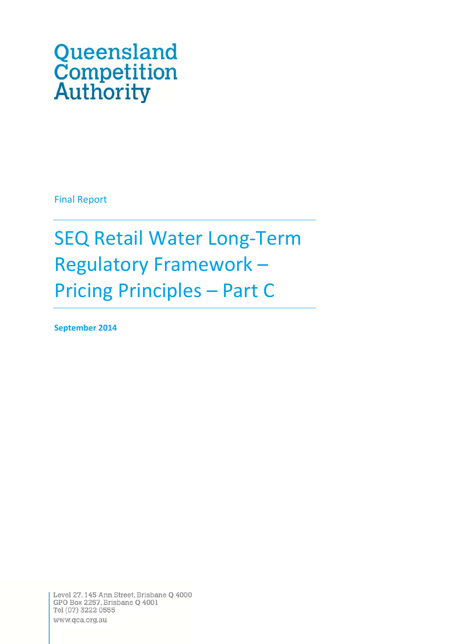# Queensland **Competition**<br>Authority

Final Report

SEQ Retail Water Long‐Term Regulatory Framework – Pricing Principles – Part C

**September 2014**

Level 27, 145 Ann Street, Brisbane Q 4000 GPO Box 2257, Brisbane Q 4001 Tel (07) 3222 0555 www.qca.org.au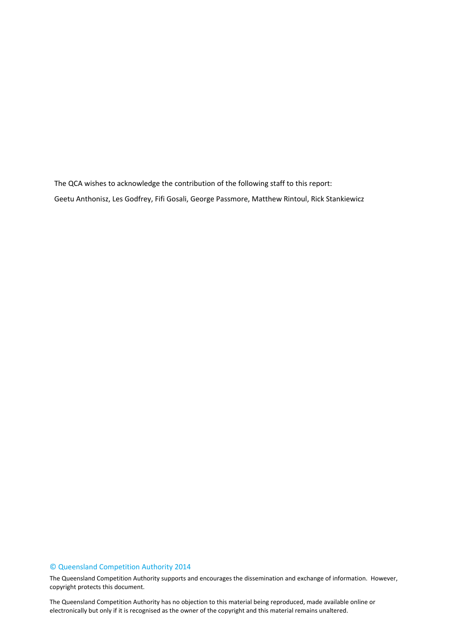The QCA wishes to acknowledge the contribution of the following staff to this report: Geetu Anthonisz, Les Godfrey, Fifi Gosali, George Passmore, Matthew Rintoul, Rick Stankiewicz

## © Queensland Competition Authority 2014

The Queensland Competition Authority supports and encourages the dissemination and exchange of information. However, copyright protects this document.

The Queensland Competition Authority has no objection to this material being reproduced, made available online or electronically but only if it is recognised as the owner of the copyright and this material remains unaltered.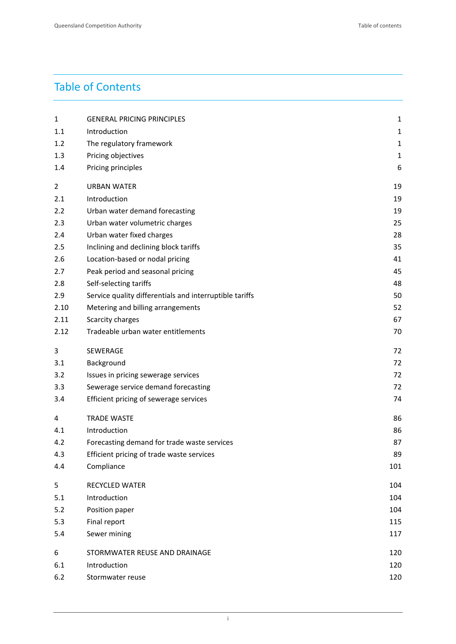# Table of Contents

| 1              | <b>GENERAL PRICING PRINCIPLES</b>                       | $\mathbf{1}$ |
|----------------|---------------------------------------------------------|--------------|
| 1.1            | Introduction                                            | $\mathbf{1}$ |
| 1.2            | The regulatory framework                                | $\mathbf{1}$ |
| 1.3            | Pricing objectives                                      | $\mathbf 1$  |
| 1.4            | Pricing principles                                      | 6            |
| $\overline{2}$ | <b>URBAN WATER</b>                                      | 19           |
| 2.1            | Introduction                                            | 19           |
| 2.2            | Urban water demand forecasting                          | 19           |
| 2.3            | Urban water volumetric charges                          | 25           |
| 2.4            | Urban water fixed charges                               | 28           |
| 2.5            | Inclining and declining block tariffs                   | 35           |
| 2.6            | Location-based or nodal pricing                         | 41           |
| 2.7            | Peak period and seasonal pricing                        | 45           |
| 2.8            | Self-selecting tariffs                                  | 48           |
| 2.9            | Service quality differentials and interruptible tariffs | 50           |
| 2.10           | Metering and billing arrangements                       | 52           |
| 2.11           | Scarcity charges                                        | 67           |
| 2.12           | Tradeable urban water entitlements                      | 70           |
| 3              | SEWERAGE                                                | 72           |
| 3.1            | Background                                              | 72           |
| 3.2            | Issues in pricing sewerage services                     | 72           |
| 3.3            | Sewerage service demand forecasting                     | 72           |
| 3.4            | Efficient pricing of sewerage services                  | 74           |
| 4              | <b>TRADE WASTE</b>                                      | 86           |
| 4.1            | Introduction                                            | 86           |
| 4.2            | Forecasting demand for trade waste services             | 87           |
| 4.3            | Efficient pricing of trade waste services               | 89           |
| 4.4            | Compliance                                              | 101          |
| 5              | RECYCLED WATER                                          | 104          |
| 5.1            | Introduction                                            | 104          |
| 5.2            | Position paper                                          | 104          |
| 5.3            | Final report                                            | 115          |
| 5.4            | Sewer mining                                            | 117          |
| 6              | STORMWATER REUSE AND DRAINAGE                           | 120          |
| 6.1            | Introduction                                            | 120          |
| 6.2            | Stormwater reuse                                        | 120          |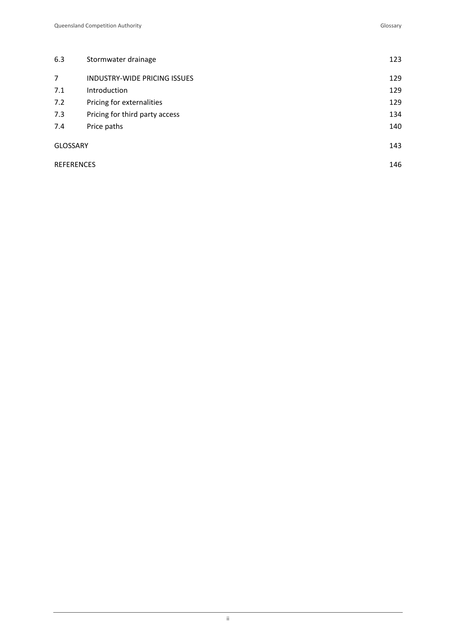| 6.3                                   | Stormwater drainage          |     |  |  |  |
|---------------------------------------|------------------------------|-----|--|--|--|
| $\overline{7}$                        | INDUSTRY-WIDE PRICING ISSUES | 129 |  |  |  |
| 7.1                                   | <b>Introduction</b>          | 129 |  |  |  |
| 7.2<br>Pricing for externalities      |                              |     |  |  |  |
| 7.3<br>Pricing for third party access |                              |     |  |  |  |
| 7.4<br>Price paths                    |                              |     |  |  |  |
| <b>GLOSSARY</b>                       |                              | 143 |  |  |  |
| <b>REFERENCES</b>                     |                              |     |  |  |  |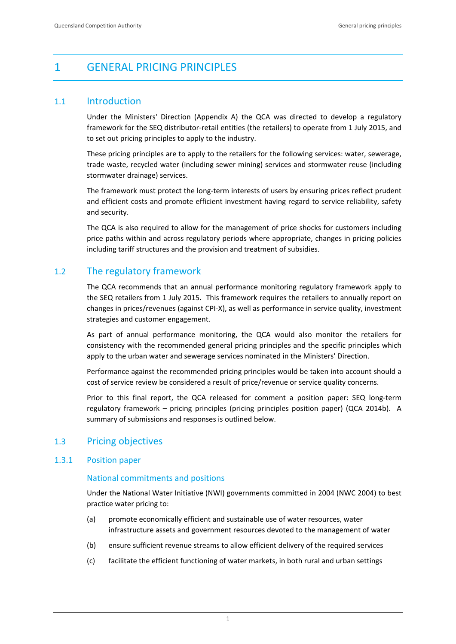# 1 GENERAL PRICING PRINCIPLES

# 1.1 Introduction

Under the Ministers' Direction (Appendix A) the QCA was directed to develop a regulatory framework for the SEQ distributor-retail entities (the retailers) to operate from 1 July 2015, and to set out pricing principles to apply to the industry.

These pricing principles are to apply to the retailers for the following services: water, sewerage, trade waste, recycled water (including sewer mining) services and stormwater reuse (including stormwater drainage) services.

The framework must protect the long-term interests of users by ensuring prices reflect prudent and efficient costs and promote efficient investment having regard to service reliability, safety and security.

The QCA is also required to allow for the management of price shocks for customers including price paths within and across regulatory periods where appropriate, changes in pricing policies including tariff structures and the provision and treatment of subsidies.

# 1.2 The regulatory framework

The QCA recommends that an annual performance monitoring regulatory framework apply to the SEQ retailers from 1 July 2015. This framework requires the retailers to annually report on changes in prices/revenues (against CPI‐X), as well as performance in service quality, investment strategies and customer engagement.

As part of annual performance monitoring, the QCA would also monitor the retailers for consistency with the recommended general pricing principles and the specific principles which apply to the urban water and sewerage services nominated in the Ministers' Direction.

Performance against the recommended pricing principles would be taken into account should a cost of service review be considered a result of price/revenue or service quality concerns.

Prior to this final report, the QCA released for comment a position paper: SEQ long-term regulatory framework – pricing principles (pricing principles position paper) (QCA 2014b). A summary of submissions and responses is outlined below.

# 1.3 Pricing objectives

# 1.3.1 Position paper

# National commitments and positions

Under the National Water Initiative (NWI) governments committed in 2004 (NWC 2004) to best practice water pricing to:

- (a) promote economically efficient and sustainable use of water resources, water infrastructure assets and government resources devoted to the management of water
- (b) ensure sufficient revenue streams to allow efficient delivery of the required services
- (c) facilitate the efficient functioning of water markets, in both rural and urban settings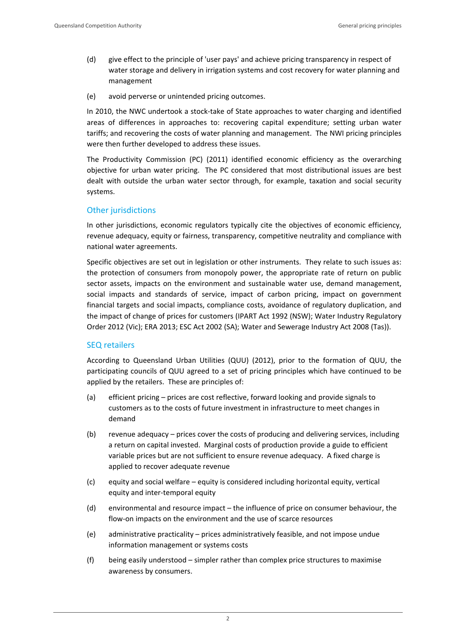- (d) give effect to the principle of 'user pays' and achieve pricing transparency in respect of water storage and delivery in irrigation systems and cost recovery for water planning and management
- (e) avoid perverse or unintended pricing outcomes.

In 2010, the NWC undertook a stock-take of State approaches to water charging and identified areas of differences in approaches to: recovering capital expenditure; setting urban water tariffs; and recovering the costs of water planning and management. The NWI pricing principles were then further developed to address these issues.

The Productivity Commission (PC) (2011) identified economic efficiency as the overarching objective for urban water pricing. The PC considered that most distributional issues are best dealt with outside the urban water sector through, for example, taxation and social security systems.

# Other jurisdictions

In other jurisdictions, economic regulators typically cite the objectives of economic efficiency, revenue adequacy, equity or fairness, transparency, competitive neutrality and compliance with national water agreements.

Specific objectives are set out in legislation or other instruments. They relate to such issues as: the protection of consumers from monopoly power, the appropriate rate of return on public sector assets, impacts on the environment and sustainable water use, demand management, social impacts and standards of service, impact of carbon pricing, impact on government financial targets and social impacts, compliance costs, avoidance of regulatory duplication, and the impact of change of prices for customers (IPART Act 1992 (NSW); Water Industry Regulatory Order 2012 (Vic); ERA 2013; ESC Act 2002 (SA); Water and Sewerage Industry Act 2008 (Tas)).

# SEQ retailers

According to Queensland Urban Utilities (QUU) (2012), prior to the formation of QUU, the participating councils of QUU agreed to a set of pricing principles which have continued to be applied by the retailers. These are principles of:

- (a) efficient pricing prices are cost reflective, forward looking and provide signals to customers as to the costs of future investment in infrastructure to meet changes in demand
- (b) revenue adequacy prices cover the costs of producing and delivering services, including a return on capital invested. Marginal costs of production provide a guide to efficient variable prices but are not sufficient to ensure revenue adequacy. A fixed charge is applied to recover adequate revenue
- (c) equity and social welfare equity is considered including horizontal equity, vertical equity and inter‐temporal equity
- (d) environmental and resource impact the influence of price on consumer behaviour, the flow-on impacts on the environment and the use of scarce resources
- (e) administrative practicality prices administratively feasible, and not impose undue information management or systems costs
- (f) being easily understood simpler rather than complex price structures to maximise awareness by consumers.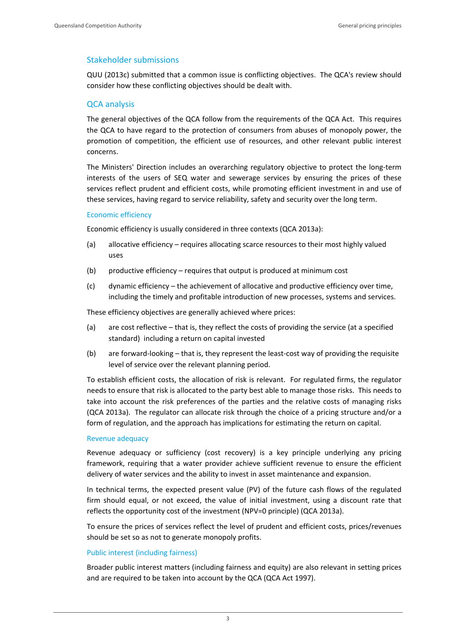#### Stakeholder submissions

QUU (2013c) submitted that a common issue is conflicting objectives. The QCA's review should consider how these conflicting objectives should be dealt with.

# QCA analysis

The general objectives of the QCA follow from the requirements of the QCA Act. This requires the QCA to have regard to the protection of consumers from abuses of monopoly power, the promotion of competition, the efficient use of resources, and other relevant public interest concerns.

The Ministers' Direction includes an overarching regulatory objective to protect the long‐term interests of the users of SEQ water and sewerage services by ensuring the prices of these services reflect prudent and efficient costs, while promoting efficient investment in and use of these services, having regard to service reliability, safety and security over the long term.

#### Economic efficiency

Economic efficiency is usually considered in three contexts (QCA 2013a):

- (a) allocative efficiency requires allocating scarce resources to their most highly valued uses
- (b) productive efficiency requires that output is produced at minimum cost
- (c) dynamic efficiency the achievement of allocative and productive efficiency over time, including the timely and profitable introduction of new processes, systems and services.

These efficiency objectives are generally achieved where prices:

- (a) are cost reflective that is, they reflect the costs of providing the service (at a specified standard) including a return on capital invested
- (b) are forward-looking that is, they represent the least-cost way of providing the requisite level of service over the relevant planning period.

To establish efficient costs, the allocation of risk is relevant. For regulated firms, the regulator needs to ensure that risk is allocated to the party best able to manage those risks. This needs to take into account the risk preferences of the parties and the relative costs of managing risks (QCA 2013a). The regulator can allocate risk through the choice of a pricing structure and/or a form of regulation, and the approach has implications for estimating the return on capital.

#### Revenue adequacy

Revenue adequacy or sufficiency (cost recovery) is a key principle underlying any pricing framework, requiring that a water provider achieve sufficient revenue to ensure the efficient delivery of water services and the ability to invest in asset maintenance and expansion.

In technical terms, the expected present value (PV) of the future cash flows of the regulated firm should equal, or not exceed, the value of initial investment, using a discount rate that reflects the opportunity cost of the investment (NPV=0 principle) (QCA 2013a).

To ensure the prices of services reflect the level of prudent and efficient costs, prices/revenues should be set so as not to generate monopoly profits.

#### Public interest (including fairness)

Broader public interest matters (including fairness and equity) are also relevant in setting prices and are required to be taken into account by the QCA (QCA Act 1997).

3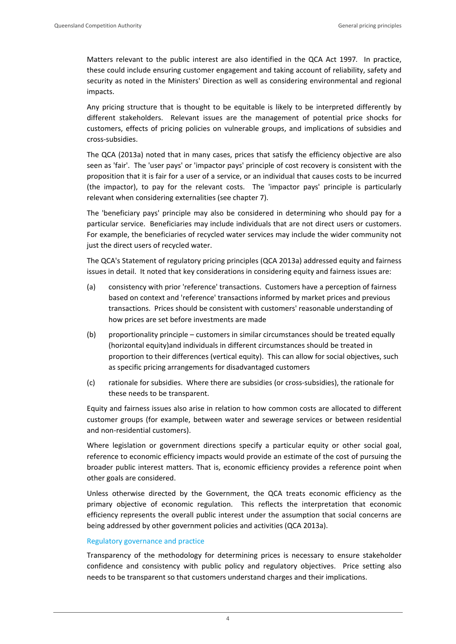Matters relevant to the public interest are also identified in the QCA Act 1997*.*  In practice, these could include ensuring customer engagement and taking account of reliability, safety and security as noted in the Ministers' Direction as well as considering environmental and regional impacts.

Any pricing structure that is thought to be equitable is likely to be interpreted differently by different stakeholders. Relevant issues are the management of potential price shocks for customers, effects of pricing policies on vulnerable groups, and implications of subsidies and cross‐subsidies.

The QCA (2013a) noted that in many cases, prices that satisfy the efficiency objective are also seen as 'fair'. The 'user pays' or 'impactor pays' principle of cost recovery is consistent with the proposition that it is fair for a user of a service, or an individual that causes costs to be incurred (the impactor), to pay for the relevant costs. The 'impactor pays' principle is particularly relevant when considering externalities (see chapter 7).

The 'beneficiary pays' principle may also be considered in determining who should pay for a particular service. Beneficiaries may include individuals that are not direct users or customers. For example, the beneficiaries of recycled water services may include the wider community not just the direct users of recycled water.

The QCA's Statement of regulatory pricing principles (QCA 2013a) addressed equity and fairness issues in detail. It noted that key considerations in considering equity and fairness issues are:

- (a) consistency with prior 'reference' transactions. Customers have a perception of fairness based on context and 'reference' transactions informed by market prices and previous transactions. Prices should be consistent with customers' reasonable understanding of how prices are set before investments are made
- (b) proportionality principle customers in similar circumstances should be treated equally (horizontal equity)and individuals in different circumstances should be treated in proportion to their differences (vertical equity). This can allow for social objectives, such as specific pricing arrangements for disadvantaged customers
- (c) rationale for subsidies. Where there are subsidies (or cross‐subsidies), the rationale for these needs to be transparent.

Equity and fairness issues also arise in relation to how common costs are allocated to different customer groups (for example, between water and sewerage services or between residential and non‐residential customers).

Where legislation or government directions specify a particular equity or other social goal, reference to economic efficiency impacts would provide an estimate of the cost of pursuing the broader public interest matters. That is, economic efficiency provides a reference point when other goals are considered.

Unless otherwise directed by the Government, the QCA treats economic efficiency as the primary objective of economic regulation. This reflects the interpretation that economic efficiency represents the overall public interest under the assumption that social concerns are being addressed by other government policies and activities (QCA 2013a).

# Regulatory governance and practice

Transparency of the methodology for determining prices is necessary to ensure stakeholder confidence and consistency with public policy and regulatory objectives. Price setting also needs to be transparent so that customers understand charges and their implications.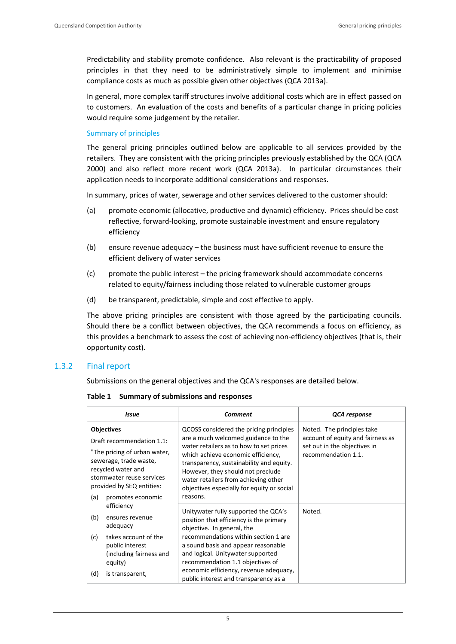Predictability and stability promote confidence. Also relevant is the practicability of proposed principles in that they need to be administratively simple to implement and minimise compliance costs as much as possible given other objectives (QCA 2013a).

In general, more complex tariff structures involve additional costs which are in effect passed on to customers. An evaluation of the costs and benefits of a particular change in pricing policies would require some judgement by the retailer.

#### Summary of principles

The general pricing principles outlined below are applicable to all services provided by the retailers. They are consistent with the pricing principles previously established by the QCA (QCA 2000) and also reflect more recent work (QCA 2013a). In particular circumstances their application needs to incorporate additional considerations and responses.

In summary, prices of water, sewerage and other services delivered to the customer should:

- (a) promote economic (allocative, productive and dynamic) efficiency. Prices should be cost reflective, forward‐looking, promote sustainable investment and ensure regulatory efficiency
- (b) ensure revenue adequacy the business must have sufficient revenue to ensure the efficient delivery of water services
- (c) promote the public interest the pricing framework should accommodate concerns related to equity/fairness including those related to vulnerable customer groups
- (d) be transparent, predictable, simple and cost effective to apply.

The above pricing principles are consistent with those agreed by the participating councils. Should there be a conflict between objectives, the QCA recommends a focus on efficiency, as this provides a benchmark to assess the cost of achieving non‐efficiency objectives (that is, their opportunity cost).

## 1.3.2 Final report

Submissions on the general objectives and the QCA's responses are detailed below.

| <b>Issue</b>                                                                                                                                                                                   | Comment                                                                                                                                                                                                                                                                                                                                                              | QCA response                                                                                                           |
|------------------------------------------------------------------------------------------------------------------------------------------------------------------------------------------------|----------------------------------------------------------------------------------------------------------------------------------------------------------------------------------------------------------------------------------------------------------------------------------------------------------------------------------------------------------------------|------------------------------------------------------------------------------------------------------------------------|
| <b>Objectives</b><br>Draft recommendation 1.1:<br>"The pricing of urban water,<br>sewerage, trade waste,<br>recycled water and<br>stormwater reuse services<br>provided by SEQ entities:       | QCOSS considered the pricing principles<br>are a much welcomed guidance to the<br>water retailers as to how to set prices<br>which achieve economic efficiency,<br>transparency, sustainability and equity.<br>However, they should not preclude<br>water retailers from achieving other<br>objectives especially for equity or social                               | Noted. The principles take<br>account of equity and fairness as<br>set out in the objectives in<br>recommendation 1.1. |
| (a)<br>promotes economic<br>efficiency<br>(b)<br>ensures revenue<br>adequacy<br>(c)<br>takes account of the<br>public interest<br>(including fairness and<br>equity)<br>(d)<br>is transparent, | reasons.<br>Unitywater fully supported the QCA's<br>position that efficiency is the primary<br>objective. In general, the<br>recommendations within section 1 are<br>a sound basis and appear reasonable<br>and logical. Unitywater supported<br>recommendation 1.1 objectives of<br>economic efficiency, revenue adequacy,<br>public interest and transparency as a | Noted.                                                                                                                 |

#### **Table 1 Summary of submissions and responses**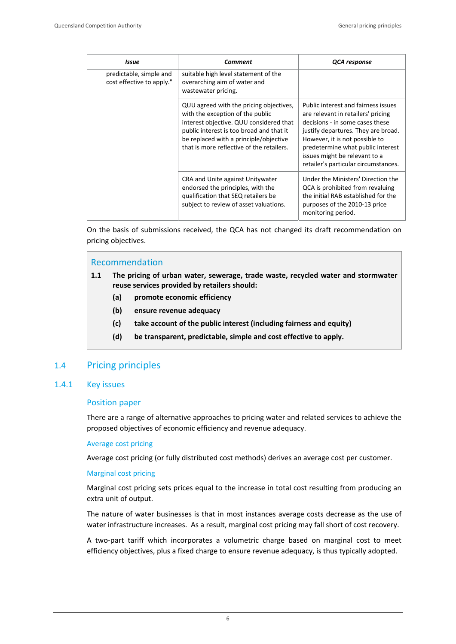| <b>Issue</b>                                         | <b>Comment</b>                                                                                                                                                                                                                                            | QCA response                                                                                                                                                                                                                                                                                        |
|------------------------------------------------------|-----------------------------------------------------------------------------------------------------------------------------------------------------------------------------------------------------------------------------------------------------------|-----------------------------------------------------------------------------------------------------------------------------------------------------------------------------------------------------------------------------------------------------------------------------------------------------|
| predictable, simple and<br>cost effective to apply." | suitable high level statement of the<br>overarching aim of water and<br>wastewater pricing.                                                                                                                                                               |                                                                                                                                                                                                                                                                                                     |
|                                                      | QUU agreed with the pricing objectives,<br>with the exception of the public<br>interest objective. QUU considered that<br>public interest is too broad and that it<br>be replaced with a principle/objective<br>that is more reflective of the retailers. | Public interest and fairness issues<br>are relevant in retailers' pricing<br>decisions - in some cases these<br>justify departures. They are broad.<br>However, it is not possible to<br>predetermine what public interest<br>issues might be relevant to a<br>retailer's particular circumstances. |
|                                                      | CRA and Unite against Unitywater<br>endorsed the principles, with the<br>qualification that SEQ retailers be<br>subject to review of asset valuations.                                                                                                    | Under the Ministers' Direction the<br>QCA is prohibited from revaluing<br>the initial RAB established for the<br>purposes of the 2010-13 price<br>monitoring period.                                                                                                                                |

On the basis of submissions received, the QCA has not changed its draft recommendation on pricing objectives.

# Recommendation

- **1.1 The pricing of urban water, sewerage, trade waste, recycled water and stormwater reuse services provided by retailers should:** 
	- **(a) promote economic efficiency**
	- **(b) ensure revenue adequacy**
	- **(c) take account of the public interest (including fairness and equity)**
	- **(d) be transparent, predictable, simple and cost effective to apply.**

# 1.4 Pricing principles

#### 1.4.1 Key issues

#### Position paper

There are a range of alternative approaches to pricing water and related services to achieve the proposed objectives of economic efficiency and revenue adequacy.

#### Average cost pricing

Average cost pricing (or fully distributed cost methods) derives an average cost per customer.

#### Marginal cost pricing

Marginal cost pricing sets prices equal to the increase in total cost resulting from producing an extra unit of output.

The nature of water businesses is that in most instances average costs decrease as the use of water infrastructure increases. As a result, marginal cost pricing may fall short of cost recovery.

A two‐part tariff which incorporates a volumetric charge based on marginal cost to meet efficiency objectives, plus a fixed charge to ensure revenue adequacy, is thus typically adopted.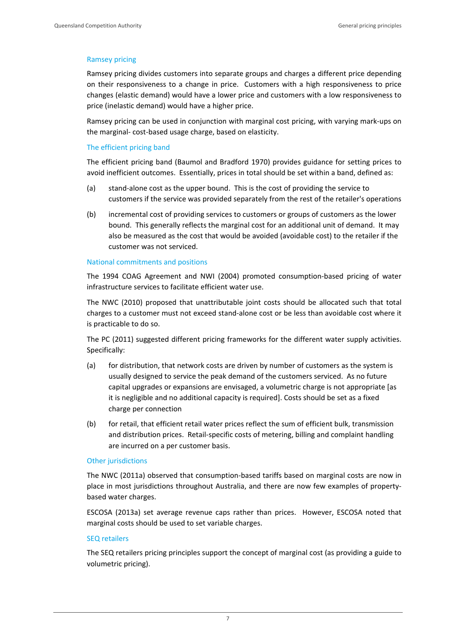## Ramsey pricing

Ramsey pricing divides customers into separate groups and charges a different price depending on their responsiveness to a change in price. Customers with a high responsiveness to price changes (elastic demand) would have a lower price and customers with a low responsiveness to price (inelastic demand) would have a higher price.

Ramsey pricing can be used in conjunction with marginal cost pricing, with varying mark‐ups on the marginal‐ cost‐based usage charge, based on elasticity.

#### The efficient pricing band

The efficient pricing band (Baumol and Bradford 1970) provides guidance for setting prices to avoid inefficient outcomes. Essentially, prices in total should be set within a band, defined as:

- (a) stand‐alone cost as the upper bound. This is the cost of providing the service to customers if the service was provided separately from the rest of the retailer's operations
- (b) incremental cost of providing services to customers or groups of customers as the lower bound. This generally reflects the marginal cost for an additional unit of demand. It may also be measured as the cost that would be avoided (avoidable cost) to the retailer if the customer was not serviced.

#### National commitments and positions

The 1994 COAG Agreement and NWI (2004) promoted consumption‐based pricing of water infrastructure services to facilitate efficient water use.

The NWC (2010) proposed that unattributable joint costs should be allocated such that total charges to a customer must not exceed stand‐alone cost or be less than avoidable cost where it is practicable to do so.

The PC (2011) suggested different pricing frameworks for the different water supply activities. Specifically:

- (a) for distribution, that network costs are driven by number of customers as the system is usually designed to service the peak demand of the customers serviced. As no future capital upgrades or expansions are envisaged, a volumetric charge is not appropriate [as it is negligible and no additional capacity is required]. Costs should be set as a fixed charge per connection
- (b) for retail, that efficient retail water prices reflect the sum of efficient bulk, transmission and distribution prices. Retail‐specific costs of metering, billing and complaint handling are incurred on a per customer basis.

# Other jurisdictions

The NWC (2011a) observed that consumption‐based tariffs based on marginal costs are now in place in most jurisdictions throughout Australia, and there are now few examples of property‐ based water charges.

ESCOSA (2013a) set average revenue caps rather than prices. However, ESCOSA noted that marginal costs should be used to set variable charges.

#### SEQ retailers

The SEQ retailers pricing principles support the concept of marginal cost (as providing a guide to volumetric pricing).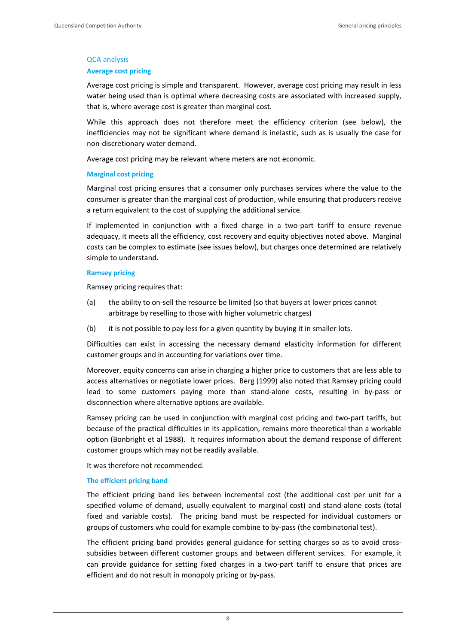#### QCA analysis

#### **Average cost pricing**

Average cost pricing is simple and transparent. However, average cost pricing may result in less water being used than is optimal where decreasing costs are associated with increased supply, that is, where average cost is greater than marginal cost.

While this approach does not therefore meet the efficiency criterion (see below), the inefficiencies may not be significant where demand is inelastic, such as is usually the case for non‐discretionary water demand.

Average cost pricing may be relevant where meters are not economic.

#### **Marginal cost pricing**

Marginal cost pricing ensures that a consumer only purchases services where the value to the consumer is greater than the marginal cost of production, while ensuring that producers receive a return equivalent to the cost of supplying the additional service.

If implemented in conjunction with a fixed charge in a two-part tariff to ensure revenue adequacy, it meets all the efficiency, cost recovery and equity objectives noted above. Marginal costs can be complex to estimate (see issues below), but charges once determined are relatively simple to understand.

#### **Ramsey pricing**

Ramsey pricing requires that:

- (a) the ability to on‐sell the resource be limited (so that buyers at lower prices cannot arbitrage by reselling to those with higher volumetric charges)
- (b) it is not possible to pay less for a given quantity by buying it in smaller lots.

Difficulties can exist in accessing the necessary demand elasticity information for different customer groups and in accounting for variations over time.

Moreover, equity concerns can arise in charging a higher price to customers that are less able to access alternatives or negotiate lower prices. Berg (1999) also noted that Ramsey pricing could lead to some customers paying more than stand-alone costs, resulting in by-pass or disconnection where alternative options are available.

Ramsey pricing can be used in conjunction with marginal cost pricing and two-part tariffs, but because of the practical difficulties in its application, remains more theoretical than a workable option (Bonbright et al 1988). It requires information about the demand response of different customer groups which may not be readily available.

It was therefore not recommended.

## **The efficient pricing band**

The efficient pricing band lies between incremental cost (the additional cost per unit for a specified volume of demand, usually equivalent to marginal cost) and stand-alone costs (total fixed and variable costs). The pricing band must be respected for individual customers or groups of customers who could for example combine to by‐pass (the combinatorial test).

The efficient pricing band provides general guidance for setting charges so as to avoid crosssubsidies between different customer groups and between different services. For example, it can provide guidance for setting fixed charges in a two-part tariff to ensure that prices are efficient and do not result in monopoly pricing or by‐pass.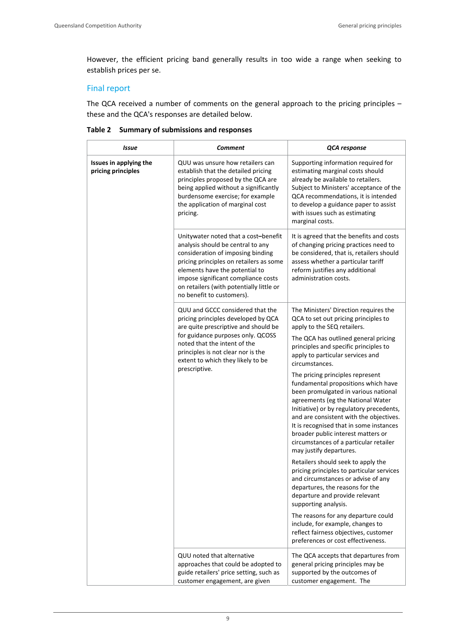However, the efficient pricing band generally results in too wide a range when seeking to establish prices per se.

# Final report

The QCA received a number of comments on the general approach to the pricing principles – these and the QCA's responses are detailed below.

|  |  | Table 2 Summary of submissions and responses |  |
|--|--|----------------------------------------------|--|
|--|--|----------------------------------------------|--|

| Issue                                        | <b>Comment</b>                                                                                                                                                                                                                                                                                              | QCA response                                                                                                                                                                                                                                                                                                                                                                                                        |
|----------------------------------------------|-------------------------------------------------------------------------------------------------------------------------------------------------------------------------------------------------------------------------------------------------------------------------------------------------------------|---------------------------------------------------------------------------------------------------------------------------------------------------------------------------------------------------------------------------------------------------------------------------------------------------------------------------------------------------------------------------------------------------------------------|
| Issues in applying the<br>pricing principles | QUU was unsure how retailers can<br>establish that the detailed pricing<br>principles proposed by the QCA are<br>being applied without a significantly<br>burdensome exercise; for example<br>the application of marginal cost<br>pricing.                                                                  | Supporting information required for<br>estimating marginal costs should<br>already be available to retailers.<br>Subject to Ministers' acceptance of the<br>QCA recommendations, it is intended<br>to develop a guidance paper to assist<br>with issues such as estimating<br>marginal costs.                                                                                                                       |
|                                              | Unitywater noted that a cost-benefit<br>analysis should be central to any<br>consideration of imposing binding<br>pricing principles on retailers as some<br>elements have the potential to<br>impose significant compliance costs<br>on retailers (with potentially little or<br>no benefit to customers). | It is agreed that the benefits and costs<br>of changing pricing practices need to<br>be considered, that is, retailers should<br>assess whether a particular tariff<br>reform justifies any additional<br>administration costs.                                                                                                                                                                                     |
|                                              | QUU and GCCC considered that the<br>pricing principles developed by QCA<br>are quite prescriptive and should be<br>for guidance purposes only. QCOSS<br>noted that the intent of the<br>principles is not clear nor is the<br>extent to which they likely to be<br>prescriptive.                            | The Ministers' Direction requires the<br>QCA to set out pricing principles to<br>apply to the SEQ retailers.<br>The QCA has outlined general pricing<br>principles and specific principles to<br>apply to particular services and                                                                                                                                                                                   |
|                                              |                                                                                                                                                                                                                                                                                                             | circumstances.<br>The pricing principles represent<br>fundamental propositions which have<br>been promulgated in various national<br>agreements (eg the National Water<br>Initiative) or by regulatory precedents,<br>and are consistent with the objectives.<br>It is recognised that in some instances<br>broader public interest matters or<br>circumstances of a particular retailer<br>may justify departures. |
|                                              |                                                                                                                                                                                                                                                                                                             | Retailers should seek to apply the<br>pricing principles to particular services<br>and circumstances or advise of any<br>departures, the reasons for the<br>departure and provide relevant<br>supporting analysis.                                                                                                                                                                                                  |
|                                              |                                                                                                                                                                                                                                                                                                             | The reasons for any departure could<br>include, for example, changes to<br>reflect fairness objectives, customer<br>preferences or cost effectiveness.                                                                                                                                                                                                                                                              |
|                                              | QUU noted that alternative<br>approaches that could be adopted to<br>guide retailers' price setting, such as<br>customer engagement, are given                                                                                                                                                              | The QCA accepts that departures from<br>general pricing principles may be<br>supported by the outcomes of<br>customer engagement. The                                                                                                                                                                                                                                                                               |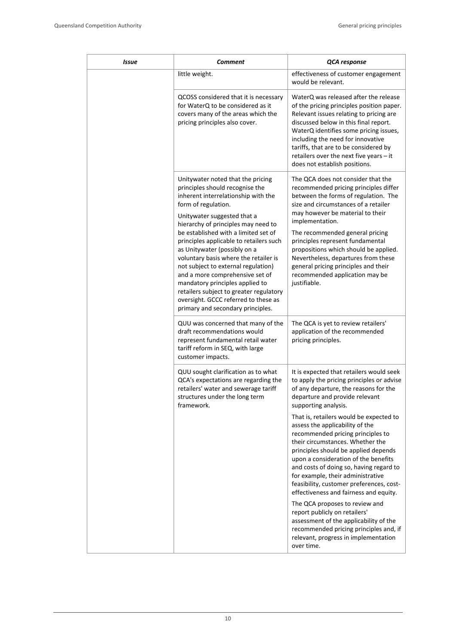| Issue | Comment                                                                                                                                                                                                                                                                                                                                                                                                                                                                                                                                                                                                   | QCA response                                                                                                                                                                                                                                                                                                                                                                                                                                                        |
|-------|-----------------------------------------------------------------------------------------------------------------------------------------------------------------------------------------------------------------------------------------------------------------------------------------------------------------------------------------------------------------------------------------------------------------------------------------------------------------------------------------------------------------------------------------------------------------------------------------------------------|---------------------------------------------------------------------------------------------------------------------------------------------------------------------------------------------------------------------------------------------------------------------------------------------------------------------------------------------------------------------------------------------------------------------------------------------------------------------|
|       | little weight.                                                                                                                                                                                                                                                                                                                                                                                                                                                                                                                                                                                            | effectiveness of customer engagement<br>would be relevant.                                                                                                                                                                                                                                                                                                                                                                                                          |
|       | QCOSS considered that it is necessary<br>for WaterQ to be considered as it<br>covers many of the areas which the<br>pricing principles also cover.                                                                                                                                                                                                                                                                                                                                                                                                                                                        | WaterQ was released after the release<br>of the pricing principles position paper.<br>Relevant issues relating to pricing are<br>discussed below in this final report.<br>WaterQ identifies some pricing issues,<br>including the need for innovative<br>tariffs, that are to be considered by<br>retailers over the next five years - it<br>does not establish positions.                                                                                          |
|       | Unitywater noted that the pricing<br>principles should recognise the<br>inherent interrelationship with the<br>form of regulation.<br>Unitywater suggested that a<br>hierarchy of principles may need to<br>be established with a limited set of<br>principles applicable to retailers such<br>as Unitywater (possibly on a<br>voluntary basis where the retailer is<br>not subject to external regulation)<br>and a more comprehensive set of<br>mandatory principles applied to<br>retailers subject to greater regulatory<br>oversight. GCCC referred to these as<br>primary and secondary principles. | The QCA does not consider that the<br>recommended pricing principles differ<br>between the forms of regulation. The<br>size and circumstances of a retailer<br>may however be material to their<br>implementation.<br>The recommended general pricing<br>principles represent fundamental<br>propositions which should be applied.<br>Nevertheless, departures from these<br>general pricing principles and their<br>recommended application may be<br>justifiable. |
|       | QUU was concerned that many of the<br>draft recommendations would<br>represent fundamental retail water<br>tariff reform in SEQ, with large<br>customer impacts.                                                                                                                                                                                                                                                                                                                                                                                                                                          | The QCA is yet to review retailers'<br>application of the recommended<br>pricing principles.                                                                                                                                                                                                                                                                                                                                                                        |
|       | QUU sought clarification as to what<br>QCA's expectations are regarding the<br>retailers' water and sewerage tariff<br>structures under the long term<br>framework.                                                                                                                                                                                                                                                                                                                                                                                                                                       | It is expected that retailers would seek<br>to apply the pricing principles or advise<br>of any departure, the reasons for the<br>departure and provide relevant<br>supporting analysis.                                                                                                                                                                                                                                                                            |
|       |                                                                                                                                                                                                                                                                                                                                                                                                                                                                                                                                                                                                           | That is, retailers would be expected to<br>assess the applicability of the<br>recommended pricing principles to<br>their circumstances. Whether the<br>principles should be applied depends<br>upon a consideration of the benefits<br>and costs of doing so, having regard to<br>for example, their administrative<br>feasibility, customer preferences, cost-<br>effectiveness and fairness and equity.                                                           |
|       |                                                                                                                                                                                                                                                                                                                                                                                                                                                                                                                                                                                                           | The QCA proposes to review and<br>report publicly on retailers'<br>assessment of the applicability of the<br>recommended pricing principles and, if<br>relevant, progress in implementation<br>over time.                                                                                                                                                                                                                                                           |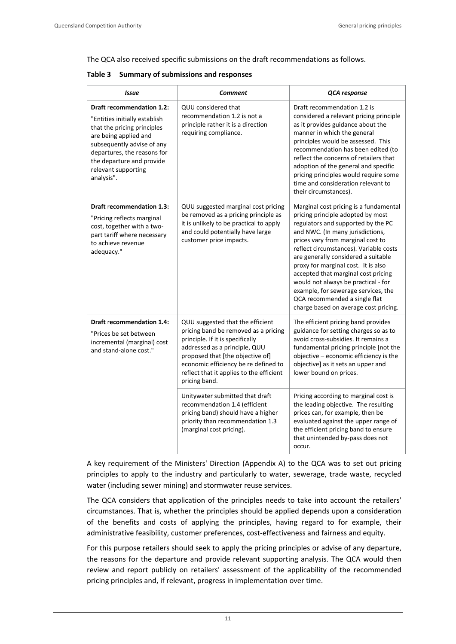The QCA also received specific submissions on the draft recommendations as follows.

**Table 3 Summary of submissions and responses**

| <b>Issue</b>                                                                                                                                                                                                                                      | <b>Comment</b>                                                                                                                                                                                             | QCA response                                                                                                                                                                                                                                                                                                                                                                                                                       |  |  |
|---------------------------------------------------------------------------------------------------------------------------------------------------------------------------------------------------------------------------------------------------|------------------------------------------------------------------------------------------------------------------------------------------------------------------------------------------------------------|------------------------------------------------------------------------------------------------------------------------------------------------------------------------------------------------------------------------------------------------------------------------------------------------------------------------------------------------------------------------------------------------------------------------------------|--|--|
| Draft recommendation 1.2:<br>"Entities initially establish<br>that the pricing principles<br>are being applied and<br>subsequently advise of any<br>departures, the reasons for<br>the departure and provide<br>relevant supporting<br>analysis". | QUU considered that<br>recommendation 1.2 is not a<br>principle rather it is a direction<br>requiring compliance.                                                                                          | Draft recommendation 1.2 is<br>considered a relevant pricing principle<br>as it provides guidance about the<br>manner in which the general<br>principles would be assessed. This<br>recommendation has been edited (to<br>reflect the concerns of retailers that<br>adoption of the general and specific<br>pricing principles would require some<br>time and consideration relevant to<br>their circumstances).                   |  |  |
| Draft recommendation 1.3:                                                                                                                                                                                                                         | QUU suggested marginal cost pricing<br>be removed as a pricing principle as                                                                                                                                | Marginal cost pricing is a fundamental<br>pricing principle adopted by most                                                                                                                                                                                                                                                                                                                                                        |  |  |
| "Pricing reflects marginal<br>cost, together with a two-<br>part tariff where necessary<br>to achieve revenue<br>adequacy."                                                                                                                       | it is unlikely to be practical to apply<br>and could potentially have large<br>customer price impacts.                                                                                                     | regulators and supported by the PC<br>and NWC. (In many jurisdictions,<br>prices vary from marginal cost to<br>reflect circumstances). Variable costs<br>are generally considered a suitable<br>proxy for marginal cost. It is also<br>accepted that marginal cost pricing<br>would not always be practical - for<br>example, for sewerage services, the<br>QCA recommended a single flat<br>charge based on average cost pricing. |  |  |
| Draft recommendation 1.4:<br>"Prices be set between                                                                                                                                                                                               | QUU suggested that the efficient<br>pricing band be removed as a pricing                                                                                                                                   | The efficient pricing band provides<br>guidance for setting charges so as to                                                                                                                                                                                                                                                                                                                                                       |  |  |
| incremental (marginal) cost<br>and stand-alone cost."                                                                                                                                                                                             | principle. If it is specifically<br>addressed as a principle, QUU<br>proposed that [the objective of]<br>economic efficiency be re defined to<br>reflect that it applies to the efficient<br>pricing band. | avoid cross-subsidies. It remains a<br>fundamental pricing principle [not the<br>objective - economic efficiency is the<br>objective] as it sets an upper and<br>lower bound on prices.                                                                                                                                                                                                                                            |  |  |
|                                                                                                                                                                                                                                                   | Unitywater submitted that draft<br>recommendation 1.4 (efficient<br>pricing band) should have a higher<br>priority than recommendation 1.3<br>(marginal cost pricing).                                     | Pricing according to marginal cost is<br>the leading objective. The resulting<br>prices can, for example, then be<br>evaluated against the upper range of<br>the efficient pricing band to ensure<br>that unintended by-pass does not<br>occur.                                                                                                                                                                                    |  |  |

A key requirement of the Ministers' Direction (Appendix A) to the QCA was to set out pricing principles to apply to the industry and particularly to water, sewerage, trade waste, recycled water (including sewer mining) and stormwater reuse services.

The QCA considers that application of the principles needs to take into account the retailers' circumstances. That is, whether the principles should be applied depends upon a consideration of the benefits and costs of applying the principles, having regard to for example, their administrative feasibility, customer preferences, cost-effectiveness and fairness and equity.

For this purpose retailers should seek to apply the pricing principles or advise of any departure, the reasons for the departure and provide relevant supporting analysis. The QCA would then review and report publicly on retailers' assessment of the applicability of the recommended pricing principles and, if relevant, progress in implementation over time.

11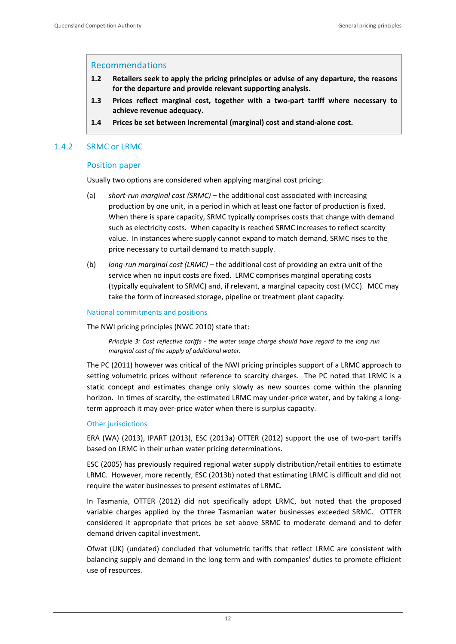# Recommendations

- **1.2 Retailers seek to apply the pricing principles or advise of any departure, the reasons for the departure and provide relevant supporting analysis.**
- **1.3 Prices reflect marginal cost, together with a two‐part tariff where necessary to achieve revenue adequacy.**
- **1.4 Prices be set between incremental (marginal) cost and stand‐alone cost.**

# 1.4.2 SRMC or LRMC

## Position paper

Usually two options are considered when applying marginal cost pricing:

- (a) *short‐run marginal cost (SRMC)* the additional cost associated with increasing production by one unit, in a period in which at least one factor of production is fixed. When there is spare capacity, SRMC typically comprises costs that change with demand such as electricity costs. When capacity is reached SRMC increases to reflect scarcity value. In instances where supply cannot expand to match demand, SRMC rises to the price necessary to curtail demand to match supply.
- (b) *long‐run marginal cost (LRMC)* the additional cost of providing an extra unit of the service when no input costs are fixed. LRMC comprises marginal operating costs (typically equivalent to SRMC) and, if relevant, a marginal capacity cost (MCC). MCC may take the form of increased storage, pipeline or treatment plant capacity.

#### National commitments and positions

The NWI pricing principles (NWC 2010) state that:

*Principle 3: Cost reflective tariffs ‐ the water usage charge should have regard to the long run marginal cost of the supply of additional water.* 

The PC (2011) however was critical of the NWI pricing principles support of a LRMC approach to setting volumetric prices without reference to scarcity charges. The PC noted that LRMC is a static concept and estimates change only slowly as new sources come within the planning horizon. In times of scarcity, the estimated LRMC may under-price water, and by taking a longterm approach it may over‐price water when there is surplus capacity.

#### Other jurisdictions

ERA (WA) (2013), IPART (2013), ESC (2013a) OTTER (2012) support the use of two‐part tariffs based on LRMC in their urban water pricing determinations.

ESC (2005) has previously required regional water supply distribution/retail entities to estimate LRMC. However, more recently, ESC (2013b) noted that estimating LRMC is difficult and did not require the water businesses to present estimates of LRMC.

In Tasmania, OTTER (2012) did not specifically adopt LRMC, but noted that the proposed variable charges applied by the three Tasmanian water businesses exceeded SRMC. OTTER considered it appropriate that prices be set above SRMC to moderate demand and to defer demand driven capital investment.

Ofwat (UK) (undated) concluded that volumetric tariffs that reflect LRMC are consistent with balancing supply and demand in the long term and with companies' duties to promote efficient use of resources.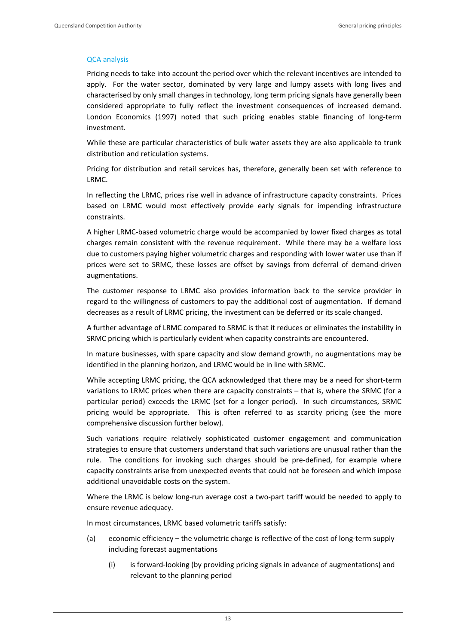# QCA analysis

Pricing needs to take into account the period over which the relevant incentives are intended to apply. For the water sector, dominated by very large and lumpy assets with long lives and characterised by only small changes in technology, long term pricing signals have generally been considered appropriate to fully reflect the investment consequences of increased demand. London Economics (1997) noted that such pricing enables stable financing of long-term investment.

While these are particular characteristics of bulk water assets they are also applicable to trunk distribution and reticulation systems.

Pricing for distribution and retail services has, therefore, generally been set with reference to LRMC.

In reflecting the LRMC, prices rise well in advance of infrastructure capacity constraints. Prices based on LRMC would most effectively provide early signals for impending infrastructure constraints.

A higher LRMC‐based volumetric charge would be accompanied by lower fixed charges as total charges remain consistent with the revenue requirement. While there may be a welfare loss due to customers paying higher volumetric charges and responding with lower water use than if prices were set to SRMC, these losses are offset by savings from deferral of demand‐driven augmentations.

The customer response to LRMC also provides information back to the service provider in regard to the willingness of customers to pay the additional cost of augmentation. If demand decreases as a result of LRMC pricing, the investment can be deferred or its scale changed.

A further advantage of LRMC compared to SRMC is that it reduces or eliminates the instability in SRMC pricing which is particularly evident when capacity constraints are encountered.

In mature businesses, with spare capacity and slow demand growth, no augmentations may be identified in the planning horizon, and LRMC would be in line with SRMC.

While accepting LRMC pricing, the QCA acknowledged that there may be a need for short-term variations to LRMC prices when there are capacity constraints – that is, where the SRMC (for a particular period) exceeds the LRMC (set for a longer period). In such circumstances, SRMC pricing would be appropriate. This is often referred to as scarcity pricing (see the more comprehensive discussion further below).

Such variations require relatively sophisticated customer engagement and communication strategies to ensure that customers understand that such variations are unusual rather than the rule. The conditions for invoking such charges should be pre-defined, for example where capacity constraints arise from unexpected events that could not be foreseen and which impose additional unavoidable costs on the system.

Where the LRMC is below long-run average cost a two-part tariff would be needed to apply to ensure revenue adequacy.

In most circumstances, LRMC based volumetric tariffs satisfy:

- (a) economic efficiency the volumetric charge is reflective of the cost of long‐term supply including forecast augmentations
	- (i) is forward‐looking (by providing pricing signals in advance of augmentations) and relevant to the planning period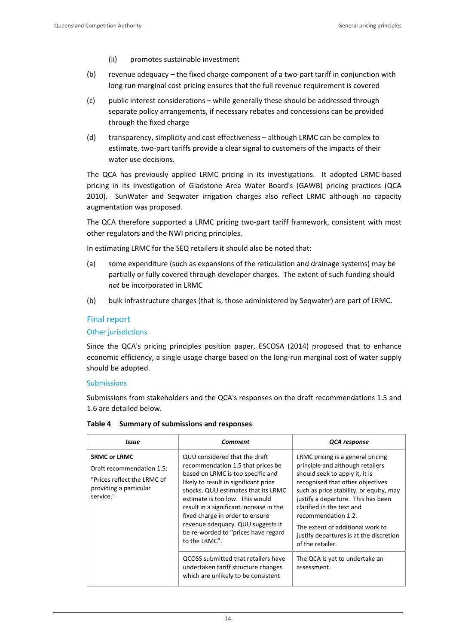- (ii) promotes sustainable investment
- (b) revenue adequacy the fixed charge component of a two-part tariff in conjunction with long run marginal cost pricing ensures that the full revenue requirement is covered
- (c) public interest considerations while generally these should be addressed through separate policy arrangements, if necessary rebates and concessions can be provided through the fixed charge
- (d) transparency, simplicity and cost effectiveness although LRMC can be complex to estimate, two-part tariffs provide a clear signal to customers of the impacts of their water use decisions.

The QCA has previously applied LRMC pricing in its investigations. It adopted LRMC-based pricing in its investigation of Gladstone Area Water Board's (GAWB) pricing practices (QCA 2010). SunWater and Seqwater irrigation charges also reflect LRMC although no capacity augmentation was proposed.

The QCA therefore supported a LRMC pricing two-part tariff framework, consistent with most other regulators and the NWI pricing principles.

In estimating LRMC for the SEQ retailers it should also be noted that:

- (a) some expenditure (such as expansions of the reticulation and drainage systems) may be partially or fully covered through developer charges. The extent of such funding should *not* be incorporated in LRMC
- (b) bulk infrastructure charges (that is, those administered by Seqwater) are part of LRMC.

# Final report

# Other jurisdictions

Since the QCA's pricing principles position paper, ESCOSA (2014) proposed that to enhance economic efficiency, a single usage charge based on the long-run marginal cost of water supply should be adopted.

#### Submissions

Submissions from stakeholders and the QCA's responses on the draft recommendations 1.5 and 1.6 are detailed below.

| Issue                                                                                                                  | Comment                                                                                                                                                                                                                                                                                                                                                                                               | QCA response                                                                                                                                                                                                                                                                                                                                                                        |
|------------------------------------------------------------------------------------------------------------------------|-------------------------------------------------------------------------------------------------------------------------------------------------------------------------------------------------------------------------------------------------------------------------------------------------------------------------------------------------------------------------------------------------------|-------------------------------------------------------------------------------------------------------------------------------------------------------------------------------------------------------------------------------------------------------------------------------------------------------------------------------------------------------------------------------------|
| <b>SRMC or LRMC</b><br>Draft recommendation 1.5:<br>"Prices reflect the LRMC of<br>providing a particular<br>service." | QUU considered that the draft<br>recommendation 1.5 that prices be<br>based on LRMC is too specific and<br>likely to result in significant price<br>shocks. QUU estimates that its LRMC<br>estimate is too low. This would<br>result in a significant increase in the<br>fixed charge in order to ensure<br>revenue adequacy. QUU suggests it<br>be re-worded to "prices have regard<br>to the LRMC". | LRMC pricing is a general pricing<br>principle and although retailers<br>should seek to apply it, it is<br>recognised that other objectives<br>such as price stability, or equity, may<br>justify a departure. This has been<br>clarified in the text and<br>recommendation 1.2.<br>The extent of additional work to<br>justify departures is at the discretion<br>of the retailer. |
|                                                                                                                        | QCOSS submitted that retailers have<br>undertaken tariff structure changes<br>which are unlikely to be consistent                                                                                                                                                                                                                                                                                     | The QCA is yet to undertake an<br>assessment.                                                                                                                                                                                                                                                                                                                                       |

#### **Table 4 Summary of submissions and responses**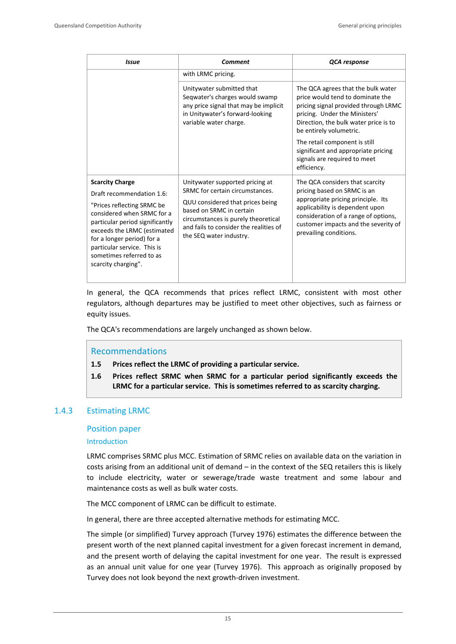| <b>Issue</b>                                                                                                                                                                                                                                                                                      | Comment                                                                                                                                                                                                                                        | QCA response                                                                                                                                                                                                                                      |
|---------------------------------------------------------------------------------------------------------------------------------------------------------------------------------------------------------------------------------------------------------------------------------------------------|------------------------------------------------------------------------------------------------------------------------------------------------------------------------------------------------------------------------------------------------|---------------------------------------------------------------------------------------------------------------------------------------------------------------------------------------------------------------------------------------------------|
|                                                                                                                                                                                                                                                                                                   | with LRMC pricing.                                                                                                                                                                                                                             |                                                                                                                                                                                                                                                   |
|                                                                                                                                                                                                                                                                                                   | Unitywater submitted that<br>Segwater's charges would swamp<br>any price signal that may be implicit<br>in Unitywater's forward-looking<br>variable water charge.                                                                              | The QCA agrees that the bulk water<br>price would tend to dominate the<br>pricing signal provided through LRMC<br>pricing. Under the Ministers'<br>Direction, the bulk water price is to<br>be entirely volumetric.                               |
|                                                                                                                                                                                                                                                                                                   |                                                                                                                                                                                                                                                | The retail component is still<br>significant and appropriate pricing<br>signals are required to meet<br>efficiency.                                                                                                                               |
| <b>Scarcity Charge</b><br>Draft recommendation 1.6:<br>"Prices reflecting SRMC be<br>considered when SRMC for a<br>particular period significantly<br>exceeds the LRMC (estimated<br>for a longer period) for a<br>particular service. This is<br>sometimes referred to as<br>scarcity charging". | Unitywater supported pricing at<br>SRMC for certain circumstances.<br>QUU considered that prices being<br>based on SRMC in certain<br>circumstances is purely theoretical<br>and fails to consider the realities of<br>the SEQ water industry. | The QCA considers that scarcity<br>pricing based on SRMC is an<br>appropriate pricing principle. Its<br>applicability is dependent upon<br>consideration of a range of options,<br>customer impacts and the severity of<br>prevailing conditions. |
|                                                                                                                                                                                                                                                                                                   |                                                                                                                                                                                                                                                |                                                                                                                                                                                                                                                   |

In general, the QCA recommends that prices reflect LRMC, consistent with most other regulators, although departures may be justified to meet other objectives, such as fairness or equity issues.

The QCA's recommendations are largely unchanged as shown below.

# Recommendations

- **1.5 Prices reflect the LRMC of providing a particular service.**
- **1.6 Prices reflect SRMC when SRMC for a particular period significantly exceeds the LRMC for a particular service. This is sometimes referred to as scarcity charging.**

# 1.4.3 Estimating LRMC

#### Position paper

#### Introduction

LRMC comprises SRMC plus MCC. Estimation of SRMC relies on available data on the variation in costs arising from an additional unit of demand – in the context of the SEQ retailers this is likely to include electricity, water or sewerage/trade waste treatment and some labour and maintenance costs as well as bulk water costs.

The MCC component of LRMC can be difficult to estimate.

In general, there are three accepted alternative methods for estimating MCC.

The simple (or simplified) Turvey approach (Turvey 1976) estimates the difference between the present worth of the next planned capital investment for a given forecast increment in demand, and the present worth of delaying the capital investment for one year. The result is expressed as an annual unit value for one year (Turvey 1976). This approach as originally proposed by Turvey does not look beyond the next growth‐driven investment.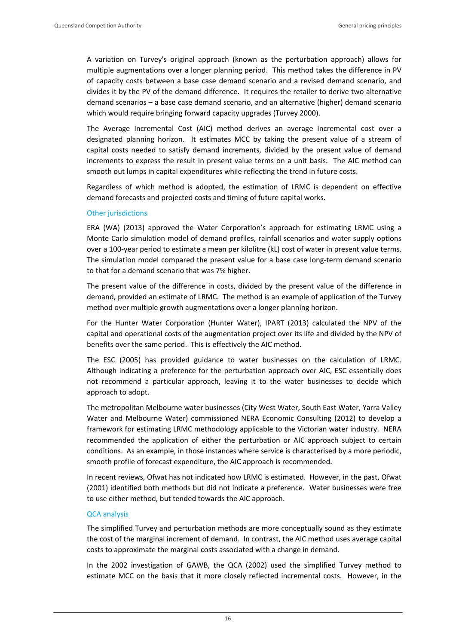A variation on Turvey's original approach (known as the perturbation approach) allows for multiple augmentations over a longer planning period. This method takes the difference in PV of capacity costs between a base case demand scenario and a revised demand scenario, and divides it by the PV of the demand difference. It requires the retailer to derive two alternative demand scenarios – a base case demand scenario, and an alternative (higher) demand scenario which would require bringing forward capacity upgrades (Turvey 2000).

The Average Incremental Cost (AIC) method derives an average incremental cost over a designated planning horizon. It estimates MCC by taking the present value of a stream of capital costs needed to satisfy demand increments, divided by the present value of demand increments to express the result in present value terms on a unit basis. The AIC method can smooth out lumps in capital expenditures while reflecting the trend in future costs.

Regardless of which method is adopted, the estimation of LRMC is dependent on effective demand forecasts and projected costs and timing of future capital works.

#### Other jurisdictions

ERA (WA) (2013) approved the Water Corporation's approach for estimating LRMC using a Monte Carlo simulation model of demand profiles, rainfall scenarios and water supply options over a 100‐year period to estimate a mean per kilolitre (kL) cost of water in present value terms. The simulation model compared the present value for a base case long-term demand scenario to that for a demand scenario that was 7% higher.

The present value of the difference in costs, divided by the present value of the difference in demand, provided an estimate of LRMC. The method is an example of application of the Turvey method over multiple growth augmentations over a longer planning horizon.

For the Hunter Water Corporation (Hunter Water), IPART (2013) calculated the NPV of the capital and operational costs of the augmentation project over its life and divided by the NPV of benefits over the same period. This is effectively the AIC method.

The ESC (2005) has provided guidance to water businesses on the calculation of LRMC. Although indicating a preference for the perturbation approach over AIC, ESC essentially does not recommend a particular approach, leaving it to the water businesses to decide which approach to adopt.

The metropolitan Melbourne water businesses (City West Water, South East Water, Yarra Valley Water and Melbourne Water) commissioned NERA Economic Consulting (2012) to develop a framework for estimating LRMC methodology applicable to the Victorian water industry. NERA recommended the application of either the perturbation or AIC approach subject to certain conditions. As an example, in those instances where service is characterised by a more periodic, smooth profile of forecast expenditure, the AIC approach is recommended.

In recent reviews, Ofwat has not indicated how LRMC is estimated. However, in the past, Ofwat (2001) identified both methods but did not indicate a preference. Water businesses were free to use either method, but tended towards the AIC approach.

#### QCA analysis

The simplified Turvey and perturbation methods are more conceptually sound as they estimate the cost of the marginal increment of demand. In contrast, the AIC method uses average capital costs to approximate the marginal costs associated with a change in demand.

In the 2002 investigation of GAWB, the QCA (2002) used the simplified Turvey method to estimate MCC on the basis that it more closely reflected incremental costs. However, in the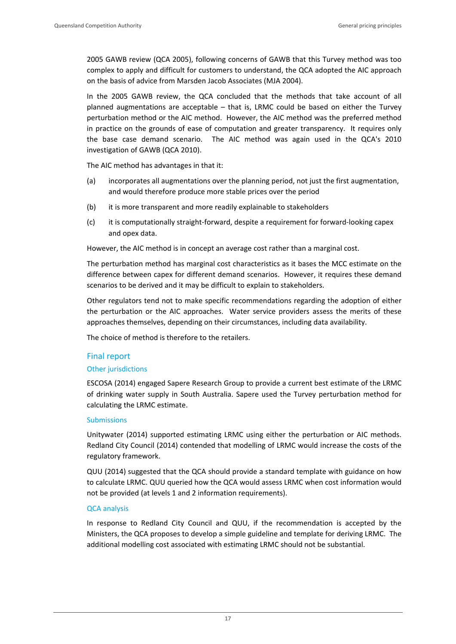2005 GAWB review (QCA 2005), following concerns of GAWB that this Turvey method was too complex to apply and difficult for customers to understand, the QCA adopted the AIC approach on the basis of advice from Marsden Jacob Associates (MJA 2004).

In the 2005 GAWB review, the QCA concluded that the methods that take account of all planned augmentations are acceptable – that is, LRMC could be based on either the Turvey perturbation method or the AIC method. However, the AIC method was the preferred method in practice on the grounds of ease of computation and greater transparency. It requires only the base case demand scenario. The AIC method was again used in the QCA's 2010 investigation of GAWB (QCA 2010).

The AIC method has advantages in that it:

- (a) incorporates all augmentations over the planning period, not just the first augmentation, and would therefore produce more stable prices over the period
- (b) it is more transparent and more readily explainable to stakeholders
- (c) it is computationally straight‐forward, despite a requirement for forward‐looking capex and opex data.

However, the AIC method is in concept an average cost rather than a marginal cost.

The perturbation method has marginal cost characteristics as it bases the MCC estimate on the difference between capex for different demand scenarios. However, it requires these demand scenarios to be derived and it may be difficult to explain to stakeholders.

Other regulators tend not to make specific recommendations regarding the adoption of either the perturbation or the AIC approaches. Water service providers assess the merits of these approaches themselves, depending on their circumstances, including data availability.

The choice of method is therefore to the retailers.

# Final report

# Other jurisdictions

ESCOSA (2014) engaged Sapere Research Group to provide a current best estimate of the LRMC of drinking water supply in South Australia. Sapere used the Turvey perturbation method for calculating the LRMC estimate.

# Submissions

Unitywater (2014) supported estimating LRMC using either the perturbation or AIC methods. Redland City Council (2014) contended that modelling of LRMC would increase the costs of the regulatory framework.

QUU (2014) suggested that the QCA should provide a standard template with guidance on how to calculate LRMC. QUU queried how the QCA would assess LRMC when cost information would not be provided (at levels 1 and 2 information requirements).

# QCA analysis

In response to Redland City Council and QUU, if the recommendation is accepted by the Ministers, the QCA proposes to develop a simple guideline and template for deriving LRMC. The additional modelling cost associated with estimating LRMC should not be substantial.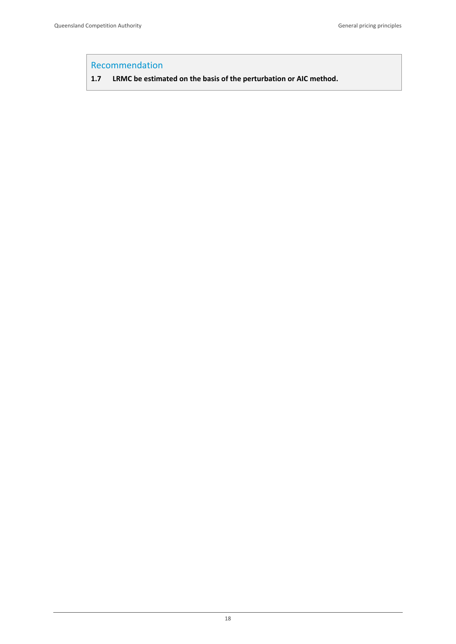# Recommendation

**1.7 LRMC be estimated on the basis of the perturbation or AIC method.**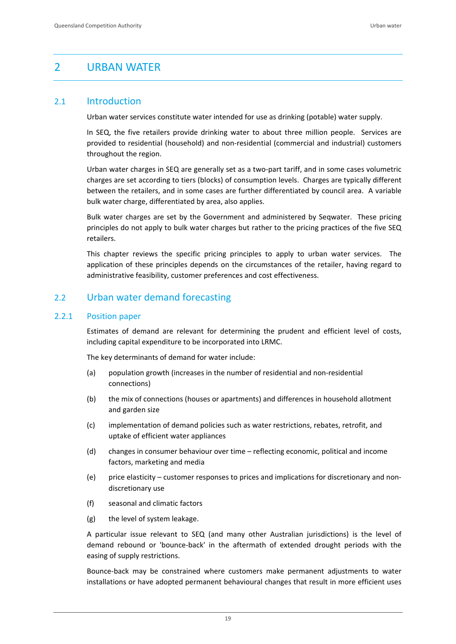# 2 URBAN WATER

# 2.1 Introduction

Urban water services constitute water intended for use as drinking (potable) water supply.

In SEQ, the five retailers provide drinking water to about three million people. Services are provided to residential (household) and non‐residential (commercial and industrial) customers throughout the region.

Urban water charges in SEQ are generally set as a two‐part tariff, and in some cases volumetric charges are set according to tiers (blocks) of consumption levels. Charges are typically different between the retailers, and in some cases are further differentiated by council area. A variable bulk water charge, differentiated by area, also applies.

Bulk water charges are set by the Government and administered by Seqwater. These pricing principles do not apply to bulk water charges but rather to the pricing practices of the five SEQ retailers.

This chapter reviews the specific pricing principles to apply to urban water services. The application of these principles depends on the circumstances of the retailer, having regard to administrative feasibility, customer preferences and cost effectiveness.

# 2.2 Urban water demand forecasting

# 2.2.1 Position paper

Estimates of demand are relevant for determining the prudent and efficient level of costs, including capital expenditure to be incorporated into LRMC.

The key determinants of demand for water include:

- (a) population growth (increases in the number of residential and non‐residential connections)
- (b) the mix of connections (houses or apartments) and differences in household allotment and garden size
- (c) implementation of demand policies such as water restrictions, rebates, retrofit, and uptake of efficient water appliances
- (d) changes in consumer behaviour over time reflecting economic, political and income factors, marketing and media
- (e) price elasticity customer responses to prices and implications for discretionary and non‐ discretionary use
- (f) seasonal and climatic factors
- (g) the level of system leakage.

A particular issue relevant to SEQ (and many other Australian jurisdictions) is the level of demand rebound or 'bounce‐back' in the aftermath of extended drought periods with the easing of supply restrictions.

Bounce‐back may be constrained where customers make permanent adjustments to water installations or have adopted permanent behavioural changes that result in more efficient uses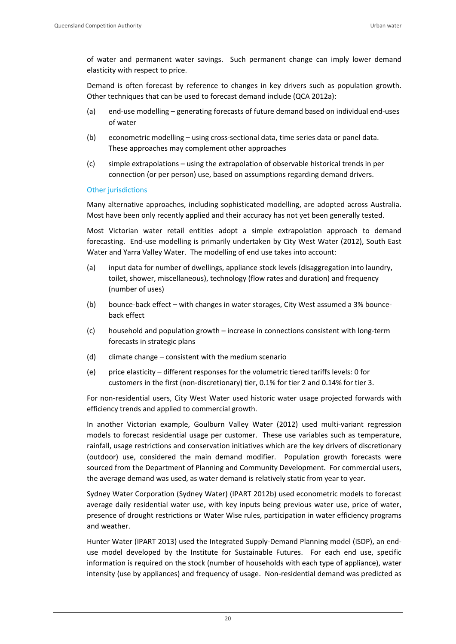of water and permanent water savings. Such permanent change can imply lower demand elasticity with respect to price.

Demand is often forecast by reference to changes in key drivers such as population growth. Other techniques that can be used to forecast demand include (QCA 2012a):

- (a) end‐use modelling generating forecasts of future demand based on individual end‐uses of water
- (b) econometric modelling using cross‐sectional data, time series data or panel data. These approaches may complement other approaches
- (c) simple extrapolations using the extrapolation of observable historical trends in per connection (or per person) use, based on assumptions regarding demand drivers.

## Other jurisdictions

Many alternative approaches, including sophisticated modelling, are adopted across Australia. Most have been only recently applied and their accuracy has not yet been generally tested.

Most Victorian water retail entities adopt a simple extrapolation approach to demand forecasting. End‐use modelling is primarily undertaken by City West Water (2012), South East Water and Yarra Valley Water. The modelling of end use takes into account:

- (a) input data for number of dwellings, appliance stock levels (disaggregation into laundry, toilet, shower, miscellaneous), technology (flow rates and duration) and frequency (number of uses)
- (b) bounce-back effect with changes in water storages, City West assumed a 3% bounceback effect
- (c) household and population growth increase in connections consistent with long‐term forecasts in strategic plans
- (d) climate change consistent with the medium scenario
- (e) price elasticity different responses for the volumetric tiered tariffs levels: 0 for customers in the first (non‐discretionary) tier, 0.1% for tier 2 and 0.14% for tier 3.

For non‐residential users, City West Water used historic water usage projected forwards with efficiency trends and applied to commercial growth.

In another Victorian example, Goulburn Valley Water (2012) used multi‐variant regression models to forecast residential usage per customer. These use variables such as temperature, rainfall, usage restrictions and conservation initiatives which are the key drivers of discretionary (outdoor) use, considered the main demand modifier. Population growth forecasts were sourced from the Department of Planning and Community Development. For commercial users, the average demand was used, as water demand is relatively static from year to year.

Sydney Water Corporation (Sydney Water) (IPART 2012b) used econometric models to forecast average daily residential water use, with key inputs being previous water use, price of water, presence of drought restrictions or Water Wise rules, participation in water efficiency programs and weather.

Hunter Water (IPART 2013) used the Integrated Supply‐Demand Planning model (iSDP), an end‐ use model developed by the Institute for Sustainable Futures. For each end use, specific information is required on the stock (number of households with each type of appliance), water intensity (use by appliances) and frequency of usage. Non-residential demand was predicted as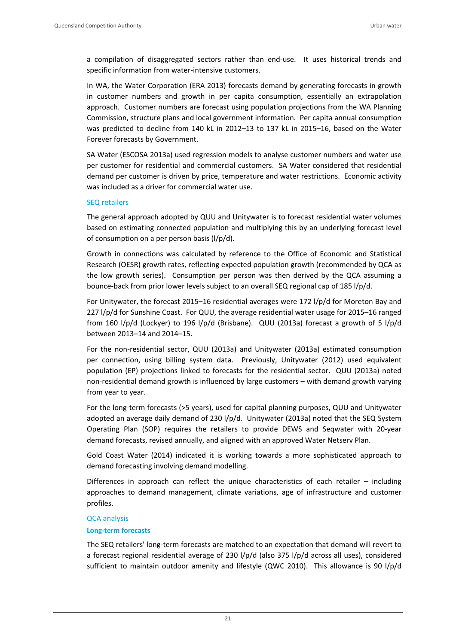a compilation of disaggregated sectors rather than end-use. It uses historical trends and specific information from water‐intensive customers.

In WA, the Water Corporation (ERA 2013) forecasts demand by generating forecasts in growth in customer numbers and growth in per capita consumption, essentially an extrapolation approach. Customer numbers are forecast using population projections from the WA Planning Commission, structure plans and local government information. Per capita annual consumption was predicted to decline from 140 kL in 2012–13 to 137 kL in 2015–16, based on the Water Forever forecasts by Government.

SA Water (ESCOSA 2013a) used regression models to analyse customer numbers and water use per customer for residential and commercial customers. SA Water considered that residential demand per customer is driven by price, temperature and water restrictions. Economic activity was included as a driver for commercial water use.

#### SEQ retailers

The general approach adopted by QUU and Unitywater is to forecast residential water volumes based on estimating connected population and multiplying this by an underlying forecast level of consumption on a per person basis (l/p/d).

Growth in connections was calculated by reference to the Office of Economic and Statistical Research (OESR) growth rates, reflecting expected population growth (recommended by QCA as the low growth series). Consumption per person was then derived by the QCA assuming a bounce-back from prior lower levels subject to an overall SEQ regional cap of 185 l/p/d.

For Unitywater, the forecast 2015–16 residential averages were 172 l/p/d for Moreton Bay and 227 l/p/d for Sunshine Coast. For QUU, the average residential water usage for 2015–16 ranged from 160 l/p/d (Lockyer) to 196 l/p/d (Brisbane). QUU (2013a) forecast a growth of 5 l/p/d between 2013–14 and 2014–15.

For the non-residential sector, QUU (2013a) and Unitywater (2013a) estimated consumption per connection, using billing system data. Previously, Unitywater (2012) used equivalent population (EP) projections linked to forecasts for the residential sector. QUU (2013a) noted non‐residential demand growth is influenced by large customers – with demand growth varying from year to year.

For the long-term forecasts (>5 years), used for capital planning purposes, QUU and Unitywater adopted an average daily demand of 230 l/p/d. Unitywater (2013a) noted that the SEQ System Operating Plan (SOP) requires the retailers to provide DEWS and Seqwater with 20‐year demand forecasts, revised annually, and aligned with an approved Water Netserv Plan.

Gold Coast Water (2014) indicated it is working towards a more sophisticated approach to demand forecasting involving demand modelling.

Differences in approach can reflect the unique characteristics of each retailer – including approaches to demand management, climate variations, age of infrastructure and customer profiles.

#### QCA analysis

#### **Long‐term forecasts**

The SEQ retailers' long‐term forecasts are matched to an expectation that demand will revert to a forecast regional residential average of 230 l/p/d (also 375 l/p/d across all uses), considered sufficient to maintain outdoor amenity and lifestyle (QWC 2010). This allowance is 90 l/p/d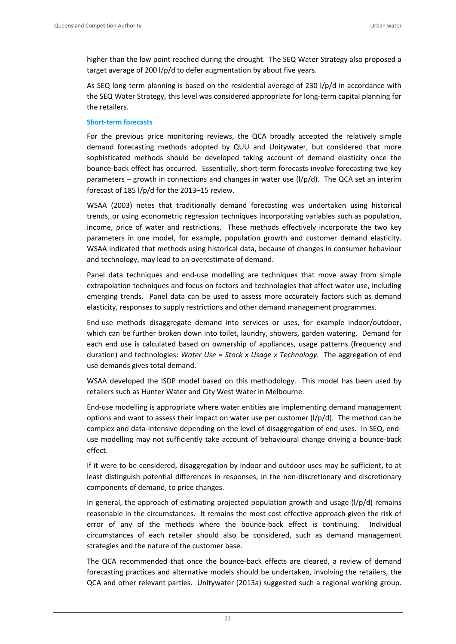higher than the low point reached during the drought. The SEQ Water Strategy also proposed a target average of 200 l/p/d to defer augmentation by about five years.

As SEQ long-term planning is based on the residential average of 230 l/p/d in accordance with the SEQ Water Strategy, this level was considered appropriate for long-term capital planning for the retailers.

#### **Short‐term forecasts**

For the previous price monitoring reviews, the QCA broadly accepted the relatively simple demand forecasting methods adopted by QUU and Unitywater, but considered that more sophisticated methods should be developed taking account of demand elasticity once the bounce-back effect has occurred. Essentially, short-term forecasts involve forecasting two key parameters – growth in connections and changes in water use  $\frac{1}{p}$ d). The QCA set an interim forecast of 185 l/p/d for the 2013–15 review.

WSAA (2003) notes that traditionally demand forecasting was undertaken using historical trends, or using econometric regression techniques incorporating variables such as population, income, price of water and restrictions. These methods effectively incorporate the two key parameters in one model, for example, population growth and customer demand elasticity. WSAA indicated that methods using historical data, because of changes in consumer behaviour and technology, may lead to an overestimate of demand.

Panel data techniques and end‐use modelling are techniques that move away from simple extrapolation techniques and focus on factors and technologies that affect water use, including emerging trends. Panel data can be used to assess more accurately factors such as demand elasticity, responses to supply restrictions and other demand management programmes.

End‐use methods disaggregate demand into services or uses, for example indoor/outdoor, which can be further broken down into toilet, laundry, showers, garden watering. Demand for each end use is calculated based on ownership of appliances, usage patterns (frequency and duration) and technologies: *Water Use = Stock x Usage x Technology*. The aggregation of end use demands gives total demand.

WSAA developed the ISDP model based on this methodology. This model has been used by retailers such as Hunter Water and City West Water in Melbourne.

End‐use modelling is appropriate where water entities are implementing demand management options and want to assess their impact on water use per customer  $(1/p/d)$ . The method can be complex and data-intensive depending on the level of disaggregation of end uses. In SEQ, enduse modelling may not sufficiently take account of behavioural change driving a bounce‐back effect.

If it were to be considered, disaggregation by indoor and outdoor uses may be sufficient, to at least distinguish potential differences in responses, in the non-discretionary and discretionary components of demand, to price changes.

In general, the approach of estimating projected population growth and usage  $\frac{1}{p}d$  remains reasonable in the circumstances. It remains the most cost effective approach given the risk of error of any of the methods where the bounce-back effect is continuing. Individual circumstances of each retailer should also be considered, such as demand management strategies and the nature of the customer base.

The QCA recommended that once the bounce-back effects are cleared, a review of demand forecasting practices and alternative models should be undertaken, involving the retailers, the QCA and other relevant parties. Unitywater (2013a) suggested such a regional working group.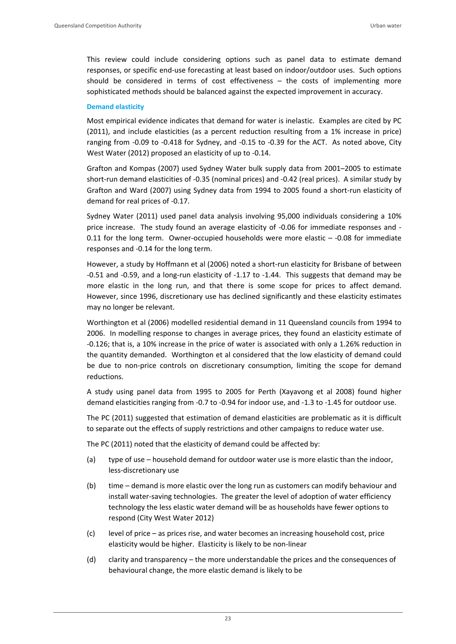This review could include considering options such as panel data to estimate demand responses, or specific end‐use forecasting at least based on indoor/outdoor uses. Such options should be considered in terms of cost effectiveness – the costs of implementing more sophisticated methods should be balanced against the expected improvement in accuracy.

#### **Demand elasticity**

Most empirical evidence indicates that demand for water is inelastic. Examples are cited by PC (2011), and include elasticities (as a percent reduction resulting from a 1% increase in price) ranging from -0.09 to -0.418 for Sydney, and -0.15 to -0.39 for the ACT. As noted above, City West Water (2012) proposed an elasticity of up to ‐0.14.

Grafton and Kompas (2007) used Sydney Water bulk supply data from 2001–2005 to estimate short-run demand elasticities of -0.35 (nominal prices) and -0.42 (real prices). A similar study by Grafton and Ward (2007) using Sydney data from 1994 to 2005 found a short‐run elasticity of demand for real prices of ‐0.17.

Sydney Water (2011) used panel data analysis involving 95,000 individuals considering a 10% price increase. The study found an average elasticity of ‐0.06 for immediate responses and ‐ 0.11 for the long term. Owner-occupied households were more elastic  $-$  -0.08 for immediate responses and ‐0.14 for the long term.

However, a study by Hoffmann et al (2006) noted a short‐run elasticity for Brisbane of between ‐0.51 and ‐0.59, and a long‐run elasticity of ‐1.17 to ‐1.44. This suggests that demand may be more elastic in the long run, and that there is some scope for prices to affect demand. However, since 1996, discretionary use has declined significantly and these elasticity estimates may no longer be relevant.

Worthington et al (2006) modelled residential demand in 11 Queensland councils from 1994 to 2006. In modelling response to changes in average prices, they found an elasticity estimate of ‐0.126; that is, a 10% increase in the price of water is associated with only a 1.26% reduction in the quantity demanded. Worthington et al considered that the low elasticity of demand could be due to non-price controls on discretionary consumption, limiting the scope for demand reductions.

A study using panel data from 1995 to 2005 for Perth (Xayavong et al 2008) found higher demand elasticities ranging from ‐0.7 to ‐0.94 for indoor use, and ‐1.3 to ‐1.45 for outdoor use.

The PC (2011) suggested that estimation of demand elasticities are problematic as it is difficult to separate out the effects of supply restrictions and other campaigns to reduce water use.

The PC (2011) noted that the elasticity of demand could be affected by:

- (a) type of use household demand for outdoor water use is more elastic than the indoor, less‐discretionary use
- (b) time demand is more elastic over the long run as customers can modify behaviour and install water‐saving technologies. The greater the level of adoption of water efficiency technology the less elastic water demand will be as households have fewer options to respond (City West Water 2012)
- (c) level of price as prices rise, and water becomes an increasing household cost, price elasticity would be higher. Elasticity is likely to be non‐linear
- (d) clarity and transparency the more understandable the prices and the consequences of behavioural change, the more elastic demand is likely to be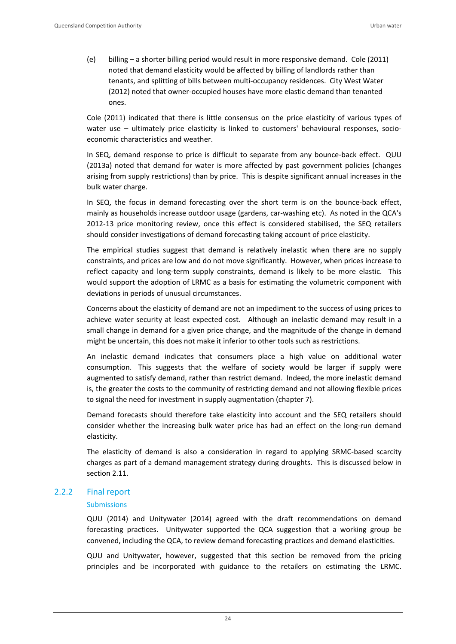(e) billing – a shorter billing period would result in more responsive demand. Cole (2011) noted that demand elasticity would be affected by billing of landlords rather than tenants, and splitting of bills between multi‐occupancy residences. City West Water (2012) noted that owner‐occupied houses have more elastic demand than tenanted ones.

Cole (2011) indicated that there is little consensus on the price elasticity of various types of water use – ultimately price elasticity is linked to customers' behavioural responses, socioeconomic characteristics and weather.

In SEQ, demand response to price is difficult to separate from any bounce-back effect. QUU (2013a) noted that demand for water is more affected by past government policies (changes arising from supply restrictions) than by price. This is despite significant annual increases in the bulk water charge.

In SEQ, the focus in demand forecasting over the short term is on the bounce-back effect, mainly as households increase outdoor usage (gardens, car-washing etc). As noted in the QCA's 2012-13 price monitoring review, once this effect is considered stabilised, the SEQ retailers should consider investigations of demand forecasting taking account of price elasticity.

The empirical studies suggest that demand is relatively inelastic when there are no supply constraints, and prices are low and do not move significantly. However, when prices increase to reflect capacity and long-term supply constraints, demand is likely to be more elastic. This would support the adoption of LRMC as a basis for estimating the volumetric component with deviations in periods of unusual circumstances.

Concerns about the elasticity of demand are not an impediment to the success of using prices to achieve water security at least expected cost. Although an inelastic demand may result in a small change in demand for a given price change, and the magnitude of the change in demand might be uncertain, this does not make it inferior to other tools such as restrictions.

An inelastic demand indicates that consumers place a high value on additional water consumption. This suggests that the welfare of society would be larger if supply were augmented to satisfy demand, rather than restrict demand. Indeed, the more inelastic demand is, the greater the costs to the community of restricting demand and not allowing flexible prices to signal the need for investment in supply augmentation (chapter 7).

Demand forecasts should therefore take elasticity into account and the SEQ retailers should consider whether the increasing bulk water price has had an effect on the long-run demand elasticity.

The elasticity of demand is also a consideration in regard to applying SRMC‐based scarcity charges as part of a demand management strategy during droughts. This is discussed below in section 2.11.

# 2.2.2 Final report

# Submissions

QUU (2014) and Unitywater (2014) agreed with the draft recommendations on demand forecasting practices. Unitywater supported the QCA suggestion that a working group be convened, including the QCA, to review demand forecasting practices and demand elasticities.

QUU and Unitywater, however, suggested that this section be removed from the pricing principles and be incorporated with guidance to the retailers on estimating the LRMC.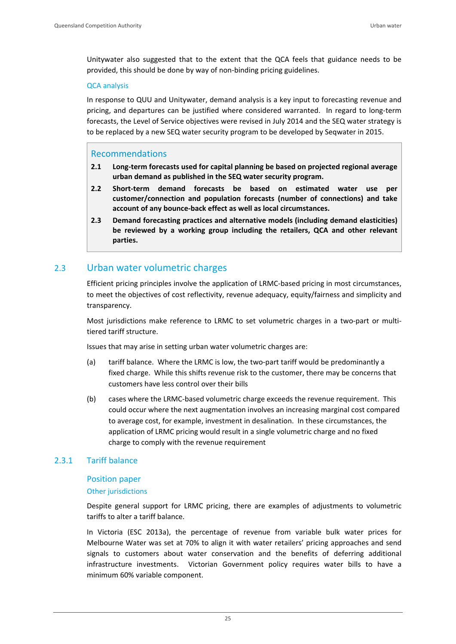Unitywater also suggested that to the extent that the QCA feels that guidance needs to be provided, this should be done by way of non‐binding pricing guidelines.

# QCA analysis

In response to QUU and Unitywater, demand analysis is a key input to forecasting revenue and pricing, and departures can be justified where considered warranted. In regard to long‐term forecasts, the Level of Service objectives were revised in July 2014 and the SEQ water strategy is to be replaced by a new SEQ water security program to be developed by Seqwater in 2015.

# Recommendations

- **2.1 Long‐term forecasts used for capital planning be based on projected regional average urban demand as published in the SEQ water security program.**
- **2.2 Short‐term demand forecasts be based on estimated water use per customer/connection and population forecasts (number of connections) and take account of any bounce‐back effect as well as local circumstances.**
- **2.3 Demand forecasting practices and alternative models (including demand elasticities) be reviewed by a working group including the retailers, QCA and other relevant parties.**

# 2.3 Urban water volumetric charges

Efficient pricing principles involve the application of LRMC‐based pricing in most circumstances, to meet the objectives of cost reflectivity, revenue adequacy, equity/fairness and simplicity and transparency.

Most jurisdictions make reference to LRMC to set volumetric charges in a two-part or multitiered tariff structure.

Issues that may arise in setting urban water volumetric charges are:

- (a) tariff balance. Where the LRMC is low, the two-part tariff would be predominantly a fixed charge. While this shifts revenue risk to the customer, there may be concerns that customers have less control over their bills
- (b) cases where the LRMC‐based volumetric charge exceeds the revenue requirement. This could occur where the next augmentation involves an increasing marginal cost compared to average cost, for example, investment in desalination. In these circumstances, the application of LRMC pricing would result in a single volumetric charge and no fixed charge to comply with the revenue requirement

# 2.3.1 Tariff balance

# Position paper

# Other jurisdictions

Despite general support for LRMC pricing, there are examples of adjustments to volumetric tariffs to alter a tariff balance.

In Victoria (ESC 2013a), the percentage of revenue from variable bulk water prices for Melbourne Water was set at 70% to align it with water retailers' pricing approaches and send signals to customers about water conservation and the benefits of deferring additional infrastructure investments. Victorian Government policy requires water bills to have a minimum 60% variable component.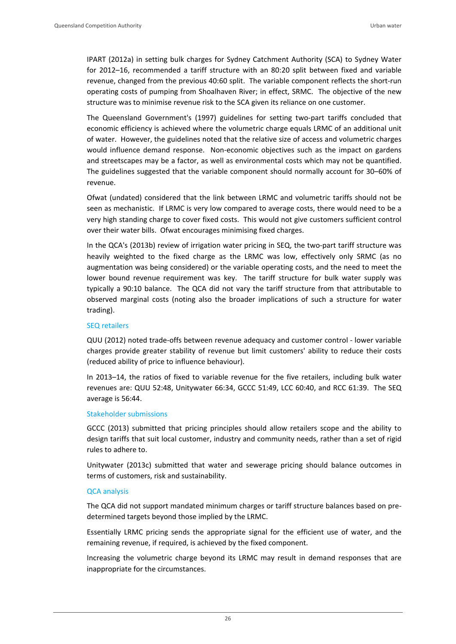IPART (2012a) in setting bulk charges for Sydney Catchment Authority (SCA) to Sydney Water for 2012–16, recommended a tariff structure with an 80:20 split between fixed and variable revenue, changed from the previous 40:60 split. The variable component reflects the short-run operating costs of pumping from Shoalhaven River; in effect, SRMC. The objective of the new structure was to minimise revenue risk to the SCA given its reliance on one customer.

The Queensland Government's (1997) guidelines for setting two‐part tariffs concluded that economic efficiency is achieved where the volumetric charge equals LRMC of an additional unit of water. However, the guidelines noted that the relative size of access and volumetric charges would influence demand response. Non-economic objectives such as the impact on gardens and streetscapes may be a factor, as well as environmental costs which may not be quantified. The guidelines suggested that the variable component should normally account for 30–60% of revenue.

Ofwat (undated) considered that the link between LRMC and volumetric tariffs should not be seen as mechanistic. If LRMC is very low compared to average costs, there would need to be a very high standing charge to cover fixed costs. This would not give customers sufficient control over their water bills. Ofwat encourages minimising fixed charges.

In the QCA's (2013b) review of irrigation water pricing in SEQ, the two-part tariff structure was heavily weighted to the fixed charge as the LRMC was low, effectively only SRMC (as no augmentation was being considered) or the variable operating costs, and the need to meet the lower bound revenue requirement was key. The tariff structure for bulk water supply was typically a 90:10 balance. The QCA did not vary the tariff structure from that attributable to observed marginal costs (noting also the broader implications of such a structure for water trading).

#### SEQ retailers

QUU (2012) noted trade‐offs between revenue adequacy and customer control ‐ lower variable charges provide greater stability of revenue but limit customers' ability to reduce their costs (reduced ability of price to influence behaviour).

In 2013–14, the ratios of fixed to variable revenue for the five retailers, including bulk water revenues are: QUU 52:48, Unitywater 66:34, GCCC 51:49, LCC 60:40, and RCC 61:39. The SEQ average is 56:44.

# Stakeholder submissions

GCCC (2013) submitted that pricing principles should allow retailers scope and the ability to design tariffs that suit local customer, industry and community needs, rather than a set of rigid rules to adhere to.

Unitywater (2013c) submitted that water and sewerage pricing should balance outcomes in terms of customers, risk and sustainability.

# QCA analysis

The QCA did not support mandated minimum charges or tariff structure balances based on pre‐ determined targets beyond those implied by the LRMC.

Essentially LRMC pricing sends the appropriate signal for the efficient use of water, and the remaining revenue, if required, is achieved by the fixed component.

Increasing the volumetric charge beyond its LRMC may result in demand responses that are inappropriate for the circumstances.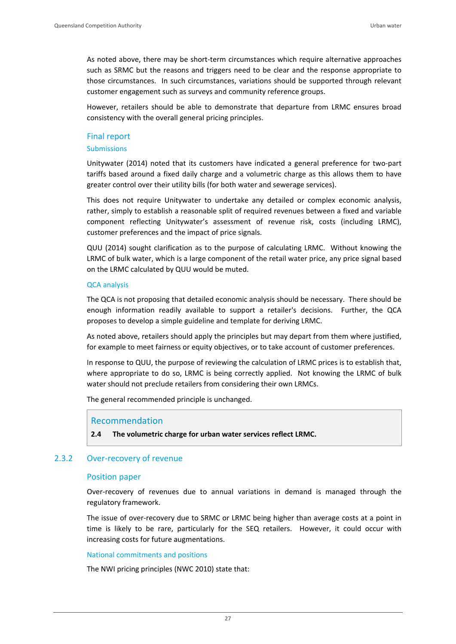As noted above, there may be short-term circumstances which require alternative approaches such as SRMC but the reasons and triggers need to be clear and the response appropriate to those circumstances. In such circumstances, variations should be supported through relevant customer engagement such as surveys and community reference groups.

However, retailers should be able to demonstrate that departure from LRMC ensures broad consistency with the overall general pricing principles.

## Final report

#### Submissions

Unitywater (2014) noted that its customers have indicated a general preference for two‐part tariffs based around a fixed daily charge and a volumetric charge as this allows them to have greater control over their utility bills (for both water and sewerage services).

This does not require Unitywater to undertake any detailed or complex economic analysis, rather, simply to establish a reasonable split of required revenues between a fixed and variable component reflecting Unitywater's assessment of revenue risk, costs (including LRMC), customer preferences and the impact of price signals.

QUU (2014) sought clarification as to the purpose of calculating LRMC. Without knowing the LRMC of bulk water, which is a large component of the retail water price, any price signal based on the LRMC calculated by QUU would be muted.

## QCA analysis

The QCA is not proposing that detailed economic analysis should be necessary. There should be enough information readily available to support a retailer's decisions. Further, the QCA proposes to develop a simple guideline and template for deriving LRMC.

As noted above, retailers should apply the principles but may depart from them where justified, for example to meet fairness or equity objectives, or to take account of customer preferences.

In response to QUU, the purpose of reviewing the calculation of LRMC prices is to establish that, where appropriate to do so, LRMC is being correctly applied. Not knowing the LRMC of bulk water should not preclude retailers from considering their own LRMCs.

The general recommended principle is unchanged.

# Recommendation

**2.4 The volumetric charge for urban water services reflect LRMC.** 

# 2.3.2 Over‐recovery of revenue

#### Position paper

Over-recovery of revenues due to annual variations in demand is managed through the regulatory framework.

The issue of over-recovery due to SRMC or LRMC being higher than average costs at a point in time is likely to be rare, particularly for the SEQ retailers. However, it could occur with increasing costs for future augmentations.

#### National commitments and positions

The NWI pricing principles (NWC 2010) state that: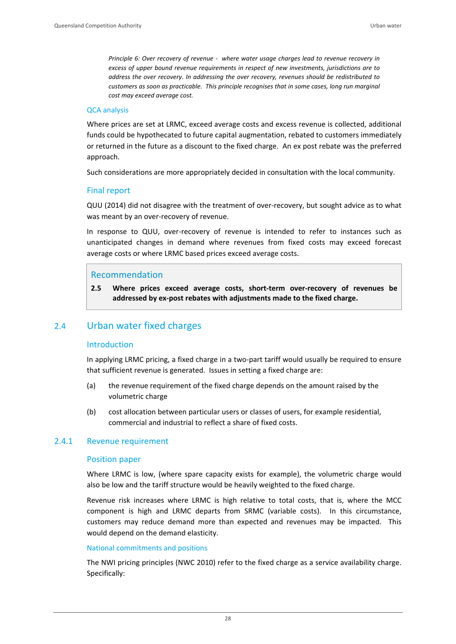*Principle 6: Over recovery of revenue ‐ where water usage charges lead to revenue recovery in excess of upper bound revenue requirements in respect of new investments, jurisdictions are to address the over recovery. In addressing the over recovery, revenues should be redistributed to customers as soon as practicable. This principle recognises that in some cases, long run marginal cost may exceed average cost.*

#### QCA analysis

Where prices are set at LRMC, exceed average costs and excess revenue is collected, additional funds could be hypothecated to future capital augmentation, rebated to customers immediately or returned in the future as a discount to the fixed charge. An ex post rebate was the preferred approach.

Such considerations are more appropriately decided in consultation with the local community.

# Final report

QUU (2014) did not disagree with the treatment of over‐recovery, but sought advice as to what was meant by an over-recovery of revenue.

In response to QUU, over-recovery of revenue is intended to refer to instances such as unanticipated changes in demand where revenues from fixed costs may exceed forecast average costs or where LRMC based prices exceed average costs.

# Recommendation

**2.5 Where prices exceed average costs, short‐term over‐recovery of revenues be addressed by ex‐post rebates with adjustments made to the fixed charge.**

# 2.4 Urban water fixed charges

# Introduction

In applying LRMC pricing, a fixed charge in a two-part tariff would usually be required to ensure that sufficient revenue is generated. Issues in setting a fixed charge are:

- (a) the revenue requirement of the fixed charge depends on the amount raised by the volumetric charge
- (b) cost allocation between particular users or classes of users, for example residential, commercial and industrial to reflect a share of fixed costs.

# 2.4.1 Revenue requirement

# Position paper

Where LRMC is low, (where spare capacity exists for example), the volumetric charge would also be low and the tariff structure would be heavily weighted to the fixed charge.

Revenue risk increases where LRMC is high relative to total costs, that is, where the MCC component is high and LRMC departs from SRMC (variable costs). In this circumstance, customers may reduce demand more than expected and revenues may be impacted. This would depend on the demand elasticity.

# National commitments and positions

The NWI pricing principles (NWC 2010) refer to the fixed charge as a service availability charge. Specifically: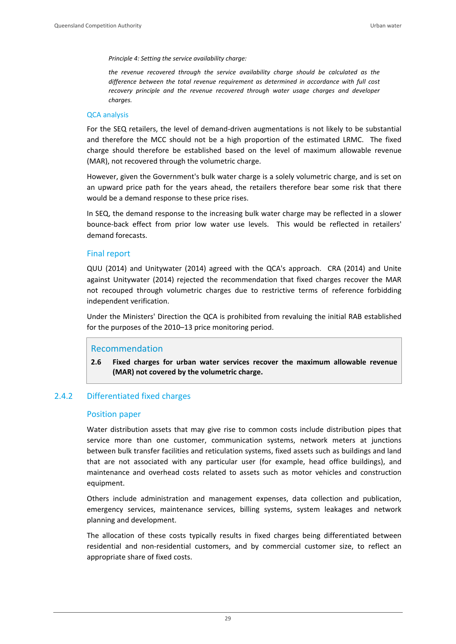*Principle 4: Setting the service availability charge:*

*the revenue recovered through the service availability charge should be calculated as the difference between the total revenue requirement as determined in accordance with full cost recovery principle and the revenue recovered through water usage charges and developer charges.*

#### QCA analysis

For the SEQ retailers, the level of demand‐driven augmentations is not likely to be substantial and therefore the MCC should not be a high proportion of the estimated LRMC. The fixed charge should therefore be established based on the level of maximum allowable revenue (MAR), not recovered through the volumetric charge.

However, given the Government's bulk water charge is a solely volumetric charge, and is set on an upward price path for the years ahead, the retailers therefore bear some risk that there would be a demand response to these price rises.

In SEQ, the demand response to the increasing bulk water charge may be reflected in a slower bounce-back effect from prior low water use levels. This would be reflected in retailers' demand forecasts.

## Final report

QUU (2014) and Unitywater (2014) agreed with the QCA's approach. CRA (2014) and Unite against Unitywater (2014) rejected the recommendation that fixed charges recover the MAR not recouped through volumetric charges due to restrictive terms of reference forbidding independent verification.

Under the Ministers' Direction the QCA is prohibited from revaluing the initial RAB established for the purposes of the 2010–13 price monitoring period.

### Recommendation

**2.6 Fixed charges for urban water services recover the maximum allowable revenue (MAR) not covered by the volumetric charge.** 

# 2.4.2 Differentiated fixed charges

#### Position paper

Water distribution assets that may give rise to common costs include distribution pipes that service more than one customer, communication systems, network meters at junctions between bulk transfer facilities and reticulation systems, fixed assets such as buildings and land that are not associated with any particular user (for example, head office buildings), and maintenance and overhead costs related to assets such as motor vehicles and construction equipment.

Others include administration and management expenses, data collection and publication, emergency services, maintenance services, billing systems, system leakages and network planning and development.

The allocation of these costs typically results in fixed charges being differentiated between residential and non‐residential customers, and by commercial customer size, to reflect an appropriate share of fixed costs.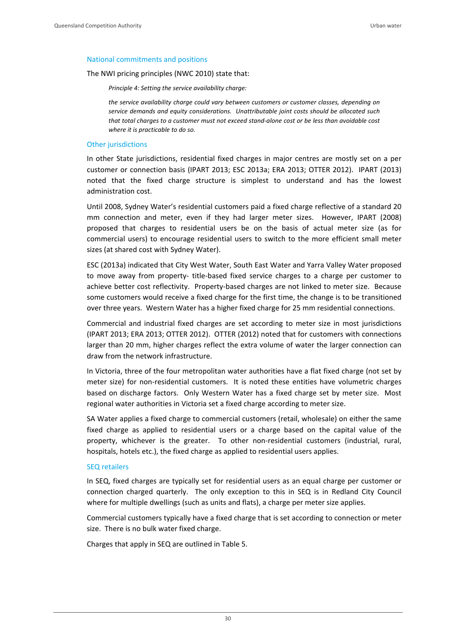#### National commitments and positions

The NWI pricing principles (NWC 2010) state that:

*Principle 4: Setting the service availability charge:*

*the service availability charge could vary between customers or customer classes, depending on service demands and equity considerations. Unattributable joint costs should be allocated such* that total charges to a customer must not exceed stand-alone cost or be less than avoidable cost *where it is practicable to do so.*

#### Other jurisdictions

In other State jurisdictions, residential fixed charges in major centres are mostly set on a per customer or connection basis (IPART 2013; ESC 2013a; ERA 2013; OTTER 2012). IPART (2013) noted that the fixed charge structure is simplest to understand and has the lowest administration cost.

Until 2008, Sydney Water's residential customers paid a fixed charge reflective of a standard 20 mm connection and meter, even if they had larger meter sizes. However, IPART (2008) proposed that charges to residential users be on the basis of actual meter size (as for commercial users) to encourage residential users to switch to the more efficient small meter sizes (at shared cost with Sydney Water).

ESC (2013a) indicated that City West Water, South East Water and Yarra Valley Water proposed to move away from property- title-based fixed service charges to a charge per customer to achieve better cost reflectivity. Property‐based charges are not linked to meter size. Because some customers would receive a fixed charge for the first time, the change is to be transitioned over three years. Western Water has a higher fixed charge for 25 mm residential connections.

Commercial and industrial fixed charges are set according to meter size in most jurisdictions (IPART 2013; ERA 2013; OTTER 2012). OTTER (2012) noted that for customers with connections larger than 20 mm, higher charges reflect the extra volume of water the larger connection can draw from the network infrastructure.

In Victoria, three of the four metropolitan water authorities have a flat fixed charge (not set by meter size) for non-residential customers. It is noted these entities have volumetric charges based on discharge factors. Only Western Water has a fixed charge set by meter size. Most regional water authorities in Victoria set a fixed charge according to meter size.

SA Water applies a fixed charge to commercial customers (retail, wholesale) on either the same fixed charge as applied to residential users or a charge based on the capital value of the property, whichever is the greater. To other non-residential customers (industrial, rural, hospitals, hotels etc.), the fixed charge as applied to residential users applies.

#### SEQ retailers

In SEQ, fixed charges are typically set for residential users as an equal charge per customer or connection charged quarterly. The only exception to this in SEQ is in Redland City Council where for multiple dwellings (such as units and flats), a charge per meter size applies.

Commercial customers typically have a fixed charge that is set according to connection or meter size. There is no bulk water fixed charge.

Charges that apply in SEQ are outlined in Table 5.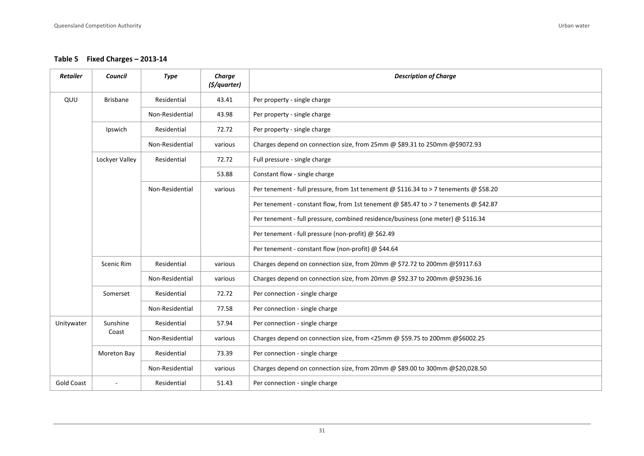**Table 5 Fixed Charges – 2013‐14**

| <b>Retailer</b>   | <b>Council</b>    | <b>Type</b>     | Charge<br>(\$/quarter) | <b>Description of Charge</b>                                                          |
|-------------------|-------------------|-----------------|------------------------|---------------------------------------------------------------------------------------|
| QUU               | <b>Brisbane</b>   | Residential     | 43.41                  | Per property - single charge                                                          |
|                   |                   | Non-Residential | 43.98                  | Per property - single charge                                                          |
|                   | Ipswich           | Residential     | 72.72                  | Per property - single charge                                                          |
|                   |                   | Non-Residential | various                | Charges depend on connection size, from 25mm @ \$89.31 to 250mm @\$9072.93            |
|                   | Lockyer Valley    | Residential     | 72.72                  | Full pressure - single charge                                                         |
|                   |                   |                 | 53.88                  | Constant flow - single charge                                                         |
|                   |                   | Non-Residential | various                | Per tenement - full pressure, from 1st tenement @ \$116.34 to > 7 tenements @ \$58.20 |
|                   |                   |                 |                        | Per tenement - constant flow, from 1st tenement @ \$85.47 to > 7 tenements @ \$42.87  |
|                   |                   |                 |                        | Per tenement - full pressure, combined residence/business (one meter) @ \$116.34      |
|                   |                   |                 |                        | Per tenement - full pressure (non-profit) @ \$62.49                                   |
|                   |                   |                 |                        | Per tenement - constant flow (non-profit) @ \$44.64                                   |
|                   | <b>Scenic Rim</b> | Residential     | various                | Charges depend on connection size, from 20mm @ \$72.72 to 200mm @\$9117.63            |
|                   |                   | Non-Residential | various                | Charges depend on connection size, from 20mm @ \$92.37 to 200mm @\$9236.16            |
|                   | Somerset          | Residential     | 72.72                  | Per connection - single charge                                                        |
|                   |                   | Non-Residential | 77.58                  | Per connection - single charge                                                        |
| Unitywater        | Sunshine<br>Coast | Residential     | 57.94                  | Per connection - single charge                                                        |
|                   |                   | Non-Residential | various                | Charges depend on connection size, from <25mm @ \$59.75 to 200mm @\$6002.25           |
|                   | Moreton Bay       | Residential     | 73.39                  | Per connection - single charge                                                        |
|                   |                   | Non-Residential | various                | Charges depend on connection size, from 20mm @ \$89.00 to 300mm @\$20,028.50          |
| <b>Gold Coast</b> |                   | Residential     | 51.43                  | Per connection - single charge                                                        |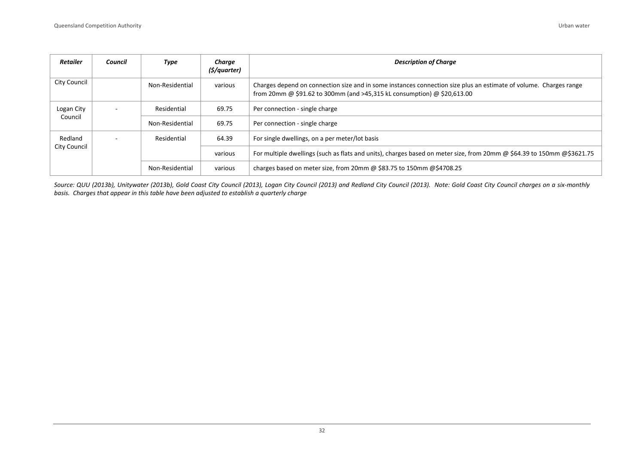| <b>Retailer</b> | Council | Type            | Charge<br>(\$/quarter) | <b>Description of Charge</b>                                                                                                                                                                 |
|-----------------|---------|-----------------|------------------------|----------------------------------------------------------------------------------------------------------------------------------------------------------------------------------------------|
| City Council    |         | Non-Residential | various                | Charges depend on connection size and in some instances connection size plus an estimate of volume. Charges range<br>from 20mm @ \$91.62 to 300mm (and >45,315 kL consumption) @ \$20,613.00 |
| Logan City      | $\sim$  | Residential     | 69.75                  | Per connection - single charge                                                                                                                                                               |
| Council         |         | Non-Residential | 69.75                  | Per connection - single charge                                                                                                                                                               |
| Redland         |         | Residential     | 64.39                  | For single dwellings, on a per meter/lot basis                                                                                                                                               |
| City Council    |         |                 | various                | For multiple dwellings (such as flats and units), charges based on meter size, from 20mm @ \$64.39 to 150mm @\$3621.75                                                                       |
|                 |         | Non-Residential | various                | charges based on meter size, from 20mm @ \$83.75 to 150mm @ \$4708.25                                                                                                                        |

Source: QUU (2013b), Unitywater (2013b), Gold Coast City Council (2013), Logan City Council (2013) and Redland City Council (2013). Note: Gold Coast City Council charges on a six-monthly *basis. Charges that appear in this table have been adjusted to establish <sup>a</sup> quarterly charge*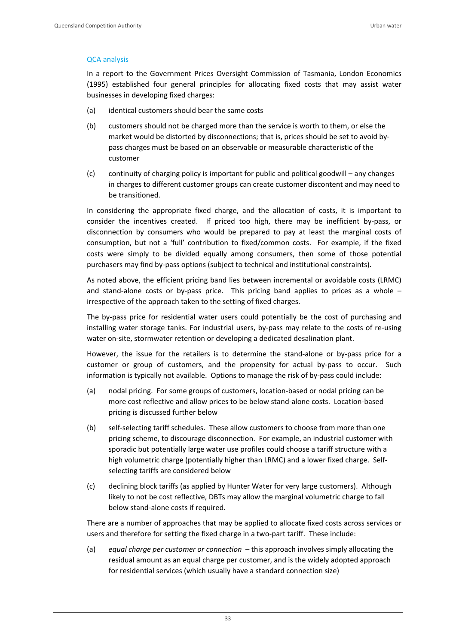### QCA analysis

In a report to the Government Prices Oversight Commission of Tasmania, London Economics (1995) established four general principles for allocating fixed costs that may assist water businesses in developing fixed charges:

- (a) identical customers should bear the same costs
- (b) customers should not be charged more than the service is worth to them, or else the market would be distorted by disconnections; that is, prices should be set to avoid by‐ pass charges must be based on an observable or measurable characteristic of the customer
- (c) continuity of charging policy is important for public and political goodwill any changes in charges to different customer groups can create customer discontent and may need to be transitioned.

In considering the appropriate fixed charge, and the allocation of costs, it is important to consider the incentives created. If priced too high, there may be inefficient by-pass, or disconnection by consumers who would be prepared to pay at least the marginal costs of consumption, but not a 'full' contribution to fixed/common costs. For example, if the fixed costs were simply to be divided equally among consumers, then some of those potential purchasers may find by‐pass options (subject to technical and institutional constraints).

As noted above, the efficient pricing band lies between incremental or avoidable costs (LRMC) and stand-alone costs or by-pass price. This pricing band applies to prices as a whole  $$ irrespective of the approach taken to the setting of fixed charges.

The by-pass price for residential water users could potentially be the cost of purchasing and installing water storage tanks. For industrial users, by‐pass may relate to the costs of re‐using water on-site, stormwater retention or developing a dedicated desalination plant.

However, the issue for the retailers is to determine the stand-alone or by-pass price for a customer or group of customers, and the propensity for actual by-pass to occur. Such information is typically not available. Options to manage the risk of by-pass could include:

- (a) nodal pricing. For some groups of customers, location‐based or nodal pricing can be more cost reflective and allow prices to be below stand‐alone costs. Location‐based pricing is discussed further below
- (b) self‐selecting tariff schedules. These allow customers to choose from more than one pricing scheme, to discourage disconnection. For example, an industrial customer with sporadic but potentially large water use profiles could choose a tariff structure with a high volumetric charge (potentially higher than LRMC) and a lower fixed charge. Self‐ selecting tariffs are considered below
- (c) declining block tariffs (as applied by Hunter Water for very large customers). Although likely to not be cost reflective, DBTs may allow the marginal volumetric charge to fall below stand‐alone costs if required.

There are a number of approaches that may be applied to allocate fixed costs across services or users and therefore for setting the fixed charge in a two-part tariff. These include:

(a) *equal charge per customer or connection* – this approach involves simply allocating the residual amount as an equal charge per customer, and is the widely adopted approach for residential services (which usually have a standard connection size)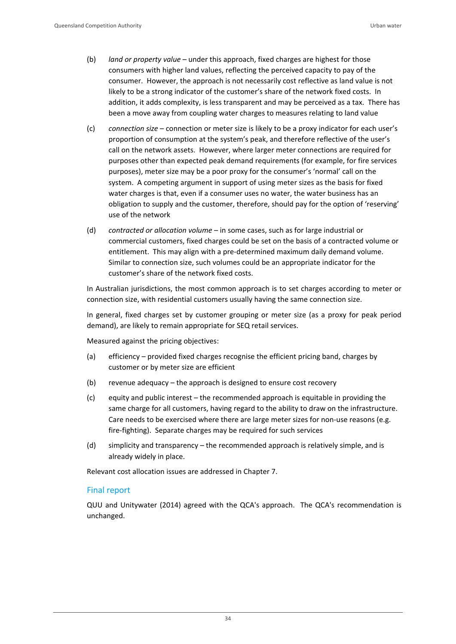- (b) *land or property value* under this approach, fixed charges are highest for those consumers with higher land values, reflecting the perceived capacity to pay of the consumer. However, the approach is not necessarily cost reflective as land value is not likely to be a strong indicator of the customer's share of the network fixed costs. In addition, it adds complexity, is less transparent and may be perceived as a tax. There has been a move away from coupling water charges to measures relating to land value
- (c) *connection size* connection or meter size is likely to be a proxy indicator for each user's proportion of consumption at the system's peak, and therefore reflective of the user's call on the network assets. However, where larger meter connections are required for purposes other than expected peak demand requirements (for example, for fire services purposes), meter size may be a poor proxy for the consumer's 'normal' call on the system. A competing argument in support of using meter sizes as the basis for fixed water charges is that, even if a consumer uses no water, the water business has an obligation to supply and the customer, therefore, should pay for the option of 'reserving' use of the network
- (d) *contracted or allocation volume* in some cases, such as for large industrial or commercial customers, fixed charges could be set on the basis of a contracted volume or entitlement. This may align with a pre‐determined maximum daily demand volume. Similar to connection size, such volumes could be an appropriate indicator for the customer's share of the network fixed costs.

In Australian jurisdictions, the most common approach is to set charges according to meter or connection size, with residential customers usually having the same connection size.

In general, fixed charges set by customer grouping or meter size (as a proxy for peak period demand), are likely to remain appropriate for SEQ retail services.

Measured against the pricing objectives:

- (a) efficiency provided fixed charges recognise the efficient pricing band, charges by customer or by meter size are efficient
- (b) revenue adequacy the approach is designed to ensure cost recovery
- (c) equity and public interest the recommended approach is equitable in providing the same charge for all customers, having regard to the ability to draw on the infrastructure. Care needs to be exercised where there are large meter sizes for non-use reasons (e.g. fire‐fighting). Separate charges may be required for such services
- (d) simplicity and transparency the recommended approach is relatively simple, and is already widely in place.

Relevant cost allocation issues are addressed in Chapter 7.

### Final report

QUU and Unitywater (2014) agreed with the QCA's approach. The QCA's recommendation is unchanged.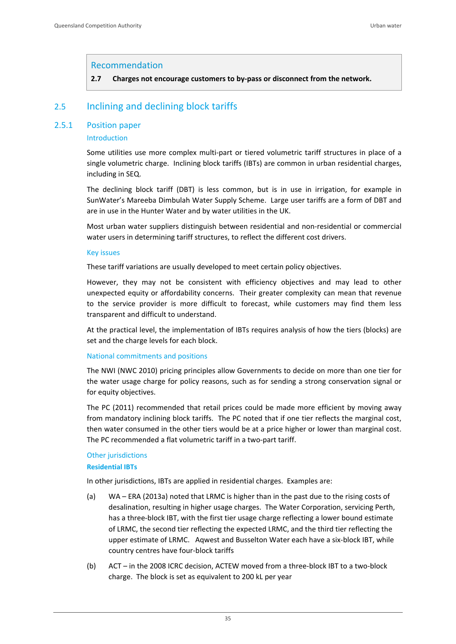### Recommendation

**2.7 Charges not encourage customers to by‐pass or disconnect from the network.**

# 2.5 Inclining and declining block tariffs

### 2.5.1 Position paper

### Introduction

Some utilities use more complex multi‐part or tiered volumetric tariff structures in place of a single volumetric charge. Inclining block tariffs (IBTs) are common in urban residential charges, including in SEQ.

The declining block tariff (DBT) is less common, but is in use in irrigation, for example in SunWater's Mareeba Dimbulah Water Supply Scheme. Large user tariffs are a form of DBT and are in use in the Hunter Water and by water utilities in the UK.

Most urban water suppliers distinguish between residential and non‐residential or commercial water users in determining tariff structures, to reflect the different cost drivers.

#### Key issues

These tariff variations are usually developed to meet certain policy objectives.

However, they may not be consistent with efficiency objectives and may lead to other unexpected equity or affordability concerns. Their greater complexity can mean that revenue to the service provider is more difficult to forecast, while customers may find them less transparent and difficult to understand.

At the practical level, the implementation of IBTs requires analysis of how the tiers (blocks) are set and the charge levels for each block.

#### National commitments and positions

The NWI (NWC 2010) pricing principles allow Governments to decide on more than one tier for the water usage charge for policy reasons, such as for sending a strong conservation signal or for equity objectives.

The PC (2011) recommended that retail prices could be made more efficient by moving away from mandatory inclining block tariffs. The PC noted that if one tier reflects the marginal cost, then water consumed in the other tiers would be at a price higher or lower than marginal cost. The PC recommended a flat volumetric tariff in a two‐part tariff.

## **Other jurisdictions**

#### **Residential IBTs**

In other jurisdictions, IBTs are applied in residential charges. Examples are:

- (a) WA ERA (2013a) noted that LRMC is higher than in the past due to the rising costs of desalination, resulting in higher usage charges. The Water Corporation, servicing Perth, has a three-block IBT, with the first tier usage charge reflecting a lower bound estimate of LRMC, the second tier reflecting the expected LRMC, and the third tier reflecting the upper estimate of LRMC. Aqwest and Busselton Water each have a six-block IBT, while country centres have four‐block tariffs
- (b) ACT in the 2008 ICRC decision, ACTEW moved from a three‐block IBT to a two‐block charge. The block is set as equivalent to 200 kL per year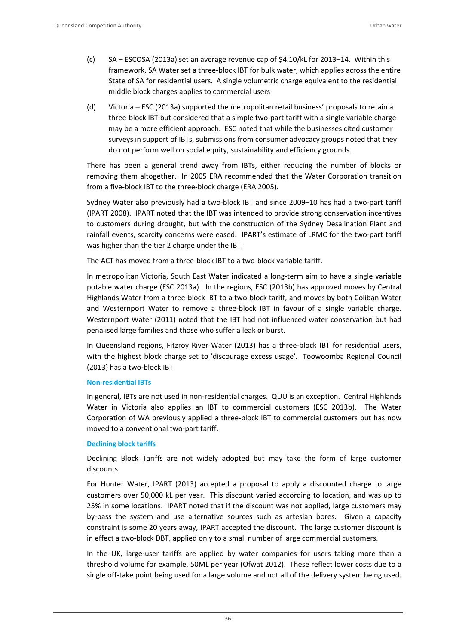- (c) SA ESCOSA (2013a) set an average revenue cap of \$4.10/kL for 2013–14. Within this framework, SA Water set a three‐block IBT for bulk water, which applies across the entire State of SA for residential users. A single volumetric charge equivalent to the residential middle block charges applies to commercial users
- (d) Victoria ESC (2013a) supported the metropolitan retail business' proposals to retain a three‐block IBT but considered that a simple two‐part tariff with a single variable charge may be a more efficient approach. ESC noted that while the businesses cited customer surveys in support of IBTs, submissions from consumer advocacy groups noted that they do not perform well on social equity, sustainability and efficiency grounds.

There has been a general trend away from IBTs, either reducing the number of blocks or removing them altogether. In 2005 ERA recommended that the Water Corporation transition from a five‐block IBT to the three‐block charge (ERA 2005).

Sydney Water also previously had a two-block IBT and since 2009–10 has had a two-part tariff (IPART 2008). IPART noted that the IBT was intended to provide strong conservation incentives to customers during drought, but with the construction of the Sydney Desalination Plant and rainfall events, scarcity concerns were eased. IPART's estimate of LRMC for the two-part tariff was higher than the tier 2 charge under the IBT.

The ACT has moved from a three-block IBT to a two-block variable tariff.

In metropolitan Victoria, South East Water indicated a long-term aim to have a single variable potable water charge (ESC 2013a). In the regions, ESC (2013b) has approved moves by Central Highlands Water from a three‐block IBT to a two‐block tariff, and moves by both Coliban Water and Westernport Water to remove a three-block IBT in favour of a single variable charge. Westernport Water (2011) noted that the IBT had not influenced water conservation but had penalised large families and those who suffer a leak or burst.

In Queensland regions, Fitzroy River Water (2013) has a three‐block IBT for residential users, with the highest block charge set to 'discourage excess usage'. Toowoomba Regional Council (2013) has a two‐block IBT.

### **Non‐residential IBTs**

In general, IBTs are not used in non‐residential charges. QUU is an exception. Central Highlands Water in Victoria also applies an IBT to commercial customers (ESC 2013b). The Water Corporation of WA previously applied a three‐block IBT to commercial customers but has now moved to a conventional two‐part tariff.

#### **Declining block tariffs**

Declining Block Tariffs are not widely adopted but may take the form of large customer discounts.

For Hunter Water, IPART (2013) accepted a proposal to apply a discounted charge to large customers over 50,000 kL per year. This discount varied according to location, and was up to 25% in some locations. IPART noted that if the discount was not applied, large customers may by-pass the system and use alternative sources such as artesian bores. Given a capacity constraint is some 20 years away, IPART accepted the discount. The large customer discount is in effect a two-block DBT, applied only to a small number of large commercial customers.

In the UK, large-user tariffs are applied by water companies for users taking more than a threshold volume for example, 50ML per year (Ofwat 2012). These reflect lower costs due to a single off-take point being used for a large volume and not all of the delivery system being used.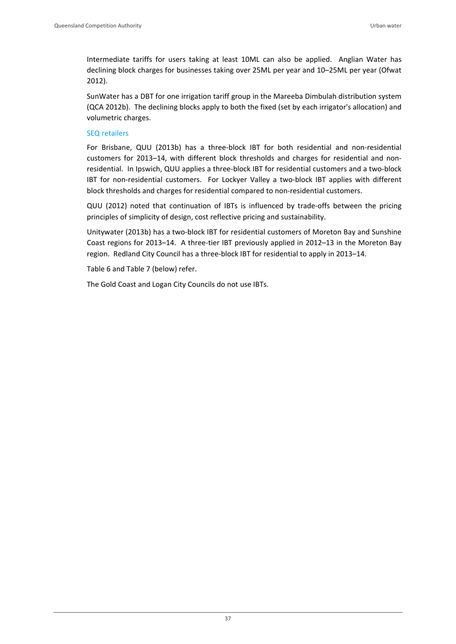Intermediate tariffs for users taking at least 10ML can also be applied. Anglian Water has declining block charges for businesses taking over 25ML per year and 10–25ML per year (Ofwat 2012).

SunWater has a DBT for one irrigation tariff group in the Mareeba Dimbulah distribution system (QCA 2012b). The declining blocks apply to both the fixed (set by each irrigator's allocation) and volumetric charges.

### SEQ retailers

For Brisbane, QUU (2013b) has a three‐block IBT for both residential and non‐residential customers for 2013–14, with different block thresholds and charges for residential and non‐ residential. In Ipswich, QUU applies a three‐block IBT for residential customers and a two‐block IBT for non-residential customers. For Lockyer Valley a two-block IBT applies with different block thresholds and charges for residential compared to non‐residential customers.

QUU (2012) noted that continuation of IBTs is influenced by trade‐offs between the pricing principles of simplicity of design, cost reflective pricing and sustainability.

Unitywater (2013b) has a two‐block IBT for residential customers of Moreton Bay and Sunshine Coast regions for 2013–14. A three‐tier IBT previously applied in 2012–13 in the Moreton Bay region. Redland City Council has a three‐block IBT for residential to apply in 2013–14.

Table 6 and Table 7 (below) refer.

The Gold Coast and Logan City Councils do not use IBTs.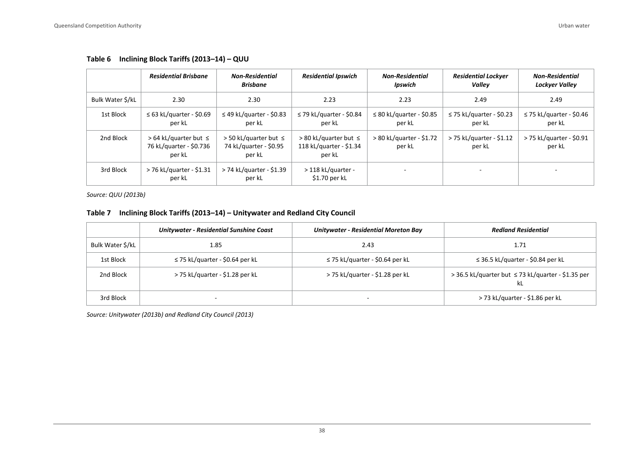|                 | <b>Residential Brisbane</b>                                       | <b>Non-Residential</b><br><b>Brisbane</b>                        | <b>Residential Ipswich</b>                                       | <b>Non-Residential</b><br>Ipswich       | <b>Residential Lockyer</b><br>Vallev    | <b>Non-Residential</b><br>Lockyer Valley |
|-----------------|-------------------------------------------------------------------|------------------------------------------------------------------|------------------------------------------------------------------|-----------------------------------------|-----------------------------------------|------------------------------------------|
| Bulk Water S/kL | 2.30                                                              | 2.30                                                             | 2.23                                                             | 2.23                                    | 2.49                                    | 2.49                                     |
| 1st Block       | $\leq$ 63 kL/quarter - \$0.69<br>per kL                           | $\leq$ 49 kL/quarter - \$0.83<br>per kL                          | $\leq$ 79 kL/quarter - \$0.84<br>per kL                          | $\leq$ 80 kL/quarter - \$0.85<br>per kL | $\leq$ 75 kL/quarter - \$0.23<br>per kL | $\leq$ 75 kL/quarter - \$0.46<br>per kL  |
| 2nd Block       | $> 64$ kL/quarter but $\leq$<br>76 kL/quarter - \$0.736<br>per kL | $>$ 50 kL/quarter but $\leq$<br>74 kL/quarter - \$0.95<br>per kL | $> 80$ kL/quarter but $\le$<br>118 kL/quarter - \$1.34<br>per kL | > 80 kL/quarter - \$1.72<br>per kL      | > 75 kL/quarter - \$1.12<br>per kL      | > 75 kL/quarter - \$0.91<br>per kL       |
| 3rd Block       | > 76 kL/quarter - \$1.31<br>per kL                                | > 74 kL/quarter - \$1.39<br>per kL                               | > 118 kL/quarter -<br>$$1.70$ per kL                             |                                         |                                         |                                          |

#### **Table 6 Inclining Block Tariffs (2013–14) – QUU**

*Source: QUU (2013b)*

#### **Table 7 Inclining Block Tariffs (2013–14) – Unitywater and Redland City Council**

|                  | Unitywater - Residential Sunshine Coast | Unitywater - Residential Moreton Bay | <b>Redland Residential</b>                               |
|------------------|-----------------------------------------|--------------------------------------|----------------------------------------------------------|
| Bulk Water \$/kL | 1.85                                    | 2.43                                 | 1.71                                                     |
| 1st Block        | $\leq$ 75 kL/quarter - \$0.64 per kL    | $\leq$ 75 kL/quarter - \$0.64 per kL | $\leq$ 36.5 kL/quarter - \$0.84 per kL                   |
| 2nd Block        | > 75 kL/quarter - \$1.28 per kL         | > 75 kL/quarter - \$1.28 per kL      | > 36.5 kL/quarter but ≤ 73 kL/quarter - \$1.35 per<br>kL |
| 3rd Block        | $\overline{\phantom{a}}$                | $\overline{\phantom{a}}$             | > 73 kL/quarter - \$1.86 per kL                          |

*Source: Unitywater (2013b) and Redland City Council (2013)*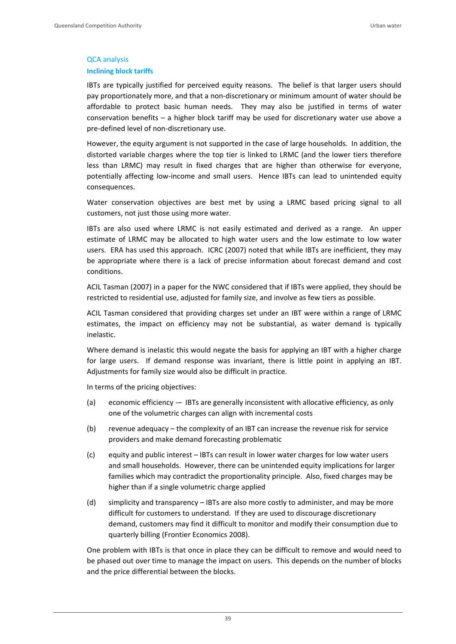## QCA analysis **Inclining block tariffs**

IBTs are typically justified for perceived equity reasons. The belief is that larger users should pay proportionately more, and that a non-discretionary or minimum amount of water should be affordable to protect basic human needs. They may also be justified in terms of water conservation benefits – a higher block tariff may be used for discretionary water use above a pre‐defined level of non‐discretionary use.

However, the equity argument is not supported in the case of large households. In addition, the distorted variable charges where the top tier is linked to LRMC (and the lower tiers therefore less than LRMC) may result in fixed charges that are higher than otherwise for everyone, potentially affecting low-income and small users. Hence IBTs can lead to unintended equity consequences.

Water conservation objectives are best met by using a LRMC based pricing signal to all customers, not just those using more water.

IBTs are also used where LRMC is not easily estimated and derived as a range. An upper estimate of LRMC may be allocated to high water users and the low estimate to low water users. ERA has used this approach. ICRC (2007) noted that while IBTs are inefficient, they may be appropriate where there is a lack of precise information about forecast demand and cost conditions.

ACIL Tasman (2007) in a paper for the NWC considered that if IBTs were applied, they should be restricted to residential use, adjusted for family size, and involve as few tiers as possible.

ACIL Tasman considered that providing charges set under an IBT were within a range of LRMC estimates, the impact on efficiency may not be substantial, as water demand is typically inelastic.

Where demand is inelastic this would negate the basis for applying an IBT with a higher charge for large users. If demand response was invariant, there is little point in applying an IBT. Adjustments for family size would also be difficult in practice.

In terms of the pricing objectives:

- (a) economic efficiency -- IBTs are generally inconsistent with allocative efficiency, as only one of the volumetric charges can align with incremental costs
- (b) revenue adequacy the complexity of an IBT can increase the revenue risk for service providers and make demand forecasting problematic
- (c) equity and public interest IBTs can result in lower water charges for low water users and small households. However, there can be unintended equity implications for larger families which may contradict the proportionality principle. Also, fixed charges may be higher than if a single volumetric charge applied
- (d) simplicity and transparency IBTs are also more costly to administer, and may be more difficult for customers to understand. If they are used to discourage discretionary demand, customers may find it difficult to monitor and modify their consumption due to quarterly billing (Frontier Economics 2008).

One problem with IBTs is that once in place they can be difficult to remove and would need to be phased out over time to manage the impact on users. This depends on the number of blocks and the price differential between the blocks.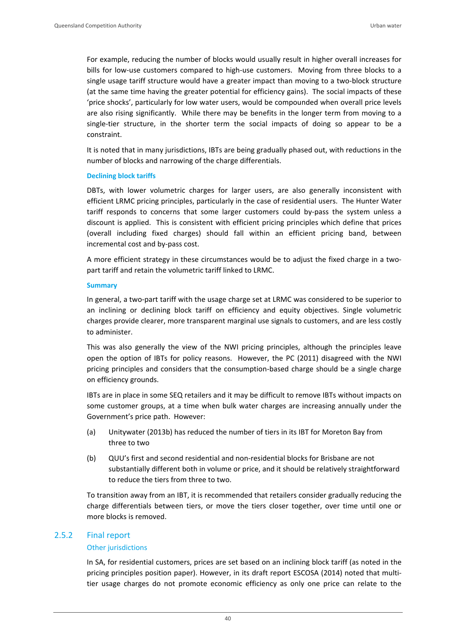For example, reducing the number of blocks would usually result in higher overall increases for bills for low-use customers compared to high-use customers. Moving from three blocks to a single usage tariff structure would have a greater impact than moving to a two-block structure (at the same time having the greater potential for efficiency gains). The social impacts of these 'price shocks', particularly for low water users, would be compounded when overall price levels are also rising significantly. While there may be benefits in the longer term from moving to a single-tier structure, in the shorter term the social impacts of doing so appear to be a constraint.

It is noted that in many jurisdictions, IBTs are being gradually phased out, with reductions in the number of blocks and narrowing of the charge differentials.

#### **Declining block tariffs**

DBTs, with lower volumetric charges for larger users, are also generally inconsistent with efficient LRMC pricing principles, particularly in the case of residential users. The Hunter Water tariff responds to concerns that some larger customers could by-pass the system unless a discount is applied. This is consistent with efficient pricing principles which define that prices (overall including fixed charges) should fall within an efficient pricing band, between incremental cost and by‐pass cost.

A more efficient strategy in these circumstances would be to adjust the fixed charge in a two‐ part tariff and retain the volumetric tariff linked to LRMC.

#### **Summary**

In general, a two-part tariff with the usage charge set at LRMC was considered to be superior to an inclining or declining block tariff on efficiency and equity objectives. Single volumetric charges provide clearer, more transparent marginal use signals to customers, and are less costly to administer.

This was also generally the view of the NWI pricing principles, although the principles leave open the option of IBTs for policy reasons. However, the PC (2011) disagreed with the NWI pricing principles and considers that the consumption‐based charge should be a single charge on efficiency grounds.

IBTs are in place in some SEQ retailers and it may be difficult to remove IBTs without impacts on some customer groups, at a time when bulk water charges are increasing annually under the Government's price path. However:

- (a) Unitywater (2013b) has reduced the number of tiers in its IBT for Moreton Bay from three to two
- (b) QUU's first and second residential and non‐residential blocks for Brisbane are not substantially different both in volume or price, and it should be relatively straightforward to reduce the tiers from three to two.

To transition away from an IBT, it is recommended that retailers consider gradually reducing the charge differentials between tiers, or move the tiers closer together, over time until one or more blocks is removed.

### 2.5.2 Final report

#### Other jurisdictions

In SA, for residential customers, prices are set based on an inclining block tariff (as noted in the pricing principles position paper). However, in its draft report ESCOSA (2014) noted that multitier usage charges do not promote economic efficiency as only one price can relate to the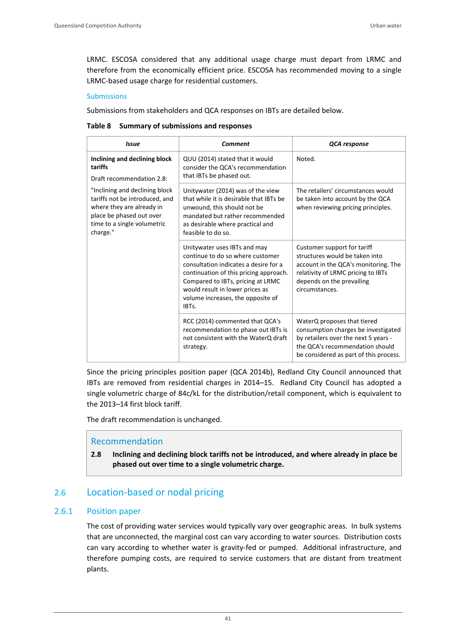LRMC. ESCOSA considered that any additional usage charge must depart from LRMC and therefore from the economically efficient price. ESCOSA has recommended moving to a single LRMC‐based usage charge for residential customers.

### **Submissions**

Submissions from stakeholders and QCA responses on IBTs are detailed below.

#### **Table 8 Summary of submissions and responses**

| <b>Issue</b>                                                                                                                                                         | Comment                                                                                                                                                                                                                                                                   | QCA response                                                                                                                                                                               |  |
|----------------------------------------------------------------------------------------------------------------------------------------------------------------------|---------------------------------------------------------------------------------------------------------------------------------------------------------------------------------------------------------------------------------------------------------------------------|--------------------------------------------------------------------------------------------------------------------------------------------------------------------------------------------|--|
| Inclining and declining block<br>tariffs<br>Draft recommendation 2.8:                                                                                                | QUU (2014) stated that it would<br>consider the OCA's recommendation<br>that IBTs be phased out.                                                                                                                                                                          | Noted.                                                                                                                                                                                     |  |
| "Inclining and declining block<br>tariffs not be introduced, and<br>where they are already in<br>place be phased out over<br>time to a single volumetric<br>charge." | Unitywater (2014) was of the view<br>that while it is desirable that IBTs be<br>unwound, this should not be<br>mandated but rather recommended<br>as desirable where practical and<br>feasible to do so.                                                                  | The retailers' circumstances would<br>be taken into account by the QCA<br>when reviewing pricing principles.                                                                               |  |
|                                                                                                                                                                      | Unitywater uses IBTs and may<br>continue to do so where customer<br>consultation indicates a desire for a<br>continuation of this pricing approach.<br>Compared to IBTs, pricing at LRMC<br>would result in lower prices as<br>volume increases, the opposite of<br>IBTs. | Customer support for tariff<br>structures would be taken into<br>account in the QCA's monitoring. The<br>relativity of LRMC pricing to IBTs<br>depends on the prevailing<br>circumstances. |  |
|                                                                                                                                                                      | RCC (2014) commented that QCA's<br>recommendation to phase out IBTs is<br>not consistent with the WaterQ draft<br>strategy.                                                                                                                                               | WaterQ proposes that tiered<br>consumption charges be investigated<br>by retailers over the next 5 years -<br>the QCA's recommendation should<br>be considered as part of this process.    |  |

Since the pricing principles position paper (QCA 2014b), Redland City Council announced that IBTs are removed from residential charges in 2014–15. Redland City Council has adopted a single volumetric charge of 84c/kL for the distribution/retail component, which is equivalent to the 2013–14 first block tariff.

The draft recommendation is unchanged.

## Recommendation

**2.8 Inclining and declining block tariffs not be introduced, and where already in place be phased out over time to a single volumetric charge.**

# 2.6 Location‐based or nodal pricing

## 2.6.1 Position paper

The cost of providing water services would typically vary over geographic areas. In bulk systems that are unconnected, the marginal cost can vary according to water sources. Distribution costs can vary according to whether water is gravity-fed or pumped. Additional infrastructure, and therefore pumping costs, are required to service customers that are distant from treatment plants.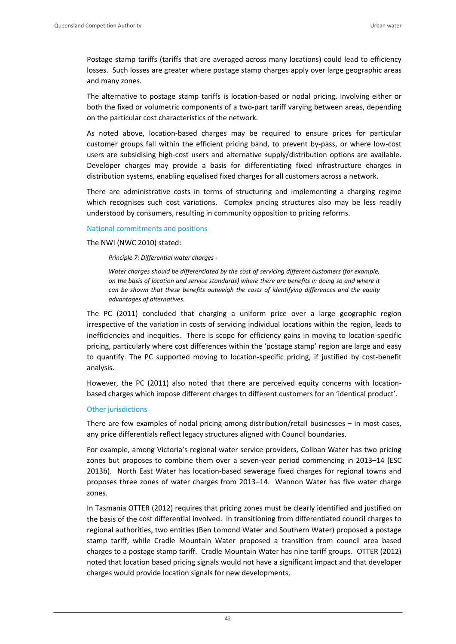Postage stamp tariffs (tariffs that are averaged across many locations) could lead to efficiency losses. Such losses are greater where postage stamp charges apply over large geographic areas and many zones.

The alternative to postage stamp tariffs is location‐based or nodal pricing, involving either or both the fixed or volumetric components of a two-part tariff varying between areas, depending on the particular cost characteristics of the network.

As noted above, location‐based charges may be required to ensure prices for particular customer groups fall within the efficient pricing band, to prevent by‐pass, or where low‐cost users are subsidising high-cost users and alternative supply/distribution options are available. Developer charges may provide a basis for differentiating fixed infrastructure charges in distribution systems, enabling equalised fixed charges for all customers across a network.

There are administrative costs in terms of structuring and implementing a charging regime which recognises such cost variations. Complex pricing structures also may be less readily understood by consumers, resulting in community opposition to pricing reforms.

### National commitments and positions

The NWI (NWC 2010) stated:

*Principle 7: Differential water charges ‐* 

*Water charges should be differentiated by the cost of servicing different customers (for example, on the basis of location and service standards) where there are benefits in doing so and where it can be shown that these benefits outweigh the costs of identifying differences and the equity advantages of alternatives.*

The PC (2011) concluded that charging a uniform price over a large geographic region irrespective of the variation in costs of servicing individual locations within the region, leads to inefficiencies and inequities. There is scope for efficiency gains in moving to location‐specific pricing, particularly where cost differences within the 'postage stamp' region are large and easy to quantify. The PC supported moving to location‐specific pricing, if justified by cost‐benefit analysis.

However, the PC (2011) also noted that there are perceived equity concerns with locationbased charges which impose different charges to different customers for an 'identical product'.

#### Other jurisdictions

There are few examples of nodal pricing among distribution/retail businesses – in most cases, any price differentials reflect legacy structures aligned with Council boundaries.

For example, among Victoria's regional water service providers, Coliban Water has two pricing zones but proposes to combine them over a seven‐year period commencing in 2013–14 (ESC 2013b). North East Water has location‐based sewerage fixed charges for regional towns and proposes three zones of water charges from 2013–14. Wannon Water has five water charge zones.

In Tasmania OTTER (2012) requires that pricing zones must be clearly identified and justified on the basis of the cost differential involved. In transitioning from differentiated council charges to regional authorities, two entities (Ben Lomond Water and Southern Water) proposed a postage stamp tariff, while Cradle Mountain Water proposed a transition from council area based charges to a postage stamp tariff. Cradle Mountain Water has nine tariff groups. OTTER (2012) noted that location based pricing signals would not have a significant impact and that developer charges would provide location signals for new developments.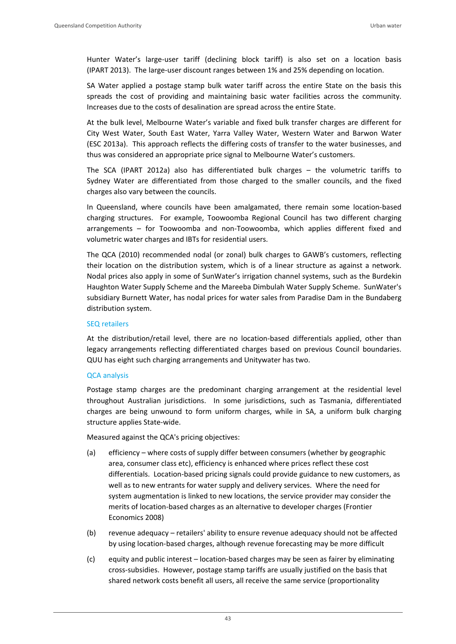Hunter Water's large‐user tariff (declining block tariff) is also set on a location basis (IPART 2013). The large‐user discount ranges between 1% and 25% depending on location.

SA Water applied a postage stamp bulk water tariff across the entire State on the basis this spreads the cost of providing and maintaining basic water facilities across the community. Increases due to the costs of desalination are spread across the entire State.

At the bulk level, Melbourne Water's variable and fixed bulk transfer charges are different for City West Water, South East Water, Yarra Valley Water, Western Water and Barwon Water (ESC 2013a). This approach reflects the differing costs of transfer to the water businesses, and thus was considered an appropriate price signal to Melbourne Water's customers.

The SCA (IPART 2012a) also has differentiated bulk charges – the volumetric tariffs to Sydney Water are differentiated from those charged to the smaller councils, and the fixed charges also vary between the councils.

In Queensland, where councils have been amalgamated, there remain some location‐based charging structures. For example, Toowoomba Regional Council has two different charging arrangements – for Toowoomba and non‐Toowoomba, which applies different fixed and volumetric water charges and IBTs for residential users.

The QCA (2010) recommended nodal (or zonal) bulk charges to GAWB's customers, reflecting their location on the distribution system, which is of a linear structure as against a network. Nodal prices also apply in some of SunWater's irrigation channel systems, such as the Burdekin Haughton Water Supply Scheme and the Mareeba Dimbulah Water Supply Scheme. SunWater's subsidiary Burnett Water, has nodal prices for water sales from Paradise Dam in the Bundaberg distribution system.

#### SEQ retailers

At the distribution/retail level, there are no location-based differentials applied, other than legacy arrangements reflecting differentiated charges based on previous Council boundaries. QUU has eight such charging arrangements and Unitywater has two.

### QCA analysis

Postage stamp charges are the predominant charging arrangement at the residential level throughout Australian jurisdictions. In some jurisdictions, such as Tasmania, differentiated charges are being unwound to form uniform charges, while in SA, a uniform bulk charging structure applies State‐wide.

Measured against the QCA's pricing objectives:

- (a) efficiency where costs of supply differ between consumers (whether by geographic area, consumer class etc), efficiency is enhanced where prices reflect these cost differentials. Location‐based pricing signals could provide guidance to new customers, as well as to new entrants for water supply and delivery services. Where the need for system augmentation is linked to new locations, the service provider may consider the merits of location‐based charges as an alternative to developer charges (Frontier Economics 2008)
- (b) revenue adequacy retailers' ability to ensure revenue adequacy should not be affected by using location‐based charges, although revenue forecasting may be more difficult
- (c) equity and public interest location‐based charges may be seen as fairer by eliminating cross‐subsidies. However, postage stamp tariffs are usually justified on the basis that shared network costs benefit all users, all receive the same service (proportionality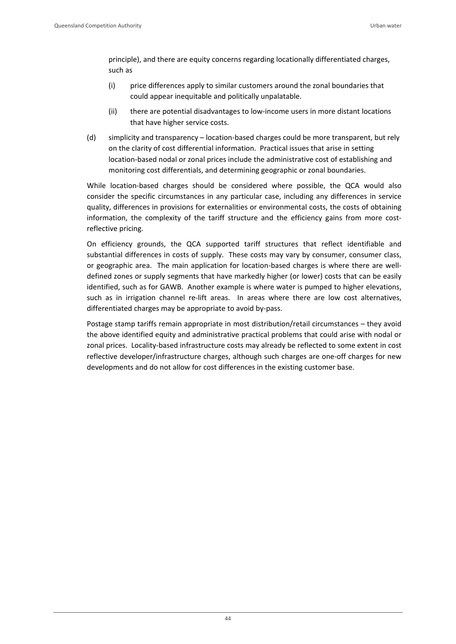principle), and there are equity concerns regarding locationally differentiated charges, such as

- (i) price differences apply to similar customers around the zonal boundaries that could appear inequitable and politically unpalatable.
- (ii) there are potential disadvantages to low‐income users in more distant locations that have higher service costs.
- (d) simplicity and transparency location‐based charges could be more transparent, but rely on the clarity of cost differential information. Practical issues that arise in setting location‐based nodal or zonal prices include the administrative cost of establishing and monitoring cost differentials, and determining geographic or zonal boundaries.

While location-based charges should be considered where possible, the QCA would also consider the specific circumstances in any particular case, including any differences in service quality, differences in provisions for externalities or environmental costs, the costs of obtaining information, the complexity of the tariff structure and the efficiency gains from more costreflective pricing.

On efficiency grounds, the QCA supported tariff structures that reflect identifiable and substantial differences in costs of supply. These costs may vary by consumer, consumer class, or geographic area. The main application for location-based charges is where there are welldefined zones or supply segments that have markedly higher (or lower) costs that can be easily identified, such as for GAWB. Another example is where water is pumped to higher elevations, such as in irrigation channel re-lift areas. In areas where there are low cost alternatives, differentiated charges may be appropriate to avoid by‐pass.

Postage stamp tariffs remain appropriate in most distribution/retail circumstances – they avoid the above identified equity and administrative practical problems that could arise with nodal or zonal prices. Locality-based infrastructure costs may already be reflected to some extent in cost reflective developer/infrastructure charges, although such charges are one‐off charges for new developments and do not allow for cost differences in the existing customer base.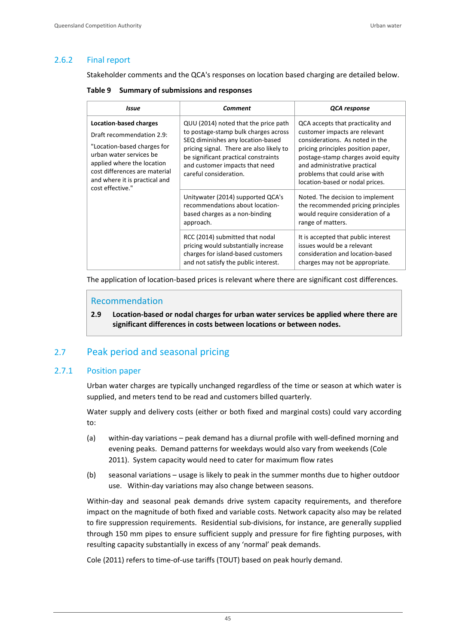## 2.6.2 Final report

Stakeholder comments and the QCA's responses on location based charging are detailed below.

**Table 9 Summary of submissions and responses**

| Issue                                                                                                                                                                                                                                    | Comment                                                                                                                                                                                                                                                           | QCA response                                                                                                                                                                                                                                                                           |  |
|------------------------------------------------------------------------------------------------------------------------------------------------------------------------------------------------------------------------------------------|-------------------------------------------------------------------------------------------------------------------------------------------------------------------------------------------------------------------------------------------------------------------|----------------------------------------------------------------------------------------------------------------------------------------------------------------------------------------------------------------------------------------------------------------------------------------|--|
| <b>Location-based charges</b><br>Draft recommendation 2.9:<br>"Location-based charges for<br>urban water services be<br>applied where the location<br>cost differences are material<br>and where it is practical and<br>cost effective." | QUU (2014) noted that the price path<br>to postage-stamp bulk charges across<br>SEQ diminishes any location-based<br>pricing signal. There are also likely to<br>be significant practical constraints<br>and customer impacts that need<br>careful consideration. | QCA accepts that practicality and<br>customer impacts are relevant<br>considerations. As noted in the<br>pricing principles position paper,<br>postage-stamp charges avoid equity<br>and administrative practical<br>problems that could arise with<br>location-based or nodal prices. |  |
|                                                                                                                                                                                                                                          | Unitywater (2014) supported QCA's<br>recommendations about location-<br>based charges as a non-binding<br>approach.                                                                                                                                               | Noted. The decision to implement<br>the recommended pricing principles<br>would require consideration of a<br>range of matters.                                                                                                                                                        |  |
|                                                                                                                                                                                                                                          | RCC (2014) submitted that nodal<br>pricing would substantially increase<br>charges for island-based customers<br>and not satisfy the public interest.                                                                                                             | It is accepted that public interest<br>issues would be a relevant<br>consideration and location-based<br>charges may not be appropriate.                                                                                                                                               |  |

The application of location-based prices is relevant where there are significant cost differences.

## Recommendation

**2.9 Location‐based or nodal charges for urban water services be applied where there are significant differences in costs between locations or between nodes.** 

# 2.7 Peak period and seasonal pricing

### 2.7.1 Position paper

Urban water charges are typically unchanged regardless of the time or season at which water is supplied, and meters tend to be read and customers billed quarterly.

Water supply and delivery costs (either or both fixed and marginal costs) could vary according to:

- (a) within‐day variations peak demand has a diurnal profile with well‐defined morning and evening peaks. Demand patterns for weekdays would also vary from weekends (Cole 2011). System capacity would need to cater for maximum flow rates
- (b) seasonal variations usage is likely to peak in the summer months due to higher outdoor use. Within-day variations may also change between seasons.

Within-day and seasonal peak demands drive system capacity requirements, and therefore impact on the magnitude of both fixed and variable costs. Network capacity also may be related to fire suppression requirements. Residential sub‐divisions, for instance, are generally supplied through 150 mm pipes to ensure sufficient supply and pressure for fire fighting purposes, with resulting capacity substantially in excess of any 'normal' peak demands.

Cole (2011) refers to time‐of‐use tariffs (TOUT) based on peak hourly demand.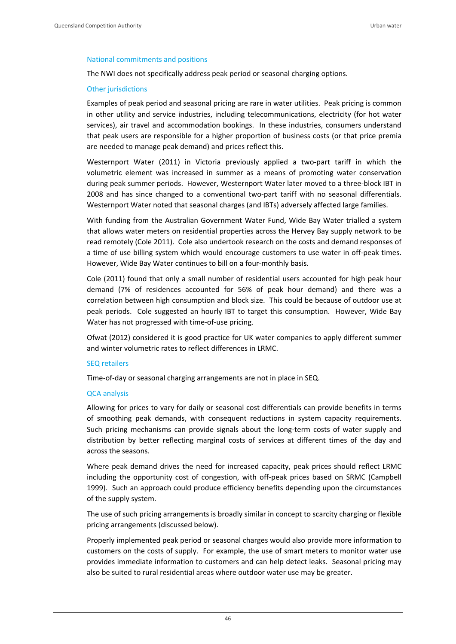#### National commitments and positions

The NWI does not specifically address peak period or seasonal charging options.

#### Other jurisdictions

Examples of peak period and seasonal pricing are rare in water utilities. Peak pricing is common in other utility and service industries, including telecommunications, electricity (for hot water services), air travel and accommodation bookings. In these industries, consumers understand that peak users are responsible for a higher proportion of business costs (or that price premia are needed to manage peak demand) and prices reflect this.

Westernport Water (2011) in Victoria previously applied a two-part tariff in which the volumetric element was increased in summer as a means of promoting water conservation during peak summer periods. However, Westernport Water later moved to a three‐block IBT in 2008 and has since changed to a conventional two-part tariff with no seasonal differentials. Westernport Water noted that seasonal charges (and IBTs) adversely affected large families.

With funding from the Australian Government Water Fund, Wide Bay Water trialled a system that allows water meters on residential properties across the Hervey Bay supply network to be read remotely (Cole 2011). Cole also undertook research on the costs and demand responses of a time of use billing system which would encourage customers to use water in off‐peak times. However, Wide Bay Water continues to bill on a four-monthly basis.

Cole (2011) found that only a small number of residential users accounted for high peak hour demand (7% of residences accounted for 56% of peak hour demand) and there was a correlation between high consumption and block size. This could be because of outdoor use at peak periods. Cole suggested an hourly IBT to target this consumption. However, Wide Bay Water has not progressed with time-of-use pricing.

Ofwat (2012) considered it is good practice for UK water companies to apply different summer and winter volumetric rates to reflect differences in LRMC.

#### SEQ retailers

Time‐of‐day or seasonal charging arrangements are not in place in SEQ.

#### QCA analysis

Allowing for prices to vary for daily or seasonal cost differentials can provide benefits in terms of smoothing peak demands, with consequent reductions in system capacity requirements. Such pricing mechanisms can provide signals about the long-term costs of water supply and distribution by better reflecting marginal costs of services at different times of the day and across the seasons.

Where peak demand drives the need for increased capacity, peak prices should reflect LRMC including the opportunity cost of congestion, with off-peak prices based on SRMC (Campbell 1999). Such an approach could produce efficiency benefits depending upon the circumstances of the supply system.

The use of such pricing arrangements is broadly similar in concept to scarcity charging or flexible pricing arrangements (discussed below).

Properly implemented peak period or seasonal charges would also provide more information to customers on the costs of supply. For example, the use of smart meters to monitor water use provides immediate information to customers and can help detect leaks. Seasonal pricing may also be suited to rural residential areas where outdoor water use may be greater.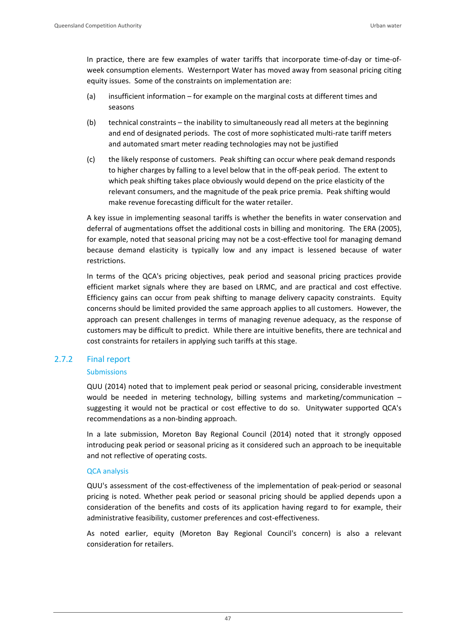In practice, there are few examples of water tariffs that incorporate time‐of‐day or time‐of‐ week consumption elements. Westernport Water has moved away from seasonal pricing citing equity issues. Some of the constraints on implementation are:

- (a) insufficient information for example on the marginal costs at different times and seasons
- (b) technical constraints the inability to simultaneously read all meters at the beginning and end of designated periods. The cost of more sophisticated multi-rate tariff meters and automated smart meter reading technologies may not be justified
- (c) the likely response of customers. Peak shifting can occur where peak demand responds to higher charges by falling to a level below that in the off‐peak period. The extent to which peak shifting takes place obviously would depend on the price elasticity of the relevant consumers, and the magnitude of the peak price premia. Peak shifting would make revenue forecasting difficult for the water retailer.

A key issue in implementing seasonal tariffs is whether the benefits in water conservation and deferral of augmentations offset the additional costs in billing and monitoring. The ERA (2005), for example, noted that seasonal pricing may not be a cost-effective tool for managing demand because demand elasticity is typically low and any impact is lessened because of water restrictions.

In terms of the QCA's pricing objectives, peak period and seasonal pricing practices provide efficient market signals where they are based on LRMC, and are practical and cost effective. Efficiency gains can occur from peak shifting to manage delivery capacity constraints. Equity concerns should be limited provided the same approach applies to all customers. However, the approach can present challenges in terms of managing revenue adequacy, as the response of customers may be difficult to predict. While there are intuitive benefits, there are technical and cost constraints for retailers in applying such tariffs at this stage.

## 2.7.2 Final report

## Submissions

QUU (2014) noted that to implement peak period or seasonal pricing, considerable investment would be needed in metering technology, billing systems and marketing/communication – suggesting it would not be practical or cost effective to do so. Unitywater supported QCA's recommendations as a non‐binding approach.

In a late submission, Moreton Bay Regional Council (2014) noted that it strongly opposed introducing peak period or seasonal pricing as it considered such an approach to be inequitable and not reflective of operating costs.

## QCA analysis

QUU's assessment of the cost‐effectiveness of the implementation of peak‐period or seasonal pricing is noted. Whether peak period or seasonal pricing should be applied depends upon a consideration of the benefits and costs of its application having regard to for example, their administrative feasibility, customer preferences and cost-effectiveness.

As noted earlier, equity (Moreton Bay Regional Council's concern) is also a relevant consideration for retailers.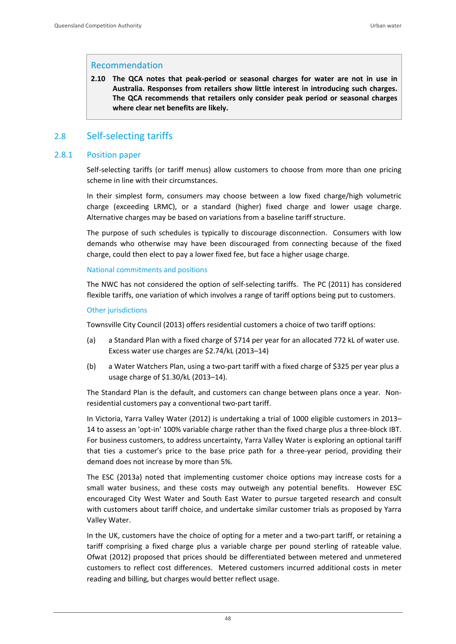### Recommendation

**2.10 The QCA notes that peak‐period or seasonal charges for water are not in use in Australia. Responses from retailers show little interest in introducing such charges. The QCA recommends that retailers only consider peak period or seasonal charges where clear net benefits are likely.**

# 2.8 Self‐selecting tariffs

## 2.8.1 Position paper

Self‐selecting tariffs (or tariff menus) allow customers to choose from more than one pricing scheme in line with their circumstances.

In their simplest form, consumers may choose between a low fixed charge/high volumetric charge (exceeding LRMC), or a standard (higher) fixed charge and lower usage charge. Alternative charges may be based on variations from a baseline tariff structure.

The purpose of such schedules is typically to discourage disconnection. Consumers with low demands who otherwise may have been discouraged from connecting because of the fixed charge, could then elect to pay a lower fixed fee, but face a higher usage charge.

### National commitments and positions

The NWC has not considered the option of self-selecting tariffs. The PC (2011) has considered flexible tariffs, one variation of which involves a range of tariff options being put to customers.

### Other jurisdictions

Townsville City Council (2013) offers residential customers a choice of two tariff options:

- (a) a Standard Plan with a fixed charge of \$714 per year for an allocated 772 kL of water use. Excess water use charges are \$2.74/kL (2013–14)
- (b) a Water Watchers Plan, using a two‐part tariff with a fixed charge of \$325 per year plus a usage charge of \$1.30/kL (2013–14).

The Standard Plan is the default, and customers can change between plans once a year. Non‐ residential customers pay a conventional two‐part tariff.

In Victoria, Yarra Valley Water (2012) is undertaking a trial of 1000 eligible customers in 2013– 14 to assess an 'opt-in' 100% variable charge rather than the fixed charge plus a three-block IBT. For business customers, to address uncertainty, Yarra Valley Water is exploring an optional tariff that ties a customer's price to the base price path for a three‐year period, providing their demand does not increase by more than 5%.

The ESC (2013a) noted that implementing customer choice options may increase costs for a small water business, and these costs may outweigh any potential benefits. However ESC encouraged City West Water and South East Water to pursue targeted research and consult with customers about tariff choice, and undertake similar customer trials as proposed by Yarra Valley Water.

In the UK, customers have the choice of opting for a meter and a two-part tariff, or retaining a tariff comprising a fixed charge plus a variable charge per pound sterling of rateable value. Ofwat (2012) proposed that prices should be differentiated between metered and unmetered customers to reflect cost differences. Metered customers incurred additional costs in meter reading and billing, but charges would better reflect usage.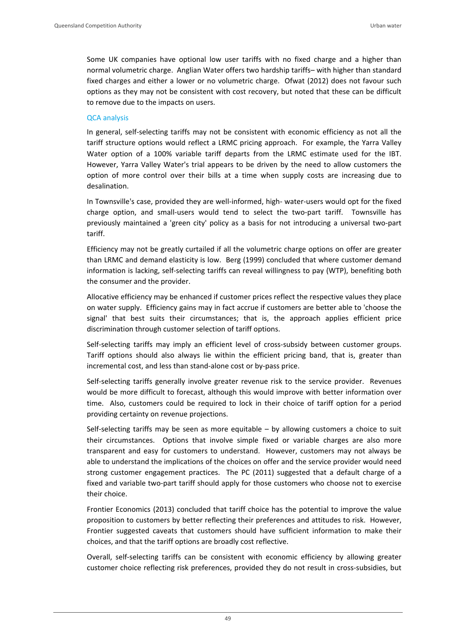Some UK companies have optional low user tariffs with no fixed charge and a higher than normal volumetric charge. Anglian Water offers two hardship tariffs– with higher than standard fixed charges and either a lower or no volumetric charge. Ofwat (2012) does not favour such options as they may not be consistent with cost recovery, but noted that these can be difficult to remove due to the impacts on users.

## QCA analysis

In general, self‐selecting tariffs may not be consistent with economic efficiency as not all the tariff structure options would reflect a LRMC pricing approach. For example, the Yarra Valley Water option of a 100% variable tariff departs from the LRMC estimate used for the IBT. However, Yarra Valley Water's trial appears to be driven by the need to allow customers the option of more control over their bills at a time when supply costs are increasing due to desalination.

In Townsville's case, provided they are well‐informed, high‐ water‐users would opt for the fixed charge option, and small-users would tend to select the two-part tariff. Townsville has previously maintained a 'green city' policy as a basis for not introducing a universal two‐part tariff.

Efficiency may not be greatly curtailed if all the volumetric charge options on offer are greater than LRMC and demand elasticity is low. Berg (1999) concluded that where customer demand information is lacking, self-selecting tariffs can reveal willingness to pay (WTP), benefiting both the consumer and the provider.

Allocative efficiency may be enhanced if customer prices reflect the respective values they place on water supply. Efficiency gains may in fact accrue if customers are better able to 'choose the signal' that best suits their circumstances; that is, the approach applies efficient price discrimination through customer selection of tariff options.

Self-selecting tariffs may imply an efficient level of cross-subsidy between customer groups. Tariff options should also always lie within the efficient pricing band, that is, greater than incremental cost, and less than stand‐alone cost or by‐pass price.

Self-selecting tariffs generally involve greater revenue risk to the service provider. Revenues would be more difficult to forecast, although this would improve with better information over time. Also, customers could be required to lock in their choice of tariff option for a period providing certainty on revenue projections.

Self-selecting tariffs may be seen as more equitable – by allowing customers a choice to suit their circumstances. Options that involve simple fixed or variable charges are also more transparent and easy for customers to understand. However, customers may not always be able to understand the implications of the choices on offer and the service provider would need strong customer engagement practices. The PC (2011) suggested that a default charge of a fixed and variable two‐part tariff should apply for those customers who choose not to exercise their choice.

Frontier Economics (2013) concluded that tariff choice has the potential to improve the value proposition to customers by better reflecting their preferences and attitudes to risk. However, Frontier suggested caveats that customers should have sufficient information to make their choices, and that the tariff options are broadly cost reflective.

Overall, self‐selecting tariffs can be consistent with economic efficiency by allowing greater customer choice reflecting risk preferences, provided they do not result in cross-subsidies, but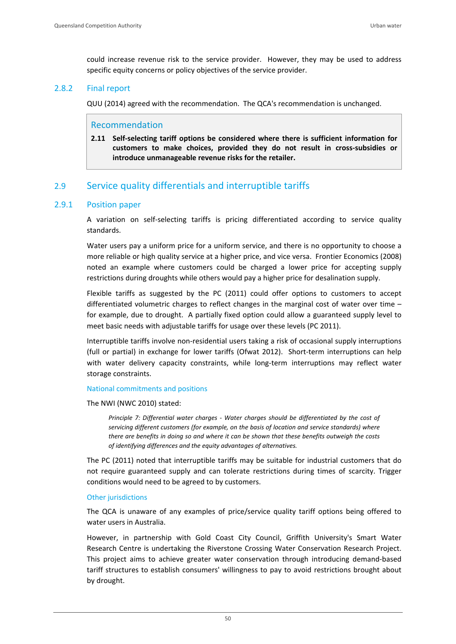could increase revenue risk to the service provider. However, they may be used to address specific equity concerns or policy objectives of the service provider.

## 2.8.2 Final report

QUU (2014) agreed with the recommendation. The QCA's recommendation is unchanged.

## Recommendation

**2.11 Self‐selecting tariff options be considered where there is sufficient information for customers to make choices, provided they do not result in cross‐subsidies or introduce unmanageable revenue risks for the retailer.**

# 2.9 Service quality differentials and interruptible tariffs

## 2.9.1 Position paper

A variation on self‐selecting tariffs is pricing differentiated according to service quality standards.

Water users pay a uniform price for a uniform service, and there is no opportunity to choose a more reliable or high quality service at a higher price, and vice versa. Frontier Economics (2008) noted an example where customers could be charged a lower price for accepting supply restrictions during droughts while others would pay a higher price for desalination supply.

Flexible tariffs as suggested by the PC (2011) could offer options to customers to accept differentiated volumetric charges to reflect changes in the marginal cost of water over time – for example, due to drought. A partially fixed option could allow a guaranteed supply level to meet basic needs with adjustable tariffs for usage over these levels (PC 2011).

Interruptible tariffs involve non‐residential users taking a risk of occasional supply interruptions (full or partial) in exchange for lower tariffs (Ofwat 2012). Short-term interruptions can help with water delivery capacity constraints, while long-term interruptions may reflect water storage constraints.

#### National commitments and positions

The NWI (NWC 2010) stated:

*Principle 7: Differential water charges ‐ Water charges should be differentiated by the cost of servicing different customers (for example, on the basis of location and service standards) where there are benefits in doing so and where it can be shown that these benefits outweigh the costs of identifying differences and the equity advantages of alternatives.*

The PC (2011) noted that interruptible tariffs may be suitable for industrial customers that do not require guaranteed supply and can tolerate restrictions during times of scarcity. Trigger conditions would need to be agreed to by customers.

### Other jurisdictions

The QCA is unaware of any examples of price/service quality tariff options being offered to water users in Australia.

However, in partnership with Gold Coast City Council, Griffith University's Smart Water Research Centre is undertaking the Riverstone Crossing Water Conservation Research Project. This project aims to achieve greater water conservation through introducing demand‐based tariff structures to establish consumers' willingness to pay to avoid restrictions brought about by drought.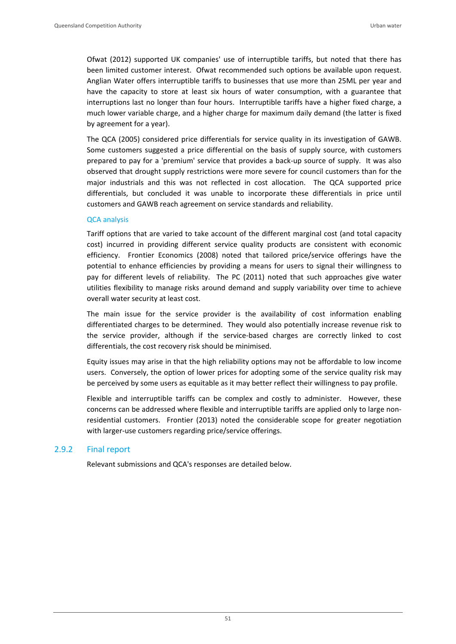Ofwat (2012) supported UK companies' use of interruptible tariffs, but noted that there has been limited customer interest. Ofwat recommended such options be available upon request. Anglian Water offers interruptible tariffs to businesses that use more than 25ML per year and have the capacity to store at least six hours of water consumption, with a guarantee that interruptions last no longer than four hours. Interruptible tariffs have a higher fixed charge, a much lower variable charge, and a higher charge for maximum daily demand (the latter is fixed by agreement for a year).

The QCA (2005) considered price differentials for service quality in its investigation of GAWB. Some customers suggested a price differential on the basis of supply source, with customers prepared to pay for a 'premium' service that provides a back‐up source of supply. It was also observed that drought supply restrictions were more severe for council customers than for the major industrials and this was not reflected in cost allocation. The QCA supported price differentials, but concluded it was unable to incorporate these differentials in price until customers and GAWB reach agreement on service standards and reliability.

### QCA analysis

Tariff options that are varied to take account of the different marginal cost (and total capacity cost) incurred in providing different service quality products are consistent with economic efficiency. Frontier Economics (2008) noted that tailored price/service offerings have the potential to enhance efficiencies by providing a means for users to signal their willingness to pay for different levels of reliability. The PC (2011) noted that such approaches give water utilities flexibility to manage risks around demand and supply variability over time to achieve overall water security at least cost.

The main issue for the service provider is the availability of cost information enabling differentiated charges to be determined. They would also potentially increase revenue risk to the service provider, although if the service‐based charges are correctly linked to cost differentials, the cost recovery risk should be minimised.

Equity issues may arise in that the high reliability options may not be affordable to low income users. Conversely, the option of lower prices for adopting some of the service quality risk may be perceived by some users as equitable as it may better reflect their willingness to pay profile.

Flexible and interruptible tariffs can be complex and costly to administer. However, these concerns can be addressed where flexible and interruptible tariffs are applied only to large non‐ residential customers. Frontier (2013) noted the considerable scope for greater negotiation with larger-use customers regarding price/service offerings.

### 2.9.2 Final report

Relevant submissions and QCA's responses are detailed below.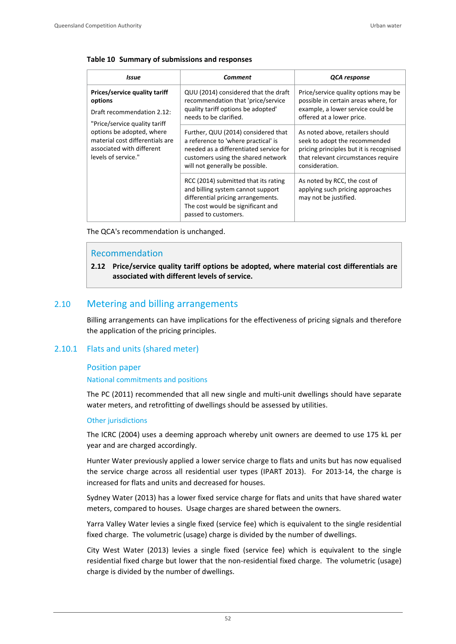#### **Table 10 Summary of submissions and responses**

| Issue                                                                                                            | Comment                                                                                                                                                                                       | QCA response                                                                                                                                                          |
|------------------------------------------------------------------------------------------------------------------|-----------------------------------------------------------------------------------------------------------------------------------------------------------------------------------------------|-----------------------------------------------------------------------------------------------------------------------------------------------------------------------|
| Prices/service quality tariff<br>options<br>Draft recommendation 2.12:<br>"Price/service quality tariff          | QUU (2014) considered that the draft<br>recommendation that 'price/service<br>quality tariff options be adopted'<br>needs to be clarified.                                                    | Price/service quality options may be<br>possible in certain areas where, for<br>example, a lower service could be<br>offered at a lower price.                        |
| options be adopted, where<br>material cost differentials are<br>associated with different<br>levels of service." | Further, QUU (2014) considered that<br>a reference to 'where practical' is<br>needed as a differentiated service for<br>customers using the shared network<br>will not generally be possible. | As noted above, retailers should<br>seek to adopt the recommended<br>pricing principles but it is recognised<br>that relevant circumstances require<br>consideration. |
|                                                                                                                  | RCC (2014) submitted that its rating<br>and billing system cannot support<br>differential pricing arrangements.<br>The cost would be significant and<br>passed to customers.                  | As noted by RCC, the cost of<br>applying such pricing approaches<br>may not be justified.                                                                             |

The QCA's recommendation is unchanged.

## Recommendation

**2.12 Price/service quality tariff options be adopted, where material cost differentials are associated with different levels of service.** 

# 2.10 Metering and billing arrangements

Billing arrangements can have implications for the effectiveness of pricing signals and therefore the application of the pricing principles.

### 2.10.1 Flats and units (shared meter)

### Position paper

#### National commitments and positions

The PC (2011) recommended that all new single and multi-unit dwellings should have separate water meters, and retrofitting of dwellings should be assessed by utilities.

#### Other jurisdictions

The ICRC (2004) uses a deeming approach whereby unit owners are deemed to use 175 kL per year and are charged accordingly.

Hunter Water previously applied a lower service charge to flats and units but has now equalised the service charge across all residential user types (IPART 2013). For 2013-14, the charge is increased for flats and units and decreased for houses.

Sydney Water (2013) has a lower fixed service charge for flats and units that have shared water meters, compared to houses. Usage charges are shared between the owners.

Yarra Valley Water levies a single fixed (service fee) which is equivalent to the single residential fixed charge. The volumetric (usage) charge is divided by the number of dwellings.

City West Water (2013) levies a single fixed (service fee) which is equivalent to the single residential fixed charge but lower that the non‐residential fixed charge. The volumetric (usage) charge is divided by the number of dwellings.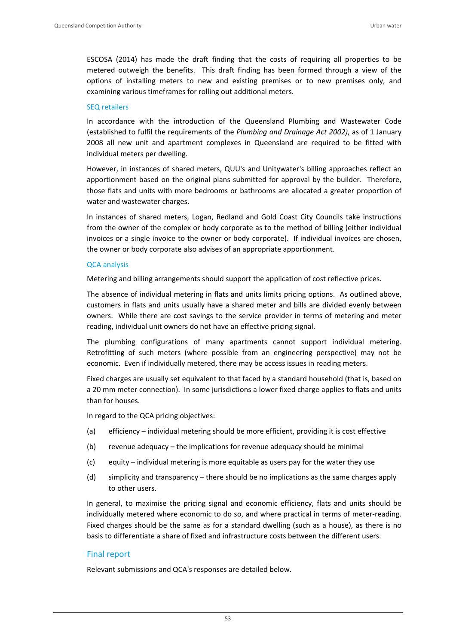ESCOSA (2014) has made the draft finding that the costs of requiring all properties to be metered outweigh the benefits. This draft finding has been formed through a view of the options of installing meters to new and existing premises or to new premises only, and examining various timeframes for rolling out additional meters.

#### SEQ retailers

In accordance with the introduction of the Queensland Plumbing and Wastewater Code (established to fulfil the requirements of the *Plumbing and Drainage Act 2002)*, as of 1 January 2008 all new unit and apartment complexes in Queensland are required to be fitted with individual meters per dwelling.

However, in instances of shared meters, QUU's and Unitywater's billing approaches reflect an apportionment based on the original plans submitted for approval by the builder. Therefore, those flats and units with more bedrooms or bathrooms are allocated a greater proportion of water and wastewater charges.

In instances of shared meters, Logan, Redland and Gold Coast City Councils take instructions from the owner of the complex or body corporate as to the method of billing (either individual invoices or a single invoice to the owner or body corporate). If individual invoices are chosen, the owner or body corporate also advises of an appropriate apportionment.

#### QCA analysis

Metering and billing arrangements should support the application of cost reflective prices.

The absence of individual metering in flats and units limits pricing options. As outlined above, customers in flats and units usually have a shared meter and bills are divided evenly between owners. While there are cost savings to the service provider in terms of metering and meter reading, individual unit owners do not have an effective pricing signal.

The plumbing configurations of many apartments cannot support individual metering. Retrofitting of such meters (where possible from an engineering perspective) may not be economic. Even if individually metered, there may be access issues in reading meters.

Fixed charges are usually set equivalent to that faced by a standard household (that is, based on a 20 mm meter connection). In some jurisdictions a lower fixed charge applies to flats and units than for houses.

In regard to the QCA pricing objectives:

- (a) efficiency individual metering should be more efficient, providing it is cost effective
- (b) revenue adequacy the implications for revenue adequacy should be minimal
- (c) equity individual metering is more equitable as users pay for the water they use
- (d) simplicity and transparency there should be no implications as the same charges apply to other users.

In general, to maximise the pricing signal and economic efficiency, flats and units should be individually metered where economic to do so, and where practical in terms of meter-reading. Fixed charges should be the same as for a standard dwelling (such as a house), as there is no basis to differentiate a share of fixed and infrastructure costs between the different users.

### Final report

Relevant submissions and QCA's responses are detailed below.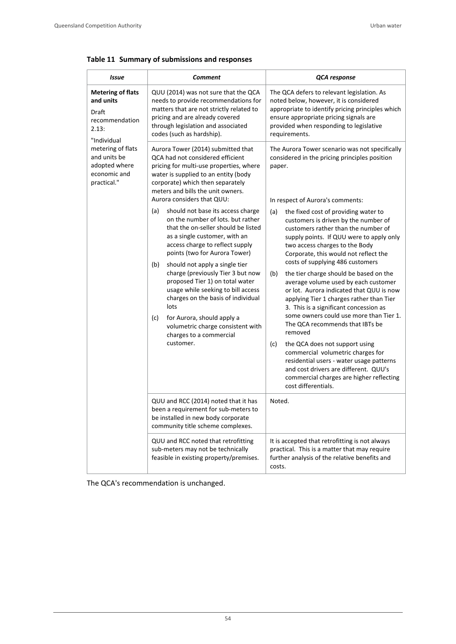| <b>Comment</b><br>Issue                                                                  |                                                                                                                                                                                                                                                                                                                                                                                                                                                                                                                                                  | QCA response                                                                                                                                                                                                                                                                                                                                                                                                                                                                                                                                                                                                                                                                                                                                                                                                                                                                        |  |
|------------------------------------------------------------------------------------------|--------------------------------------------------------------------------------------------------------------------------------------------------------------------------------------------------------------------------------------------------------------------------------------------------------------------------------------------------------------------------------------------------------------------------------------------------------------------------------------------------------------------------------------------------|-------------------------------------------------------------------------------------------------------------------------------------------------------------------------------------------------------------------------------------------------------------------------------------------------------------------------------------------------------------------------------------------------------------------------------------------------------------------------------------------------------------------------------------------------------------------------------------------------------------------------------------------------------------------------------------------------------------------------------------------------------------------------------------------------------------------------------------------------------------------------------------|--|
| <b>Metering of flats</b><br>and units<br>Draft<br>recommendation<br>2.13:<br>"Individual | QUU (2014) was not sure that the QCA<br>needs to provide recommendations for<br>matters that are not strictly related to<br>pricing and are already covered<br>through legislation and associated<br>codes (such as hardship).                                                                                                                                                                                                                                                                                                                   | The QCA defers to relevant legislation. As<br>noted below, however, it is considered<br>appropriate to identify pricing principles which<br>ensure appropriate pricing signals are<br>provided when responding to legislative<br>requirements.                                                                                                                                                                                                                                                                                                                                                                                                                                                                                                                                                                                                                                      |  |
| metering of flats<br>and units be<br>adopted where<br>economic and<br>practical."        | Aurora Tower (2014) submitted that<br>QCA had not considered efficient<br>pricing for multi-use properties, where<br>water is supplied to an entity (body<br>corporate) which then separately<br>meters and bills the unit owners.<br>Aurora considers that QUU:                                                                                                                                                                                                                                                                                 | The Aurora Tower scenario was not specifically<br>considered in the pricing principles position<br>paper.                                                                                                                                                                                                                                                                                                                                                                                                                                                                                                                                                                                                                                                                                                                                                                           |  |
|                                                                                          | should not base its access charge<br>(a)<br>on the number of lots. but rather<br>that the on-seller should be listed<br>as a single customer, with an<br>access charge to reflect supply<br>points (two for Aurora Tower)<br>should not apply a single tier<br>(b)<br>charge (previously Tier 3 but now<br>proposed Tier 1) on total water<br>usage while seeking to bill access<br>charges on the basis of individual<br>lots<br>for Aurora, should apply a<br>(c)<br>volumetric charge consistent with<br>charges to a commercial<br>customer. | In respect of Aurora's comments:<br>the fixed cost of providing water to<br>(a)<br>customers is driven by the number of<br>customers rather than the number of<br>supply points. If QUU were to apply only<br>two access charges to the Body<br>Corporate, this would not reflect the<br>costs of supplying 486 customers<br>(b)<br>the tier charge should be based on the<br>average volume used by each customer<br>or lot. Aurora indicated that QUU is now<br>applying Tier 1 charges rather than Tier<br>3. This is a significant concession as<br>some owners could use more than Tier 1.<br>The QCA recommends that IBTs be<br>removed<br>the QCA does not support using<br>(c)<br>commercial volumetric charges for<br>residential users - water usage patterns<br>and cost drivers are different. QUU's<br>commercial charges are higher reflecting<br>cost differentials. |  |
|                                                                                          | QUU and RCC (2014) noted that it has<br>been a requirement for sub-meters to<br>be installed in new body corporate<br>community title scheme complexes.                                                                                                                                                                                                                                                                                                                                                                                          | Noted.                                                                                                                                                                                                                                                                                                                                                                                                                                                                                                                                                                                                                                                                                                                                                                                                                                                                              |  |
|                                                                                          | QUU and RCC noted that retrofitting<br>sub-meters may not be technically<br>feasible in existing property/premises.                                                                                                                                                                                                                                                                                                                                                                                                                              | It is accepted that retrofitting is not always<br>practical. This is a matter that may require<br>further analysis of the relative benefits and<br>costs.                                                                                                                                                                                                                                                                                                                                                                                                                                                                                                                                                                                                                                                                                                                           |  |

# **Table 11 Summary of submissions and responses**

The QCA's recommendation is unchanged.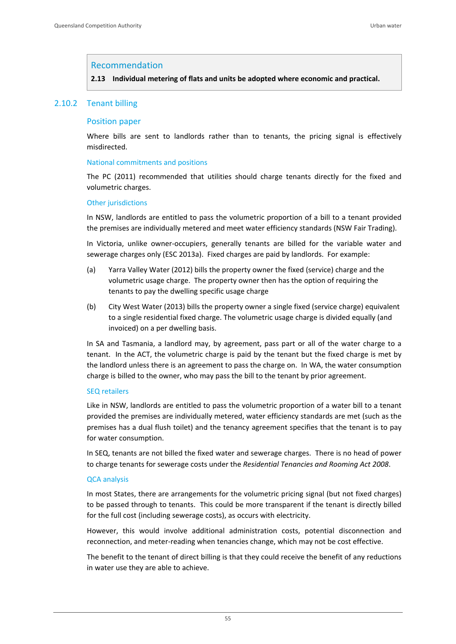### Recommendation

**2.13 Individual metering of flats and units be adopted where economic and practical.**

### 2.10.2 Tenant billing

#### Position paper

Where bills are sent to landlords rather than to tenants, the pricing signal is effectively misdirected.

#### National commitments and positions

The PC (2011) recommended that utilities should charge tenants directly for the fixed and volumetric charges.

#### Other jurisdictions

In NSW, landlords are entitled to pass the volumetric proportion of a bill to a tenant provided the premises are individually metered and meet water efficiency standards (NSW Fair Trading).

In Victoria, unlike owner-occupiers, generally tenants are billed for the variable water and sewerage charges only (ESC 2013a). Fixed charges are paid by landlords. For example:

- (a) Yarra Valley Water (2012) bills the property owner the fixed (service) charge and the volumetric usage charge. The property owner then has the option of requiring the tenants to pay the dwelling specific usage charge
- (b) City West Water (2013) bills the property owner a single fixed (service charge) equivalent to a single residential fixed charge. The volumetric usage charge is divided equally (and invoiced) on a per dwelling basis.

In SA and Tasmania, a landlord may, by agreement, pass part or all of the water charge to a tenant. In the ACT, the volumetric charge is paid by the tenant but the fixed charge is met by the landlord unless there is an agreement to pass the charge on. In WA, the water consumption charge is billed to the owner, who may pass the bill to the tenant by prior agreement.

#### SEQ retailers

Like in NSW, landlords are entitled to pass the volumetric proportion of a water bill to a tenant provided the premises are individually metered, water efficiency standards are met (such as the premises has a dual flush toilet) and the tenancy agreement specifies that the tenant is to pay for water consumption.

In SEQ, tenants are not billed the fixed water and sewerage charges. There is no head of power to charge tenants for sewerage costs under the *Residential Tenancies and Rooming Act 2008*.

#### QCA analysis

In most States, there are arrangements for the volumetric pricing signal (but not fixed charges) to be passed through to tenants. This could be more transparent if the tenant is directly billed for the full cost (including sewerage costs), as occurs with electricity.

However, this would involve additional administration costs, potential disconnection and reconnection, and meter‐reading when tenancies change, which may not be cost effective.

The benefit to the tenant of direct billing is that they could receive the benefit of any reductions in water use they are able to achieve.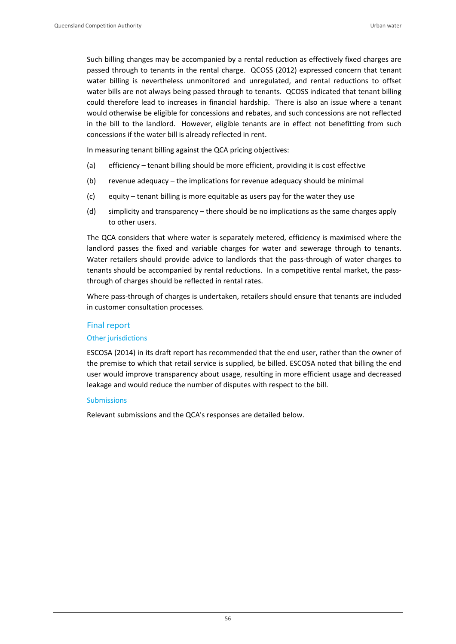Such billing changes may be accompanied by a rental reduction as effectively fixed charges are passed through to tenants in the rental charge. QCOSS (2012) expressed concern that tenant water billing is nevertheless unmonitored and unregulated, and rental reductions to offset water bills are not always being passed through to tenants. QCOSS indicated that tenant billing could therefore lead to increases in financial hardship. There is also an issue where a tenant would otherwise be eligible for concessions and rebates, and such concessions are not reflected in the bill to the landlord. However, eligible tenants are in effect not benefitting from such concessions if the water bill is already reflected in rent.

In measuring tenant billing against the QCA pricing objectives:

- (a) efficiency tenant billing should be more efficient, providing it is cost effective
- (b) revenue adequacy the implications for revenue adequacy should be minimal
- (c) equity tenant billing is more equitable as users pay for the water they use
- (d) simplicity and transparency there should be no implications as the same charges apply to other users.

The QCA considers that where water is separately metered, efficiency is maximised where the landlord passes the fixed and variable charges for water and sewerage through to tenants. Water retailers should provide advice to landlords that the pass-through of water charges to tenants should be accompanied by rental reductions. In a competitive rental market, the passthrough of charges should be reflected in rental rates.

Where pass‐through of charges is undertaken, retailers should ensure that tenants are included in customer consultation processes.

## Final report

### Other jurisdictions

ESCOSA (2014) in its draft report has recommended that the end user, rather than the owner of the premise to which that retail service is supplied, be billed. ESCOSA noted that billing the end user would improve transparency about usage, resulting in more efficient usage and decreased leakage and would reduce the number of disputes with respect to the bill.

### Submissions

Relevant submissions and the QCA's responses are detailed below.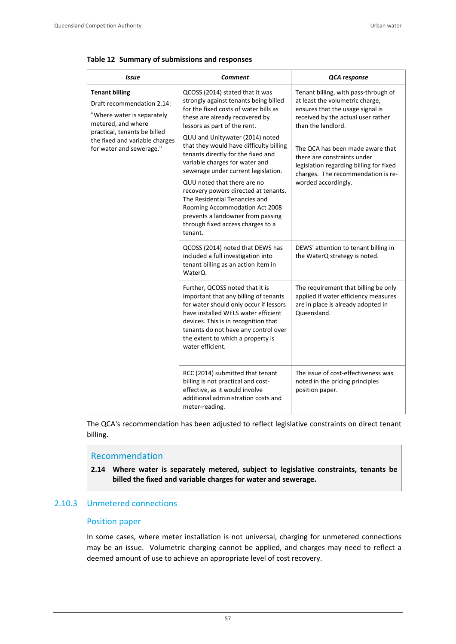|  |  |  | Table 12 Summary of submissions and responses |  |  |
|--|--|--|-----------------------------------------------|--|--|
|--|--|--|-----------------------------------------------|--|--|

| Issue                                                                                                                                   | Comment                                                                                                                                                                                                                                                                                            | QCA response                                                                                                                                                            |  |
|-----------------------------------------------------------------------------------------------------------------------------------------|----------------------------------------------------------------------------------------------------------------------------------------------------------------------------------------------------------------------------------------------------------------------------------------------------|-------------------------------------------------------------------------------------------------------------------------------------------------------------------------|--|
| <b>Tenant billing</b><br>Draft recommendation 2.14:<br>"Where water is separately<br>metered, and where<br>practical, tenants be billed | QCOSS (2014) stated that it was<br>strongly against tenants being billed<br>for the fixed costs of water bills as<br>these are already recovered by<br>lessors as part of the rent.<br>QUU and Unitywater (2014) noted                                                                             | Tenant billing, with pass-through of<br>at least the volumetric charge,<br>ensures that the usage signal is<br>received by the actual user rather<br>than the landlord. |  |
| the fixed and variable charges<br>for water and sewerage."                                                                              | that they would have difficulty billing<br>tenants directly for the fixed and<br>variable charges for water and<br>sewerage under current legislation.<br>QUU noted that there are no                                                                                                              | The QCA has been made aware that<br>there are constraints under<br>legislation regarding billing for fixed<br>charges. The recommendation is re-<br>worded accordingly. |  |
|                                                                                                                                         | recovery powers directed at tenants.<br>The Residential Tenancies and<br>Rooming Accommodation Act 2008<br>prevents a landowner from passing<br>through fixed access charges to a<br>tenant.                                                                                                       |                                                                                                                                                                         |  |
|                                                                                                                                         | QCOSS (2014) noted that DEWS has<br>included a full investigation into<br>tenant billing as an action item in<br>WaterQ.                                                                                                                                                                           | DEWS' attention to tenant billing in<br>the WaterQ strategy is noted.                                                                                                   |  |
|                                                                                                                                         | Further, QCOSS noted that it is<br>important that any billing of tenants<br>for water should only occur if lessors<br>have installed WELS water efficient<br>devices. This is in recognition that<br>tenants do not have any control over<br>the extent to which a property is<br>water efficient. | The requirement that billing be only<br>applied if water efficiency measures<br>are in place is already adopted in<br>Queensland.                                       |  |
|                                                                                                                                         | RCC (2014) submitted that tenant<br>billing is not practical and cost-<br>effective, as it would involve<br>additional administration costs and<br>meter-reading.                                                                                                                                  | The issue of cost-effectiveness was<br>noted in the pricing principles<br>position paper.                                                                               |  |

The QCA's recommendation has been adjusted to reflect legislative constraints on direct tenant billing.

## Recommendation

**2.14 Where water is separately metered, subject to legislative constraints, tenants be billed the fixed and variable charges for water and sewerage.**

# 2.10.3 Unmetered connections

### Position paper

In some cases, where meter installation is not universal, charging for unmetered connections may be an issue. Volumetric charging cannot be applied, and charges may need to reflect a deemed amount of use to achieve an appropriate level of cost recovery.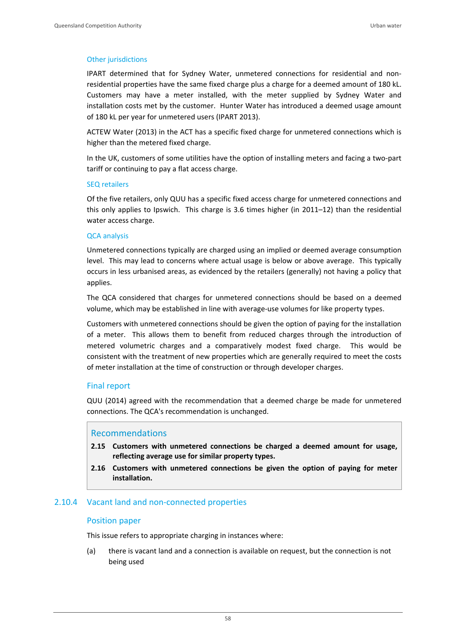### Other jurisdictions

IPART determined that for Sydney Water, unmetered connections for residential and non‐ residential properties have the same fixed charge plus a charge for a deemed amount of 180 kL. Customers may have a meter installed, with the meter supplied by Sydney Water and installation costs met by the customer. Hunter Water has introduced a deemed usage amount of 180 kL per year for unmetered users (IPART 2013).

ACTEW Water (2013) in the ACT has a specific fixed charge for unmetered connections which is higher than the metered fixed charge.

In the UK, customers of some utilities have the option of installing meters and facing a two‐part tariff or continuing to pay a flat access charge.

#### SEQ retailers

Of the five retailers, only QUU has a specific fixed access charge for unmetered connections and this only applies to Ipswich. This charge is 3.6 times higher (in 2011–12) than the residential water access charge.

#### QCA analysis

Unmetered connections typically are charged using an implied or deemed average consumption level. This may lead to concerns where actual usage is below or above average. This typically occurs in less urbanised areas, as evidenced by the retailers (generally) not having a policy that applies.

The QCA considered that charges for unmetered connections should be based on a deemed volume, which may be established in line with average‐use volumes for like property types.

Customers with unmetered connections should be given the option of paying for the installation of a meter. This allows them to benefit from reduced charges through the introduction of metered volumetric charges and a comparatively modest fixed charge. This would be consistent with the treatment of new properties which are generally required to meet the costs of meter installation at the time of construction or through developer charges.

### Final report

QUU (2014) agreed with the recommendation that a deemed charge be made for unmetered connections. The QCA's recommendation is unchanged.

### Recommendations

- **2.15 Customers with unmetered connections be charged a deemed amount for usage, reflecting average use for similar property types.**
- **2.16 Customers with unmetered connections be given the option of paying for meter installation.**

### 2.10.4 Vacant land and non‐connected properties

### Position paper

This issue refers to appropriate charging in instances where:

(a) there is vacant land and a connection is available on request, but the connection is not being used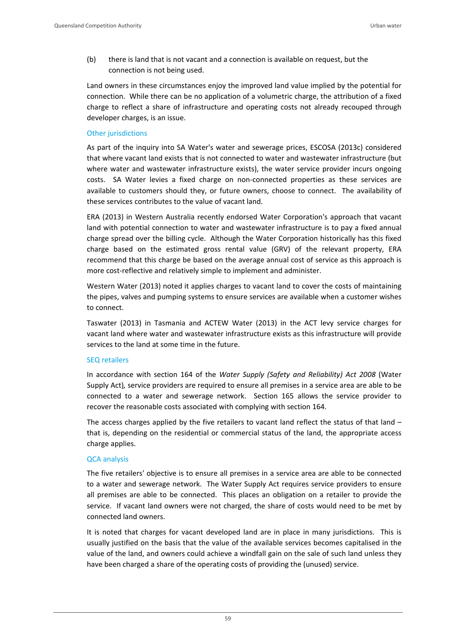(b) there is land that is not vacant and a connection is available on request, but the connection is not being used.

Land owners in these circumstances enjoy the improved land value implied by the potential for connection. While there can be no application of a volumetric charge, the attribution of a fixed charge to reflect a share of infrastructure and operating costs not already recouped through developer charges, is an issue.

### Other jurisdictions

As part of the inquiry into SA Water's water and sewerage prices, ESCOSA (2013c) considered that where vacant land exists that is not connected to water and wastewater infrastructure (but where water and wastewater infrastructure exists), the water service provider incurs ongoing costs. SA Water levies a fixed charge on non-connected properties as these services are available to customers should they, or future owners, choose to connect. The availability of these services contributes to the value of vacant land.

ERA (2013) in Western Australia recently endorsed Water Corporation's approach that vacant land with potential connection to water and wastewater infrastructure is to pay a fixed annual charge spread over the billing cycle. Although the Water Corporation historically has this fixed charge based on the estimated gross rental value (GRV) of the relevant property, ERA recommend that this charge be based on the average annual cost of service as this approach is more cost-reflective and relatively simple to implement and administer.

Western Water (2013) noted it applies charges to vacant land to cover the costs of maintaining the pipes, valves and pumping systems to ensure services are available when a customer wishes to connect.

Taswater (2013) in Tasmania and ACTEW Water (2013) in the ACT levy service charges for vacant land where water and wastewater infrastructure exists as this infrastructure will provide services to the land at some time in the future.

### SEQ retailers

In accordance with section 164 of the *Water Supply (Safety and Reliability) Act 2008* (Water Supply Act)*,* service providers are required to ensure all premises in a service area are able to be connected to a water and sewerage network. Section 165 allows the service provider to recover the reasonable costs associated with complying with section 164.

The access charges applied by the five retailers to vacant land reflect the status of that land – that is, depending on the residential or commercial status of the land, the appropriate access charge applies.

### QCA analysis

The five retailers' objective is to ensure all premises in a service area are able to be connected to a water and sewerage network. The Water Supply Act requires service providers to ensure all premises are able to be connected. This places an obligation on a retailer to provide the service. If vacant land owners were not charged, the share of costs would need to be met by connected land owners.

It is noted that charges for vacant developed land are in place in many jurisdictions. This is usually justified on the basis that the value of the available services becomes capitalised in the value of the land, and owners could achieve a windfall gain on the sale of such land unless they have been charged a share of the operating costs of providing the (unused) service.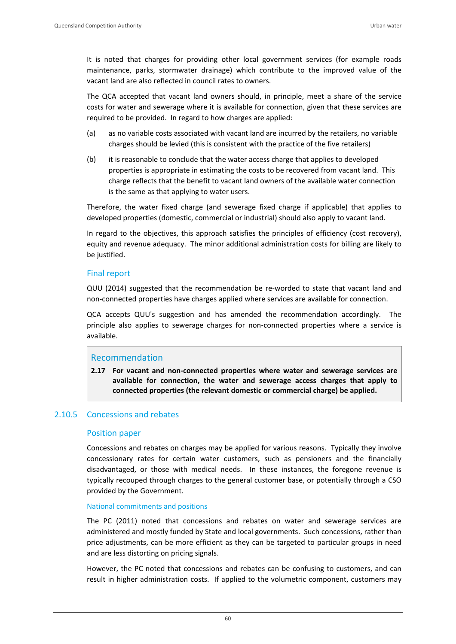It is noted that charges for providing other local government services (for example roads maintenance, parks, stormwater drainage) which contribute to the improved value of the vacant land are also reflected in council rates to owners.

The QCA accepted that vacant land owners should, in principle, meet a share of the service costs for water and sewerage where it is available for connection, given that these services are required to be provided. In regard to how charges are applied:

- (a) as no variable costs associated with vacant land are incurred by the retailers, no variable charges should be levied (this is consistent with the practice of the five retailers)
- (b) it is reasonable to conclude that the water access charge that applies to developed properties is appropriate in estimating the costs to be recovered from vacant land. This charge reflects that the benefit to vacant land owners of the available water connection is the same as that applying to water users.

Therefore, the water fixed charge (and sewerage fixed charge if applicable) that applies to developed properties (domestic, commercial or industrial) should also apply to vacant land.

In regard to the objectives, this approach satisfies the principles of efficiency (cost recovery), equity and revenue adequacy. The minor additional administration costs for billing are likely to be justified.

## Final report

QUU (2014) suggested that the recommendation be re‐worded to state that vacant land and non‐connected properties have charges applied where services are available for connection.

QCA accepts QUU's suggestion and has amended the recommendation accordingly. The principle also applies to sewerage charges for non-connected properties where a service is available.

## Recommendation

**2.17 For vacant and non‐connected properties where water and sewerage services are available for connection, the water and sewerage access charges that apply to connected properties (the relevant domestic or commercial charge) be applied.**

## 2.10.5 Concessions and rebates

### Position paper

Concessions and rebates on charges may be applied for various reasons. Typically they involve concessionary rates for certain water customers, such as pensioners and the financially disadvantaged, or those with medical needs. In these instances, the foregone revenue is typically recouped through charges to the general customer base, or potentially through a CSO provided by the Government.

### National commitments and positions

The PC (2011) noted that concessions and rebates on water and sewerage services are administered and mostly funded by State and local governments. Such concessions, rather than price adjustments, can be more efficient as they can be targeted to particular groups in need and are less distorting on pricing signals.

However, the PC noted that concessions and rebates can be confusing to customers, and can result in higher administration costs. If applied to the volumetric component, customers may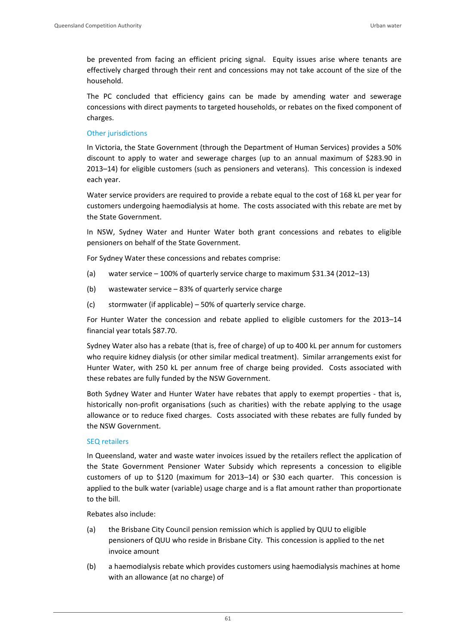be prevented from facing an efficient pricing signal. Equity issues arise where tenants are effectively charged through their rent and concessions may not take account of the size of the household.

The PC concluded that efficiency gains can be made by amending water and sewerage concessions with direct payments to targeted households, or rebates on the fixed component of charges.

### Other jurisdictions

In Victoria, the State Government (through the Department of Human Services) provides a 50% discount to apply to water and sewerage charges (up to an annual maximum of \$283.90 in 2013–14) for eligible customers (such as pensioners and veterans). This concession is indexed each year.

Water service providers are required to provide a rebate equal to the cost of 168 kL per year for customers undergoing haemodialysis at home. The costs associated with this rebate are met by the State Government.

In NSW, Sydney Water and Hunter Water both grant concessions and rebates to eligible pensioners on behalf of the State Government.

For Sydney Water these concessions and rebates comprise:

- (a) water service 100% of quarterly service charge to maximum \$31.34 (2012–13)
- (b) wastewater service 83% of quarterly service charge
- (c) stormwater (if applicable) 50% of quarterly service charge.

For Hunter Water the concession and rebate applied to eligible customers for the 2013–14 financial year totals \$87.70.

Sydney Water also has a rebate (that is, free of charge) of up to 400 kL per annum for customers who require kidney dialysis (or other similar medical treatment). Similar arrangements exist for Hunter Water, with 250 kL per annum free of charge being provided. Costs associated with these rebates are fully funded by the NSW Government.

Both Sydney Water and Hunter Water have rebates that apply to exempt properties ‐ that is, historically non-profit organisations (such as charities) with the rebate applying to the usage allowance or to reduce fixed charges. Costs associated with these rebates are fully funded by the NSW Government.

### SEQ retailers

In Queensland, water and waste water invoices issued by the retailers reflect the application of the State Government Pensioner Water Subsidy which represents a concession to eligible customers of up to \$120 (maximum for 2013–14) or \$30 each quarter. This concession is applied to the bulk water (variable) usage charge and is a flat amount rather than proportionate to the bill.

Rebates also include:

- (a) the Brisbane City Council pension remission which is applied by QUU to eligible pensioners of QUU who reside in Brisbane City. This concession is applied to the net invoice amount
- (b) a haemodialysis rebate which provides customers using haemodialysis machines at home with an allowance (at no charge) of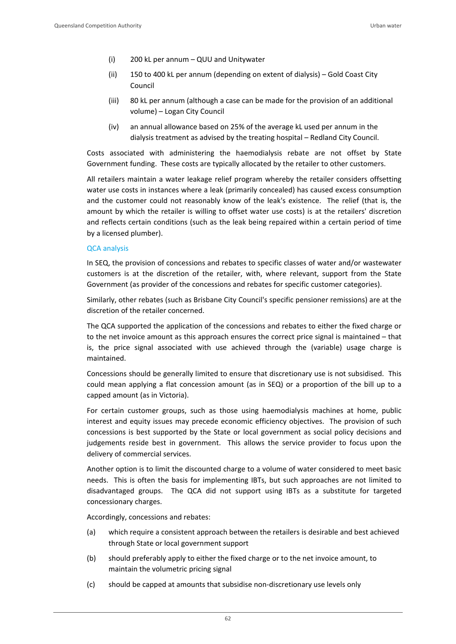- (i) 200 kL per annum QUU and Unitywater
- (ii) 150 to 400 kL per annum (depending on extent of dialysis) Gold Coast City Council
- (iii) 80 kL per annum (although a case can be made for the provision of an additional volume) – Logan City Council
- (iv) an annual allowance based on 25% of the average kL used per annum in the dialysis treatment as advised by the treating hospital – Redland City Council.

Costs associated with administering the haemodialysis rebate are not offset by State Government funding. These costs are typically allocated by the retailer to other customers.

All retailers maintain a water leakage relief program whereby the retailer considers offsetting water use costs in instances where a leak (primarily concealed) has caused excess consumption and the customer could not reasonably know of the leak's existence. The relief (that is, the amount by which the retailer is willing to offset water use costs) is at the retailers' discretion and reflects certain conditions (such as the leak being repaired within a certain period of time by a licensed plumber).

#### QCA analysis

In SEQ, the provision of concessions and rebates to specific classes of water and/or wastewater customers is at the discretion of the retailer, with, where relevant, support from the State Government (as provider of the concessions and rebates for specific customer categories).

Similarly, other rebates (such as Brisbane City Council's specific pensioner remissions) are at the discretion of the retailer concerned.

The QCA supported the application of the concessions and rebates to either the fixed charge or to the net invoice amount as this approach ensures the correct price signal is maintained – that is, the price signal associated with use achieved through the (variable) usage charge is maintained.

Concessions should be generally limited to ensure that discretionary use is not subsidised. This could mean applying a flat concession amount (as in SEQ) or a proportion of the bill up to a capped amount (as in Victoria).

For certain customer groups, such as those using haemodialysis machines at home, public interest and equity issues may precede economic efficiency objectives. The provision of such concessions is best supported by the State or local government as social policy decisions and judgements reside best in government. This allows the service provider to focus upon the delivery of commercial services.

Another option is to limit the discounted charge to a volume of water considered to meet basic needs. This is often the basis for implementing IBTs, but such approaches are not limited to disadvantaged groups. The QCA did not support using IBTs as a substitute for targeted concessionary charges.

Accordingly, concessions and rebates:

- (a) which require a consistent approach between the retailers is desirable and best achieved through State or local government support
- (b) should preferably apply to either the fixed charge or to the net invoice amount, to maintain the volumetric pricing signal
- (c) should be capped at amounts that subsidise non‐discretionary use levels only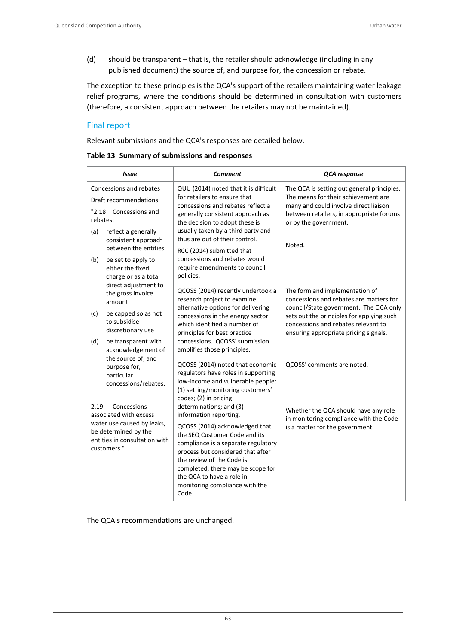(d) should be transparent – that is, the retailer should acknowledge (including in any published document) the source of, and purpose for, the concession or rebate.

The exception to these principles is the QCA's support of the retailers maintaining water leakage relief programs, where the conditions should be determined in consultation with customers (therefore, a consistent approach between the retailers may not be maintained).

## Final report

Relevant submissions and the QCA's responses are detailed below.

|  |  | Table 13 Summary of submissions and responses |  |
|--|--|-----------------------------------------------|--|
|--|--|-----------------------------------------------|--|

| Issue                                                                                                                                                                                                                           | <b>Comment</b>                                                                                                                                                                                                                                                                                                                                                                                                                                                                                                           | <b>QCA</b> response                                                                                                                                                                                                                              |  |
|---------------------------------------------------------------------------------------------------------------------------------------------------------------------------------------------------------------------------------|--------------------------------------------------------------------------------------------------------------------------------------------------------------------------------------------------------------------------------------------------------------------------------------------------------------------------------------------------------------------------------------------------------------------------------------------------------------------------------------------------------------------------|--------------------------------------------------------------------------------------------------------------------------------------------------------------------------------------------------------------------------------------------------|--|
| Concessions and rebates<br>Draft recommendations:<br>"2.18 Concessions and<br>rebates:<br>(a)<br>reflect a generally<br>consistent approach<br>between the entities<br>(b)<br>be set to apply to<br>either the fixed            | QUU (2014) noted that it is difficult<br>for retailers to ensure that<br>concessions and rebates reflect a<br>generally consistent approach as<br>the decision to adopt these is<br>usually taken by a third party and<br>thus are out of their control.<br>RCC (2014) submitted that<br>concessions and rebates would<br>require amendments to council                                                                                                                                                                  | The QCA is setting out general principles.<br>The means for their achievement are<br>many and could involve direct liaison<br>between retailers, in appropriate forums<br>or by the government.<br>Noted.                                        |  |
| charge or as a total<br>direct adjustment to<br>the gross invoice<br>amount<br>be capped so as not<br>(c)<br>to subsidise<br>discretionary use<br>(d)<br>be transparent with<br>acknowledgement of                              | policies.<br>QCOSS (2014) recently undertook a<br>research project to examine<br>alternative options for delivering<br>concessions in the energy sector<br>which identified a number of<br>principles for best practice<br>concessions. QCOSS' submission<br>amplifies those principles.                                                                                                                                                                                                                                 | The form and implementation of<br>concessions and rebates are matters for<br>council/State government. The QCA only<br>sets out the principles for applying such<br>concessions and rebates relevant to<br>ensuring appropriate pricing signals. |  |
| the source of, and<br>purpose for,<br>particular<br>concessions/rebates.<br>2.19<br>Concessions<br>associated with excess<br>water use caused by leaks,<br>be determined by the<br>entities in consultation with<br>customers." | QCOSS (2014) noted that economic<br>regulators have roles in supporting<br>low-income and vulnerable people:<br>(1) setting/monitoring customers'<br>codes; (2) in pricing<br>determinations; and (3)<br>information reporting.<br>QCOSS (2014) acknowledged that<br>the SEQ Customer Code and its<br>compliance is a separate regulatory<br>process but considered that after<br>the review of the Code is<br>completed, there may be scope for<br>the QCA to have a role in<br>monitoring compliance with the<br>Code. | QCOSS' comments are noted.<br>Whether the QCA should have any role<br>in monitoring compliance with the Code<br>is a matter for the government.                                                                                                  |  |

The QCA's recommendations are unchanged.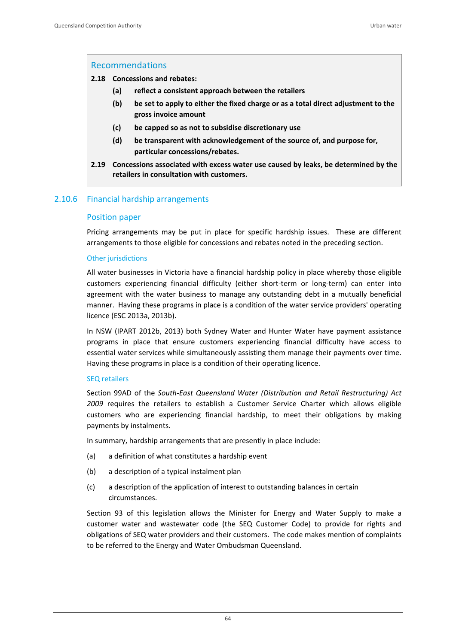### Recommendations

#### **2.18 Concessions and rebates:**

- **(a) reflect a consistent approach between the retailers**
- **(b) be set to apply to either the fixed charge or as a total direct adjustment to the gross invoice amount**
- **(c) be capped so as not to subsidise discretionary use**
- **(d) be transparent with acknowledgement of the source of, and purpose for, particular concessions/rebates.**
- **2.19 Concessions associated with excess water use caused by leaks, be determined by the retailers in consultation with customers.**

## 2.10.6 Financial hardship arrangements

#### Position paper

Pricing arrangements may be put in place for specific hardship issues. These are different arrangements to those eligible for concessions and rebates noted in the preceding section.

### Other jurisdictions

All water businesses in Victoria have a financial hardship policy in place whereby those eligible customers experiencing financial difficulty (either short-term or long-term) can enter into agreement with the water business to manage any outstanding debt in a mutually beneficial manner. Having these programs in place is a condition of the water service providers' operating licence (ESC 2013a, 2013b).

In NSW (IPART 2012b, 2013) both Sydney Water and Hunter Water have payment assistance programs in place that ensure customers experiencing financial difficulty have access to essential water services while simultaneously assisting them manage their payments over time. Having these programs in place is a condition of their operating licence.

#### SEQ retailers

Section 99AD of the *South‐East Queensland Water (Distribution and Retail Restructuring) Act 2009* requires the retailers to establish a Customer Service Charter which allows eligible customers who are experiencing financial hardship, to meet their obligations by making payments by instalments.

In summary, hardship arrangements that are presently in place include:

- (a) a definition of what constitutes a hardship event
- (b) a description of a typical instalment plan
- (c) a description of the application of interest to outstanding balances in certain circumstances.

Section 93 of this legislation allows the Minister for Energy and Water Supply to make a customer water and wastewater code (the SEQ Customer Code) to provide for rights and obligations of SEQ water providers and their customers. The code makes mention of complaints to be referred to the Energy and Water Ombudsman Queensland.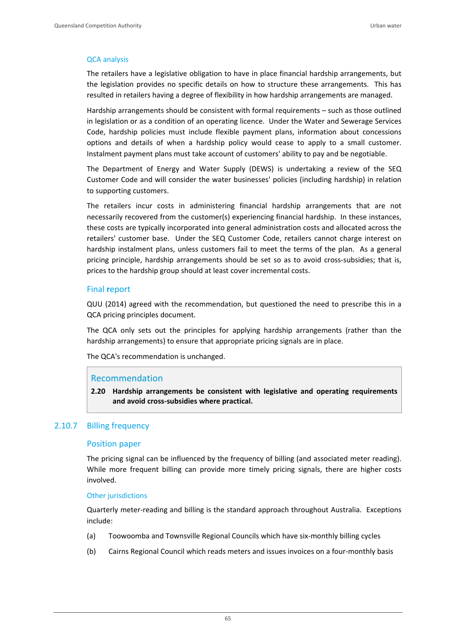#### QCA analysis

The retailers have a legislative obligation to have in place financial hardship arrangements, but the legislation provides no specific details on how to structure these arrangements. This has resulted in retailers having a degree of flexibility in how hardship arrangements are managed.

Hardship arrangements should be consistent with formal requirements – such as those outlined in legislation or as a condition of an operating licence. Under the Water and Sewerage Services Code, hardship policies must include flexible payment plans, information about concessions options and details of when a hardship policy would cease to apply to a small customer. Instalment payment plans must take account of customers' ability to pay and be negotiable.

The Department of Energy and Water Supply (DEWS) is undertaking a review of the SEQ Customer Code and will consider the water businesses' policies (including hardship) in relation to supporting customers.

The retailers incur costs in administering financial hardship arrangements that are not necessarily recovered from the customer(s) experiencing financial hardship. In these instances, these costs are typically incorporated into general administration costs and allocated across the retailers' customer base. Under the SEQ Customer Code, retailers cannot charge interest on hardship instalment plans, unless customers fail to meet the terms of the plan. As a general pricing principle, hardship arrangements should be set so as to avoid cross-subsidies; that is, prices to the hardship group should at least cover incremental costs.

### Final **r**eport

QUU (2014) agreed with the recommendation, but questioned the need to prescribe this in a QCA pricing principles document.

The QCA only sets out the principles for applying hardship arrangements (rather than the hardship arrangements) to ensure that appropriate pricing signals are in place.

The QCA's recommendation is unchanged.

### Recommendation

**2.20 Hardship arrangements be consistent with legislative and operating requirements and avoid cross‐subsidies where practical.** 

## 2.10.7 Billing frequency

#### Position paper

The pricing signal can be influenced by the frequency of billing (and associated meter reading). While more frequent billing can provide more timely pricing signals, there are higher costs involved.

#### Other jurisdictions

Quarterly meter‐reading and billing is the standard approach throughout Australia. Exceptions include:

- (a) Toowoomba and Townsville Regional Councils which have six‐monthly billing cycles
- (b) Cairns Regional Council which reads meters and issues invoices on a four‐monthly basis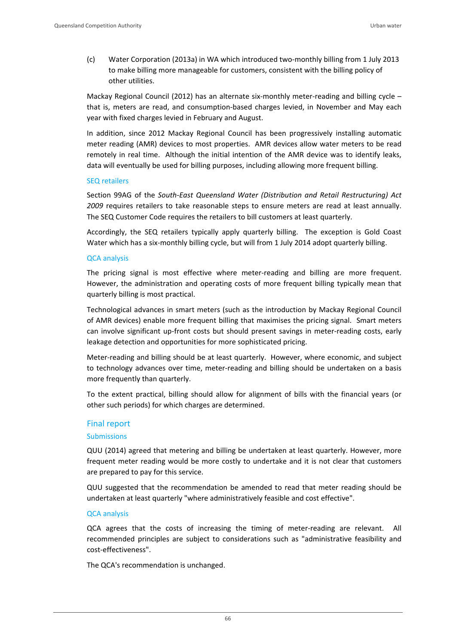(c) Water Corporation (2013a) in WA which introduced two‐monthly billing from 1 July 2013 to make billing more manageable for customers, consistent with the billing policy of other utilities.

Mackay Regional Council (2012) has an alternate six-monthly meter-reading and billing cycle – that is, meters are read, and consumption‐based charges levied, in November and May each year with fixed charges levied in February and August.

In addition, since 2012 Mackay Regional Council has been progressively installing automatic meter reading (AMR) devices to most properties. AMR devices allow water meters to be read remotely in real time. Although the initial intention of the AMR device was to identify leaks, data will eventually be used for billing purposes, including allowing more frequent billing.

#### SEQ retailers

Section 99AG of the *South‐East Queensland Water (Distribution and Retail Restructuring) Act 2009* requires retailers to take reasonable steps to ensure meters are read at least annually. The SEQ Customer Code requires the retailers to bill customers at least quarterly.

Accordingly, the SEQ retailers typically apply quarterly billing. The exception is Gold Coast Water which has a six-monthly billing cycle, but will from 1 July 2014 adopt quarterly billing.

### QCA analysis

The pricing signal is most effective where meter-reading and billing are more frequent. However, the administration and operating costs of more frequent billing typically mean that quarterly billing is most practical.

Technological advances in smart meters (such as the introduction by Mackay Regional Council of AMR devices) enable more frequent billing that maximises the pricing signal. Smart meters can involve significant up-front costs but should present savings in meter-reading costs, early leakage detection and opportunities for more sophisticated pricing.

Meter-reading and billing should be at least quarterly. However, where economic, and subject to technology advances over time, meter‐reading and billing should be undertaken on a basis more frequently than quarterly.

To the extent practical, billing should allow for alignment of bills with the financial years (or other such periods) for which charges are determined.

### Final report

### Submissions

QUU (2014) agreed that metering and billing be undertaken at least quarterly. However, more frequent meter reading would be more costly to undertake and it is not clear that customers are prepared to pay for this service.

QUU suggested that the recommendation be amended to read that meter reading should be undertaken at least quarterly "where administratively feasible and cost effective".

### QCA analysis

QCA agrees that the costs of increasing the timing of meter-reading are relevant. All recommended principles are subject to considerations such as "administrative feasibility and cost‐effectiveness".

The QCA's recommendation is unchanged.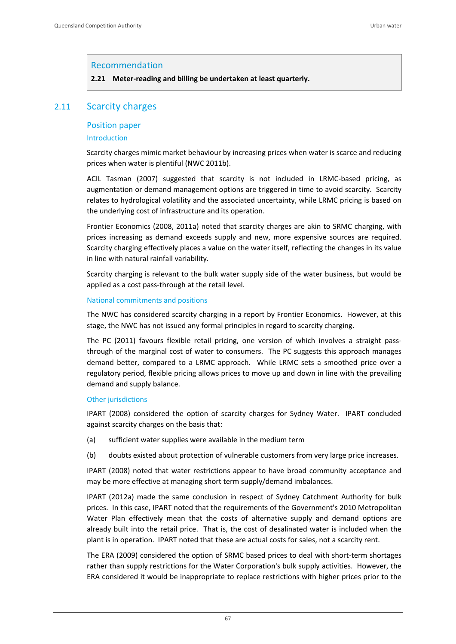### Recommendation

**2.21 Meter‐reading and billing be undertaken at least quarterly.** 

## 2.11 Scarcity charges

#### Position paper

#### Introduction

Scarcity charges mimic market behaviour by increasing prices when water is scarce and reducing prices when water is plentiful (NWC 2011b).

ACIL Tasman (2007) suggested that scarcity is not included in LRMC‐based pricing, as augmentation or demand management options are triggered in time to avoid scarcity. Scarcity relates to hydrological volatility and the associated uncertainty, while LRMC pricing is based on the underlying cost of infrastructure and its operation.

Frontier Economics (2008, 2011a) noted that scarcity charges are akin to SRMC charging, with prices increasing as demand exceeds supply and new, more expensive sources are required. Scarcity charging effectively places a value on the water itself, reflecting the changes in its value in line with natural rainfall variability.

Scarcity charging is relevant to the bulk water supply side of the water business, but would be applied as a cost pass‐through at the retail level.

#### National commitments and positions

The NWC has considered scarcity charging in a report by Frontier Economics. However, at this stage, the NWC has not issued any formal principles in regard to scarcity charging.

The PC (2011) favours flexible retail pricing, one version of which involves a straight passthrough of the marginal cost of water to consumers. The PC suggests this approach manages demand better, compared to a LRMC approach. While LRMC sets a smoothed price over a regulatory period, flexible pricing allows prices to move up and down in line with the prevailing demand and supply balance.

#### Other jurisdictions

IPART (2008) considered the option of scarcity charges for Sydney Water. IPART concluded against scarcity charges on the basis that:

- (a) sufficient water supplies were available in the medium term
- (b) doubts existed about protection of vulnerable customers from very large price increases.

IPART (2008) noted that water restrictions appear to have broad community acceptance and may be more effective at managing short term supply/demand imbalances.

IPART (2012a) made the same conclusion in respect of Sydney Catchment Authority for bulk prices. In this case, IPART noted that the requirements of the Government's 2010 Metropolitan Water Plan effectively mean that the costs of alternative supply and demand options are already built into the retail price. That is, the cost of desalinated water is included when the plant is in operation. IPART noted that these are actual costs for sales, not a scarcity rent.

The ERA (2009) considered the option of SRMC based prices to deal with short-term shortages rather than supply restrictions for the Water Corporation's bulk supply activities. However, the ERA considered it would be inappropriate to replace restrictions with higher prices prior to the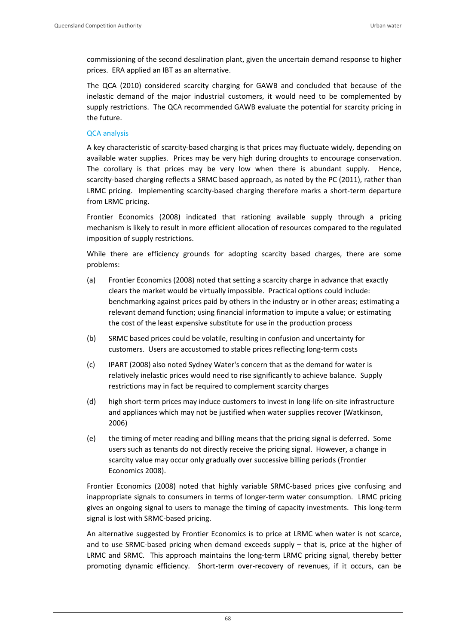commissioning of the second desalination plant, given the uncertain demand response to higher prices. ERA applied an IBT as an alternative.

The QCA (2010) considered scarcity charging for GAWB and concluded that because of the inelastic demand of the major industrial customers, it would need to be complemented by supply restrictions. The QCA recommended GAWB evaluate the potential for scarcity pricing in the future.

### QCA analysis

A key characteristic of scarcity‐based charging is that prices may fluctuate widely, depending on available water supplies. Prices may be very high during droughts to encourage conservation. The corollary is that prices may be very low when there is abundant supply. Hence, scarcity-based charging reflects a SRMC based approach, as noted by the PC (2011), rather than LRMC pricing. Implementing scarcity‐based charging therefore marks a short‐term departure from LRMC pricing.

Frontier Economics (2008) indicated that rationing available supply through a pricing mechanism is likely to result in more efficient allocation of resources compared to the regulated imposition of supply restrictions.

While there are efficiency grounds for adopting scarcity based charges, there are some problems:

- (a) Frontier Economics (2008) noted that setting a scarcity charge in advance that exactly clears the market would be virtually impossible. Practical options could include: benchmarking against prices paid by others in the industry or in other areas; estimating a relevant demand function; using financial information to impute a value; or estimating the cost of the least expensive substitute for use in the production process
- (b) SRMC based prices could be volatile, resulting in confusion and uncertainty for customers. Users are accustomed to stable prices reflecting long‐term costs
- (c) IPART (2008) also noted Sydney Water's concern that as the demand for water is relatively inelastic prices would need to rise significantly to achieve balance. Supply restrictions may in fact be required to complement scarcity charges
- (d) high short‐term prices may induce customers to invest in long‐life on‐site infrastructure and appliances which may not be justified when water supplies recover (Watkinson, 2006)
- (e) the timing of meter reading and billing means that the pricing signal is deferred. Some users such as tenants do not directly receive the pricing signal. However, a change in scarcity value may occur only gradually over successive billing periods (Frontier Economics 2008).

Frontier Economics (2008) noted that highly variable SRMC-based prices give confusing and inappropriate signals to consumers in terms of longer-term water consumption. LRMC pricing gives an ongoing signal to users to manage the timing of capacity investments. This long‐term signal is lost with SRMC‐based pricing.

An alternative suggested by Frontier Economics is to price at LRMC when water is not scarce, and to use SRMC-based pricing when demand exceeds supply – that is, price at the higher of LRMC and SRMC. This approach maintains the long-term LRMC pricing signal, thereby better promoting dynamic efficiency. Short‐term over‐recovery of revenues, if it occurs, can be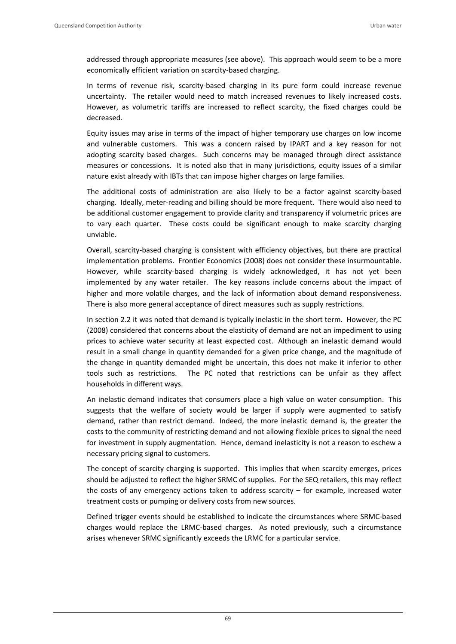addressed through appropriate measures (see above). This approach would seem to be a more economically efficient variation on scarcity‐based charging.

In terms of revenue risk, scarcity-based charging in its pure form could increase revenue uncertainty. The retailer would need to match increased revenues to likely increased costs. However, as volumetric tariffs are increased to reflect scarcity, the fixed charges could be decreased.

Equity issues may arise in terms of the impact of higher temporary use charges on low income and vulnerable customers. This was a concern raised by IPART and a key reason for not adopting scarcity based charges. Such concerns may be managed through direct assistance measures or concessions. It is noted also that in many jurisdictions, equity issues of a similar nature exist already with IBTs that can impose higher charges on large families.

The additional costs of administration are also likely to be a factor against scarcity-based charging. Ideally, meter-reading and billing should be more frequent. There would also need to be additional customer engagement to provide clarity and transparency if volumetric prices are to vary each quarter. These costs could be significant enough to make scarcity charging unviable.

Overall, scarcity‐based charging is consistent with efficiency objectives, but there are practical implementation problems. Frontier Economics (2008) does not consider these insurmountable. However, while scarcity-based charging is widely acknowledged, it has not yet been implemented by any water retailer. The key reasons include concerns about the impact of higher and more volatile charges, and the lack of information about demand responsiveness. There is also more general acceptance of direct measures such as supply restrictions.

In section 2.2 it was noted that demand is typically inelastic in the short term. However, the PC (2008) considered that concerns about the elasticity of demand are not an impediment to using prices to achieve water security at least expected cost. Although an inelastic demand would result in a small change in quantity demanded for a given price change, and the magnitude of the change in quantity demanded might be uncertain, this does not make it inferior to other tools such as restrictions. The PC noted that restrictions can be unfair as they affect households in different ways.

An inelastic demand indicates that consumers place a high value on water consumption. This suggests that the welfare of society would be larger if supply were augmented to satisfy demand, rather than restrict demand. Indeed, the more inelastic demand is, the greater the costs to the community of restricting demand and not allowing flexible prices to signal the need for investment in supply augmentation. Hence, demand inelasticity is not a reason to eschew a necessary pricing signal to customers.

The concept of scarcity charging is supported. This implies that when scarcity emerges, prices should be adjusted to reflect the higher SRMC of supplies. For the SEQ retailers, this may reflect the costs of any emergency actions taken to address scarcity – for example, increased water treatment costs or pumping or delivery costs from new sources.

Defined trigger events should be established to indicate the circumstances where SRMC‐based charges would replace the LRMC‐based charges. As noted previously, such a circumstance arises whenever SRMC significantly exceeds the LRMC for a particular service.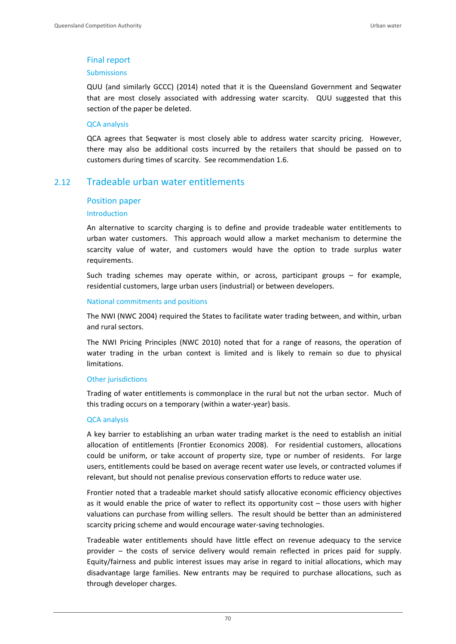## Final report

#### Submissions

QUU (and similarly GCCC) (2014) noted that it is the Queensland Government and Seqwater that are most closely associated with addressing water scarcity. QUU suggested that this section of the paper be deleted.

#### QCA analysis

QCA agrees that Seqwater is most closely able to address water scarcity pricing. However, there may also be additional costs incurred by the retailers that should be passed on to customers during times of scarcity. See recommendation 1.6.

## 2.12 Tradeable urban water entitlements

#### Position paper

#### Introduction

An alternative to scarcity charging is to define and provide tradeable water entitlements to urban water customers. This approach would allow a market mechanism to determine the scarcity value of water, and customers would have the option to trade surplus water requirements.

Such trading schemes may operate within, or across, participant groups – for example, residential customers, large urban users (industrial) or between developers.

#### National commitments and positions

The NWI (NWC 2004) required the States to facilitate water trading between, and within, urban and rural sectors.

The NWI Pricing Principles (NWC 2010) noted that for a range of reasons, the operation of water trading in the urban context is limited and is likely to remain so due to physical limitations.

#### Other jurisdictions

Trading of water entitlements is commonplace in the rural but not the urban sector. Much of this trading occurs on a temporary (within a water‐year) basis.

#### QCA analysis

A key barrier to establishing an urban water trading market is the need to establish an initial allocation of entitlements (Frontier Economics 2008). For residential customers, allocations could be uniform, or take account of property size, type or number of residents. For large users, entitlements could be based on average recent water use levels, or contracted volumes if relevant, but should not penalise previous conservation efforts to reduce water use.

Frontier noted that a tradeable market should satisfy allocative economic efficiency objectives as it would enable the price of water to reflect its opportunity cost – those users with higher valuations can purchase from willing sellers. The result should be better than an administered scarcity pricing scheme and would encourage water‐saving technologies.

Tradeable water entitlements should have little effect on revenue adequacy to the service provider – the costs of service delivery would remain reflected in prices paid for supply. Equity/fairness and public interest issues may arise in regard to initial allocations, which may disadvantage large families. New entrants may be required to purchase allocations, such as through developer charges.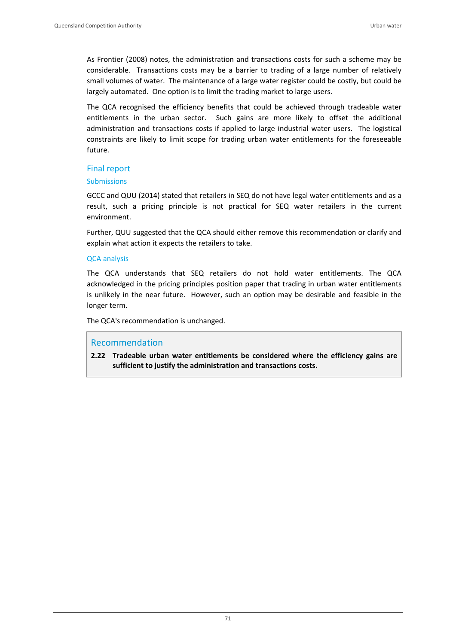As Frontier (2008) notes, the administration and transactions costs for such a scheme may be considerable. Transactions costs may be a barrier to trading of a large number of relatively small volumes of water. The maintenance of a large water register could be costly, but could be largely automated. One option is to limit the trading market to large users.

The QCA recognised the efficiency benefits that could be achieved through tradeable water entitlements in the urban sector. Such gains are more likely to offset the additional administration and transactions costs if applied to large industrial water users. The logistical constraints are likely to limit scope for trading urban water entitlements for the foreseeable future.

### Final report

#### **Submissions**

GCCC and QUU (2014) stated that retailers in SEQ do not have legal water entitlements and as a result, such a pricing principle is not practical for SEQ water retailers in the current environment.

Further, QUU suggested that the QCA should either remove this recommendation or clarify and explain what action it expects the retailers to take.

### QCA analysis

The QCA understands that SEQ retailers do not hold water entitlements. The QCA acknowledged in the pricing principles position paper that trading in urban water entitlements is unlikely in the near future. However, such an option may be desirable and feasible in the longer term.

The QCA's recommendation is unchanged.

## Recommendation

**2.22 Tradeable urban water entitlements be considered where the efficiency gains are sufficient to justify the administration and transactions costs.**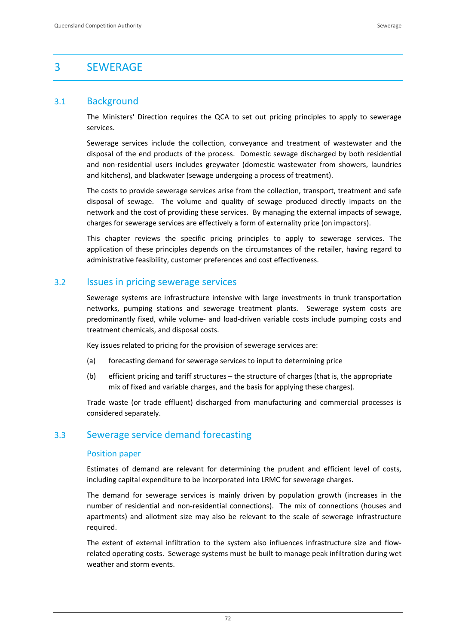# 3 SEWERAGE

## 3.1 Background

The Ministers' Direction requires the QCA to set out pricing principles to apply to sewerage services.

Sewerage services include the collection, conveyance and treatment of wastewater and the disposal of the end products of the process. Domestic sewage discharged by both residential and non‐residential users includes greywater (domestic wastewater from showers, laundries and kitchens), and blackwater (sewage undergoing a process of treatment).

The costs to provide sewerage services arise from the collection, transport, treatment and safe disposal of sewage. The volume and quality of sewage produced directly impacts on the network and the cost of providing these services. By managing the external impacts of sewage, charges for sewerage services are effectively a form of externality price (on impactors).

This chapter reviews the specific pricing principles to apply to sewerage services. The application of these principles depends on the circumstances of the retailer, having regard to administrative feasibility, customer preferences and cost effectiveness.

## 3.2 Issues in pricing sewerage services

Sewerage systems are infrastructure intensive with large investments in trunk transportation networks, pumping stations and sewerage treatment plants. Sewerage system costs are predominantly fixed, while volume‐ and load‐driven variable costs include pumping costs and treatment chemicals, and disposal costs.

Key issues related to pricing for the provision of sewerage services are:

- (a) forecasting demand for sewerage services to input to determining price
- (b) efficient pricing and tariff structures the structure of charges (that is, the appropriate mix of fixed and variable charges, and the basis for applying these charges).

Trade waste (or trade effluent) discharged from manufacturing and commercial processes is considered separately.

## 3.3 Sewerage service demand forecasting

#### Position paper

Estimates of demand are relevant for determining the prudent and efficient level of costs, including capital expenditure to be incorporated into LRMC for sewerage charges.

The demand for sewerage services is mainly driven by population growth (increases in the number of residential and non-residential connections). The mix of connections (houses and apartments) and allotment size may also be relevant to the scale of sewerage infrastructure required.

The extent of external infiltration to the system also influences infrastructure size and flow‐ related operating costs. Sewerage systems must be built to manage peak infiltration during wet weather and storm events.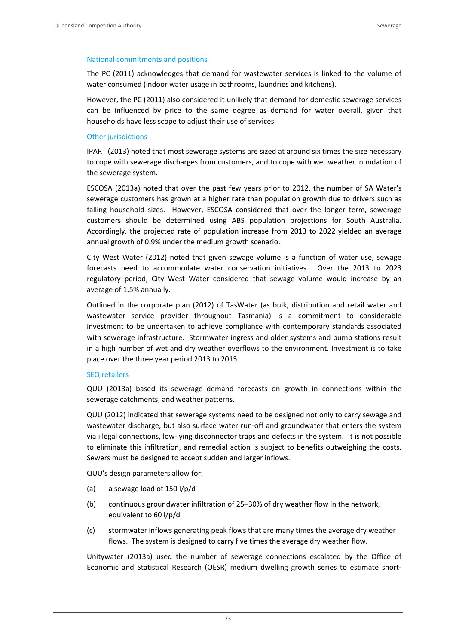#### National commitments and positions

The PC (2011) acknowledges that demand for wastewater services is linked to the volume of water consumed (indoor water usage in bathrooms, laundries and kitchens).

However, the PC (2011) also considered it unlikely that demand for domestic sewerage services can be influenced by price to the same degree as demand for water overall, given that households have less scope to adjust their use of services.

#### Other jurisdictions

IPART (2013) noted that most sewerage systems are sized at around six times the size necessary to cope with sewerage discharges from customers, and to cope with wet weather inundation of the sewerage system.

ESCOSA (2013a) noted that over the past few years prior to 2012, the number of SA Water's sewerage customers has grown at a higher rate than population growth due to drivers such as falling household sizes. However, ESCOSA considered that over the longer term, sewerage customers should be determined using ABS population projections for South Australia. Accordingly, the projected rate of population increase from 2013 to 2022 yielded an average annual growth of 0.9% under the medium growth scenario.

City West Water (2012) noted that given sewage volume is a function of water use, sewage forecasts need to accommodate water conservation initiatives. Over the 2013 to 2023 regulatory period, City West Water considered that sewage volume would increase by an average of 1.5% annually.

Outlined in the corporate plan (2012) of TasWater (as bulk, distribution and retail water and wastewater service provider throughout Tasmania) is a commitment to considerable investment to be undertaken to achieve compliance with contemporary standards associated with sewerage infrastructure. Stormwater ingress and older systems and pump stations result in a high number of wet and dry weather overflows to the environment. Investment is to take place over the three year period 2013 to 2015.

#### SEQ retailers

QUU (2013a) based its sewerage demand forecasts on growth in connections within the sewerage catchments, and weather patterns.

QUU (2012) indicated that sewerage systems need to be designed not only to carry sewage and wastewater discharge, but also surface water run-off and groundwater that enters the system via illegal connections, low‐lying disconnector traps and defects in the system. It is not possible to eliminate this infiltration, and remedial action is subject to benefits outweighing the costs. Sewers must be designed to accept sudden and larger inflows.

QUU's design parameters allow for:

- (a) a sewage load of 150 l/p/d
- (b) continuous groundwater infiltration of 25–30% of dry weather flow in the network, equivalent to 60 l/p/d
- (c) stormwater inflows generating peak flows that are many times the average dry weather flows. The system is designed to carry five times the average dry weather flow.

Unitywater (2013a) used the number of sewerage connections escalated by the Office of Economic and Statistical Research (OESR) medium dwelling growth series to estimate short‐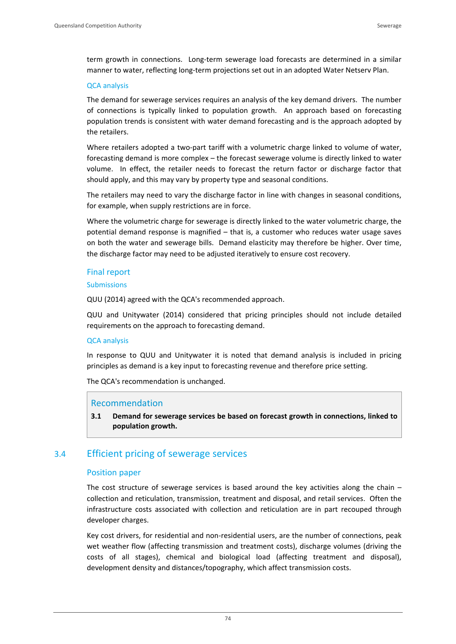term growth in connections. Long-term sewerage load forecasts are determined in a similar manner to water, reflecting long‐term projections set out in an adopted Water Netserv Plan.

#### QCA analysis

The demand for sewerage services requires an analysis of the key demand drivers. The number of connections is typically linked to population growth. An approach based on forecasting population trends is consistent with water demand forecasting and is the approach adopted by the retailers.

Where retailers adopted a two-part tariff with a volumetric charge linked to volume of water, forecasting demand is more complex – the forecast sewerage volume is directly linked to water volume. In effect, the retailer needs to forecast the return factor or discharge factor that should apply, and this may vary by property type and seasonal conditions.

The retailers may need to vary the discharge factor in line with changes in seasonal conditions, for example, when supply restrictions are in force.

Where the volumetric charge for sewerage is directly linked to the water volumetric charge, the potential demand response is magnified – that is, a customer who reduces water usage saves on both the water and sewerage bills. Demand elasticity may therefore be higher. Over time, the discharge factor may need to be adjusted iteratively to ensure cost recovery.

### Final report

#### Submissions

QUU (2014) agreed with the QCA's recommended approach.

QUU and Unitywater (2014) considered that pricing principles should not include detailed requirements on the approach to forecasting demand.

#### QCA analysis

In response to QUU and Unitywater it is noted that demand analysis is included in pricing principles as demand is a key input to forecasting revenue and therefore price setting.

The QCA's recommendation is unchanged.

#### Recommendation

**3.1 Demand for sewerage services be based on forecast growth in connections, linked to population growth.**

## 3.4 Efficient pricing of sewerage services

#### Position paper

The cost structure of sewerage services is based around the key activities along the chain  $$ collection and reticulation, transmission, treatment and disposal, and retail services. Often the infrastructure costs associated with collection and reticulation are in part recouped through developer charges.

Key cost drivers, for residential and non-residential users, are the number of connections, peak wet weather flow (affecting transmission and treatment costs), discharge volumes (driving the costs of all stages), chemical and biological load (affecting treatment and disposal), development density and distances/topography, which affect transmission costs.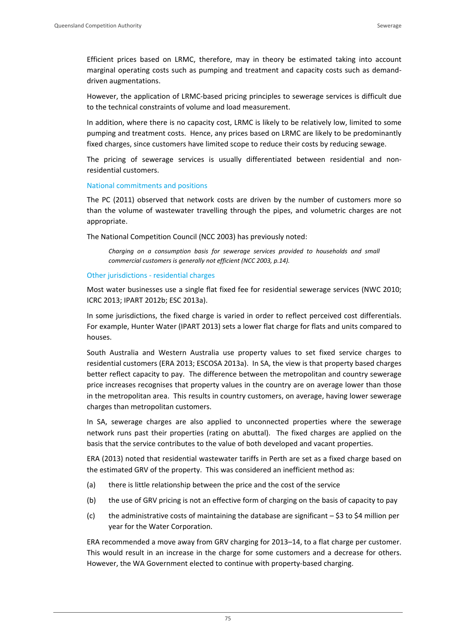Efficient prices based on LRMC, therefore, may in theory be estimated taking into account marginal operating costs such as pumping and treatment and capacity costs such as demand‐ driven augmentations.

However, the application of LRMC‐based pricing principles to sewerage services is difficult due to the technical constraints of volume and load measurement.

In addition, where there is no capacity cost, LRMC is likely to be relatively low, limited to some pumping and treatment costs. Hence, any prices based on LRMC are likely to be predominantly fixed charges, since customers have limited scope to reduce their costs by reducing sewage.

The pricing of sewerage services is usually differentiated between residential and nonresidential customers.

#### National commitments and positions

The PC (2011) observed that network costs are driven by the number of customers more so than the volume of wastewater travelling through the pipes, and volumetric charges are not appropriate.

The National Competition Council (NCC 2003) has previously noted:

*Charging on a consumption basis for sewerage services provided to households and small commercial customers is generally not efficient (NCC 2003, p.14).*

#### Other jurisdictions ‐ residential charges

Most water businesses use a single flat fixed fee for residential sewerage services (NWC 2010; ICRC 2013; IPART 2012b; ESC 2013a).

In some jurisdictions, the fixed charge is varied in order to reflect perceived cost differentials. For example, Hunter Water (IPART 2013) sets a lower flat charge for flats and units compared to houses.

South Australia and Western Australia use property values to set fixed service charges to residential customers (ERA 2013; ESCOSA 2013a). In SA, the view is that property based charges better reflect capacity to pay. The difference between the metropolitan and country sewerage price increases recognises that property values in the country are on average lower than those in the metropolitan area. This results in country customers, on average, having lower sewerage charges than metropolitan customers.

In SA, sewerage charges are also applied to unconnected properties where the sewerage network runs past their properties (rating on abuttal). The fixed charges are applied on the basis that the service contributes to the value of both developed and vacant properties.

ERA (2013) noted that residential wastewater tariffs in Perth are set as a fixed charge based on the estimated GRV of the property. This was considered an inefficient method as:

- (a) there is little relationship between the price and the cost of the service
- (b) the use of GRV pricing is not an effective form of charging on the basis of capacity to pay
- (c) the administrative costs of maintaining the database are significant  $-$  \$3 to \$4 million per year for the Water Corporation.

ERA recommended a move away from GRV charging for 2013–14, to a flat charge per customer. This would result in an increase in the charge for some customers and a decrease for others. However, the WA Government elected to continue with property-based charging.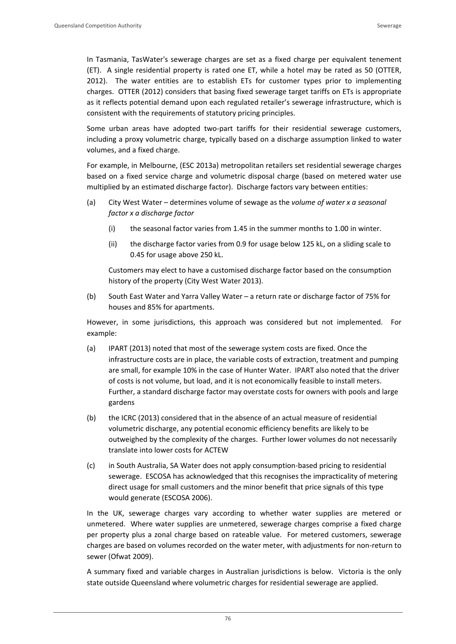In Tasmania, TasWater's sewerage charges are set as a fixed charge per equivalent tenement (ET). A single residential property is rated one ET, while a hotel may be rated as 50 (OTTER, 2012). The water entities are to establish ETs for customer types prior to implementing charges. OTTER (2012) considers that basing fixed sewerage target tariffs on ETs is appropriate as it reflects potential demand upon each regulated retailer's sewerage infrastructure, which is consistent with the requirements of statutory pricing principles.

Some urban areas have adopted two-part tariffs for their residential sewerage customers, including a proxy volumetric charge, typically based on a discharge assumption linked to water volumes, and a fixed charge.

For example, in Melbourne, (ESC 2013a) metropolitan retailers set residential sewerage charges based on a fixed service charge and volumetric disposal charge (based on metered water use multiplied by an estimated discharge factor). Discharge factors vary between entities:

- (a) City West Water determines volume of sewage as the *volume of water x a seasonal factor x a discharge factor*
	- (i) the seasonal factor varies from 1.45 in the summer months to 1.00 in winter.
	- (ii) the discharge factor varies from 0.9 for usage below 125 kL, on a sliding scale to 0.45 for usage above 250 kL.

Customers may elect to have a customised discharge factor based on the consumption history of the property (City West Water 2013).

(b) South East Water and Yarra Valley Water – a return rate or discharge factor of 75% for houses and 85% for apartments.

However, in some jurisdictions, this approach was considered but not implemented. For example:

- (a) IPART (2013) noted that most of the sewerage system costs are fixed. Once the infrastructure costs are in place, the variable costs of extraction, treatment and pumping are small, for example 10% in the case of Hunter Water. IPART also noted that the driver of costs is not volume, but load, and it is not economically feasible to install meters. Further, a standard discharge factor may overstate costs for owners with pools and large gardens
- (b) the ICRC (2013) considered that in the absence of an actual measure of residential volumetric discharge, any potential economic efficiency benefits are likely to be outweighed by the complexity of the charges. Further lower volumes do not necessarily translate into lower costs for ACTEW
- (c) in South Australia, SA Water does not apply consumption‐based pricing to residential sewerage. ESCOSA has acknowledged that this recognises the impracticality of metering direct usage for small customers and the minor benefit that price signals of this type would generate (ESCOSA 2006).

In the UK, sewerage charges vary according to whether water supplies are metered or unmetered. Where water supplies are unmetered, sewerage charges comprise a fixed charge per property plus a zonal charge based on rateable value. For metered customers, sewerage charges are based on volumes recorded on the water meter, with adjustments for non‐return to sewer (Ofwat 2009).

A summary fixed and variable charges in Australian jurisdictions is below. Victoria is the only state outside Queensland where volumetric charges for residential sewerage are applied.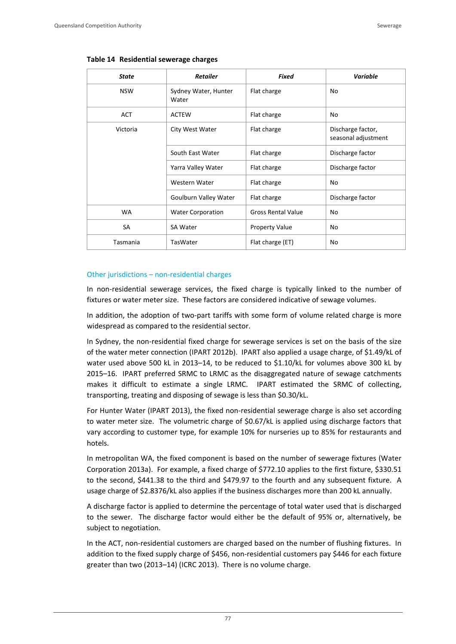| <b>State</b> | <b>Retailer</b>               | <b>Fixed</b>              | Variable                                 |
|--------------|-------------------------------|---------------------------|------------------------------------------|
| <b>NSW</b>   | Sydney Water, Hunter<br>Water | Flat charge               | No                                       |
| <b>ACT</b>   | <b>ACTEW</b>                  | Flat charge               | No                                       |
| Victoria     | City West Water               | Flat charge               | Discharge factor,<br>seasonal adjustment |
|              | South East Water              | Flat charge               | Discharge factor                         |
|              | Yarra Valley Water            | Flat charge               | Discharge factor                         |
|              | Western Water                 | Flat charge               | No                                       |
|              | Goulburn Valley Water         | Flat charge               | Discharge factor                         |
| <b>WA</b>    | <b>Water Corporation</b>      | <b>Gross Rental Value</b> | No                                       |
| SA           | <b>SA Water</b>               | <b>Property Value</b>     | No                                       |
| Tasmania     | TasWater                      | Flat charge (ET)          | No                                       |

#### Other jurisdictions – non‐residential charges

In non-residential sewerage services, the fixed charge is typically linked to the number of fixtures or water meter size. These factors are considered indicative of sewage volumes.

In addition, the adoption of two-part tariffs with some form of volume related charge is more widespread as compared to the residential sector.

In Sydney, the non-residential fixed charge for sewerage services is set on the basis of the size of the water meter connection (IPART 2012b). IPART also applied a usage charge, of \$1.49/kL of water used above 500 kL in 2013–14, to be reduced to \$1.10/kL for volumes above 300 kL by 2015–16. IPART preferred SRMC to LRMC as the disaggregated nature of sewage catchments makes it difficult to estimate a single LRMC. IPART estimated the SRMC of collecting, transporting, treating and disposing of sewage is less than \$0.30/kL.

For Hunter Water (IPART 2013), the fixed non-residential sewerage charge is also set according to water meter size. The volumetric charge of \$0.67/kL is applied using discharge factors that vary according to customer type, for example 10% for nurseries up to 85% for restaurants and hotels.

In metropolitan WA, the fixed component is based on the number of sewerage fixtures (Water Corporation 2013a). For example, a fixed charge of \$772.10 applies to the first fixture, \$330.51 to the second, \$441.38 to the third and \$479.97 to the fourth and any subsequent fixture. A usage charge of \$2.8376/kL also applies if the business discharges more than 200 kL annually.

A discharge factor is applied to determine the percentage of total water used that is discharged to the sewer. The discharge factor would either be the default of 95% or, alternatively, be subject to negotiation.

In the ACT, non-residential customers are charged based on the number of flushing fixtures. In addition to the fixed supply charge of \$456, non-residential customers pay \$446 for each fixture greater than two (2013–14) (ICRC 2013). There is no volume charge.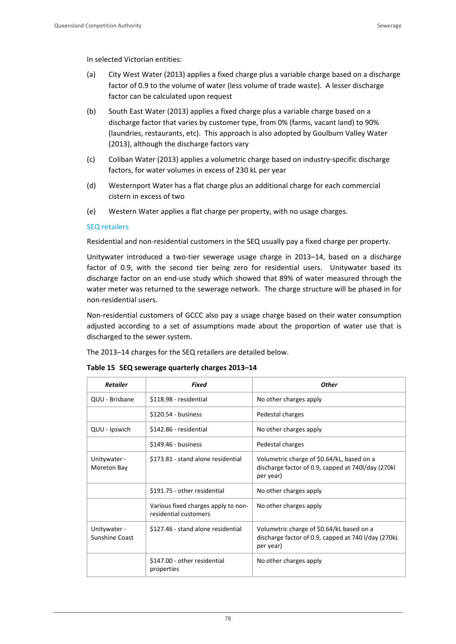In selected Victorian entities:

- (a) City West Water (2013) applies a fixed charge plus a variable charge based on a discharge factor of 0.9 to the volume of water (less volume of trade waste). A lesser discharge factor can be calculated upon request
- (b) South East Water (2013) applies a fixed charge plus a variable charge based on a discharge factor that varies by customer type, from 0% (farms, vacant land) to 90% (laundries, restaurants, etc). This approach is also adopted by Goulburn Valley Water (2013), although the discharge factors vary
- (c) Coliban Water (2013) applies a volumetric charge based on industry‐specific discharge factors, for water volumes in excess of 230 kL per year
- (d) Westernport Water has a flat charge plus an additional charge for each commercial cistern in excess of two
- (e) Western Water applies a flat charge per property, with no usage charges.

### SEQ retailers

Residential and non-residential customers in the SEQ usually pay a fixed charge per property.

Unitywater introduced a two-tier sewerage usage charge in 2013–14, based on a discharge factor of 0.9, with the second tier being zero for residential users. Unitywater based its discharge factor on an end‐use study which showed that 89% of water measured through the water meter was returned to the sewerage network. The charge structure will be phased in for non‐residential users.

Non‐residential customers of GCCC also pay a usage charge based on their water consumption adjusted according to a set of assumptions made about the proportion of water use that is discharged to the sewer system.

The 2013–14 charges for the SEQ retailers are detailed below.

| <b>Retailer</b>                | Fixed                                                        | Other                                                                                                          |
|--------------------------------|--------------------------------------------------------------|----------------------------------------------------------------------------------------------------------------|
| QUU - Brisbane                 | \$118.98 - residential                                       | No other charges apply                                                                                         |
|                                | \$120.54 - business                                          | Pedestal charges                                                                                               |
| QUU - Ipswich                  | \$142.86 - residential                                       | No other charges apply                                                                                         |
|                                | \$149.46 - business                                          | Pedestal charges                                                                                               |
| Unitywater -<br>Moreton Bay    | \$173.81 - stand alone residential                           | Volumetric charge of \$0.64/kL, based on a<br>discharge factor of 0.9, capped at 740I/day (270kl)<br>per year) |
|                                | \$191.75 - other residential                                 | No other charges apply                                                                                         |
|                                | Various fixed charges apply to non-<br>residential customers | No other charges apply                                                                                         |
| Unitywater -<br>Sunshine Coast | \$127.46 - stand alone residential                           | Volumetric charge of \$0.64/kL based on a<br>discharge factor of 0.9, capped at 740 l/day (270kL)<br>per year) |
|                                | \$147.00 - other residential<br>properties                   | No other charges apply                                                                                         |

#### **Table 15 SEQ sewerage quarterly charges 2013–14**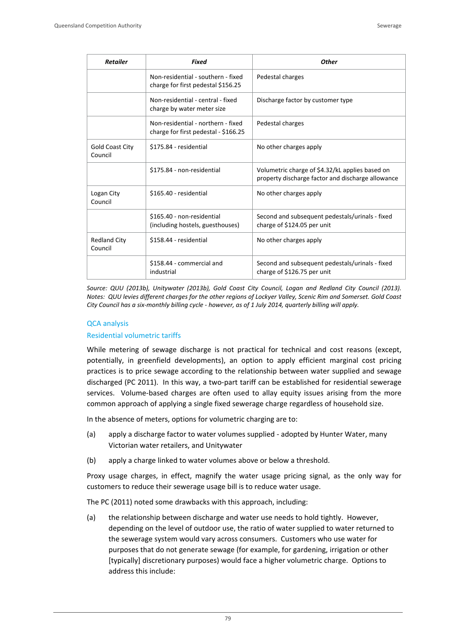| <b>Retailer</b>                | <b>Fixed</b>                                                               | <b>Other</b>                                                                                         |
|--------------------------------|----------------------------------------------------------------------------|------------------------------------------------------------------------------------------------------|
|                                | Non-residential - southern - fixed<br>charge for first pedestal \$156.25   | Pedestal charges                                                                                     |
|                                | Non-residential - central - fixed<br>charge by water meter size            | Discharge factor by customer type                                                                    |
|                                | Non-residential - northern - fixed<br>charge for first pedestal - \$166.25 | Pedestal charges                                                                                     |
| Gold Coast City<br>Council     | \$175.84 - residential                                                     | No other charges apply                                                                               |
|                                | \$175.84 - non-residential                                                 | Volumetric charge of \$4.32/kL applies based on<br>property discharge factor and discharge allowance |
| Logan City<br>Council          | \$165.40 - residential                                                     | No other charges apply                                                                               |
|                                | \$165.40 - non-residential<br>(including hostels, guesthouses)             | Second and subsequent pedestals/urinals - fixed<br>charge of \$124.05 per unit                       |
| <b>Redland City</b><br>Council | \$158.44 - residential                                                     | No other charges apply                                                                               |
|                                | \$158.44 - commercial and<br>industrial                                    | Second and subsequent pedestals/urinals - fixed<br>charge of \$126.75 per unit                       |

*Source: QUU (2013b), Unitywater (2013b), Gold Coast City Council, Logan and Redland City Council (2013).*  Notes: QUU levies different charges for the other regions of Lockyer Valley, Scenic Rim and Somerset. Gold Coast City Council has a six-monthly billing cycle - however, as of 1 July 2014, quarterly billing will apply.

#### QCA analysis

#### Residential volumetric tariffs

While metering of sewage discharge is not practical for technical and cost reasons (except, potentially, in greenfield developments), an option to apply efficient marginal cost pricing practices is to price sewage according to the relationship between water supplied and sewage discharged (PC 2011). In this way, a two-part tariff can be established for residential sewerage services. Volume-based charges are often used to allay equity issues arising from the more common approach of applying a single fixed sewerage charge regardless of household size.

In the absence of meters, options for volumetric charging are to:

- (a) apply a discharge factor to water volumes supplied ‐ adopted by Hunter Water, many Victorian water retailers, and Unitywater
- (b) apply a charge linked to water volumes above or below a threshold.

Proxy usage charges, in effect, magnify the water usage pricing signal, as the only way for customers to reduce their sewerage usage bill is to reduce water usage.

The PC (2011) noted some drawbacks with this approach, including:

(a) the relationship between discharge and water use needs to hold tightly. However, depending on the level of outdoor use, the ratio of water supplied to water returned to the sewerage system would vary across consumers. Customers who use water for purposes that do not generate sewage (for example, for gardening, irrigation or other [typically] discretionary purposes) would face a higher volumetric charge. Options to address this include: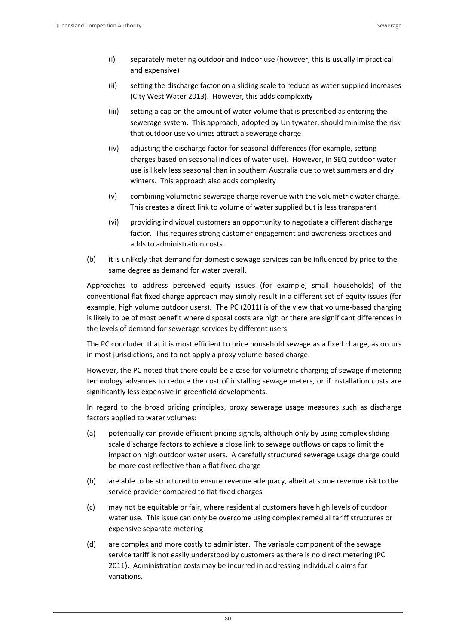- (i) separately metering outdoor and indoor use (however, this is usually impractical and expensive)
- (ii) setting the discharge factor on a sliding scale to reduce as water supplied increases (City West Water 2013). However, this adds complexity
- (iii) setting a cap on the amount of water volume that is prescribed as entering the sewerage system. This approach, adopted by Unitywater, should minimise the risk that outdoor use volumes attract a sewerage charge
- (iv) adjusting the discharge factor for seasonal differences (for example, setting charges based on seasonal indices of water use). However, in SEQ outdoor water use is likely less seasonal than in southern Australia due to wet summers and dry winters. This approach also adds complexity
- (v) combining volumetric sewerage charge revenue with the volumetric water charge. This creates a direct link to volume of water supplied but is less transparent
- (vi) providing individual customers an opportunity to negotiate a different discharge factor. This requires strong customer engagement and awareness practices and adds to administration costs.
- (b) it is unlikely that demand for domestic sewage services can be influenced by price to the same degree as demand for water overall.

Approaches to address perceived equity issues (for example, small households) of the conventional flat fixed charge approach may simply result in a different set of equity issues (for example, high volume outdoor users). The PC (2011) is of the view that volume-based charging is likely to be of most benefit where disposal costs are high or there are significant differences in the levels of demand for sewerage services by different users.

The PC concluded that it is most efficient to price household sewage as a fixed charge, as occurs in most jurisdictions, and to not apply a proxy volume‐based charge.

However, the PC noted that there could be a case for volumetric charging of sewage if metering technology advances to reduce the cost of installing sewage meters, or if installation costs are significantly less expensive in greenfield developments.

In regard to the broad pricing principles, proxy sewerage usage measures such as discharge factors applied to water volumes:

- (a) potentially can provide efficient pricing signals, although only by using complex sliding scale discharge factors to achieve a close link to sewage outflows or caps to limit the impact on high outdoor water users. A carefully structured sewerage usage charge could be more cost reflective than a flat fixed charge
- (b) are able to be structured to ensure revenue adequacy, albeit at some revenue risk to the service provider compared to flat fixed charges
- (c) may not be equitable or fair, where residential customers have high levels of outdoor water use. This issue can only be overcome using complex remedial tariff structures or expensive separate metering
- (d) are complex and more costly to administer. The variable component of the sewage service tariff is not easily understood by customers as there is no direct metering (PC 2011). Administration costs may be incurred in addressing individual claims for variations.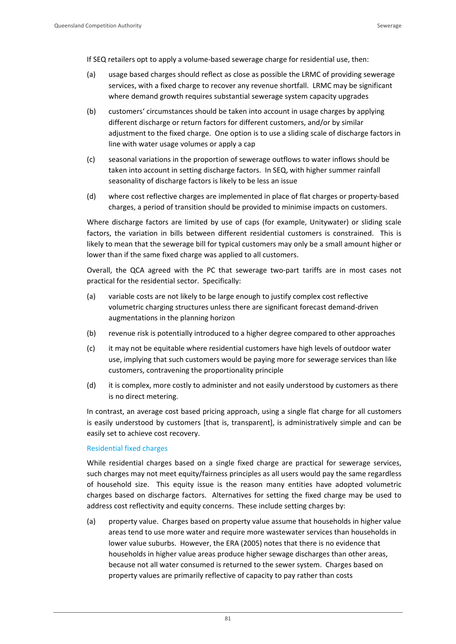If SEQ retailers opt to apply a volume‐based sewerage charge for residential use, then:

- (a) usage based charges should reflect as close as possible the LRMC of providing sewerage services, with a fixed charge to recover any revenue shortfall. LRMC may be significant where demand growth requires substantial sewerage system capacity upgrades
- (b) customers' circumstances should be taken into account in usage charges by applying different discharge or return factors for different customers, and/or by similar adjustment to the fixed charge. One option is to use a sliding scale of discharge factors in line with water usage volumes or apply a cap
- (c) seasonal variations in the proportion of sewerage outflows to water inflows should be taken into account in setting discharge factors. In SEQ, with higher summer rainfall seasonality of discharge factors is likely to be less an issue
- (d) where cost reflective charges are implemented in place of flat charges or property‐based charges, a period of transition should be provided to minimise impacts on customers.

Where discharge factors are limited by use of caps (for example, Unitywater) or sliding scale factors, the variation in bills between different residential customers is constrained. This is likely to mean that the sewerage bill for typical customers may only be a small amount higher or lower than if the same fixed charge was applied to all customers.

Overall, the QCA agreed with the PC that sewerage two‐part tariffs are in most cases not practical for the residential sector. Specifically:

- (a) variable costs are not likely to be large enough to justify complex cost reflective volumetric charging structures unless there are significant forecast demand‐driven augmentations in the planning horizon
- (b) revenue risk is potentially introduced to a higher degree compared to other approaches
- (c) it may not be equitable where residential customers have high levels of outdoor water use, implying that such customers would be paying more for sewerage services than like customers, contravening the proportionality principle
- (d) it is complex, more costly to administer and not easily understood by customers as there is no direct metering.

In contrast, an average cost based pricing approach, using a single flat charge for all customers is easily understood by customers [that is, transparent], is administratively simple and can be easily set to achieve cost recovery.

#### Residential fixed charges

While residential charges based on a single fixed charge are practical for sewerage services, such charges may not meet equity/fairness principles as all users would pay the same regardless of household size. This equity issue is the reason many entities have adopted volumetric charges based on discharge factors. Alternatives for setting the fixed charge may be used to address cost reflectivity and equity concerns. These include setting charges by:

(a) property value. Charges based on property value assume that households in higher value areas tend to use more water and require more wastewater services than households in lower value suburbs. However, the ERA (2005) notes that there is no evidence that households in higher value areas produce higher sewage discharges than other areas, because not all water consumed is returned to the sewer system. Charges based on property values are primarily reflective of capacity to pay rather than costs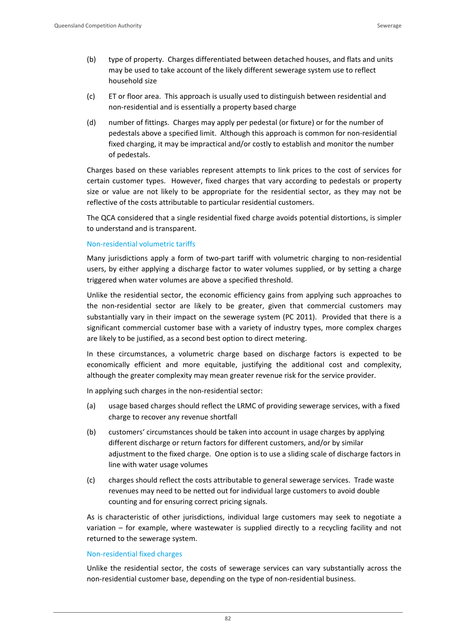- (b) type of property. Charges differentiated between detached houses, and flats and units may be used to take account of the likely different sewerage system use to reflect household size
- (c) ET or floor area. This approach is usually used to distinguish between residential and non‐residential and is essentially a property based charge
- (d) number of fittings. Charges may apply per pedestal (or fixture) or for the number of pedestals above a specified limit. Although this approach is common for non‐residential fixed charging, it may be impractical and/or costly to establish and monitor the number of pedestals.

Charges based on these variables represent attempts to link prices to the cost of services for certain customer types. However, fixed charges that vary according to pedestals or property size or value are not likely to be appropriate for the residential sector, as they may not be reflective of the costs attributable to particular residential customers.

The QCA considered that a single residential fixed charge avoids potential distortions, is simpler to understand and is transparent.

#### Non‐residential volumetric tariffs

Many jurisdictions apply a form of two-part tariff with volumetric charging to non-residential users, by either applying a discharge factor to water volumes supplied, or by setting a charge triggered when water volumes are above a specified threshold.

Unlike the residential sector, the economic efficiency gains from applying such approaches to the non‐residential sector are likely to be greater, given that commercial customers may substantially vary in their impact on the sewerage system (PC 2011). Provided that there is a significant commercial customer base with a variety of industry types, more complex charges are likely to be justified, as a second best option to direct metering.

In these circumstances, a volumetric charge based on discharge factors is expected to be economically efficient and more equitable, justifying the additional cost and complexity, although the greater complexity may mean greater revenue risk for the service provider.

In applying such charges in the non‐residential sector:

- (a) usage based charges should reflect the LRMC of providing sewerage services, with a fixed charge to recover any revenue shortfall
- (b) customers' circumstances should be taken into account in usage charges by applying different discharge or return factors for different customers, and/or by similar adjustment to the fixed charge. One option is to use a sliding scale of discharge factors in line with water usage volumes
- (c) charges should reflect the costs attributable to general sewerage services. Trade waste revenues may need to be netted out for individual large customers to avoid double counting and for ensuring correct pricing signals.

As is characteristic of other jurisdictions, individual large customers may seek to negotiate a variation – for example, where wastewater is supplied directly to a recycling facility and not returned to the sewerage system.

#### Non‐residential fixed charges

Unlike the residential sector, the costs of sewerage services can vary substantially across the non-residential customer base, depending on the type of non-residential business.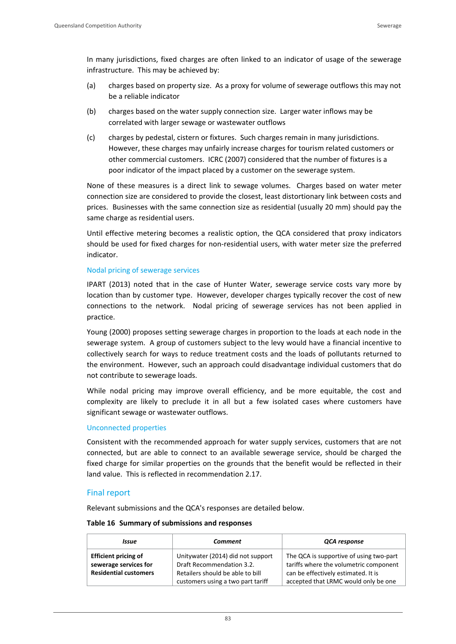In many jurisdictions, fixed charges are often linked to an indicator of usage of the sewerage infrastructure. This may be achieved by:

- (a) charges based on property size. As a proxy for volume of sewerage outflows this may not be a reliable indicator
- (b) charges based on the water supply connection size. Larger water inflows may be correlated with larger sewage or wastewater outflows
- (c) charges by pedestal, cistern or fixtures. Such charges remain in many jurisdictions. However, these charges may unfairly increase charges for tourism related customers or other commercial customers. ICRC (2007) considered that the number of fixtures is a poor indicator of the impact placed by a customer on the sewerage system.

None of these measures is a direct link to sewage volumes. Charges based on water meter connection size are considered to provide the closest, least distortionary link between costs and prices. Businesses with the same connection size as residential (usually 20 mm) should pay the same charge as residential users.

Until effective metering becomes a realistic option, the QCA considered that proxy indicators should be used for fixed charges for non-residential users, with water meter size the preferred indicator.

#### Nodal pricing of sewerage services

IPART (2013) noted that in the case of Hunter Water, sewerage service costs vary more by location than by customer type. However, developer charges typically recover the cost of new connections to the network. Nodal pricing of sewerage services has not been applied in practice.

Young (2000) proposes setting sewerage charges in proportion to the loads at each node in the sewerage system. A group of customers subject to the levy would have a financial incentive to collectively search for ways to reduce treatment costs and the loads of pollutants returned to the environment. However, such an approach could disadvantage individual customers that do not contribute to sewerage loads.

While nodal pricing may improve overall efficiency, and be more equitable, the cost and complexity are likely to preclude it in all but a few isolated cases where customers have significant sewage or wastewater outflows.

#### Unconnected properties

Consistent with the recommended approach for water supply services, customers that are not connected, but are able to connect to an available sewerage service, should be charged the fixed charge for similar properties on the grounds that the benefit would be reflected in their land value. This is reflected in recommendation 2.17.

#### Final report

Relevant submissions and the QCA's responses are detailed below.

#### **Table 16 Summary of submissions and responses**

| Issue                                                                                | <b>Comment</b>                                                                                                                          | QCA response                                                                                                                                                     |  |  |
|--------------------------------------------------------------------------------------|-----------------------------------------------------------------------------------------------------------------------------------------|------------------------------------------------------------------------------------------------------------------------------------------------------------------|--|--|
| <b>Efficient pricing of</b><br>sewerage services for<br><b>Residential customers</b> | Unitywater (2014) did not support<br>Draft Recommendation 3.2.<br>Retailers should be able to bill<br>customers using a two part tariff | The QCA is supportive of using two-part<br>tariffs where the volumetric component<br>can be effectively estimated. It is<br>accepted that LRMC would only be one |  |  |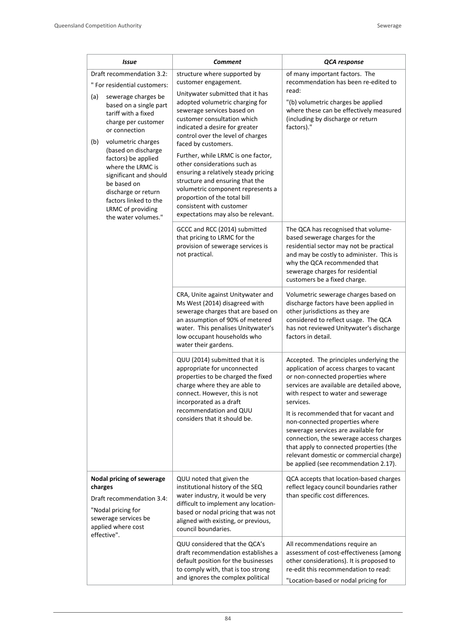| <b>Issue</b>                                                                                                                                                                                                                                                                                                                                                                                                          | <b>Comment</b>                                                                                                                                                                                                                                                                                                                                                                                                                                                                                                                                                                 | QCA response                                                                                                                                                                                                                                                                                                                                                                                                                                                                                                         |
|-----------------------------------------------------------------------------------------------------------------------------------------------------------------------------------------------------------------------------------------------------------------------------------------------------------------------------------------------------------------------------------------------------------------------|--------------------------------------------------------------------------------------------------------------------------------------------------------------------------------------------------------------------------------------------------------------------------------------------------------------------------------------------------------------------------------------------------------------------------------------------------------------------------------------------------------------------------------------------------------------------------------|----------------------------------------------------------------------------------------------------------------------------------------------------------------------------------------------------------------------------------------------------------------------------------------------------------------------------------------------------------------------------------------------------------------------------------------------------------------------------------------------------------------------|
| Draft recommendation 3.2:<br>" For residential customers:<br>sewerage charges be<br>(a)<br>based on a single part<br>tariff with a fixed<br>charge per customer<br>or connection<br>(b)<br>volumetric charges<br>(based on discharge<br>factors) be applied<br>where the LRMC is<br>significant and should<br>be based on<br>discharge or return<br>factors linked to the<br>LRMC of providing<br>the water volumes." | structure where supported by<br>customer engagement.<br>Unitywater submitted that it has<br>adopted volumetric charging for<br>sewerage services based on<br>customer consultation which<br>indicated a desire for greater<br>control over the level of charges<br>faced by customers.<br>Further, while LRMC is one factor,<br>other considerations such as<br>ensuring a relatively steady pricing<br>structure and ensuring that the<br>volumetric component represents a<br>proportion of the total bill<br>consistent with customer<br>expectations may also be relevant. | of many important factors. The<br>recommendation has been re-edited to<br>read:<br>"(b) volumetric charges be applied<br>where these can be effectively measured<br>(including by discharge or return<br>factors)."                                                                                                                                                                                                                                                                                                  |
|                                                                                                                                                                                                                                                                                                                                                                                                                       | GCCC and RCC (2014) submitted<br>that pricing to LRMC for the<br>provision of sewerage services is<br>not practical.                                                                                                                                                                                                                                                                                                                                                                                                                                                           | The QCA has recognised that volume-<br>based sewerage charges for the<br>residential sector may not be practical<br>and may be costly to administer. This is<br>why the QCA recommended that<br>sewerage charges for residential<br>customers be a fixed charge.                                                                                                                                                                                                                                                     |
|                                                                                                                                                                                                                                                                                                                                                                                                                       | CRA, Unite against Unitywater and<br>Ms West (2014) disagreed with<br>sewerage charges that are based on<br>an assumption of 90% of metered<br>water. This penalises Unitywater's<br>low occupant households who<br>water their gardens.                                                                                                                                                                                                                                                                                                                                       | Volumetric sewerage charges based on<br>discharge factors have been applied in<br>other jurisdictions as they are<br>considered to reflect usage. The QCA<br>has not reviewed Unitywater's discharge<br>factors in detail.                                                                                                                                                                                                                                                                                           |
|                                                                                                                                                                                                                                                                                                                                                                                                                       | QUU (2014) submitted that it is<br>appropriate for unconnected<br>properties to be charged the fixed<br>charge where they are able to<br>connect. However, this is not<br>incorporated as a draft<br>recommendation and QUU<br>considers that it should be.                                                                                                                                                                                                                                                                                                                    | Accepted. The principles underlying the<br>application of access charges to vacant<br>or non-connected properties where<br>services are available are detailed above,<br>with respect to water and sewerage<br>services.<br>It is recommended that for vacant and<br>non-connected properties where<br>sewerage services are available for<br>connection, the sewerage access charges<br>that apply to connected properties (the<br>relevant domestic or commercial charge)<br>be applied (see recommendation 2.17). |
| Nodal pricing of sewerage<br>charges<br>Draft recommendation 3.4:<br>"Nodal pricing for<br>sewerage services be<br>applied where cost<br>effective".                                                                                                                                                                                                                                                                  | QUU noted that given the<br>institutional history of the SEQ<br>water industry, it would be very<br>difficult to implement any location-<br>based or nodal pricing that was not<br>aligned with existing, or previous,<br>council boundaries.                                                                                                                                                                                                                                                                                                                                  | QCA accepts that location-based charges<br>reflect legacy council boundaries rather<br>than specific cost differences.                                                                                                                                                                                                                                                                                                                                                                                               |
|                                                                                                                                                                                                                                                                                                                                                                                                                       | QUU considered that the QCA's<br>draft recommendation establishes a<br>default position for the businesses<br>to comply with, that is too strong<br>and ignores the complex political                                                                                                                                                                                                                                                                                                                                                                                          | All recommendations require an<br>assessment of cost-effectiveness (among<br>other considerations). It is proposed to<br>re-edit this recommendation to read:<br>"Location-based or nodal pricing for                                                                                                                                                                                                                                                                                                                |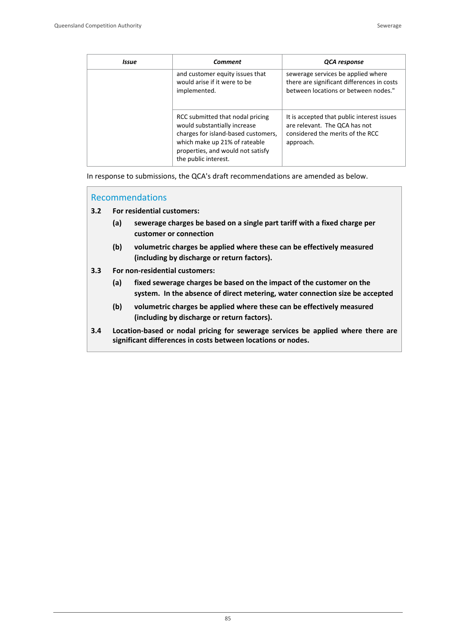| Issue | Comment                                                                                                                                                                                               | QCA response                                                                                                                 |
|-------|-------------------------------------------------------------------------------------------------------------------------------------------------------------------------------------------------------|------------------------------------------------------------------------------------------------------------------------------|
|       | and customer equity issues that<br>would arise if it were to be<br>implemented.                                                                                                                       | sewerage services be applied where<br>there are significant differences in costs<br>between locations or between nodes."     |
|       | RCC submitted that nodal pricing<br>would substantially increase<br>charges for island-based customers,<br>which make up 21% of rateable<br>properties, and would not satisfy<br>the public interest. | It is accepted that public interest issues<br>are relevant. The QCA has not<br>considered the merits of the RCC<br>approach. |

In response to submissions, the QCA's draft recommendations are amended as below.

### Recommendations

**3.2 For residential customers:**

- **(a) sewerage charges be based on a single part tariff with a fixed charge per customer or connection**
- **(b) volumetric charges be applied where these can be effectively measured (including by discharge or return factors).**
- **3.3 For non‐residential customers:** 
	- **(a) fixed sewerage charges be based on the impact of the customer on the system. In the absence of direct metering, water connection size be accepted**
	- **(b) volumetric charges be applied where these can be effectively measured (including by discharge or return factors).**
- **3.4 Location‐based or nodal pricing for sewerage services be applied where there are significant differences in costs between locations or nodes.**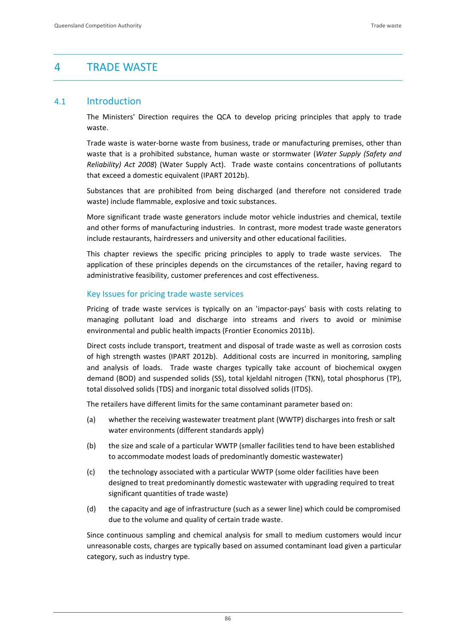# 4 TRADE WASTE

## 4.1 Introduction

The Ministers' Direction requires the QCA to develop pricing principles that apply to trade waste.

Trade waste is water‐borne waste from business, trade or manufacturing premises, other than waste that is a prohibited substance, human waste or stormwater (*Water Supply (Safety and Reliability) Act 2008*) (Water Supply Act). Trade waste contains concentrations of pollutants that exceed a domestic equivalent (IPART 2012b).

Substances that are prohibited from being discharged (and therefore not considered trade waste) include flammable, explosive and toxic substances.

More significant trade waste generators include motor vehicle industries and chemical, textile and other forms of manufacturing industries. In contrast, more modest trade waste generators include restaurants, hairdressers and university and other educational facilities.

This chapter reviews the specific pricing principles to apply to trade waste services. The application of these principles depends on the circumstances of the retailer, having regard to administrative feasibility, customer preferences and cost effectiveness.

#### Key Issues for pricing trade waste services

Pricing of trade waste services is typically on an 'impactor‐pays' basis with costs relating to managing pollutant load and discharge into streams and rivers to avoid or minimise environmental and public health impacts (Frontier Economics 2011b).

Direct costs include transport, treatment and disposal of trade waste as well as corrosion costs of high strength wastes (IPART 2012b). Additional costs are incurred in monitoring, sampling and analysis of loads. Trade waste charges typically take account of biochemical oxygen demand (BOD) and suspended solids (SS), total kjeldahl nitrogen (TKN), total phosphorus (TP), total dissolved solids (TDS) and inorganic total dissolved solids (ITDS).

The retailers have different limits for the same contaminant parameter based on:

- (a) whether the receiving wastewater treatment plant (WWTP) discharges into fresh or salt water environments (different standards apply)
- (b) the size and scale of a particular WWTP (smaller facilities tend to have been established to accommodate modest loads of predominantly domestic wastewater)
- (c) the technology associated with a particular WWTP (some older facilities have been designed to treat predominantly domestic wastewater with upgrading required to treat significant quantities of trade waste)
- (d) the capacity and age of infrastructure (such as a sewer line) which could be compromised due to the volume and quality of certain trade waste.

Since continuous sampling and chemical analysis for small to medium customers would incur unreasonable costs, charges are typically based on assumed contaminant load given a particular category, such as industry type.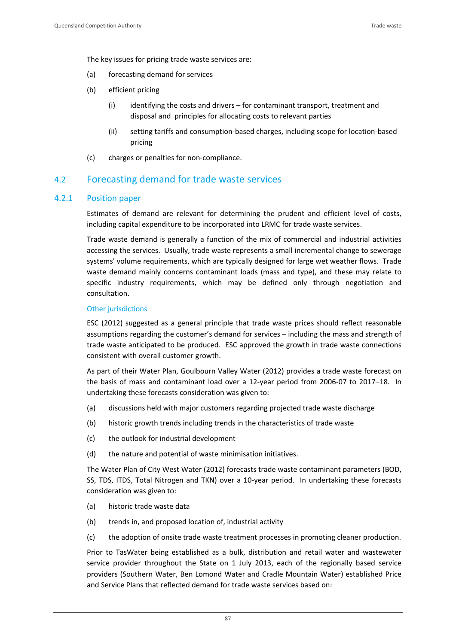The key issues for pricing trade waste services are:

- (a) forecasting demand for services
- (b) efficient pricing
	- (i) identifying the costs and drivers for contaminant transport, treatment and disposal and principles for allocating costs to relevant parties
	- (ii) setting tariffs and consumption‐based charges, including scope for location‐based pricing
- (c) charges or penalties for non‐compliance.

## 4.2 Forecasting demand for trade waste services

### 4.2.1 Position paper

Estimates of demand are relevant for determining the prudent and efficient level of costs, including capital expenditure to be incorporated into LRMC for trade waste services.

Trade waste demand is generally a function of the mix of commercial and industrial activities accessing the services. Usually, trade waste represents a small incremental change to sewerage systems' volume requirements, which are typically designed for large wet weather flows. Trade waste demand mainly concerns contaminant loads (mass and type), and these may relate to specific industry requirements, which may be defined only through negotiation and consultation.

#### Other jurisdictions

ESC (2012) suggested as a general principle that trade waste prices should reflect reasonable assumptions regarding the customer's demand for services – including the mass and strength of trade waste anticipated to be produced. ESC approved the growth in trade waste connections consistent with overall customer growth.

As part of their Water Plan, Goulbourn Valley Water (2012) provides a trade waste forecast on the basis of mass and contaminant load over a 12‐year period from 2006‐07 to 2017–18. In undertaking these forecasts consideration was given to:

- (a) discussions held with major customers regarding projected trade waste discharge
- (b) historic growth trends including trends in the characteristics of trade waste
- (c) the outlook for industrial development
- (d) the nature and potential of waste minimisation initiatives.

The Water Plan of City West Water (2012) forecasts trade waste contaminant parameters (BOD, SS, TDS, ITDS, Total Nitrogen and TKN) over a 10‐year period. In undertaking these forecasts consideration was given to:

- (a) historic trade waste data
- (b) trends in, and proposed location of, industrial activity
- (c) the adoption of onsite trade waste treatment processes in promoting cleaner production.

Prior to TasWater being established as a bulk, distribution and retail water and wastewater service provider throughout the State on 1 July 2013, each of the regionally based service providers (Southern Water, Ben Lomond Water and Cradle Mountain Water) established Price and Service Plans that reflected demand for trade waste services based on: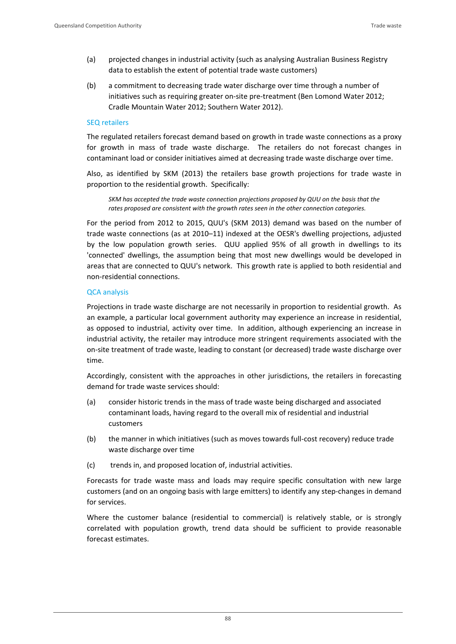- (a) projected changes in industrial activity (such as analysing Australian Business Registry data to establish the extent of potential trade waste customers)
- (b) a commitment to decreasing trade water discharge over time through a number of initiatives such as requiring greater on-site pre-treatment (Ben Lomond Water 2012; Cradle Mountain Water 2012; Southern Water 2012).

#### SEQ retailers

The regulated retailers forecast demand based on growth in trade waste connections as a proxy for growth in mass of trade waste discharge. The retailers do not forecast changes in contaminant load or consider initiatives aimed at decreasing trade waste discharge over time.

Also, as identified by SKM (2013) the retailers base growth projections for trade waste in proportion to the residential growth. Specifically:

*SKM has accepted the trade waste connection projections proposed by QUU on the basis that the rates proposed are consistent with the growth rates seen in the other connection categories.*

For the period from 2012 to 2015, QUU's (SKM 2013) demand was based on the number of trade waste connections (as at 2010–11) indexed at the OESR's dwelling projections, adjusted by the low population growth series. QUU applied 95% of all growth in dwellings to its 'connected' dwellings, the assumption being that most new dwellings would be developed in areas that are connected to QUU's network. This growth rate is applied to both residential and non‐residential connections.

#### QCA analysis

Projections in trade waste discharge are not necessarily in proportion to residential growth. As an example, a particular local government authority may experience an increase in residential, as opposed to industrial, activity over time. In addition, although experiencing an increase in industrial activity, the retailer may introduce more stringent requirements associated with the on‐site treatment of trade waste, leading to constant (or decreased) trade waste discharge over time.

Accordingly, consistent with the approaches in other jurisdictions, the retailers in forecasting demand for trade waste services should:

- (a) consider historic trends in the mass of trade waste being discharged and associated contaminant loads, having regard to the overall mix of residential and industrial customers
- (b) the manner in which initiatives (such as moves towards full‐cost recovery) reduce trade waste discharge over time
- (c) trends in, and proposed location of, industrial activities.

Forecasts for trade waste mass and loads may require specific consultation with new large customers (and on an ongoing basis with large emitters) to identify any step‐changes in demand for services.

Where the customer balance (residential to commercial) is relatively stable, or is strongly correlated with population growth, trend data should be sufficient to provide reasonable forecast estimates.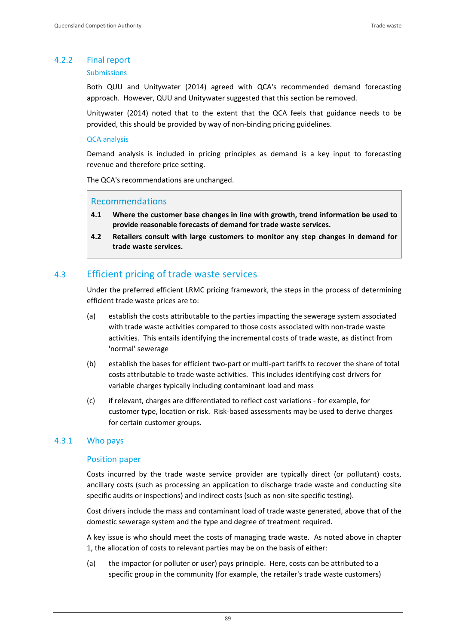## 4.2.2 Final report

#### Submissions

Both QUU and Unitywater (2014) agreed with QCA's recommended demand forecasting approach. However, QUU and Unitywater suggested that this section be removed.

Unitywater (2014) noted that to the extent that the QCA feels that guidance needs to be provided, this should be provided by way of non‐binding pricing guidelines.

#### QCA analysis

Demand analysis is included in pricing principles as demand is a key input to forecasting revenue and therefore price setting.

The QCA's recommendations are unchanged.

### Recommendations

- **4.1 Where the customer base changes in line with growth, trend information be used to provide reasonable forecasts of demand for trade waste services.**
- **4.2 Retailers consult with large customers to monitor any step changes in demand for trade waste services.**

## 4.3 Efficient pricing of trade waste services

Under the preferred efficient LRMC pricing framework, the steps in the process of determining efficient trade waste prices are to:

- (a) establish the costs attributable to the parties impacting the sewerage system associated with trade waste activities compared to those costs associated with non‐trade waste activities. This entails identifying the incremental costs of trade waste, as distinct from 'normal' sewerage
- (b) establish the bases for efficient two‐part or multi‐part tariffs to recover the share of total costs attributable to trade waste activities. This includes identifying cost drivers for variable charges typically including contaminant load and mass
- (c) if relevant, charges are differentiated to reflect cost variations ‐ for example, for customer type, location or risk. Risk‐based assessments may be used to derive charges for certain customer groups.

## 4.3.1 Who pays

#### Position paper

Costs incurred by the trade waste service provider are typically direct (or pollutant) costs, ancillary costs (such as processing an application to discharge trade waste and conducting site specific audits or inspections) and indirect costs (such as non-site specific testing).

Cost drivers include the mass and contaminant load of trade waste generated, above that of the domestic sewerage system and the type and degree of treatment required.

A key issue is who should meet the costs of managing trade waste. As noted above in chapter 1, the allocation of costs to relevant parties may be on the basis of either:

(a) the impactor (or polluter or user) pays principle. Here, costs can be attributed to a specific group in the community (for example, the retailer's trade waste customers)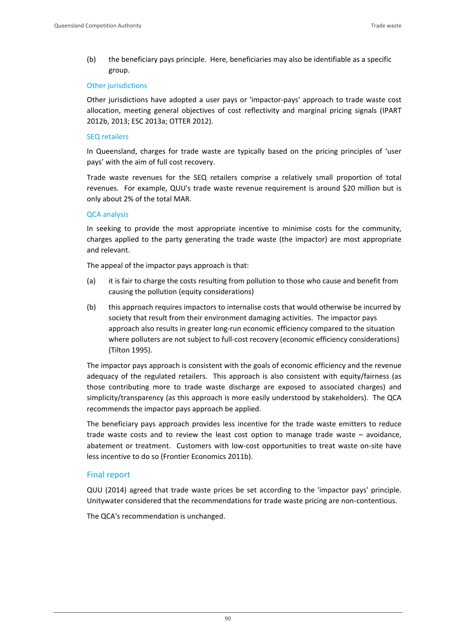(b) the beneficiary pays principle. Here, beneficiaries may also be identifiable as a specific group.

#### Other jurisdictions

Other jurisdictions have adopted a user pays or 'impactor‐pays' approach to trade waste cost allocation, meeting general objectives of cost reflectivity and marginal pricing signals (IPART 2012b, 2013; ESC 2013a; OTTER 2012).

#### SEQ retailers

In Queensland, charges for trade waste are typically based on the pricing principles of 'user pays' with the aim of full cost recovery.

Trade waste revenues for the SEQ retailers comprise a relatively small proportion of total revenues. For example, QUU's trade waste revenue requirement is around \$20 million but is only about 2% of the total MAR.

#### QCA analysis

In seeking to provide the most appropriate incentive to minimise costs for the community, charges applied to the party generating the trade waste (the impactor) are most appropriate and relevant.

The appeal of the impactor pays approach is that:

- (a) it is fair to charge the costs resulting from pollution to those who cause and benefit from causing the pollution (equity considerations)
- (b) this approach requires impactors to internalise costs that would otherwise be incurred by society that result from their environment damaging activities. The impactor pays approach also results in greater long-run economic efficiency compared to the situation where polluters are not subject to full‐cost recovery (economic efficiency considerations) (Tilton 1995).

The impactor pays approach is consistent with the goals of economic efficiency and the revenue adequacy of the regulated retailers. This approach is also consistent with equity/fairness (as those contributing more to trade waste discharge are exposed to associated charges) and simplicity/transparency (as this approach is more easily understood by stakeholders). The QCA recommends the impactor pays approach be applied.

The beneficiary pays approach provides less incentive for the trade waste emitters to reduce trade waste costs and to review the least cost option to manage trade waste – avoidance, abatement or treatment. Customers with low-cost opportunities to treat waste on-site have less incentive to do so (Frontier Economics 2011b).

#### Final report

QUU (2014) agreed that trade waste prices be set according to the 'impactor pays' principle. Unitywater considered that the recommendations for trade waste pricing are non‐contentious.

The QCA's recommendation is unchanged.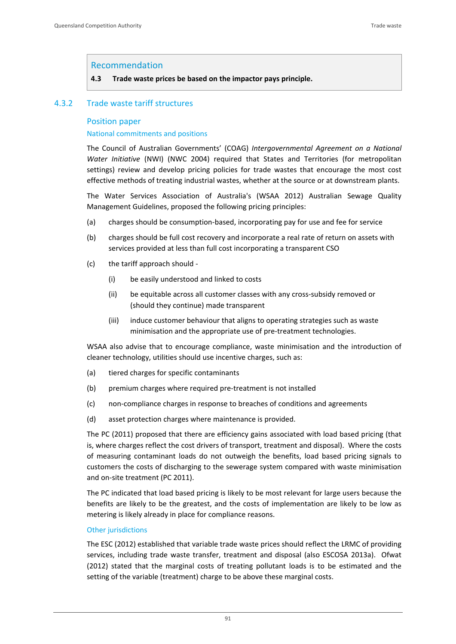#### Recommendation

#### **4.3 Trade waste prices be based on the impactor pays principle.**

### 4.3.2 Trade waste tariff structures

#### Position paper

#### National commitments and positions

The Council of Australian Governments' (COAG) *Intergovernmental Agreement on a National Water Initiative* (NWI) (NWC 2004) required that States and Territories (for metropolitan settings) review and develop pricing policies for trade wastes that encourage the most cost effective methods of treating industrial wastes, whether at the source or at downstream plants.

The Water Services Association of Australia's (WSAA 2012) Australian Sewage Quality Management Guidelines, proposed the following pricing principles:

- (a) charges should be consumption‐based, incorporating pay for use and fee for service
- (b) charges should be full cost recovery and incorporate a real rate of return on assets with services provided at less than full cost incorporating a transparent CSO
- (c) the tariff approach should ‐
	- (i) be easily understood and linked to costs
	- (ii) be equitable across all customer classes with any cross‐subsidy removed or (should they continue) made transparent
	- (iii) induce customer behaviour that aligns to operating strategies such as waste minimisation and the appropriate use of pre‐treatment technologies.

WSAA also advise that to encourage compliance, waste minimisation and the introduction of cleaner technology, utilities should use incentive charges, such as:

- (a) tiered charges for specific contaminants
- (b) premium charges where required pre‐treatment is not installed
- (c) non‐compliance charges in response to breaches of conditions and agreements
- (d) asset protection charges where maintenance is provided.

The PC (2011) proposed that there are efficiency gains associated with load based pricing (that is, where charges reflect the cost drivers of transport, treatment and disposal). Where the costs of measuring contaminant loads do not outweigh the benefits, load based pricing signals to customers the costs of discharging to the sewerage system compared with waste minimisation and on‐site treatment (PC 2011).

The PC indicated that load based pricing is likely to be most relevant for large users because the benefits are likely to be the greatest, and the costs of implementation are likely to be low as metering is likely already in place for compliance reasons.

#### Other jurisdictions

The ESC (2012) established that variable trade waste prices should reflect the LRMC of providing services, including trade waste transfer, treatment and disposal (also ESCOSA 2013a). Ofwat (2012) stated that the marginal costs of treating pollutant loads is to be estimated and the setting of the variable (treatment) charge to be above these marginal costs.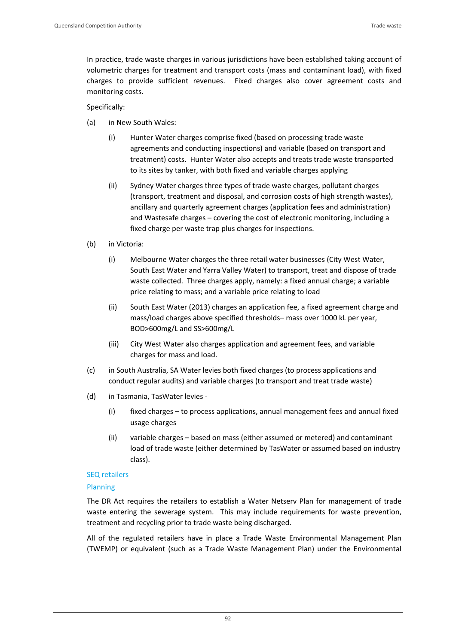In practice, trade waste charges in various jurisdictions have been established taking account of volumetric charges for treatment and transport costs (mass and contaminant load), with fixed charges to provide sufficient revenues. Fixed charges also cover agreement costs and monitoring costs.

Specifically:

- (a) in New South Wales:
	- (i) Hunter Water charges comprise fixed (based on processing trade waste agreements and conducting inspections) and variable (based on transport and treatment) costs. Hunter Water also accepts and treats trade waste transported to its sites by tanker, with both fixed and variable charges applying
	- (ii) Sydney Water charges three types of trade waste charges, pollutant charges (transport, treatment and disposal, and corrosion costs of high strength wastes), ancillary and quarterly agreement charges (application fees and administration) and Wastesafe charges – covering the cost of electronic monitoring, including a fixed charge per waste trap plus charges for inspections.
- (b) in Victoria:
	- (i) Melbourne Water charges the three retail water businesses (City West Water, South East Water and Yarra Valley Water) to transport, treat and dispose of trade waste collected. Three charges apply, namely: a fixed annual charge; a variable price relating to mass; and a variable price relating to load
	- (ii) South East Water (2013) charges an application fee, a fixed agreement charge and mass/load charges above specified thresholds– mass over 1000 kL per year, BOD>600mg/L and SS>600mg/L
	- (iii) City West Water also charges application and agreement fees, and variable charges for mass and load.
- (c) in South Australia, SA Water levies both fixed charges (to process applications and conduct regular audits) and variable charges (to transport and treat trade waste)
- (d) in Tasmania, TasWater levies ‐
	- (i) fixed charges to process applications, annual management fees and annual fixed usage charges
	- (ii) variable charges based on mass (either assumed or metered) and contaminant load of trade waste (either determined by TasWater or assumed based on industry class).

#### SEQ retailers

#### Planning

The DR Act requires the retailers to establish a Water Netserv Plan for management of trade waste entering the sewerage system. This may include requirements for waste prevention, treatment and recycling prior to trade waste being discharged.

All of the regulated retailers have in place a Trade Waste Environmental Management Plan (TWEMP) or equivalent (such as a Trade Waste Management Plan) under the Environmental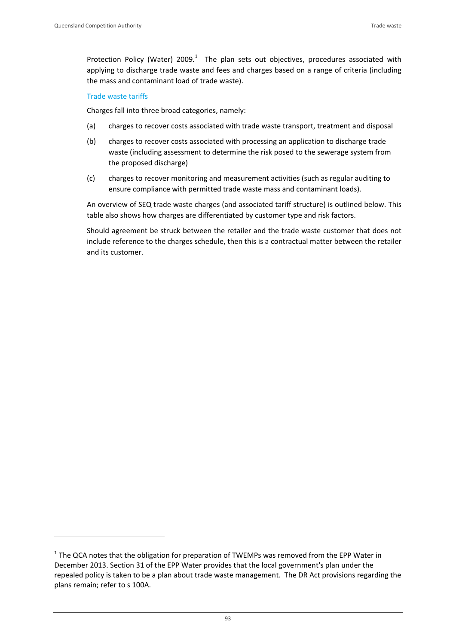Protection Policy (Water) 2009.<sup>1</sup> The plan sets out objectives, procedures associated with applying to discharge trade waste and fees and charges based on a range of criteria (including the mass and contaminant load of trade waste).

#### Trade waste tariffs

Charges fall into three broad categories, namely:

- (a) charges to recover costs associated with trade waste transport, treatment and disposal
- (b) charges to recover costs associated with processing an application to discharge trade waste (including assessment to determine the risk posed to the sewerage system from the proposed discharge)
- (c) charges to recover monitoring and measurement activities (such as regular auditing to ensure compliance with permitted trade waste mass and contaminant loads).

An overview of SEQ trade waste charges (and associated tariff structure) is outlined below. This table also shows how charges are differentiated by customer type and risk factors.

Should agreement be struck between the retailer and the trade waste customer that does not include reference to the charges schedule, then this is a contractual matter between the retailer and its customer.

 $1$  The QCA notes that the obligation for preparation of TWEMPs was removed from the EPP Water in December 2013. Section 31 of the EPP Water provides that the local government's plan under the repealed policy is taken to be a plan about trade waste management. The DR Act provisions regarding the plans remain; refer to s 100A.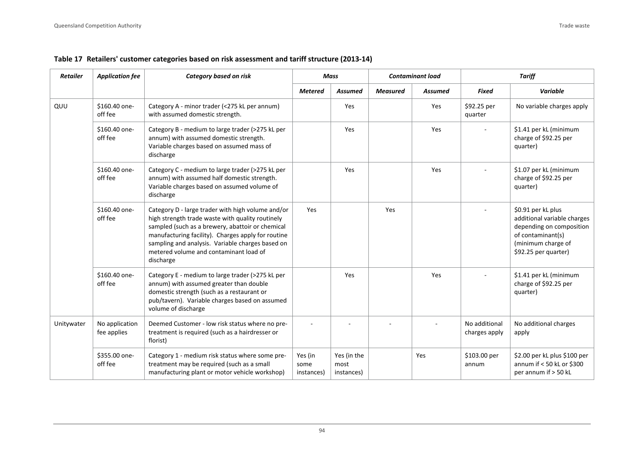| <b>Retailer</b> | <b>Application fee</b>        | Category based on risk                                                                                                                                                                                                                                                                                                     |                               | <b>Contaminant load</b><br><b>Mass</b> |                 |                | <b>Tariff</b>                  |                                                                                                                                                  |
|-----------------|-------------------------------|----------------------------------------------------------------------------------------------------------------------------------------------------------------------------------------------------------------------------------------------------------------------------------------------------------------------------|-------------------------------|----------------------------------------|-----------------|----------------|--------------------------------|--------------------------------------------------------------------------------------------------------------------------------------------------|
|                 |                               |                                                                                                                                                                                                                                                                                                                            | <b>Metered</b>                | <b>Assumed</b>                         | <b>Measured</b> | <b>Assumed</b> | <b>Fixed</b>                   | Variable                                                                                                                                         |
| QUU             | \$160.40 one-<br>off fee      | Category A - minor trader (<275 kL per annum)<br>with assumed domestic strength.                                                                                                                                                                                                                                           |                               | Yes                                    |                 | Yes            | \$92.25 per<br>quarter         | No variable charges apply                                                                                                                        |
|                 | \$160.40 one-<br>off fee      | Category B - medium to large trader (>275 kL per<br>annum) with assumed domestic strength.<br>Variable charges based on assumed mass of<br>discharge                                                                                                                                                                       |                               | Yes                                    |                 | Yes            |                                | \$1.41 per kL (minimum<br>charge of \$92.25 per<br>quarter)                                                                                      |
|                 | \$160.40 one-<br>off fee      | Category C - medium to large trader (>275 kL per<br>annum) with assumed half domestic strength.<br>Variable charges based on assumed volume of<br>discharge                                                                                                                                                                |                               | Yes                                    |                 | Yes            |                                | \$1.07 per kL (minimum<br>charge of \$92.25 per<br>quarter)                                                                                      |
|                 | \$160.40 one-<br>off fee      | Category D - large trader with high volume and/or<br>high strength trade waste with quality routinely<br>sampled (such as a brewery, abattoir or chemical<br>manufacturing facility). Charges apply for routine<br>sampling and analysis. Variable charges based on<br>metered volume and contaminant load of<br>discharge | Yes                           |                                        | Yes             |                |                                | \$0.91 per kL plus<br>additional variable charges<br>depending on composition<br>of contaminant(s)<br>(minimum charge of<br>\$92.25 per quarter) |
|                 | \$160.40 one-<br>off fee      | Category E - medium to large trader (>275 kL per<br>annum) with assumed greater than double<br>domestic strength (such as a restaurant or<br>pub/tavern). Variable charges based on assumed<br>volume of discharge                                                                                                         |                               | Yes                                    |                 | Yes            |                                | \$1.41 per kL (minimum<br>charge of \$92.25 per<br>quarter)                                                                                      |
| Unitywater      | No application<br>fee applies | Deemed Customer - low risk status where no pre-<br>treatment is required (such as a hairdresser or<br>florist)                                                                                                                                                                                                             |                               |                                        |                 |                | No additional<br>charges apply | No additional charges<br>apply                                                                                                                   |
|                 | \$355.00 one-<br>off fee      | Category 1 - medium risk status where some pre-<br>treatment may be required (such as a small<br>manufacturing plant or motor vehicle workshop)                                                                                                                                                                            | Yes (in<br>some<br>instances) | Yes (in the<br>most<br>instances)      |                 | Yes            | \$103.00 per<br>annum          | \$2.00 per kL plus \$100 per<br>annum if $< 50$ kL or \$300<br>per annum if > 50 kL                                                              |

#### **Table 17 Retailers' customer categories based on risk assessment and tariff structure (2013‐14)**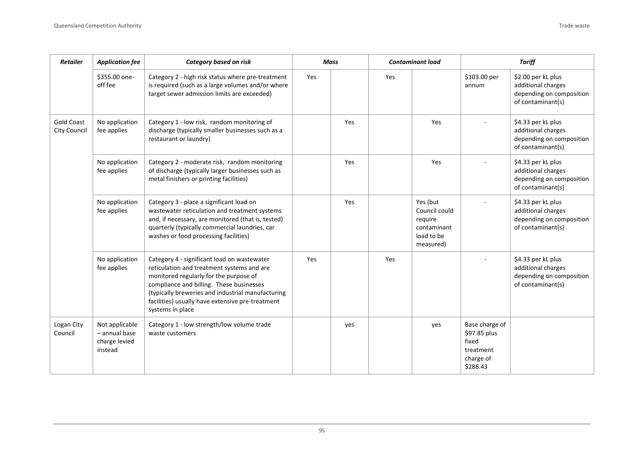| Retailer                                 | <b>Application fee</b>                                        | <b>Category based on risk</b>                                                                                                                                                                                                                                                                                | Mass |     |     |                                                                                | <b>Contaminant load</b>                                                       |                                                                                           | <b>Tariff</b> |  |
|------------------------------------------|---------------------------------------------------------------|--------------------------------------------------------------------------------------------------------------------------------------------------------------------------------------------------------------------------------------------------------------------------------------------------------------|------|-----|-----|--------------------------------------------------------------------------------|-------------------------------------------------------------------------------|-------------------------------------------------------------------------------------------|---------------|--|
|                                          | \$355.00 one-<br>off fee                                      | Category 2 - high risk status where pre-treatment<br>is required (such as a large volumes and/or where<br>target sewer admission limits are exceeded)                                                                                                                                                        | Yes  |     | Yes |                                                                                | \$103.00 per<br>annum                                                         | \$2.00 per kL plus<br>additional charges<br>depending on composition<br>of contaminant(s) |               |  |
| <b>Gold Coast</b><br><b>City Council</b> | No application<br>fee applies                                 | Category 1 - low risk, random monitoring of<br>discharge (typically smaller businesses such as a<br>restaurant or laundry)                                                                                                                                                                                   |      | Yes |     | Yes                                                                            |                                                                               | \$4.33 per kL plus<br>additional charges<br>depending on composition<br>of contaminant(s) |               |  |
|                                          | No application<br>fee applies                                 | Category 2 - moderate risk, random monitoring<br>of discharge (typically larger businesses such as<br>metal finishers or printing facilities)                                                                                                                                                                |      | Yes |     | Yes                                                                            |                                                                               | \$4.33 per kL plus<br>additional charges<br>depending on composition<br>of contaminant(s) |               |  |
|                                          | No application<br>fee applies                                 | Category 3 - place a significant load on<br>wastewater reticulation and treatment systems<br>and, if necessary, are monitored (that is, tested)<br>quarterly (typically commercial laundries, car<br>washes or food processing facilities)                                                                   |      | Yes |     | Yes (but<br>Council could<br>require<br>contaminant<br>load to be<br>measured) |                                                                               | \$4.33 per kL plus<br>additional charges<br>depending on composition<br>of contaminant(s) |               |  |
|                                          | No application<br>fee applies                                 | Category 4 - significant load on wastewater<br>reticulation and treatment systems and are<br>monitored regularly for the purpose of<br>compliance and billing. These businesses<br>(typically breweries and industrial manufacturing<br>facilities) usually have extensive pre-treatment<br>systems in place | Yes  |     | Yes |                                                                                |                                                                               | \$4.33 per kL plus<br>additional charges<br>depending on composition<br>of contaminant(s) |               |  |
| Logan City<br>Council                    | Not applicable<br>$-$ annual base<br>charge levied<br>instead | Category 1 - low strength/low volume trade<br>waste customers                                                                                                                                                                                                                                                |      | yes |     | yes                                                                            | Base charge of<br>\$97.85 plus<br>fixed<br>treatment<br>charge of<br>\$286.43 |                                                                                           |               |  |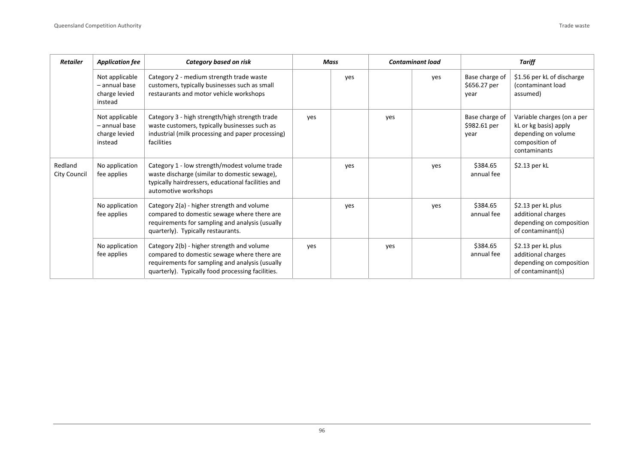| <b>Retailer</b>         | <b>Application fee</b>                                      | Category based on risk                                                                                                                                                                            | Mass |     |     |     | <b>Contaminant load</b>                |                                                                                                              | <b>Tariff</b> |  |
|-------------------------|-------------------------------------------------------------|---------------------------------------------------------------------------------------------------------------------------------------------------------------------------------------------------|------|-----|-----|-----|----------------------------------------|--------------------------------------------------------------------------------------------------------------|---------------|--|
|                         | Not applicable<br>- annual base<br>charge levied<br>instead | Category 2 - medium strength trade waste<br>customers, typically businesses such as small<br>restaurants and motor vehicle workshops                                                              |      | yes |     | yes | Base charge of<br>\$656.27 per<br>year | \$1.56 per kL of discharge<br>(contaminant load<br>assumed)                                                  |               |  |
|                         | Not applicable<br>- annual base<br>charge levied<br>instead | Category 3 - high strength/high strength trade<br>waste customers, typically businesses such as<br>industrial (milk processing and paper processing)<br>facilities                                | yes  |     | yes |     | Base charge of<br>\$982.61 per<br>year | Variable charges (on a per<br>kL or kg basis) apply<br>depending on volume<br>composition of<br>contaminants |               |  |
| Redland<br>City Council | No application<br>fee applies                               | Category 1 - low strength/modest volume trade<br>waste discharge (similar to domestic sewage),<br>typically hairdressers, educational facilities and<br>automotive workshops                      |      | yes |     | yes | \$384.65<br>annual fee                 | \$2.13 per kL                                                                                                |               |  |
|                         | No application<br>fee applies                               | Category 2(a) - higher strength and volume<br>compared to domestic sewage where there are<br>requirements for sampling and analysis (usually<br>quarterly). Typically restaurants.                |      | ves |     | ves | \$384.65<br>annual fee                 | \$2.13 per kL plus<br>additional charges<br>depending on composition<br>of contaminant(s)                    |               |  |
|                         | No application<br>fee applies                               | Category 2(b) - higher strength and volume<br>compared to domestic sewage where there are<br>requirements for sampling and analysis (usually<br>quarterly). Typically food processing facilities. | ves  |     | yes |     | \$384.65<br>annual fee                 | \$2.13 per kL plus<br>additional charges<br>depending on composition<br>of contaminant(s)                    |               |  |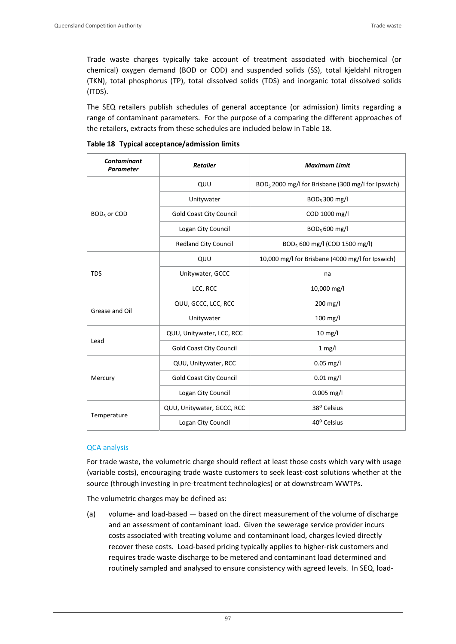Trade waste charges typically take account of treatment associated with biochemical (or chemical) oxygen demand (BOD or COD) and suspended solids (SS), total kjeldahl nitrogen (TKN), total phosphorus (TP), total dissolved solids (TDS) and inorganic total dissolved solids (ITDS).

The SEQ retailers publish schedules of general acceptance (or admission) limits regarding a range of contaminant parameters. For the purpose of a comparing the different approaches of the retailers, extracts from these schedules are included below in Table 18.

| <b>Contaminant</b><br>Parameter | <b>Retailer</b>                | <b>Maximum Limit</b>                                           |  |  |
|---------------------------------|--------------------------------|----------------------------------------------------------------|--|--|
|                                 | QUU                            | BOD <sub>5</sub> 2000 mg/l for Brisbane (300 mg/l for Ipswich) |  |  |
|                                 | Unitywater                     | $BOD5$ 300 mg/l                                                |  |  |
| BOD <sub>5</sub> or COD         | <b>Gold Coast City Council</b> | COD 1000 mg/l                                                  |  |  |
|                                 | Logan City Council             | BOD <sub>5</sub> 600 mg/l                                      |  |  |
|                                 | <b>Redland City Council</b>    | BOD <sub>5</sub> 600 mg/l (COD 1500 mg/l)                      |  |  |
|                                 | QUU                            | 10,000 mg/l for Brisbane (4000 mg/l for Ipswich)               |  |  |
| <b>TDS</b>                      | Unitywater, GCCC               | na                                                             |  |  |
|                                 | LCC, RCC                       | 10,000 mg/l                                                    |  |  |
| Grease and Oil                  | QUU, GCCC, LCC, RCC            | $200$ mg/l                                                     |  |  |
|                                 | Unitywater                     | 100 mg/l                                                       |  |  |
|                                 | QUU, Unitywater, LCC, RCC      | $10 \text{ mg/l}$                                              |  |  |
| Lead                            | <b>Gold Coast City Council</b> | $1$ mg/l                                                       |  |  |
|                                 | QUU, Unitywater, RCC           | $0.05$ mg/l                                                    |  |  |
| Mercury                         | <b>Gold Coast City Council</b> | $0.01$ mg/l                                                    |  |  |
|                                 | Logan City Council             | $0.005$ mg/l                                                   |  |  |
|                                 | QUU, Unitywater, GCCC, RCC     | 38° Celsius                                                    |  |  |
| Temperature                     | Logan City Council             | 40° Celsius                                                    |  |  |

|  |  | Table 18 Typical acceptance/admission limits |  |  |
|--|--|----------------------------------------------|--|--|
|--|--|----------------------------------------------|--|--|

#### QCA analysis

For trade waste, the volumetric charge should reflect at least those costs which vary with usage (variable costs), encouraging trade waste customers to seek least‐cost solutions whether at the source (through investing in pre-treatment technologies) or at downstream WWTPs.

The volumetric charges may be defined as:

(a) volume‐ and load‐based — based on the direct measurement of the volume of discharge and an assessment of contaminant load. Given the sewerage service provider incurs costs associated with treating volume and contaminant load, charges levied directly recover these costs. Load‐based pricing typically applies to higher‐risk customers and requires trade waste discharge to be metered and contaminant load determined and routinely sampled and analysed to ensure consistency with agreed levels. In SEQ, load‐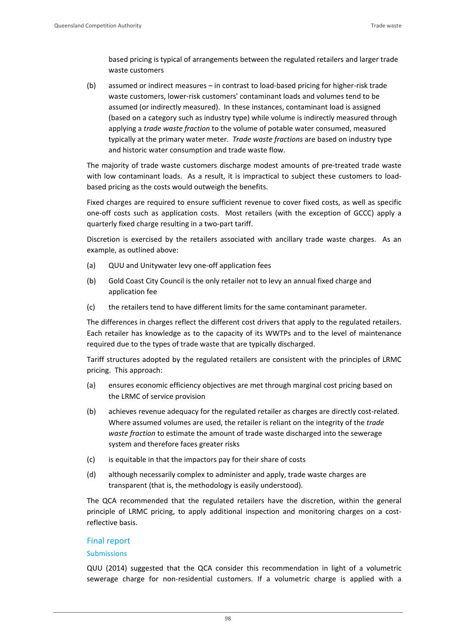based pricing is typical of arrangements between the regulated retailers and larger trade waste customers

(b) assumed or indirect measures – in contrast to load‐based pricing for higher‐risk trade waste customers, lower-risk customers' contaminant loads and volumes tend to be assumed (or indirectly measured). In these instances, contaminant load is assigned (based on a category such as industry type) while volume is indirectly measured through applying a *trade waste fraction* to the volume of potable water consumed, measured typically at the primary water meter. *Trade waste fractions* are based on industry type and historic water consumption and trade waste flow.

The majority of trade waste customers discharge modest amounts of pre‐treated trade waste with low contaminant loads. As a result, it is impractical to subject these customers to loadbased pricing as the costs would outweigh the benefits.

Fixed charges are required to ensure sufficient revenue to cover fixed costs, as well as specific one-off costs such as application costs. Most retailers (with the exception of GCCC) apply a quarterly fixed charge resulting in a two‐part tariff.

Discretion is exercised by the retailers associated with ancillary trade waste charges. As an example, as outlined above:

- (a) QUU and Unitywater levy one‐off application fees
- (b) Gold Coast City Council is the only retailer not to levy an annual fixed charge and application fee
- (c) the retailers tend to have different limits for the same contaminant parameter.

The differences in charges reflect the different cost drivers that apply to the regulated retailers. Each retailer has knowledge as to the capacity of its WWTPs and to the level of maintenance required due to the types of trade waste that are typically discharged.

Tariff structures adopted by the regulated retailers are consistent with the principles of LRMC pricing. This approach:

- (a) ensures economic efficiency objectives are met through marginal cost pricing based on the LRMC of service provision
- (b) achieves revenue adequacy for the regulated retailer as charges are directly cost-related. Where assumed volumes are used, the retailer is reliant on the integrity of the *trade waste fraction* to estimate the amount of trade waste discharged into the sewerage system and therefore faces greater risks
- (c) is equitable in that the impactors pay for their share of costs
- (d) although necessarily complex to administer and apply, trade waste charges are transparent (that is, the methodology is easily understood).

The QCA recommended that the regulated retailers have the discretion, within the general principle of LRMC pricing, to apply additional inspection and monitoring charges on a costreflective basis.

## Final report

#### **Submissions**

QUU (2014) suggested that the QCA consider this recommendation in light of a volumetric sewerage charge for non-residential customers. If a volumetric charge is applied with a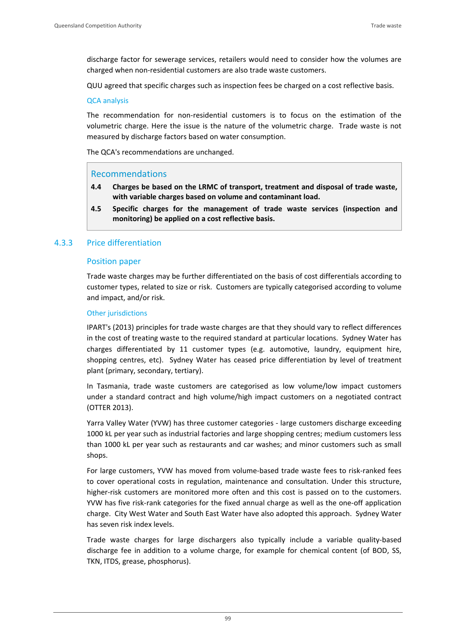discharge factor for sewerage services, retailers would need to consider how the volumes are charged when non‐residential customers are also trade waste customers.

QUU agreed that specific charges such as inspection fees be charged on a cost reflective basis.

#### QCA analysis

The recommendation for non‐residential customers is to focus on the estimation of the volumetric charge. Here the issue is the nature of the volumetric charge. Trade waste is not measured by discharge factors based on water consumption.

The QCA's recommendations are unchanged.

### Recommendations

- **4.4 Charges be based on the LRMC of transport, treatment and disposal of trade waste, with variable charges based on volume and contaminant load.**
- **4.5 Specific charges for the management of trade waste services (inspection and monitoring) be applied on a cost reflective basis.**

### 4.3.3 Price differentiation

#### Position paper

Trade waste charges may be further differentiated on the basis of cost differentials according to customer types, related to size or risk. Customers are typically categorised according to volume and impact, and/or risk.

#### Other jurisdictions

IPART's (2013) principles for trade waste charges are that they should vary to reflect differences in the cost of treating waste to the required standard at particular locations. Sydney Water has charges differentiated by 11 customer types (e.g. automotive, laundry, equipment hire, shopping centres, etc). Sydney Water has ceased price differentiation by level of treatment plant (primary, secondary, tertiary).

In Tasmania, trade waste customers are categorised as low volume/low impact customers under a standard contract and high volume/high impact customers on a negotiated contract (OTTER 2013).

Yarra Valley Water (YVW) has three customer categories ‐ large customers discharge exceeding 1000 kL per year such as industrial factories and large shopping centres; medium customers less than 1000 kL per year such as restaurants and car washes; and minor customers such as small shops.

For large customers, YVW has moved from volume-based trade waste fees to risk-ranked fees to cover operational costs in regulation, maintenance and consultation. Under this structure, higher-risk customers are monitored more often and this cost is passed on to the customers. YVW has five risk-rank categories for the fixed annual charge as well as the one-off application charge. City West Water and South East Water have also adopted this approach. Sydney Water has seven risk index levels.

Trade waste charges for large dischargers also typically include a variable quality‐based discharge fee in addition to a volume charge, for example for chemical content (of BOD, SS, TKN, ITDS, grease, phosphorus).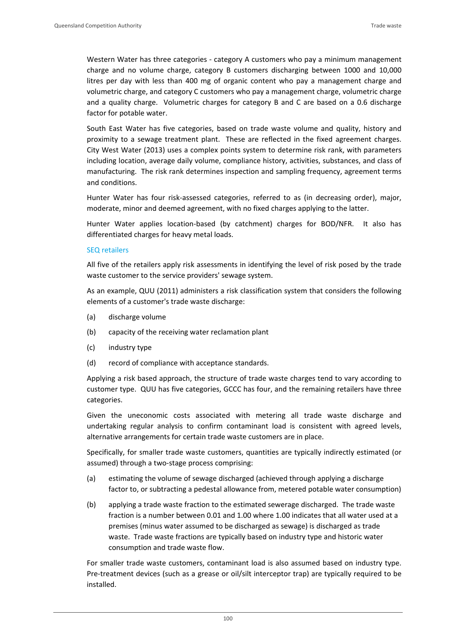Western Water has three categories - category A customers who pay a minimum management charge and no volume charge, category B customers discharging between 1000 and 10,000 litres per day with less than 400 mg of organic content who pay a management charge and volumetric charge, and category C customers who pay a management charge, volumetric charge and a quality charge. Volumetric charges for category B and C are based on a 0.6 discharge factor for potable water.

South East Water has five categories, based on trade waste volume and quality, history and proximity to a sewage treatment plant. These are reflected in the fixed agreement charges. City West Water (2013) uses a complex points system to determine risk rank, with parameters including location, average daily volume, compliance history, activities, substances, and class of manufacturing. The risk rank determines inspection and sampling frequency, agreement terms and conditions.

Hunter Water has four risk‐assessed categories, referred to as (in decreasing order), major, moderate, minor and deemed agreement, with no fixed charges applying to the latter.

Hunter Water applies location‐based (by catchment) charges for BOD/NFR. It also has differentiated charges for heavy metal loads.

#### SEQ retailers

All five of the retailers apply risk assessments in identifying the level of risk posed by the trade waste customer to the service providers' sewage system.

As an example, QUU (2011) administers a risk classification system that considers the following elements of a customer's trade waste discharge:

- (a) discharge volume
- (b) capacity of the receiving water reclamation plant
- (c) industry type
- (d) record of compliance with acceptance standards.

Applying a risk based approach, the structure of trade waste charges tend to vary according to customer type. QUU has five categories, GCCC has four, and the remaining retailers have three categories.

Given the uneconomic costs associated with metering all trade waste discharge and undertaking regular analysis to confirm contaminant load is consistent with agreed levels, alternative arrangements for certain trade waste customers are in place.

Specifically, for smaller trade waste customers, quantities are typically indirectly estimated (or assumed) through a two‐stage process comprising:

- (a) estimating the volume of sewage discharged (achieved through applying a discharge factor to, or subtracting a pedestal allowance from, metered potable water consumption)
- (b) applying a trade waste fraction to the estimated sewerage discharged. The trade waste fraction is a number between 0.01 and 1.00 where 1.00 indicates that all water used at a premises (minus water assumed to be discharged as sewage) is discharged as trade waste. Trade waste fractions are typically based on industry type and historic water consumption and trade waste flow.

For smaller trade waste customers, contaminant load is also assumed based on industry type. Pre-treatment devices (such as a grease or oil/silt interceptor trap) are typically required to be installed.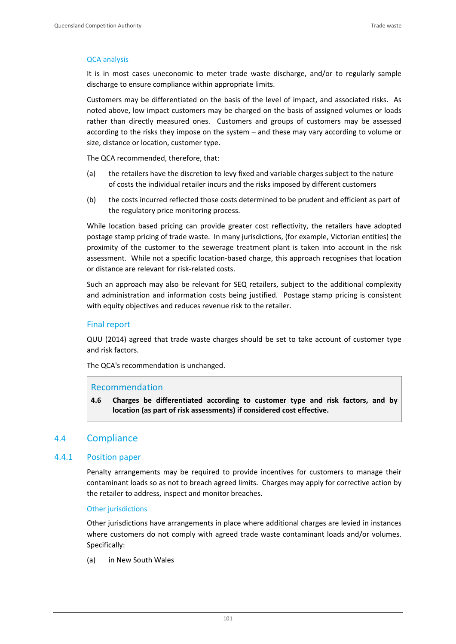#### QCA analysis

It is in most cases uneconomic to meter trade waste discharge, and/or to regularly sample discharge to ensure compliance within appropriate limits.

Customers may be differentiated on the basis of the level of impact, and associated risks. As noted above, low impact customers may be charged on the basis of assigned volumes or loads rather than directly measured ones. Customers and groups of customers may be assessed according to the risks they impose on the system – and these may vary according to volume or size, distance or location, customer type.

The QCA recommended, therefore, that:

- (a) the retailers have the discretion to levy fixed and variable charges subject to the nature of costs the individual retailer incurs and the risks imposed by different customers
- (b) the costs incurred reflected those costs determined to be prudent and efficient as part of the regulatory price monitoring process.

While location based pricing can provide greater cost reflectivity, the retailers have adopted postage stamp pricing of trade waste. In many jurisdictions, (for example, Victorian entities) the proximity of the customer to the sewerage treatment plant is taken into account in the risk assessment. While not a specific location‐based charge, this approach recognises that location or distance are relevant for risk‐related costs.

Such an approach may also be relevant for SEQ retailers, subject to the additional complexity and administration and information costs being justified. Postage stamp pricing is consistent with equity objectives and reduces revenue risk to the retailer.

### Final report

QUU (2014) agreed that trade waste charges should be set to take account of customer type and risk factors.

The QCA's recommendation is unchanged.

#### Recommendation

**4.6 Charges be differentiated according to customer type and risk factors, and by location (as part of risk assessments) if considered cost effective.** 

## 4.4 Compliance

#### 4.4.1 Position paper

Penalty arrangements may be required to provide incentives for customers to manage their contaminant loads so as not to breach agreed limits. Charges may apply for corrective action by the retailer to address, inspect and monitor breaches.

#### Other jurisdictions

Other jurisdictions have arrangements in place where additional charges are levied in instances where customers do not comply with agreed trade waste contaminant loads and/or volumes. Specifically:

(a) in New South Wales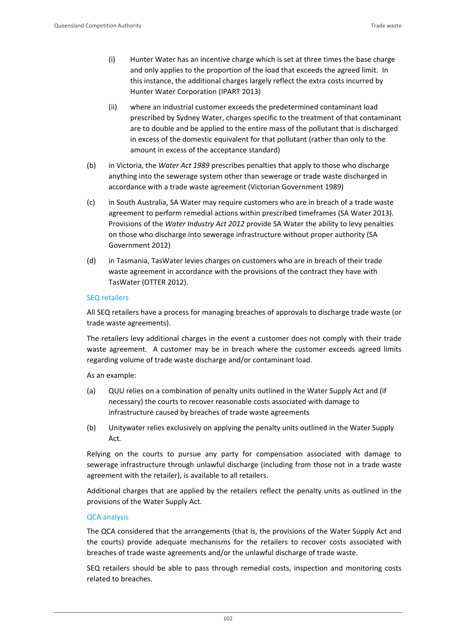- (i) Hunter Water has an incentive charge which is set at three times the base charge and only applies to the proportion of the load that exceeds the agreed limit. In this instance, the additional charges largely reflect the extra costs incurred by Hunter Water Corporation (IPART 2013)
- (ii) where an industrial customer exceeds the predetermined contaminant load prescribed by Sydney Water, charges specific to the treatment of that contaminant are to double and be applied to the entire mass of the pollutant that is discharged in excess of the domestic equivalent for that pollutant (rather than only to the amount in excess of the acceptance standard)
- (b) in Victoria, the *Water Act 1989* prescribes penalties that apply to those who discharge anything into the sewerage system other than sewerage or trade waste discharged in accordance with a trade waste agreement (Victorian Government 1989)
- (c) in South Australia, SA Water may require customers who are in breach of a trade waste agreement to perform remedial actions within prescribed timeframes (SA Water 2013). Provisions of the *Water Industry Act 2012* provide SA Water the ability to levy penalties on those who discharge into sewerage infrastructure without proper authority (SA Government 2012)
- (d) in Tasmania, TasWater levies charges on customers who are in breach of their trade waste agreement in accordance with the provisions of the contract they have with TasWater (OTTER 2012).

#### SEQ retailers

All SEQ retailers have a process for managing breaches of approvals to discharge trade waste (or trade waste agreements).

The retailers levy additional charges in the event a customer does not comply with their trade waste agreement. A customer may be in breach where the customer exceeds agreed limits regarding volume of trade waste discharge and/or contaminant load.

As an example:

- (a) QUU relies on a combination of penalty units outlined in the Water Supply Act and (if necessary) the courts to recover reasonable costs associated with damage to infrastructure caused by breaches of trade waste agreements
- (b) Unitywater relies exclusively on applying the penalty units outlined in the Water Supply Act*.*

Relying on the courts to pursue any party for compensation associated with damage to sewerage infrastructure through unlawful discharge (including from those not in a trade waste agreement with the retailer), is available to all retailers.

Additional charges that are applied by the retailers reflect the penalty units as outlined in the provisions of the Water Supply Act*.* 

#### QCA analysis

The QCA considered that the arrangements (that is, the provisions of the Water Supply Act and the courts) provide adequate mechanisms for the retailers to recover costs associated with breaches of trade waste agreements and/or the unlawful discharge of trade waste.

SEQ retailers should be able to pass through remedial costs, inspection and monitoring costs related to breaches.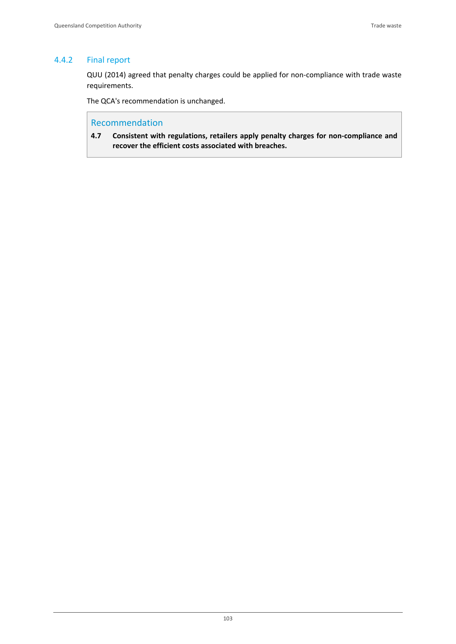### 4.4.2 Final report

QUU (2014) agreed that penalty charges could be applied for non‐compliance with trade waste requirements.

The QCA's recommendation is unchanged.

## Recommendation

**4.7 Consistent with regulations, retailers apply penalty charges for non‐compliance and recover the efficient costs associated with breaches.**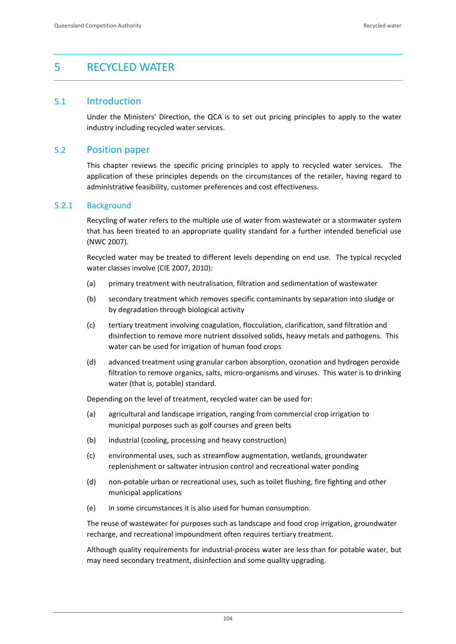# 5 RECYCLED WATER

## 5.1 Introduction

Under the Ministers' Direction, the QCA is to set out pricing principles to apply to the water industry including recycled water services.

## 5.2 Position paper

This chapter reviews the specific pricing principles to apply to recycled water services. The application of these principles depends on the circumstances of the retailer, having regard to administrative feasibility, customer preferences and cost effectiveness.

#### 5.2.1 Background

Recycling of water refers to the multiple use of water from wastewater or a stormwater system that has been treated to an appropriate quality standard for a further intended beneficial use (NWC 2007).

Recycled water may be treated to different levels depending on end use. The typical recycled water classes involve (CIE 2007, 2010):

- (a) primary treatment with neutralisation, filtration and sedimentation of wastewater
- (b) secondary treatment which removes specific contaminants by separation into sludge or by degradation through biological activity
- (c) tertiary treatment involving coagulation, flocculation, clarification, sand filtration and disinfection to remove more nutrient dissolved solids, heavy metals and pathogens. This water can be used for irrigation of human food crops
- (d) advanced treatment using granular carbon absorption, ozonation and hydrogen peroxide filtration to remove organics, salts, micro-organisms and viruses. This water is to drinking water (that is, potable) standard.

Depending on the level of treatment, recycled water can be used for:

- (a) agricultural and landscape irrigation, ranging from commercial crop irrigation to municipal purposes such as golf courses and green belts
- (b) industrial (cooling, processing and heavy construction)
- (c) environmental uses, such as streamflow augmentation, wetlands, groundwater replenishment or saltwater intrusion control and recreational water ponding
- (d) non‐potable urban or recreational uses, such as toilet flushing, fire fighting and other municipal applications
- (e) in some circumstances it is also used for human consumption.

The reuse of wastewater for purposes such as landscape and food crop irrigation, groundwater recharge, and recreational impoundment often requires tertiary treatment.

Although quality requirements for industrial‐process water are less than for potable water, but may need secondary treatment, disinfection and some quality upgrading.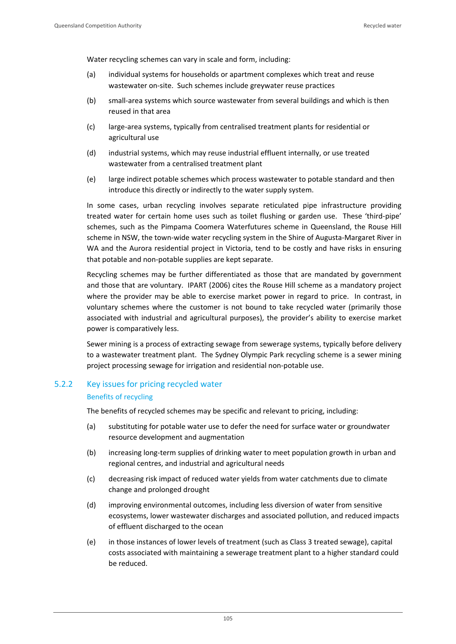Water recycling schemes can vary in scale and form, including:

- (a) individual systems for households or apartment complexes which treat and reuse wastewater on-site. Such schemes include greywater reuse practices
- (b) small‐area systems which source wastewater from several buildings and which is then reused in that area
- (c) large‐area systems, typically from centralised treatment plants for residential or agricultural use
- (d) industrial systems, which may reuse industrial effluent internally, or use treated wastewater from a centralised treatment plant
- (e) large indirect potable schemes which process wastewater to potable standard and then introduce this directly or indirectly to the water supply system.

In some cases, urban recycling involves separate reticulated pipe infrastructure providing treated water for certain home uses such as toilet flushing or garden use. These 'third‐pipe' schemes, such as the Pimpama Coomera Waterfutures scheme in Queensland, the Rouse Hill scheme in NSW, the town-wide water recycling system in the Shire of Augusta-Margaret River in WA and the Aurora residential project in Victoria, tend to be costly and have risks in ensuring that potable and non‐potable supplies are kept separate.

Recycling schemes may be further differentiated as those that are mandated by government and those that are voluntary. IPART (2006) cites the Rouse Hill scheme as a mandatory project where the provider may be able to exercise market power in regard to price. In contrast, in voluntary schemes where the customer is not bound to take recycled water (primarily those associated with industrial and agricultural purposes), the provider's ability to exercise market power is comparatively less.

Sewer mining is a process of extracting sewage from sewerage systems, typically before delivery to a wastewater treatment plant. The Sydney Olympic Park recycling scheme is a sewer mining project processing sewage for irrigation and residential non‐potable use.

# 5.2.2 Key issues for pricing recycled water Benefits of recycling

The benefits of recycled schemes may be specific and relevant to pricing, including:

- (a) substituting for potable water use to defer the need for surface water or groundwater resource development and augmentation
- (b) increasing long‐term supplies of drinking water to meet population growth in urban and regional centres, and industrial and agricultural needs
- (c) decreasing risk impact of reduced water yields from water catchments due to climate change and prolonged drought
- (d) improving environmental outcomes, including less diversion of water from sensitive ecosystems, lower wastewater discharges and associated pollution, and reduced impacts of effluent discharged to the ocean
- (e) in those instances of lower levels of treatment (such as Class 3 treated sewage), capital costs associated with maintaining a sewerage treatment plant to a higher standard could be reduced.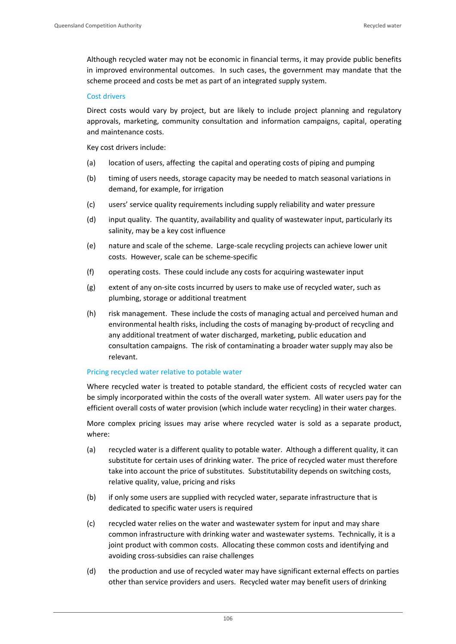Although recycled water may not be economic in financial terms, it may provide public benefits in improved environmental outcomes. In such cases, the government may mandate that the scheme proceed and costs be met as part of an integrated supply system.

### Cost drivers

Direct costs would vary by project, but are likely to include project planning and regulatory approvals, marketing, community consultation and information campaigns, capital, operating and maintenance costs.

Key cost drivers include:

- (a) location of users, affecting the capital and operating costs of piping and pumping
- (b) timing of users needs, storage capacity may be needed to match seasonal variations in demand, for example, for irrigation
- (c) users' service quality requirements including supply reliability and water pressure
- (d) input quality. The quantity, availability and quality of wastewater input, particularly its salinity, may be a key cost influence
- (e) nature and scale of the scheme. Large‐scale recycling projects can achieve lower unit costs. However, scale can be scheme‐specific
- (f) operating costs. These could include any costs for acquiring wastewater input
- (g) extent of any on‐site costs incurred by users to make use of recycled water, such as plumbing, storage or additional treatment
- (h) risk management. These include the costs of managing actual and perceived human and environmental health risks, including the costs of managing by‐product of recycling and any additional treatment of water discharged, marketing, public education and consultation campaigns. The risk of contaminating a broader water supply may also be relevant.

# Pricing recycled water relative to potable water

Where recycled water is treated to potable standard, the efficient costs of recycled water can be simply incorporated within the costs of the overall water system. All water users pay for the efficient overall costs of water provision (which include water recycling) in their water charges.

More complex pricing issues may arise where recycled water is sold as a separate product, where:

- (a) recycled water is a different quality to potable water. Although a different quality, it can substitute for certain uses of drinking water. The price of recycled water must therefore take into account the price of substitutes. Substitutability depends on switching costs, relative quality, value, pricing and risks
- (b) if only some users are supplied with recycled water, separate infrastructure that is dedicated to specific water users is required
- (c) recycled water relies on the water and wastewater system for input and may share common infrastructure with drinking water and wastewater systems. Technically, it is a joint product with common costs. Allocating these common costs and identifying and avoiding cross‐subsidies can raise challenges
- (d) the production and use of recycled water may have significant external effects on parties other than service providers and users. Recycled water may benefit users of drinking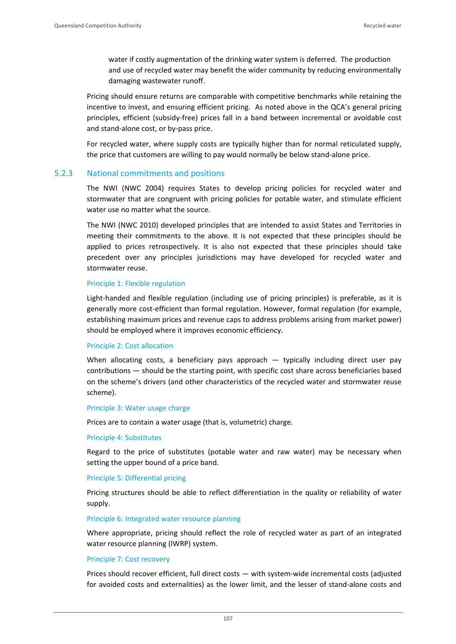water if costly augmentation of the drinking water system is deferred. The production and use of recycled water may benefit the wider community by reducing environmentally damaging wastewater runoff.

Pricing should ensure returns are comparable with competitive benchmarks while retaining the incentive to invest, and ensuring efficient pricing. As noted above in the QCA's general pricing principles, efficient (subsidy‐free) prices fall in a band between incremental or avoidable cost and stand‐alone cost, or by‐pass price.

For recycled water, where supply costs are typically higher than for normal reticulated supply, the price that customers are willing to pay would normally be below stand‐alone price.

### 5.2.3 National commitments and positions

The NWI (NWC 2004) requires States to develop pricing policies for recycled water and stormwater that are congruent with pricing policies for potable water, and stimulate efficient water use no matter what the source.

The NWI (NWC 2010) developed principles that are intended to assist States and Territories in meeting their commitments to the above. It is not expected that these principles should be applied to prices retrospectively. It is also not expected that these principles should take precedent over any principles jurisdictions may have developed for recycled water and stormwater reuse.

#### Principle 1: Flexible regulation

Light-handed and flexible regulation (including use of pricing principles) is preferable, as it is generally more cost‐efficient than formal regulation. However, formal regulation (for example, establishing maximum prices and revenue caps to address problems arising from market power) should be employed where it improves economic efficiency.

#### Principle 2: Cost allocation

When allocating costs, a beneficiary pays approach  $-$  typically including direct user pay contributions — should be the starting point, with specific cost share across beneficiaries based on the scheme's drivers (and other characteristics of the recycled water and stormwater reuse scheme).

#### Principle 3: Water usage charge

Prices are to contain a water usage (that is, volumetric) charge.

#### Principle 4: Substitutes

Regard to the price of substitutes (potable water and raw water) may be necessary when setting the upper bound of a price band.

#### Principle 5: Differential pricing

Pricing structures should be able to reflect differentiation in the quality or reliability of water supply.

#### Principle 6: Integrated water resource planning

Where appropriate, pricing should reflect the role of recycled water as part of an integrated water resource planning (IWRP) system.

#### Principle 7: Cost recovery

Prices should recover efficient, full direct costs — with system‐wide incremental costs (adjusted for avoided costs and externalities) as the lower limit, and the lesser of stand-alone costs and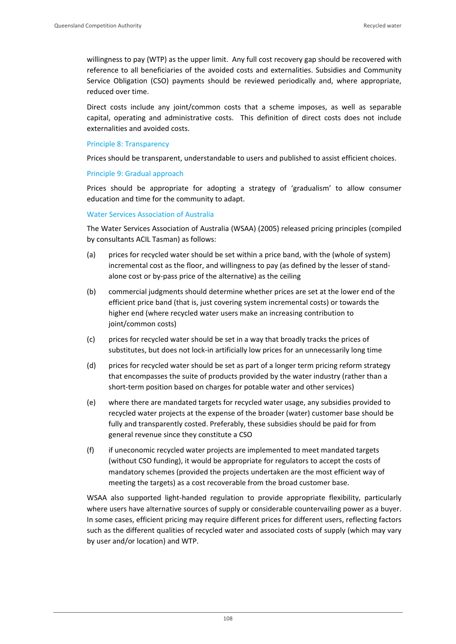willingness to pay (WTP) as the upper limit. Any full cost recovery gap should be recovered with reference to all beneficiaries of the avoided costs and externalities. Subsidies and Community Service Obligation (CSO) payments should be reviewed periodically and, where appropriate, reduced over time.

Direct costs include any joint/common costs that a scheme imposes, as well as separable capital, operating and administrative costs. This definition of direct costs does not include externalities and avoided costs.

#### Principle 8: Transparency

Prices should be transparent, understandable to users and published to assist efficient choices.

#### Principle 9: Gradual approach

Prices should be appropriate for adopting a strategy of 'gradualism' to allow consumer education and time for the community to adapt.

#### Water Services Association of Australia

The Water Services Association of Australia (WSAA) (2005) released pricing principles (compiled by consultants ACIL Tasman) as follows:

- (a) prices for recycled water should be set within a price band, with the (whole of system) incremental cost as the floor, and willingness to pay (as defined by the lesser of stand‐ alone cost or by‐pass price of the alternative) as the ceiling
- (b) commercial judgments should determine whether prices are set at the lower end of the efficient price band (that is, just covering system incremental costs) or towards the higher end (where recycled water users make an increasing contribution to joint/common costs)
- (c) prices for recycled water should be set in a way that broadly tracks the prices of substitutes, but does not lock‐in artificially low prices for an unnecessarily long time
- (d) prices for recycled water should be set as part of a longer term pricing reform strategy that encompasses the suite of products provided by the water industry (rather than a short-term position based on charges for potable water and other services)
- (e) where there are mandated targets for recycled water usage, any subsidies provided to recycled water projects at the expense of the broader (water) customer base should be fully and transparently costed. Preferably, these subsidies should be paid for from general revenue since they constitute a CSO
- (f) if uneconomic recycled water projects are implemented to meet mandated targets (without CSO funding), it would be appropriate for regulators to accept the costs of mandatory schemes (provided the projects undertaken are the most efficient way of meeting the targets) as a cost recoverable from the broad customer base.

WSAA also supported light-handed regulation to provide appropriate flexibility, particularly where users have alternative sources of supply or considerable countervailing power as a buyer. In some cases, efficient pricing may require different prices for different users, reflecting factors such as the different qualities of recycled water and associated costs of supply (which may vary by user and/or location) and WTP.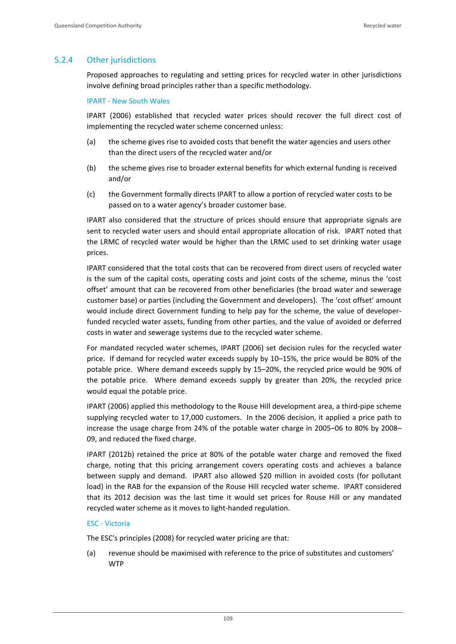# 5.2.4 Other jurisdictions

Proposed approaches to regulating and setting prices for recycled water in other jurisdictions involve defining broad principles rather than a specific methodology.

### IPART ‐ New South Wales

IPART (2006) established that recycled water prices should recover the full direct cost of implementing the recycled water scheme concerned unless:

- (a) the scheme gives rise to avoided costs that benefit the water agencies and users other than the direct users of the recycled water and/or
- (b) the scheme gives rise to broader external benefits for which external funding is received and/or
- (c) the Government formally directs IPART to allow a portion of recycled water costs to be passed on to a water agency's broader customer base.

IPART also considered that the structure of prices should ensure that appropriate signals are sent to recycled water users and should entail appropriate allocation of risk. IPART noted that the LRMC of recycled water would be higher than the LRMC used to set drinking water usage prices.

IPART considered that the total costs that can be recovered from direct users of recycled water is the sum of the capital costs, operating costs and joint costs of the scheme, minus the 'cost offset' amount that can be recovered from other beneficiaries (the broad water and sewerage customer base) or parties (including the Government and developers). The 'cost offset' amount would include direct Government funding to help pay for the scheme, the value of developer‐ funded recycled water assets, funding from other parties, and the value of avoided or deferred costs in water and sewerage systems due to the recycled water scheme.

For mandated recycled water schemes, IPART (2006) set decision rules for the recycled water price. If demand for recycled water exceeds supply by 10–15%, the price would be 80% of the potable price. Where demand exceeds supply by 15–20%, the recycled price would be 90% of the potable price. Where demand exceeds supply by greater than 20%, the recycled price would equal the potable price.

IPART (2006) applied this methodology to the Rouse Hill development area, a third‐pipe scheme supplying recycled water to 17,000 customers. In the 2006 decision, it applied a price path to increase the usage charge from 24% of the potable water charge in 2005–06 to 80% by 2008– 09, and reduced the fixed charge.

IPART (2012b) retained the price at 80% of the potable water charge and removed the fixed charge, noting that this pricing arrangement covers operating costs and achieves a balance between supply and demand. IPART also allowed \$20 million in avoided costs (for pollutant load) in the RAB for the expansion of the Rouse Hill recycled water scheme. IPART considered that its 2012 decision was the last time it would set prices for Rouse Hill or any mandated recycled water scheme as it moves to light‐handed regulation.

### ESC ‐ Victoria

The ESC's principles (2008) for recycled water pricing are that:

(a) revenue should be maximised with reference to the price of substitutes and customers' WTP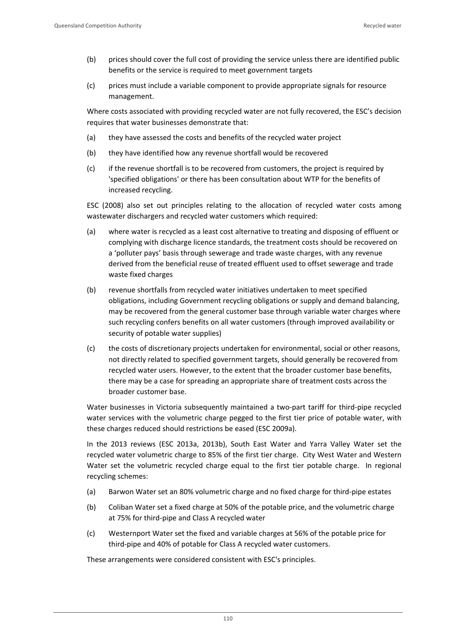- (b) prices should cover the full cost of providing the service unless there are identified public benefits or the service is required to meet government targets
- (c) prices must include a variable component to provide appropriate signals for resource management.

Where costs associated with providing recycled water are not fully recovered, the ESC's decision requires that water businesses demonstrate that:

- (a) they have assessed the costs and benefits of the recycled water project
- (b) they have identified how any revenue shortfall would be recovered
- (c) if the revenue shortfall is to be recovered from customers, the project is required by 'specified obligations' or there has been consultation about WTP for the benefits of increased recycling.

ESC (2008) also set out principles relating to the allocation of recycled water costs among wastewater dischargers and recycled water customers which required:

- (a) where water is recycled as a least cost alternative to treating and disposing of effluent or complying with discharge licence standards, the treatment costs should be recovered on a 'polluter pays' basis through sewerage and trade waste charges, with any revenue derived from the beneficial reuse of treated effluent used to offset sewerage and trade waste fixed charges
- (b) revenue shortfalls from recycled water initiatives undertaken to meet specified obligations, including Government recycling obligations or supply and demand balancing, may be recovered from the general customer base through variable water charges where such recycling confers benefits on all water customers (through improved availability or security of potable water supplies)
- (c) the costs of discretionary projects undertaken for environmental, social or other reasons, not directly related to specified government targets, should generally be recovered from recycled water users. However, to the extent that the broader customer base benefits, there may be a case for spreading an appropriate share of treatment costs across the broader customer base.

Water businesses in Victoria subsequently maintained a two-part tariff for third-pipe recycled water services with the volumetric charge pegged to the first tier price of potable water, with these charges reduced should restrictions be eased (ESC 2009a).

In the 2013 reviews (ESC 2013a, 2013b), South East Water and Yarra Valley Water set the recycled water volumetric charge to 85% of the first tier charge. City West Water and Western Water set the volumetric recycled charge equal to the first tier potable charge. In regional recycling schemes:

- (a) Barwon Water set an 80% volumetric charge and no fixed charge for third‐pipe estates
- (b) Coliban Water set a fixed charge at 50% of the potable price, and the volumetric charge at 75% for third‐pipe and Class A recycled water
- (c) Westernport Water set the fixed and variable charges at 56% of the potable price for third‐pipe and 40% of potable for Class A recycled water customers.

These arrangements were considered consistent with ESC's principles.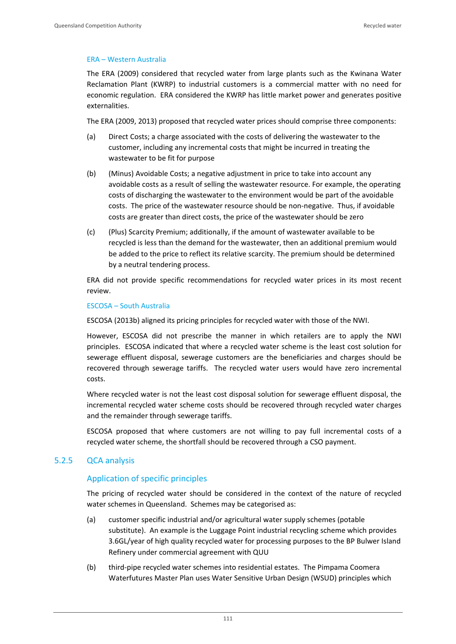### ERA – Western Australia

The ERA (2009) considered that recycled water from large plants such as the Kwinana Water Reclamation Plant (KWRP) to industrial customers is a commercial matter with no need for economic regulation. ERA considered the KWRP has little market power and generates positive externalities.

The ERA (2009, 2013) proposed that recycled water prices should comprise three components:

- (a) Direct Costs; a charge associated with the costs of delivering the wastewater to the customer, including any incremental costs that might be incurred in treating the wastewater to be fit for purpose
- (b) (Minus) Avoidable Costs; a negative adjustment in price to take into account any avoidable costs as a result of selling the wastewater resource. For example, the operating costs of discharging the wastewater to the environment would be part of the avoidable costs. The price of the wastewater resource should be non‐negative. Thus, if avoidable costs are greater than direct costs, the price of the wastewater should be zero
- (c) (Plus) Scarcity Premium; additionally, if the amount of wastewater available to be recycled is less than the demand for the wastewater, then an additional premium would be added to the price to reflect its relative scarcity. The premium should be determined by a neutral tendering process.

ERA did not provide specific recommendations for recycled water prices in its most recent review.

#### ESCOSA – South Australia

ESCOSA (2013b) aligned its pricing principles for recycled water with those of the NWI.

However, ESCOSA did not prescribe the manner in which retailers are to apply the NWI principles. ESCOSA indicated that where a recycled water scheme is the least cost solution for sewerage effluent disposal, sewerage customers are the beneficiaries and charges should be recovered through sewerage tariffs. The recycled water users would have zero incremental costs.

Where recycled water is not the least cost disposal solution for sewerage effluent disposal, the incremental recycled water scheme costs should be recovered through recycled water charges and the remainder through sewerage tariffs.

ESCOSA proposed that where customers are not willing to pay full incremental costs of a recycled water scheme, the shortfall should be recovered through a CSO payment.

# 5.2.5 QCA analysis

# Application of specific principles

The pricing of recycled water should be considered in the context of the nature of recycled water schemes in Queensland. Schemes may be categorised as:

- (a) customer specific industrial and/or agricultural water supply schemes (potable substitute). An example is the Luggage Point industrial recycling scheme which provides 3.6GL/year of high quality recycled water for processing purposes to the BP Bulwer Island Refinery under commercial agreement with QUU
- (b) third‐pipe recycled water schemes into residential estates. The Pimpama Coomera Waterfutures Master Plan uses Water Sensitive Urban Design (WSUD) principles which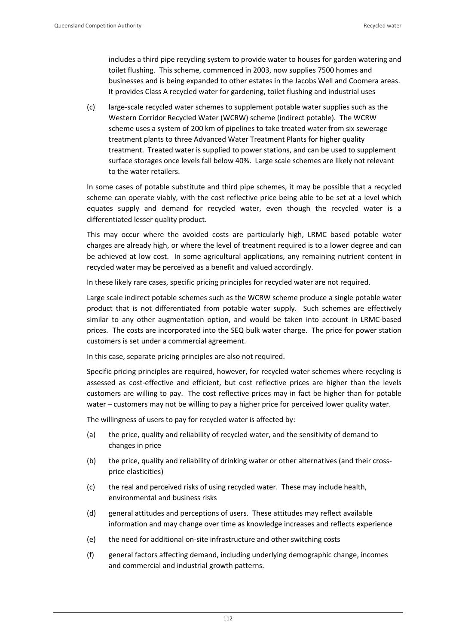includes a third pipe recycling system to provide water to houses for garden watering and toilet flushing. This scheme, commenced in 2003, now supplies 7500 homes and businesses and is being expanded to other estates in the Jacobs Well and Coomera areas. It provides Class A recycled water for gardening, toilet flushing and industrial uses

(c) large‐scale recycled water schemes to supplement potable water supplies such as the Western Corridor Recycled Water (WCRW) scheme (indirect potable). The WCRW scheme uses a system of 200 km of pipelines to take treated water from six sewerage treatment plants to three Advanced Water Treatment Plants for higher quality treatment. Treated water is supplied to power stations, and can be used to supplement surface storages once levels fall below 40%. Large scale schemes are likely not relevant to the water retailers.

In some cases of potable substitute and third pipe schemes, it may be possible that a recycled scheme can operate viably, with the cost reflective price being able to be set at a level which equates supply and demand for recycled water, even though the recycled water is a differentiated lesser quality product.

This may occur where the avoided costs are particularly high, LRMC based potable water charges are already high, or where the level of treatment required is to a lower degree and can be achieved at low cost. In some agricultural applications, any remaining nutrient content in recycled water may be perceived as a benefit and valued accordingly.

In these likely rare cases, specific pricing principles for recycled water are not required.

Large scale indirect potable schemes such as the WCRW scheme produce a single potable water product that is not differentiated from potable water supply. Such schemes are effectively similar to any other augmentation option, and would be taken into account in LRMC‐based prices. The costs are incorporated into the SEQ bulk water charge. The price for power station customers is set under a commercial agreement.

In this case, separate pricing principles are also not required.

Specific pricing principles are required, however, for recycled water schemes where recycling is assessed as cost-effective and efficient, but cost reflective prices are higher than the levels customers are willing to pay. The cost reflective prices may in fact be higher than for potable water – customers may not be willing to pay a higher price for perceived lower quality water.

The willingness of users to pay for recycled water is affected by:

- (a) the price, quality and reliability of recycled water, and the sensitivity of demand to changes in price
- (b) the price, quality and reliability of drinking water or other alternatives (and their crossprice elasticities)
- (c) the real and perceived risks of using recycled water. These may include health, environmental and business risks
- (d) general attitudes and perceptions of users. These attitudes may reflect available information and may change over time as knowledge increases and reflects experience
- (e) the need for additional on‐site infrastructure and other switching costs
- (f) general factors affecting demand, including underlying demographic change, incomes and commercial and industrial growth patterns.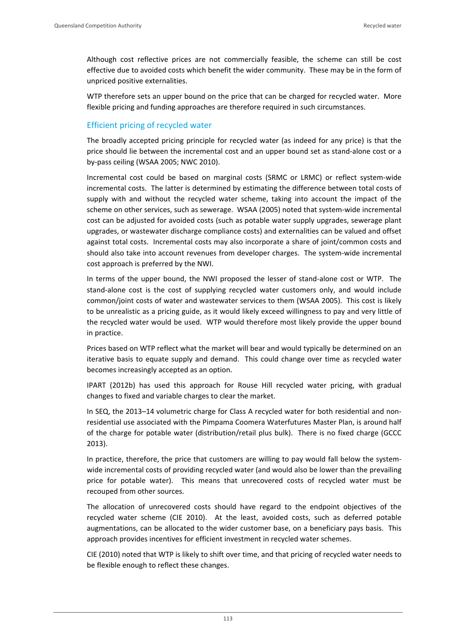Although cost reflective prices are not commercially feasible, the scheme can still be cost effective due to avoided costs which benefit the wider community. These may be in the form of unpriced positive externalities.

WTP therefore sets an upper bound on the price that can be charged for recycled water. More flexible pricing and funding approaches are therefore required in such circumstances.

# Efficient pricing of recycled water

The broadly accepted pricing principle for recycled water (as indeed for any price) is that the price should lie between the incremental cost and an upper bound set as stand‐alone cost or a by‐pass ceiling (WSAA 2005; NWC 2010).

Incremental cost could be based on marginal costs (SRMC or LRMC) or reflect system‐wide incremental costs. The latter is determined by estimating the difference between total costs of supply with and without the recycled water scheme, taking into account the impact of the scheme on other services, such as sewerage. WSAA (2005) noted that system-wide incremental cost can be adjusted for avoided costs (such as potable water supply upgrades, sewerage plant upgrades, or wastewater discharge compliance costs) and externalities can be valued and offset against total costs. Incremental costs may also incorporate a share of joint/common costs and should also take into account revenues from developer charges. The system-wide incremental cost approach is preferred by the NWI.

In terms of the upper bound, the NWI proposed the lesser of stand-alone cost or WTP. The stand-alone cost is the cost of supplying recycled water customers only, and would include common/joint costs of water and wastewater services to them (WSAA 2005). This cost is likely to be unrealistic as a pricing guide, as it would likely exceed willingness to pay and very little of the recycled water would be used. WTP would therefore most likely provide the upper bound in practice.

Prices based on WTP reflect what the market will bear and would typically be determined on an iterative basis to equate supply and demand. This could change over time as recycled water becomes increasingly accepted as an option.

IPART (2012b) has used this approach for Rouse Hill recycled water pricing, with gradual changes to fixed and variable charges to clear the market.

In SEQ, the 2013–14 volumetric charge for Class A recycled water for both residential and nonresidential use associated with the Pimpama Coomera Waterfutures Master Plan, is around half of the charge for potable water (distribution/retail plus bulk). There is no fixed charge (GCCC 2013).

In practice, therefore, the price that customers are willing to pay would fall below the systemwide incremental costs of providing recycled water (and would also be lower than the prevailing price for potable water). This means that unrecovered costs of recycled water must be recouped from other sources.

The allocation of unrecovered costs should have regard to the endpoint objectives of the recycled water scheme (CIE 2010). At the least, avoided costs, such as deferred potable augmentations, can be allocated to the wider customer base, on a beneficiary pays basis. This approach provides incentives for efficient investment in recycled water schemes.

CIE (2010) noted that WTP is likely to shift over time, and that pricing of recycled water needs to be flexible enough to reflect these changes.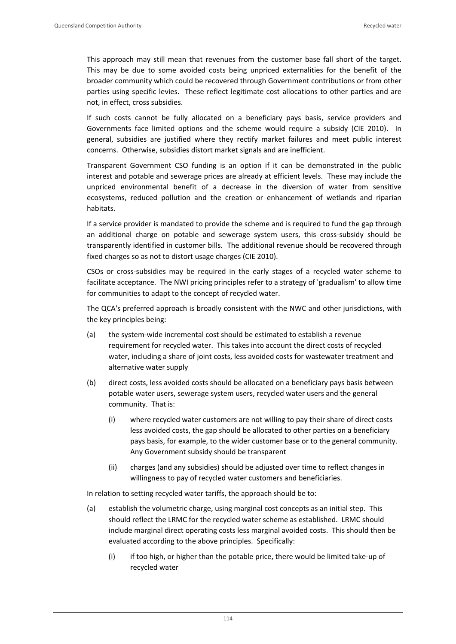This approach may still mean that revenues from the customer base fall short of the target. This may be due to some avoided costs being unpriced externalities for the benefit of the broader community which could be recovered through Government contributions or from other parties using specific levies. These reflect legitimate cost allocations to other parties and are not, in effect, cross subsidies.

If such costs cannot be fully allocated on a beneficiary pays basis, service providers and Governments face limited options and the scheme would require a subsidy (CIE 2010). In general, subsidies are justified where they rectify market failures and meet public interest concerns. Otherwise, subsidies distort market signals and are inefficient.

Transparent Government CSO funding is an option if it can be demonstrated in the public interest and potable and sewerage prices are already at efficient levels. These may include the unpriced environmental benefit of a decrease in the diversion of water from sensitive ecosystems, reduced pollution and the creation or enhancement of wetlands and riparian habitats.

If a service provider is mandated to provide the scheme and is required to fund the gap through an additional charge on potable and sewerage system users, this cross‐subsidy should be transparently identified in customer bills. The additional revenue should be recovered through fixed charges so as not to distort usage charges (CIE 2010).

CSOs or cross‐subsidies may be required in the early stages of a recycled water scheme to facilitate acceptance. The NWI pricing principles refer to a strategy of 'gradualism' to allow time for communities to adapt to the concept of recycled water.

The QCA's preferred approach is broadly consistent with the NWC and other jurisdictions, with the key principles being:

- (a) the system‐wide incremental cost should be estimated to establish a revenue requirement for recycled water. This takes into account the direct costs of recycled water, including a share of joint costs, less avoided costs for wastewater treatment and alternative water supply
- (b) direct costs, less avoided costs should be allocated on a beneficiary pays basis between potable water users, sewerage system users, recycled water users and the general community. That is:
	- (i) where recycled water customers are not willing to pay their share of direct costs less avoided costs, the gap should be allocated to other parties on a beneficiary pays basis, for example, to the wider customer base or to the general community. Any Government subsidy should be transparent
	- (ii) charges (and any subsidies) should be adjusted over time to reflect changes in willingness to pay of recycled water customers and beneficiaries.

In relation to setting recycled water tariffs, the approach should be to:

- (a) establish the volumetric charge, using marginal cost concepts as an initial step. This should reflect the LRMC for the recycled water scheme as established. LRMC should include marginal direct operating costs less marginal avoided costs. This should then be evaluated according to the above principles. Specifically:
	- (i) if too high, or higher than the potable price, there would be limited take‐up of recycled water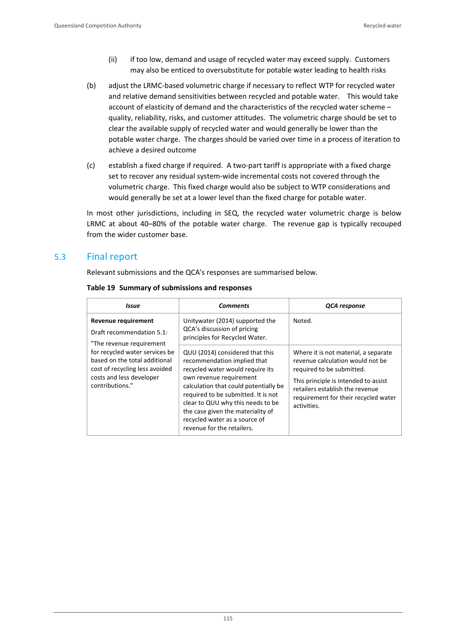- (ii) if too low, demand and usage of recycled water may exceed supply. Customers may also be enticed to oversubstitute for potable water leading to health risks
- (b) adjust the LRMC‐based volumetric charge if necessary to reflect WTP for recycled water and relative demand sensitivities between recycled and potable water. This would take account of elasticity of demand and the characteristics of the recycled water scheme – quality, reliability, risks, and customer attitudes. The volumetric charge should be set to clear the available supply of recycled water and would generally be lower than the potable water charge. The charges should be varied over time in a process of iteration to achieve a desired outcome
- (c) establish a fixed charge if required. A two‐part tariff is appropriate with a fixed charge set to recover any residual system-wide incremental costs not covered through the volumetric charge. This fixed charge would also be subject to WTP considerations and would generally be set at a lower level than the fixed charge for potable water.

In most other jurisdictions, including in SEQ, the recycled water volumetric charge is below LRMC at about 40–80% of the potable water charge. The revenue gap is typically recouped from the wider customer base.

# 5.3 Final report

Relevant submissions and the QCA's responses are summarised below.

| Issue                                                                                                                                                                                                                            | <b>Comments</b>                                                                                                                                                                                                                                                                                                                                        | QCA response                                                                                                                                                                                                                            |  |
|----------------------------------------------------------------------------------------------------------------------------------------------------------------------------------------------------------------------------------|--------------------------------------------------------------------------------------------------------------------------------------------------------------------------------------------------------------------------------------------------------------------------------------------------------------------------------------------------------|-----------------------------------------------------------------------------------------------------------------------------------------------------------------------------------------------------------------------------------------|--|
| Revenue requirement<br>Draft recommendation 5.1:<br>"The revenue requirement<br>for recycled water services be<br>based on the total additional<br>cost of recycling less avoided<br>costs and less developer<br>contributions." | Unitywater (2014) supported the<br>QCA's discussion of pricing<br>principles for Recycled Water.                                                                                                                                                                                                                                                       | Noted.                                                                                                                                                                                                                                  |  |
|                                                                                                                                                                                                                                  | QUU (2014) considered that this<br>recommendation implied that<br>recycled water would require its<br>own revenue requirement<br>calculation that could potentially be<br>required to be submitted. It is not<br>clear to QUU why this needs to be<br>the case given the materiality of<br>recycled water as a source of<br>revenue for the retailers. | Where it is not material, a separate<br>revenue calculation would not be<br>required to be submitted.<br>This principle is intended to assist<br>retailers establish the revenue<br>requirement for their recycled water<br>activities. |  |

### **Table 19 Summary of submissions and responses**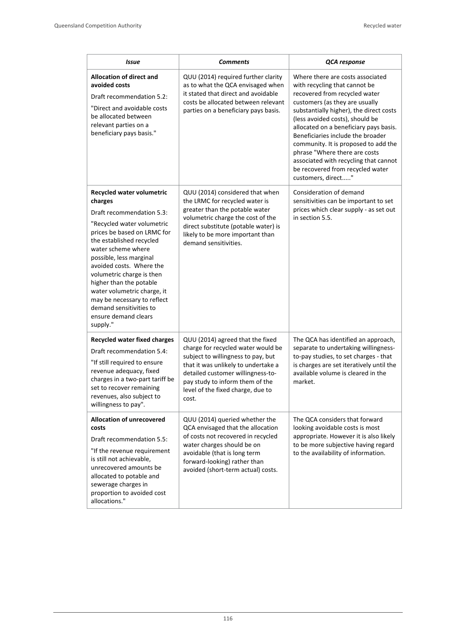| Issue                                                                                                                                                                                                                                                                                                                                                                                                                        | <b>Comments</b>                                                                                                                                                                                                                                                           | <b>QCA</b> response                                                                                                                                                                                                                                                                                                                                                                                                                                                           |
|------------------------------------------------------------------------------------------------------------------------------------------------------------------------------------------------------------------------------------------------------------------------------------------------------------------------------------------------------------------------------------------------------------------------------|---------------------------------------------------------------------------------------------------------------------------------------------------------------------------------------------------------------------------------------------------------------------------|-------------------------------------------------------------------------------------------------------------------------------------------------------------------------------------------------------------------------------------------------------------------------------------------------------------------------------------------------------------------------------------------------------------------------------------------------------------------------------|
| Allocation of direct and<br>avoided costs<br>Draft recommendation 5.2:<br>"Direct and avoidable costs<br>be allocated between<br>relevant parties on a<br>beneficiary pays basis."                                                                                                                                                                                                                                           | QUU (2014) required further clarity<br>as to what the QCA envisaged when<br>it stated that direct and avoidable<br>costs be allocated between relevant<br>parties on a beneficiary pays basis.                                                                            | Where there are costs associated<br>with recycling that cannot be<br>recovered from recycled water<br>customers (as they are usually<br>substantially higher), the direct costs<br>(less avoided costs), should be<br>allocated on a beneficiary pays basis.<br>Beneficiaries include the broader<br>community. It is proposed to add the<br>phrase "Where there are costs<br>associated with recycling that cannot<br>be recovered from recycled water<br>customers, direct" |
| Recycled water volumetric<br>charges<br>Draft recommendation 5.3:<br>"Recycled water volumetric<br>prices be based on LRMC for<br>the established recycled<br>water scheme where<br>possible, less marginal<br>avoided costs. Where the<br>volumetric charge is then<br>higher than the potable<br>water volumetric charge, it<br>may be necessary to reflect<br>demand sensitivities to<br>ensure demand clears<br>supply." | QUU (2014) considered that when<br>the LRMC for recycled water is<br>greater than the potable water<br>volumetric charge the cost of the<br>direct substitute (potable water) is<br>likely to be more important than<br>demand sensitivities.                             | Consideration of demand<br>sensitivities can be important to set<br>prices which clear supply - as set out<br>in section 5.5.                                                                                                                                                                                                                                                                                                                                                 |
| <b>Recycled water fixed charges</b><br>Draft recommendation 5.4:<br>"If still required to ensure<br>revenue adequacy, fixed<br>charges in a two-part tariff be<br>set to recover remaining<br>revenues, also subject to<br>willingness to pay".                                                                                                                                                                              | QUU (2014) agreed that the fixed<br>charge for recycled water would be<br>subject to willingness to pay, but<br>that it was unlikely to undertake a<br>detailed customer willingness-to-<br>pay study to inform them of the<br>level of the fixed charge, due to<br>cost. | The QCA has identified an approach,<br>separate to undertaking willingness-<br>to-pay studies, to set charges - that<br>is charges are set iteratively until the<br>available volume is cleared in the<br>market.                                                                                                                                                                                                                                                             |
| <b>Allocation of unrecovered</b><br>costs<br>Draft recommendation 5.5:<br>"If the revenue requirement<br>is still not achievable,<br>unrecovered amounts be<br>allocated to potable and<br>sewerage charges in<br>proportion to avoided cost<br>allocations."                                                                                                                                                                | QUU (2014) queried whether the<br>QCA envisaged that the allocation<br>of costs not recovered in recycled<br>water charges should be on<br>avoidable (that is long term<br>forward-looking) rather than<br>avoided (short-term actual) costs.                             | The QCA considers that forward<br>looking avoidable costs is most<br>appropriate. However it is also likely<br>to be more subjective having regard<br>to the availability of information.                                                                                                                                                                                                                                                                                     |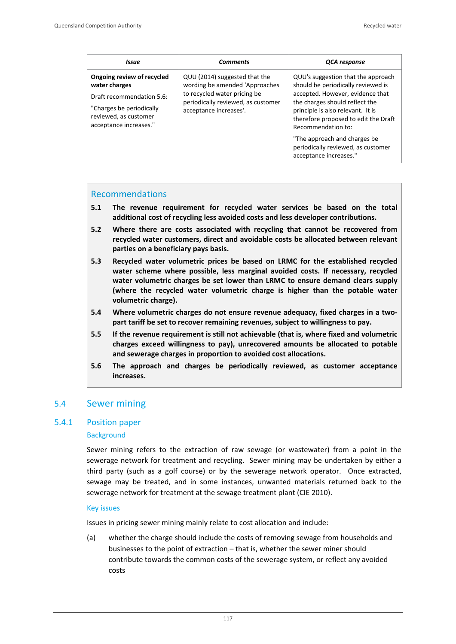| Issue                                                                                                                                                   | <b>Comments</b>                                                                                                                                                 | QCA response                                                                                                                                                                                                                                                                                                            |
|---------------------------------------------------------------------------------------------------------------------------------------------------------|-----------------------------------------------------------------------------------------------------------------------------------------------------------------|-------------------------------------------------------------------------------------------------------------------------------------------------------------------------------------------------------------------------------------------------------------------------------------------------------------------------|
| Ongoing review of recycled<br>water charges<br>Draft recommendation 5.6:<br>"Charges be periodically<br>reviewed, as customer<br>acceptance increases." | QUU (2014) suggested that the<br>wording be amended 'Approaches<br>to recycled water pricing be<br>periodically reviewed, as customer<br>acceptance increases'. | QUU's suggestion that the approach<br>should be periodically reviewed is<br>accepted. However, evidence that<br>the charges should reflect the<br>principle is also relevant. It is<br>therefore proposed to edit the Draft<br>Recommendation to:<br>"The approach and charges be<br>periodically reviewed, as customer |
|                                                                                                                                                         |                                                                                                                                                                 | acceptance increases."                                                                                                                                                                                                                                                                                                  |

#### Recommendations

- **5.1 The revenue requirement for recycled water services be based on the total additional cost of recycling less avoided costs and less developer contributions.**
- **5.2 Where there are costs associated with recycling that cannot be recovered from recycled water customers, direct and avoidable costs be allocated between relevant parties on a beneficiary pays basis.**
- **5.3 Recycled water volumetric prices be based on LRMC for the established recycled water scheme where possible, less marginal avoided costs. If necessary, recycled water volumetric charges be set lower than LRMC to ensure demand clears supply (where the recycled water volumetric charge is higher than the potable water volumetric charge).**
- **5.4 Where volumetric charges do not ensure revenue adequacy, fixed charges in a two‐ part tariff be set to recover remaining revenues, subject to willingness to pay.**
- **5.5 If the revenue requirement is still not achievable (that is, where fixed and volumetric charges exceed willingness to pay), unrecovered amounts be allocated to potable and sewerage charges in proportion to avoided cost allocations.**
- **5.6 The approach and charges be periodically reviewed, as customer acceptance increases.**

# 5.4 Sewer mining

### 5.4.1 Position paper

#### **Background**

Sewer mining refers to the extraction of raw sewage (or wastewater) from a point in the sewerage network for treatment and recycling. Sewer mining may be undertaken by either a third party (such as a golf course) or by the sewerage network operator. Once extracted, sewage may be treated, and in some instances, unwanted materials returned back to the sewerage network for treatment at the sewage treatment plant (CIE 2010).

#### Key issues

Issues in pricing sewer mining mainly relate to cost allocation and include:

(a) whether the charge should include the costs of removing sewage from households and businesses to the point of extraction – that is, whether the sewer miner should contribute towards the common costs of the sewerage system, or reflect any avoided costs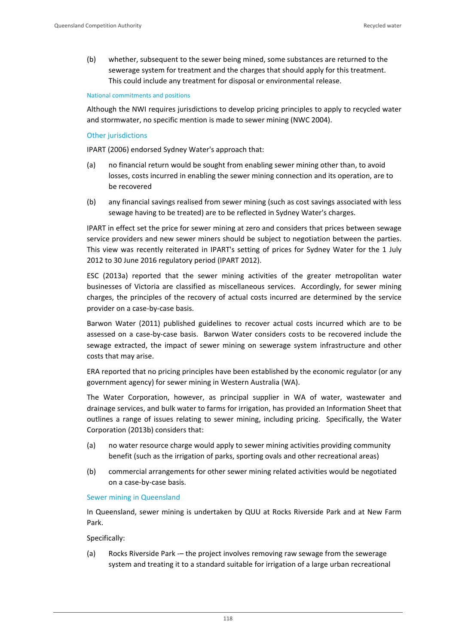(b) whether, subsequent to the sewer being mined, some substances are returned to the sewerage system for treatment and the charges that should apply for this treatment. This could include any treatment for disposal or environmental release.

#### National commitments and positions

Although the NWI requires jurisdictions to develop pricing principles to apply to recycled water and stormwater, no specific mention is made to sewer mining (NWC 2004).

#### Other jurisdictions

IPART (2006) endorsed Sydney Water's approach that:

- (a) no financial return would be sought from enabling sewer mining other than, to avoid losses, costs incurred in enabling the sewer mining connection and its operation, are to be recovered
- (b) any financial savings realised from sewer mining (such as cost savings associated with less sewage having to be treated) are to be reflected in Sydney Water's charges.

IPART in effect set the price for sewer mining at zero and considers that prices between sewage service providers and new sewer miners should be subject to negotiation between the parties. This view was recently reiterated in IPART's setting of prices for Sydney Water for the 1 July 2012 to 30 June 2016 regulatory period (IPART 2012).

ESC (2013a) reported that the sewer mining activities of the greater metropolitan water businesses of Victoria are classified as miscellaneous services. Accordingly, for sewer mining charges, the principles of the recovery of actual costs incurred are determined by the service provider on a case‐by‐case basis.

Barwon Water (2011) published guidelines to recover actual costs incurred which are to be assessed on a case‐by‐case basis. Barwon Water considers costs to be recovered include the sewage extracted, the impact of sewer mining on sewerage system infrastructure and other costs that may arise.

ERA reported that no pricing principles have been established by the economic regulator (or any government agency) for sewer mining in Western Australia (WA).

The Water Corporation, however, as principal supplier in WA of water, wastewater and drainage services, and bulk water to farms for irrigation, has provided an Information Sheet that outlines a range of issues relating to sewer mining, including pricing. Specifically, the Water Corporation (2013b) considers that:

- (a) no water resource charge would apply to sewer mining activities providing community benefit (such as the irrigation of parks, sporting ovals and other recreational areas)
- (b) commercial arrangements for other sewer mining related activities would be negotiated on a case‐by‐case basis.

#### Sewer mining in Queensland

In Queensland, sewer mining is undertaken by QUU at Rocks Riverside Park and at New Farm Park.

Specifically:

(a) Rocks Riverside Park ‐– the project involves removing raw sewage from the sewerage system and treating it to a standard suitable for irrigation of a large urban recreational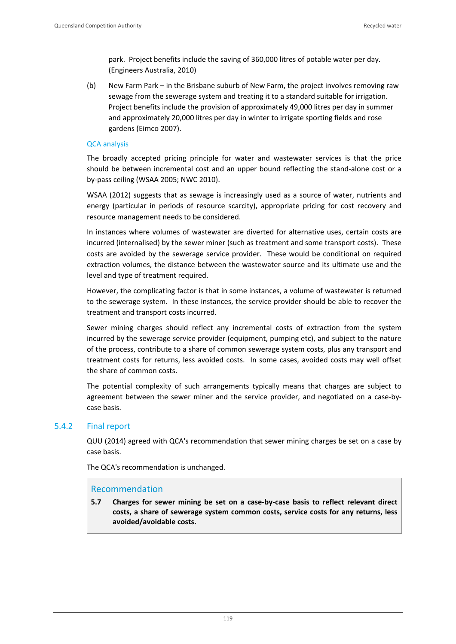park. Project benefits include the saving of 360,000 litres of potable water per day. (Engineers Australia, 2010)

(b) New Farm Park – in the Brisbane suburb of New Farm, the project involves removing raw sewage from the sewerage system and treating it to a standard suitable for irrigation. Project benefits include the provision of approximately 49,000 litres per day in summer and approximately 20,000 litres per day in winter to irrigate sporting fields and rose gardens (Eimco 2007).

### QCA analysis

The broadly accepted pricing principle for water and wastewater services is that the price should be between incremental cost and an upper bound reflecting the stand‐alone cost or a by‐pass ceiling (WSAA 2005; NWC 2010).

WSAA (2012) suggests that as sewage is increasingly used as a source of water, nutrients and energy (particular in periods of resource scarcity), appropriate pricing for cost recovery and resource management needs to be considered.

In instances where volumes of wastewater are diverted for alternative uses, certain costs are incurred (internalised) by the sewer miner (such as treatment and some transport costs). These costs are avoided by the sewerage service provider. These would be conditional on required extraction volumes, the distance between the wastewater source and its ultimate use and the level and type of treatment required.

However, the complicating factor is that in some instances, a volume of wastewater is returned to the sewerage system. In these instances, the service provider should be able to recover the treatment and transport costs incurred.

Sewer mining charges should reflect any incremental costs of extraction from the system incurred by the sewerage service provider (equipment, pumping etc), and subject to the nature of the process, contribute to a share of common sewerage system costs, plus any transport and treatment costs for returns, less avoided costs. In some cases, avoided costs may well offset the share of common costs.

The potential complexity of such arrangements typically means that charges are subject to agreement between the sewer miner and the service provider, and negotiated on a case-bycase basis.

# 5.4.2 Final report

QUU (2014) agreed with QCA's recommendation that sewer mining charges be set on a case by case basis.

The QCA's recommendation is unchanged.

# Recommendation

**5.7 Charges for sewer mining be set on a case‐by‐case basis to reflect relevant direct costs, a share of sewerage system common costs, service costs for any returns, less avoided/avoidable costs.**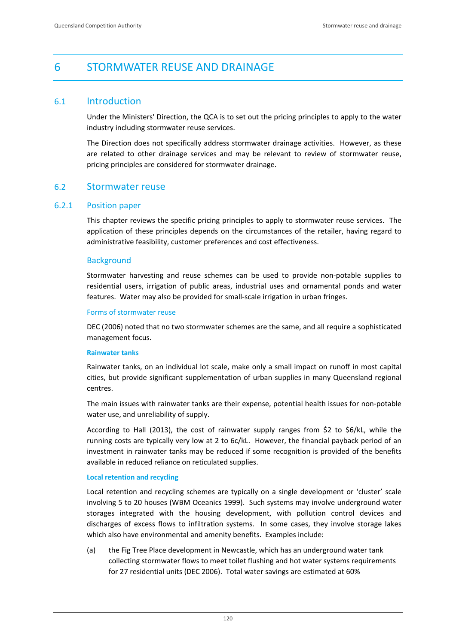# 6 STORMWATER REUSE AND DRAINAGE

# 6.1 Introduction

Under the Ministers' Direction, the QCA is to set out the pricing principles to apply to the water industry including stormwater reuse services.

The Direction does not specifically address stormwater drainage activities. However, as these are related to other drainage services and may be relevant to review of stormwater reuse, pricing principles are considered for stormwater drainage.

# 6.2 Stormwater reuse

### 6.2.1 Position paper

This chapter reviews the specific pricing principles to apply to stormwater reuse services. The application of these principles depends on the circumstances of the retailer, having regard to administrative feasibility, customer preferences and cost effectiveness.

### **Background**

Stormwater harvesting and reuse schemes can be used to provide non‐potable supplies to residential users, irrigation of public areas, industrial uses and ornamental ponds and water features. Water may also be provided for small-scale irrigation in urban fringes.

#### Forms of stormwater reuse

DEC (2006) noted that no two stormwater schemes are the same, and all require a sophisticated management focus.

### **Rainwater tanks**

Rainwater tanks, on an individual lot scale, make only a small impact on runoff in most capital cities, but provide significant supplementation of urban supplies in many Queensland regional centres.

The main issues with rainwater tanks are their expense, potential health issues for non‐potable water use, and unreliability of supply.

According to Hall (2013), the cost of rainwater supply ranges from \$2 to \$6/kL, while the running costs are typically very low at 2 to 6c/kL. However, the financial payback period of an investment in rainwater tanks may be reduced if some recognition is provided of the benefits available in reduced reliance on reticulated supplies.

### **Local retention and recycling**

Local retention and recycling schemes are typically on a single development or 'cluster' scale involving 5 to 20 houses (WBM Oceanics 1999). Such systems may involve underground water storages integrated with the housing development, with pollution control devices and discharges of excess flows to infiltration systems. In some cases, they involve storage lakes which also have environmental and amenity benefits. Examples include:

(a) the Fig Tree Place development in Newcastle, which has an underground water tank collecting stormwater flows to meet toilet flushing and hot water systems requirements for 27 residential units (DEC 2006). Total water savings are estimated at 60%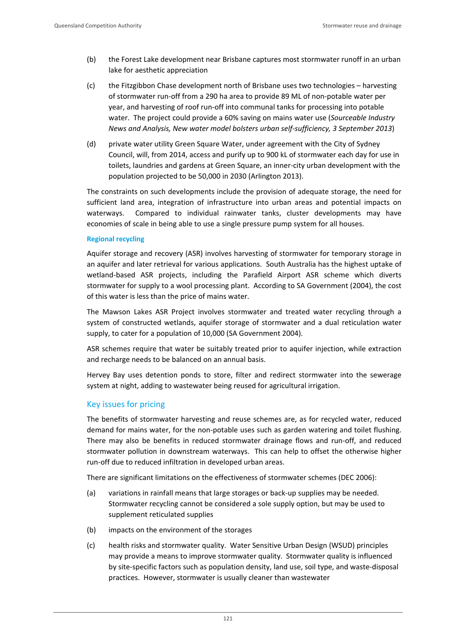- (b) the Forest Lake development near Brisbane captures most stormwater runoff in an urban lake for aesthetic appreciation
- (c) the Fitzgibbon Chase development north of Brisbane uses two technologies harvesting of stormwater run‐off from a 290 ha area to provide 89 ML of non‐potable water per year, and harvesting of roof run‐off into communal tanks for processing into potable water. The project could provide a 60% saving on mains water use (*Sourceable Industry News and Analysis, New water model bolsters urban self‐sufficiency, 3 September 2013*)
- (d) private water utility Green Square Water, under agreement with the City of Sydney Council, will, from 2014, access and purify up to 900 kL of stormwater each day for use in toilets, laundries and gardens at Green Square, an inner‐city urban development with the population projected to be 50,000 in 2030 (Arlington 2013).

The constraints on such developments include the provision of adequate storage, the need for sufficient land area, integration of infrastructure into urban areas and potential impacts on waterways. Compared to individual rainwater tanks, cluster developments may have economies of scale in being able to use a single pressure pump system for all houses.

#### **Regional recycling**

Aquifer storage and recovery (ASR) involves harvesting of stormwater for temporary storage in an aquifer and later retrieval for various applications. South Australia has the highest uptake of wetland‐based ASR projects, including the Parafield Airport ASR scheme which diverts stormwater for supply to a wool processing plant. According to SA Government (2004), the cost of this water is less than the price of mains water.

The Mawson Lakes ASR Project involves stormwater and treated water recycling through a system of constructed wetlands, aquifer storage of stormwater and a dual reticulation water supply, to cater for a population of 10,000 (SA Government 2004).

ASR schemes require that water be suitably treated prior to aquifer injection, while extraction and recharge needs to be balanced on an annual basis.

Hervey Bay uses detention ponds to store, filter and redirect stormwater into the sewerage system at night, adding to wastewater being reused for agricultural irrigation.

### Key issues for pricing

The benefits of stormwater harvesting and reuse schemes are, as for recycled water, reduced demand for mains water, for the non‐potable uses such as garden watering and toilet flushing. There may also be benefits in reduced stormwater drainage flows and run‐off, and reduced stormwater pollution in downstream waterways. This can help to offset the otherwise higher run‐off due to reduced infiltration in developed urban areas.

There are significant limitations on the effectiveness of stormwater schemes (DEC 2006):

- (a) variations in rainfall means that large storages or back‐up supplies may be needed. Stormwater recycling cannot be considered a sole supply option, but may be used to supplement reticulated supplies
- (b) impacts on the environment of the storages
- (c) health risks and stormwater quality. Water Sensitive Urban Design (WSUD) principles may provide a means to improve stormwater quality. Stormwater quality is influenced by site‐specific factors such as population density, land use, soil type, and waste‐disposal practices. However, stormwater is usually cleaner than wastewater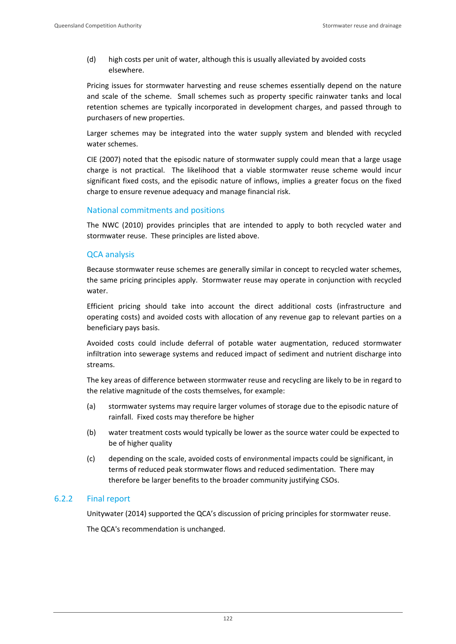(d) high costs per unit of water, although this is usually alleviated by avoided costs elsewhere.

Pricing issues for stormwater harvesting and reuse schemes essentially depend on the nature and scale of the scheme. Small schemes such as property specific rainwater tanks and local retention schemes are typically incorporated in development charges, and passed through to purchasers of new properties.

Larger schemes may be integrated into the water supply system and blended with recycled water schemes.

CIE (2007) noted that the episodic nature of stormwater supply could mean that a large usage charge is not practical. The likelihood that a viable stormwater reuse scheme would incur significant fixed costs, and the episodic nature of inflows, implies a greater focus on the fixed charge to ensure revenue adequacy and manage financial risk.

# National commitments and positions

The NWC (2010) provides principles that are intended to apply to both recycled water and stormwater reuse. These principles are listed above.

# QCA analysis

Because stormwater reuse schemes are generally similar in concept to recycled water schemes, the same pricing principles apply. Stormwater reuse may operate in conjunction with recycled water.

Efficient pricing should take into account the direct additional costs (infrastructure and operating costs) and avoided costs with allocation of any revenue gap to relevant parties on a beneficiary pays basis.

Avoided costs could include deferral of potable water augmentation, reduced stormwater infiltration into sewerage systems and reduced impact of sediment and nutrient discharge into streams.

The key areas of difference between stormwater reuse and recycling are likely to be in regard to the relative magnitude of the costs themselves, for example:

- (a) stormwater systems may require larger volumes of storage due to the episodic nature of rainfall. Fixed costs may therefore be higher
- (b) water treatment costs would typically be lower as the source water could be expected to be of higher quality
- (c) depending on the scale, avoided costs of environmental impacts could be significant, in terms of reduced peak stormwater flows and reduced sedimentation. There may therefore be larger benefits to the broader community justifying CSOs.

# 6.2.2 Final report

Unitywater (2014) supported the QCA's discussion of pricing principles for stormwater reuse.

The QCA's recommendation is unchanged.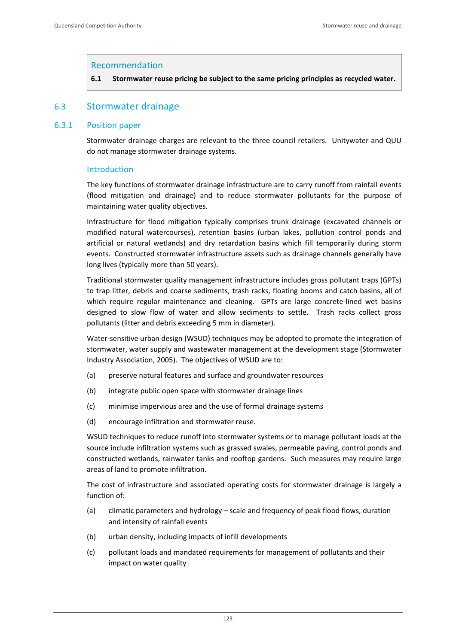### Recommendation

**6.1 Stormwater reuse pricing be subject to the same pricing principles as recycled water.** 

# 6.3 Stormwater drainage

### 6.3.1 Position paper

Stormwater drainage charges are relevant to the three council retailers. Unitywater and QUU do not manage stormwater drainage systems.

### Introduction

The key functions of stormwater drainage infrastructure are to carry runoff from rainfall events (flood mitigation and drainage) and to reduce stormwater pollutants for the purpose of maintaining water quality objectives.

Infrastructure for flood mitigation typically comprises trunk drainage (excavated channels or modified natural watercourses), retention basins (urban lakes, pollution control ponds and artificial or natural wetlands) and dry retardation basins which fill temporarily during storm events. Constructed stormwater infrastructure assets such as drainage channels generally have long lives (typically more than 50 years).

Traditional stormwater quality management infrastructure includes gross pollutant traps (GPTs) to trap litter, debris and coarse sediments, trash racks, floating booms and catch basins, all of which require regular maintenance and cleaning. GPTs are large concrete-lined wet basins designed to slow flow of water and allow sediments to settle. Trash racks collect gross pollutants (litter and debris exceeding 5 mm in diameter).

Water-sensitive urban design (WSUD) techniques may be adopted to promote the integration of stormwater, water supply and wastewater management at the development stage (Stormwater Industry Association, 2005). The objectives of WSUD are to:

- (a) preserve natural features and surface and groundwater resources
- (b) integrate public open space with stormwater drainage lines
- (c) minimise impervious area and the use of formal drainage systems
- (d) encourage infiltration and stormwater reuse.

WSUD techniques to reduce runoff into stormwater systems or to manage pollutant loads at the source include infiltration systems such as grassed swales, permeable paving, control ponds and constructed wetlands, rainwater tanks and rooftop gardens. Such measures may require large areas of land to promote infiltration.

The cost of infrastructure and associated operating costs for stormwater drainage is largely a function of:

- (a) climatic parameters and hydrology scale and frequency of peak flood flows, duration and intensity of rainfall events
- (b) urban density, including impacts of infill developments
- (c) pollutant loads and mandated requirements for management of pollutants and their impact on water quality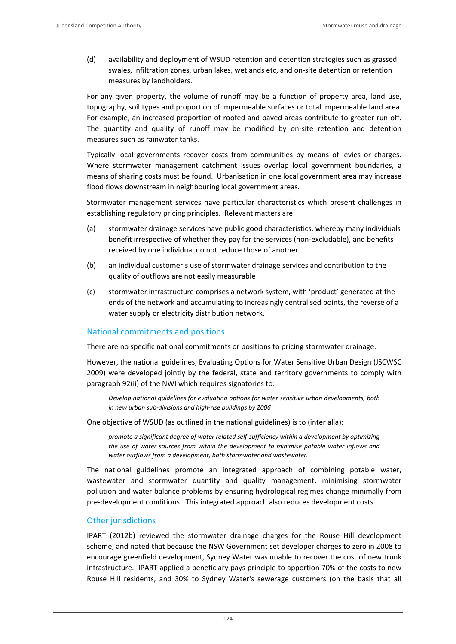(d) availability and deployment of WSUD retention and detention strategies such as grassed swales, infiltration zones, urban lakes, wetlands etc, and on‐site detention or retention measures by landholders.

For any given property, the volume of runoff may be a function of property area, land use, topography, soil types and proportion of impermeable surfaces or total impermeable land area. For example, an increased proportion of roofed and paved areas contribute to greater run‐off. The quantity and quality of runoff may be modified by on-site retention and detention measures such as rainwater tanks.

Typically local governments recover costs from communities by means of levies or charges. Where stormwater management catchment issues overlap local government boundaries, a means of sharing costs must be found. Urbanisation in one local government area may increase flood flows downstream in neighbouring local government areas.

Stormwater management services have particular characteristics which present challenges in establishing regulatory pricing principles. Relevant matters are:

- (a) stormwater drainage services have public good characteristics, whereby many individuals benefit irrespective of whether they pay for the services (non‐excludable), and benefits received by one individual do not reduce those of another
- (b) an individual customer's use of stormwater drainage services and contribution to the quality of outflows are not easily measurable
- (c) stormwater infrastructure comprises a network system, with 'product' generated at the ends of the network and accumulating to increasingly centralised points, the reverse of a water supply or electricity distribution network.

# National commitments and positions

There are no specific national commitments or positions to pricing stormwater drainage.

However, the national guidelines, Evaluating Options for Water Sensitive Urban Design (JSCWSC 2009) were developed jointly by the federal, state and territory governments to comply with paragraph 92(ii) of the NWI which requires signatories to:

*Develop national guidelines for evaluating options for water sensitive urban developments, both in new urban sub‐divisions and high‐rise buildings by 2006* 

One objective of WSUD (as outlined in the national guidelines) is to (inter alia):

*promote a significant degree of water related self‐sufficiency within a development by optimizing the use of water sources from within the development to minimise potable water inflows and water outflows from a development, both stormwater and wastewater.*

The national guidelines promote an integrated approach of combining potable water, wastewater and stormwater quantity and quality management, minimising stormwater pollution and water balance problems by ensuring hydrological regimes change minimally from pre‐development conditions. This integrated approach also reduces development costs.

### Other jurisdictions

IPART (2012b) reviewed the stormwater drainage charges for the Rouse Hill development scheme, and noted that because the NSW Government set developer charges to zero in 2008 to encourage greenfield development, Sydney Water was unable to recover the cost of new trunk infrastructure. IPART applied a beneficiary pays principle to apportion 70% of the costs to new Rouse Hill residents, and 30% to Sydney Water's sewerage customers (on the basis that all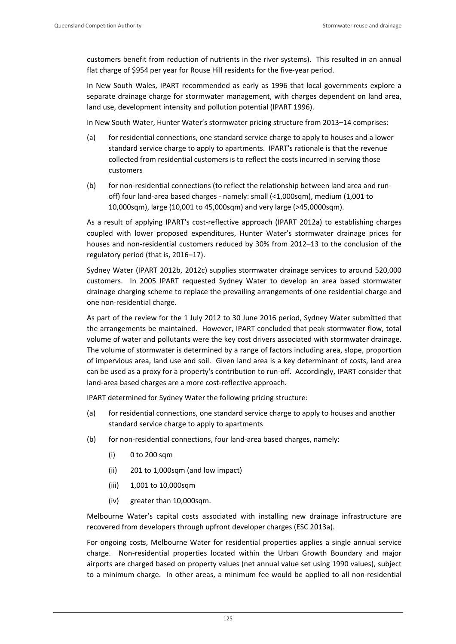customers benefit from reduction of nutrients in the river systems). This resulted in an annual flat charge of \$954 per year for Rouse Hill residents for the five-year period.

In New South Wales, IPART recommended as early as 1996 that local governments explore a separate drainage charge for stormwater management, with charges dependent on land area, land use, development intensity and pollution potential (IPART 1996).

In New South Water, Hunter Water's stormwater pricing structure from 2013–14 comprises:

- (a) for residential connections, one standard service charge to apply to houses and a lower standard service charge to apply to apartments. IPART's rationale is that the revenue collected from residential customers is to reflect the costs incurred in serving those customers
- (b) for non-residential connections (to reflect the relationship between land area and runoff) four land‐area based charges ‐ namely: small (<1,000sqm), medium (1,001 to 10,000sqm), large (10,001 to 45,000sqm) and very large (>45,0000sqm).

As a result of applying IPART's cost-reflective approach (IPART 2012a) to establishing charges coupled with lower proposed expenditures, Hunter Water's stormwater drainage prices for houses and non-residential customers reduced by 30% from 2012–13 to the conclusion of the regulatory period (that is, 2016–17).

Sydney Water (IPART 2012b, 2012c) supplies stormwater drainage services to around 520,000 customers. In 2005 IPART requested Sydney Water to develop an area based stormwater drainage charging scheme to replace the prevailing arrangements of one residential charge and one non‐residential charge.

As part of the review for the 1 July 2012 to 30 June 2016 period, Sydney Water submitted that the arrangements be maintained. However, IPART concluded that peak stormwater flow, total volume of water and pollutants were the key cost drivers associated with stormwater drainage. The volume of stormwater is determined by a range of factors including area, slope, proportion of impervious area, land use and soil. Given land area is a key determinant of costs, land area can be used as a proxy for a property's contribution to run-off. Accordingly, IPART consider that land‐area based charges are a more cost‐reflective approach.

IPART determined for Sydney Water the following pricing structure:

- (a) for residential connections, one standard service charge to apply to houses and another standard service charge to apply to apartments
- (b) for non-residential connections, four land-area based charges, namely:
	- (i) 0 to 200 sqm
	- (ii) 201 to 1,000sqm (and low impact)
	- (iii) 1,001 to 10,000sqm
	- (iv) greater than 10,000sqm.

Melbourne Water's capital costs associated with installing new drainage infrastructure are recovered from developers through upfront developer charges (ESC 2013a).

For ongoing costs, Melbourne Water for residential properties applies a single annual service charge. Non-residential properties located within the Urban Growth Boundary and major airports are charged based on property values (net annual value set using 1990 values), subject to a minimum charge. In other areas, a minimum fee would be applied to all non-residential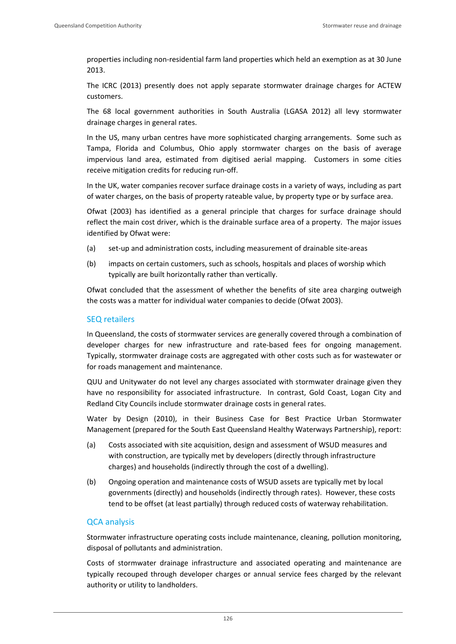properties including non‐residential farm land properties which held an exemption as at 30 June 2013.

The ICRC (2013) presently does not apply separate stormwater drainage charges for ACTEW customers.

The 68 local government authorities in South Australia (LGASA 2012) all levy stormwater drainage charges in general rates.

In the US, many urban centres have more sophisticated charging arrangements. Some such as Tampa, Florida and Columbus, Ohio apply stormwater charges on the basis of average impervious land area, estimated from digitised aerial mapping. Customers in some cities receive mitigation credits for reducing run‐off.

In the UK, water companies recover surface drainage costs in a variety of ways, including as part of water charges, on the basis of property rateable value, by property type or by surface area.

Ofwat (2003) has identified as a general principle that charges for surface drainage should reflect the main cost driver, which is the drainable surface area of a property. The major issues identified by Ofwat were:

- (a) set‐up and administration costs, including measurement of drainable site‐areas
- (b) impacts on certain customers, such as schools, hospitals and places of worship which typically are built horizontally rather than vertically.

Ofwat concluded that the assessment of whether the benefits of site area charging outweigh the costs was a matter for individual water companies to decide (Ofwat 2003).

# SEQ retailers

In Queensland, the costs of stormwater services are generally covered through a combination of developer charges for new infrastructure and rate‐based fees for ongoing management. Typically, stormwater drainage costs are aggregated with other costs such as for wastewater or for roads management and maintenance.

QUU and Unitywater do not level any charges associated with stormwater drainage given they have no responsibility for associated infrastructure. In contrast, Gold Coast, Logan City and Redland City Councils include stormwater drainage costs in general rates.

Water by Design (2010), in their Business Case for Best Practice Urban Stormwater Management (prepared for the South East Queensland Healthy Waterways Partnership), report:

- (a) Costs associated with site acquisition, design and assessment of WSUD measures and with construction, are typically met by developers (directly through infrastructure charges) and households (indirectly through the cost of a dwelling).
- (b) Ongoing operation and maintenance costs of WSUD assets are typically met by local governments (directly) and households (indirectly through rates). However, these costs tend to be offset (at least partially) through reduced costs of waterway rehabilitation.

# QCA analysis

Stormwater infrastructure operating costs include maintenance, cleaning, pollution monitoring, disposal of pollutants and administration.

Costs of stormwater drainage infrastructure and associated operating and maintenance are typically recouped through developer charges or annual service fees charged by the relevant authority or utility to landholders.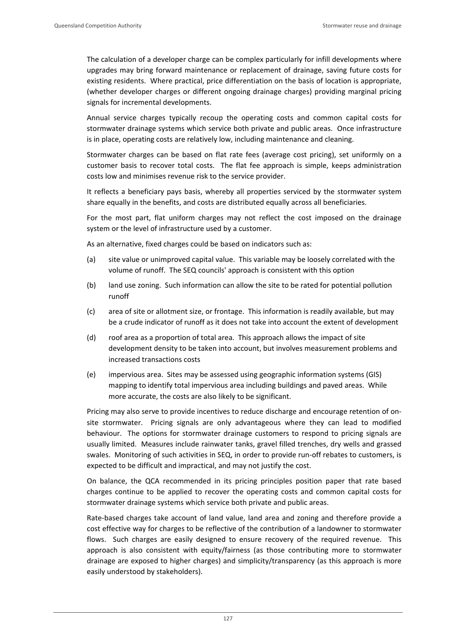The calculation of a developer charge can be complex particularly for infill developments where upgrades may bring forward maintenance or replacement of drainage, saving future costs for existing residents. Where practical, price differentiation on the basis of location is appropriate, (whether developer charges or different ongoing drainage charges) providing marginal pricing signals for incremental developments.

Annual service charges typically recoup the operating costs and common capital costs for stormwater drainage systems which service both private and public areas. Once infrastructure is in place, operating costs are relatively low, including maintenance and cleaning.

Stormwater charges can be based on flat rate fees (average cost pricing), set uniformly on a customer basis to recover total costs. The flat fee approach is simple, keeps administration costs low and minimises revenue risk to the service provider.

It reflects a beneficiary pays basis, whereby all properties serviced by the stormwater system share equally in the benefits, and costs are distributed equally across all beneficiaries.

For the most part, flat uniform charges may not reflect the cost imposed on the drainage system or the level of infrastructure used by a customer.

As an alternative, fixed charges could be based on indicators such as:

- (a) site value or unimproved capital value. This variable may be loosely correlated with the volume of runoff. The SEQ councils' approach is consistent with this option
- (b) land use zoning. Such information can allow the site to be rated for potential pollution runoff
- (c) area of site or allotment size, or frontage. This information is readily available, but may be a crude indicator of runoff as it does not take into account the extent of development
- (d) roof area as a proportion of total area. This approach allows the impact of site development density to be taken into account, but involves measurement problems and increased transactions costs
- (e) impervious area. Sites may be assessed using geographic information systems (GIS) mapping to identify total impervious area including buildings and paved areas. While more accurate, the costs are also likely to be significant.

Pricing may also serve to provide incentives to reduce discharge and encourage retention of on‐ site stormwater. Pricing signals are only advantageous where they can lead to modified behaviour. The options for stormwater drainage customers to respond to pricing signals are usually limited. Measures include rainwater tanks, gravel filled trenches, dry wells and grassed swales. Monitoring of such activities in SEQ, in order to provide run-off rebates to customers, is expected to be difficult and impractical, and may not justify the cost.

On balance, the QCA recommended in its pricing principles position paper that rate based charges continue to be applied to recover the operating costs and common capital costs for stormwater drainage systems which service both private and public areas.

Rate-based charges take account of land value, land area and zoning and therefore provide a cost effective way for charges to be reflective of the contribution of a landowner to stormwater flows. Such charges are easily designed to ensure recovery of the required revenue. This approach is also consistent with equity/fairness (as those contributing more to stormwater drainage are exposed to higher charges) and simplicity/transparency (as this approach is more easily understood by stakeholders).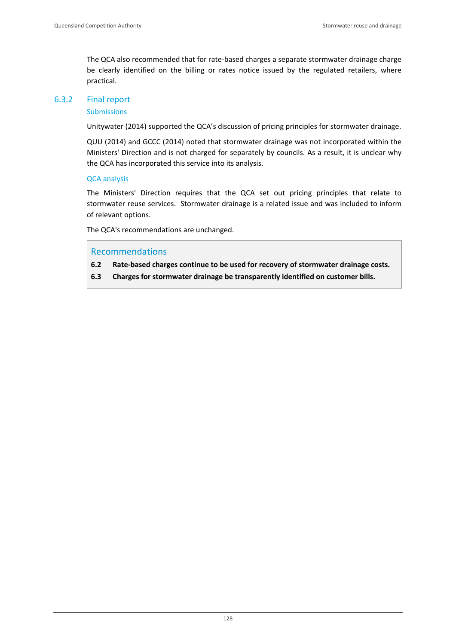The QCA also recommended that for rate-based charges a separate stormwater drainage charge be clearly identified on the billing or rates notice issued by the regulated retailers, where practical.

### 6.3.2 Final report

#### Submissions

Unitywater (2014) supported the QCA's discussion of pricing principles for stormwater drainage.

QUU (2014) and GCCC (2014) noted that stormwater drainage was not incorporated within the Ministers' Direction and is not charged for separately by councils. As a result, it is unclear why the QCA has incorporated this service into its analysis.

#### QCA analysis

The Ministers' Direction requires that the QCA set out pricing principles that relate to stormwater reuse services. Stormwater drainage is a related issue and was included to inform of relevant options.

The QCA's recommendations are unchanged.

# Recommendations

- **6.2 Rate‐based charges continue to be used for recovery of stormwater drainage costs.**
- **6.3 Charges for stormwater drainage be transparently identified on customer bills.**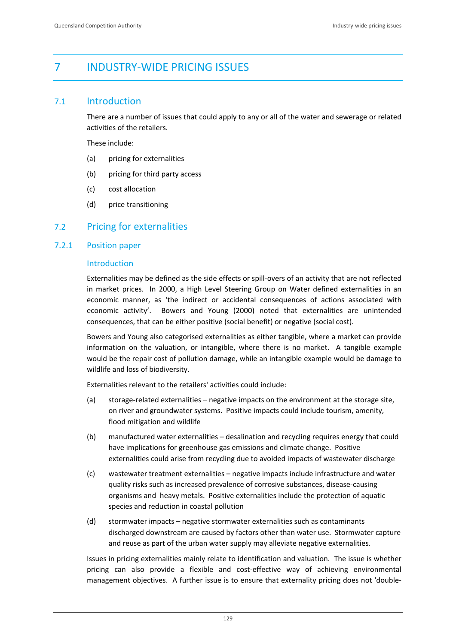# 7 INDUSTRY‐WIDE PRICING ISSUES

# 7.1 Introduction

There are a number of issues that could apply to any or all of the water and sewerage or related activities of the retailers.

These include:

- (a) pricing for externalities
- (b) pricing for third party access
- (c) cost allocation
- (d) price transitioning

# 7.2 Pricing for externalities

### 7.2.1 Position paper

# Introduction

Externalities may be defined as the side effects or spill‐overs of an activity that are not reflected in market prices. In 2000, a High Level Steering Group on Water defined externalities in an economic manner, as 'the indirect or accidental consequences of actions associated with economic activity'. Bowers and Young (2000) noted that externalities are unintended consequences, that can be either positive (social benefit) or negative (social cost).

Bowers and Young also categorised externalities as either tangible, where a market can provide information on the valuation, or intangible, where there is no market. A tangible example would be the repair cost of pollution damage, while an intangible example would be damage to wildlife and loss of biodiversity.

Externalities relevant to the retailers' activities could include:

- (a) storage‐related externalities negative impacts on the environment at the storage site, on river and groundwater systems. Positive impacts could include tourism, amenity, flood mitigation and wildlife
- (b) manufactured water externalities desalination and recycling requires energy that could have implications for greenhouse gas emissions and climate change. Positive externalities could arise from recycling due to avoided impacts of wastewater discharge
- (c) wastewater treatment externalities negative impacts include infrastructure and water quality risks such as increased prevalence of corrosive substances, disease‐causing organisms and heavy metals. Positive externalities include the protection of aquatic species and reduction in coastal pollution
- (d) stormwater impacts negative stormwater externalities such as contaminants discharged downstream are caused by factors other than water use. Stormwater capture and reuse as part of the urban water supply may alleviate negative externalities.

Issues in pricing externalities mainly relate to identification and valuation. The issue is whether pricing can also provide a flexible and cost‐effective way of achieving environmental management objectives. A further issue is to ensure that externality pricing does not 'double‐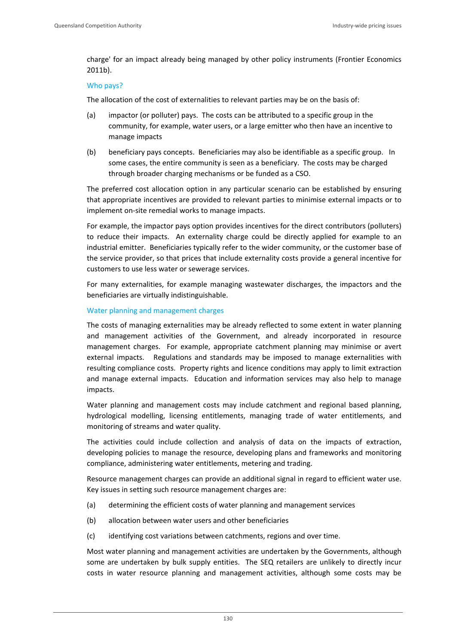charge' for an impact already being managed by other policy instruments (Frontier Economics 2011b).

#### Who pays?

The allocation of the cost of externalities to relevant parties may be on the basis of:

- (a) impactor (or polluter) pays. The costs can be attributed to a specific group in the community, for example, water users, or a large emitter who then have an incentive to manage impacts
- (b) beneficiary pays concepts. Beneficiaries may also be identifiable as a specific group. In some cases, the entire community is seen as a beneficiary. The costs may be charged through broader charging mechanisms or be funded as a CSO.

The preferred cost allocation option in any particular scenario can be established by ensuring that appropriate incentives are provided to relevant parties to minimise external impacts or to implement on-site remedial works to manage impacts.

For example, the impactor pays option provides incentives for the direct contributors (polluters) to reduce their impacts. An externality charge could be directly applied for example to an industrial emitter. Beneficiaries typically refer to the wider community, or the customer base of the service provider, so that prices that include externality costs provide a general incentive for customers to use less water or sewerage services.

For many externalities, for example managing wastewater discharges, the impactors and the beneficiaries are virtually indistinguishable.

#### Water planning and management charges

The costs of managing externalities may be already reflected to some extent in water planning and management activities of the Government, and already incorporated in resource management charges. For example, appropriate catchment planning may minimise or avert external impacts. Regulations and standards may be imposed to manage externalities with resulting compliance costs. Property rights and licence conditions may apply to limit extraction and manage external impacts. Education and information services may also help to manage impacts.

Water planning and management costs may include catchment and regional based planning, hydrological modelling, licensing entitlements, managing trade of water entitlements, and monitoring of streams and water quality.

The activities could include collection and analysis of data on the impacts of extraction, developing policies to manage the resource, developing plans and frameworks and monitoring compliance, administering water entitlements, metering and trading.

Resource management charges can provide an additional signal in regard to efficient water use. Key issues in setting such resource management charges are:

- (a) determining the efficient costs of water planning and management services
- (b) allocation between water users and other beneficiaries
- (c) identifying cost variations between catchments, regions and over time.

Most water planning and management activities are undertaken by the Governments, although some are undertaken by bulk supply entities. The SEQ retailers are unlikely to directly incur costs in water resource planning and management activities, although some costs may be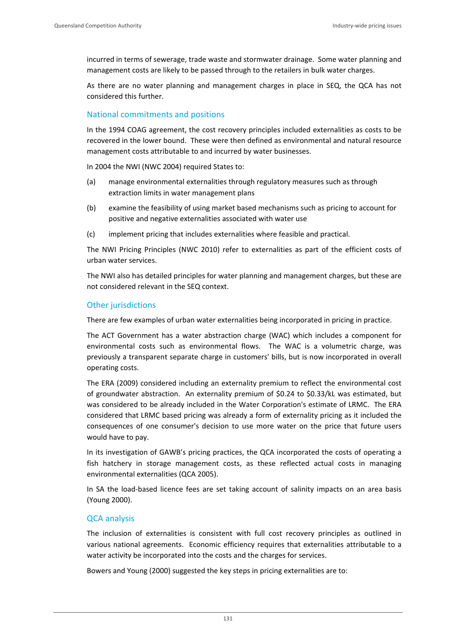incurred in terms of sewerage, trade waste and stormwater drainage. Some water planning and management costs are likely to be passed through to the retailers in bulk water charges.

As there are no water planning and management charges in place in SEQ, the QCA has not considered this further.

# National commitments and positions

In the 1994 COAG agreement, the cost recovery principles included externalities as costs to be recovered in the lower bound. These were then defined as environmental and natural resource management costs attributable to and incurred by water businesses.

In 2004 the NWI (NWC 2004) required States to:

- (a) manage environmental externalities through regulatory measures such as through extraction limits in water management plans
- (b) examine the feasibility of using market based mechanisms such as pricing to account for positive and negative externalities associated with water use
- (c) implement pricing that includes externalities where feasible and practical.

The NWI Pricing Principles (NWC 2010) refer to externalities as part of the efficient costs of urban water services.

The NWI also has detailed principles for water planning and management charges, but these are not considered relevant in the SEQ context.

# Other jurisdictions

There are few examples of urban water externalities being incorporated in pricing in practice.

The ACT Government has a water abstraction charge (WAC) which includes a component for environmental costs such as environmental flows. The WAC is a volumetric charge, was previously a transparent separate charge in customers' bills, but is now incorporated in overall operating costs.

The ERA (2009) considered including an externality premium to reflect the environmental cost of groundwater abstraction. An externality premium of \$0.24 to \$0.33/kL was estimated, but was considered to be already included in the Water Corporation's estimate of LRMC. The ERA considered that LRMC based pricing was already a form of externality pricing as it included the consequences of one consumer's decision to use more water on the price that future users would have to pay.

In its investigation of GAWB's pricing practices, the QCA incorporated the costs of operating a fish hatchery in storage management costs, as these reflected actual costs in managing environmental externalities (QCA 2005).

In SA the load-based licence fees are set taking account of salinity impacts on an area basis (Young 2000).

# QCA analysis

The inclusion of externalities is consistent with full cost recovery principles as outlined in various national agreements. Economic efficiency requires that externalities attributable to a water activity be incorporated into the costs and the charges for services.

Bowers and Young (2000) suggested the key steps in pricing externalities are to: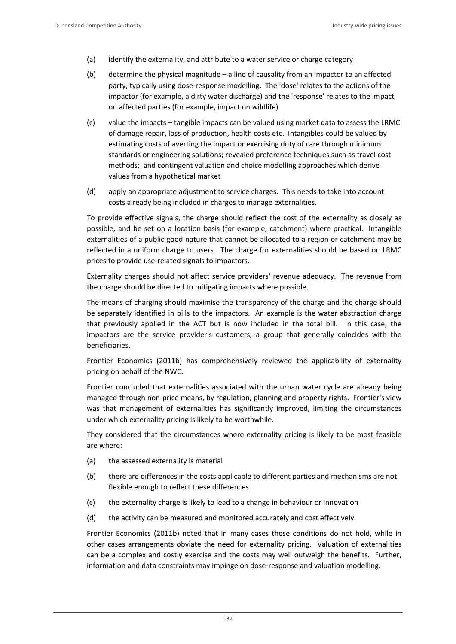- (a) identify the externality, and attribute to a water service or charge category
- (b) determine the physical magnitude  $-$  a line of causality from an impactor to an affected party, typically using dose‐response modelling. The 'dose' relates to the actions of the impactor (for example, a dirty water discharge) and the 'response' relates to the impact on affected parties (for example, impact on wildlife)
- (c) value the impacts tangible impacts can be valued using market data to assess the LRMC of damage repair, loss of production, health costs etc. Intangibles could be valued by estimating costs of averting the impact or exercising duty of care through minimum standards or engineering solutions; revealed preference techniques such as travel cost methods; and contingent valuation and choice modelling approaches which derive values from a hypothetical market
- (d) apply an appropriate adjustment to service charges. This needs to take into account costs already being included in charges to manage externalities.

To provide effective signals, the charge should reflect the cost of the externality as closely as possible, and be set on a location basis (for example, catchment) where practical. Intangible externalities of a public good nature that cannot be allocated to a region or catchment may be reflected in a uniform charge to users. The charge for externalities should be based on LRMC prices to provide use‐related signals to impactors.

Externality charges should not affect service providers' revenue adequacy. The revenue from the charge should be directed to mitigating impacts where possible.

The means of charging should maximise the transparency of the charge and the charge should be separately identified in bills to the impactors. An example is the water abstraction charge that previously applied in the ACT but is now included in the total bill. In this case, the impactors are the service provider's customers, a group that generally coincides with the beneficiaries.

Frontier Economics (2011b) has comprehensively reviewed the applicability of externality pricing on behalf of the NWC.

Frontier concluded that externalities associated with the urban water cycle are already being managed through non‐price means, by regulation, planning and property rights. Frontier's view was that management of externalities has significantly improved, limiting the circumstances under which externality pricing is likely to be worthwhile.

They considered that the circumstances where externality pricing is likely to be most feasible are where:

- (a) the assessed externality is material
- (b) there are differences in the costs applicable to different parties and mechanisms are not flexible enough to reflect these differences
- (c) the externality charge is likely to lead to a change in behaviour or innovation
- (d) the activity can be measured and monitored accurately and cost effectively.

Frontier Economics (2011b) noted that in many cases these conditions do not hold, while in other cases arrangements obviate the need for externality pricing. Valuation of externalities can be a complex and costly exercise and the costs may well outweigh the benefits. Further, information and data constraints may impinge on dose-response and valuation modelling.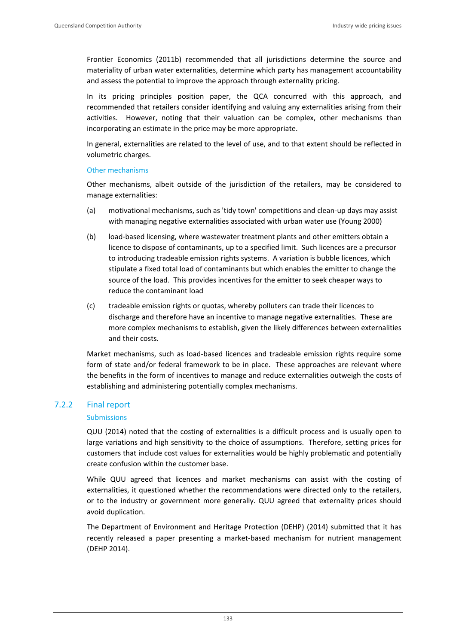Frontier Economics (2011b) recommended that all jurisdictions determine the source and materiality of urban water externalities, determine which party has management accountability and assess the potential to improve the approach through externality pricing.

In its pricing principles position paper, the QCA concurred with this approach, and recommended that retailers consider identifying and valuing any externalities arising from their activities. However, noting that their valuation can be complex, other mechanisms than incorporating an estimate in the price may be more appropriate.

In general, externalities are related to the level of use, and to that extent should be reflected in volumetric charges.

### Other mechanisms

Other mechanisms, albeit outside of the jurisdiction of the retailers, may be considered to manage externalities:

- (a) motivational mechanisms, such as 'tidy town' competitions and clean‐up days may assist with managing negative externalities associated with urban water use (Young 2000)
- (b) load‐based licensing, where wastewater treatment plants and other emitters obtain a licence to dispose of contaminants, up to a specified limit. Such licences are a precursor to introducing tradeable emission rights systems. A variation is bubble licences, which stipulate a fixed total load of contaminants but which enables the emitter to change the source of the load. This provides incentives for the emitter to seek cheaper ways to reduce the contaminant load
- (c) tradeable emission rights or quotas, whereby polluters can trade their licences to discharge and therefore have an incentive to manage negative externalities. These are more complex mechanisms to establish, given the likely differences between externalities and their costs.

Market mechanisms, such as load‐based licences and tradeable emission rights require some form of state and/or federal framework to be in place. These approaches are relevant where the benefits in the form of incentives to manage and reduce externalities outweigh the costs of establishing and administering potentially complex mechanisms.

### 7.2.2 Final report

### **Submissions**

QUU (2014) noted that the costing of externalities is a difficult process and is usually open to large variations and high sensitivity to the choice of assumptions. Therefore, setting prices for customers that include cost values for externalities would be highly problematic and potentially create confusion within the customer base.

While QUU agreed that licences and market mechanisms can assist with the costing of externalities, it questioned whether the recommendations were directed only to the retailers, or to the industry or government more generally. QUU agreed that externality prices should avoid duplication.

The Department of Environment and Heritage Protection (DEHP) (2014) submitted that it has recently released a paper presenting a market‐based mechanism for nutrient management (DEHP 2014).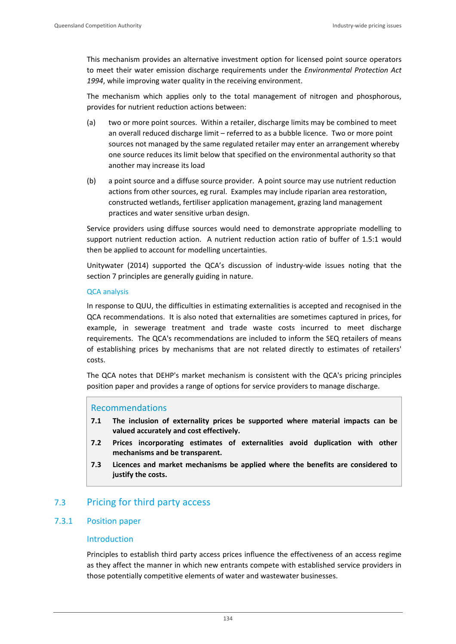This mechanism provides an alternative investment option for licensed point source operators to meet their water emission discharge requirements under the *Environmental Protection Act 1994*, while improving water quality in the receiving environment.

The mechanism which applies only to the total management of nitrogen and phosphorous, provides for nutrient reduction actions between:

- (a) two or more point sources. Within a retailer, discharge limits may be combined to meet an overall reduced discharge limit – referred to as a bubble licence. Two or more point sources not managed by the same regulated retailer may enter an arrangement whereby one source reduces its limit below that specified on the environmental authority so that another may increase its load
- (b) a point source and a diffuse source provider. A point source may use nutrient reduction actions from other sources, eg rural. Examples may include riparian area restoration, constructed wetlands, fertiliser application management, grazing land management practices and water sensitive urban design.

Service providers using diffuse sources would need to demonstrate appropriate modelling to support nutrient reduction action. A nutrient reduction action ratio of buffer of 1.5:1 would then be applied to account for modelling uncertainties.

Unitywater (2014) supported the QCA's discussion of industry‐wide issues noting that the section 7 principles are generally guiding in nature.

#### QCA analysis

In response to QUU, the difficulties in estimating externalities is accepted and recognised in the QCA recommendations. It is also noted that externalities are sometimes captured in prices, for example, in sewerage treatment and trade waste costs incurred to meet discharge requirements. The QCA's recommendations are included to inform the SEQ retailers of means of establishing prices by mechanisms that are not related directly to estimates of retailers' costs.

The QCA notes that DEHP's market mechanism is consistent with the QCA's pricing principles position paper and provides a range of options for service providers to manage discharge.

### Recommendations

- **7.1 The inclusion of externality prices be supported where material impacts can be valued accurately and cost effectively.**
- **7.2 Prices incorporating estimates of externalities avoid duplication with other mechanisms and be transparent.**
- **7.3 Licences and market mechanisms be applied where the benefits are considered to justify the costs.**

# 7.3 Pricing for third party access

# 7.3.1 Position paper

### Introduction

Principles to establish third party access prices influence the effectiveness of an access regime as they affect the manner in which new entrants compete with established service providers in those potentially competitive elements of water and wastewater businesses.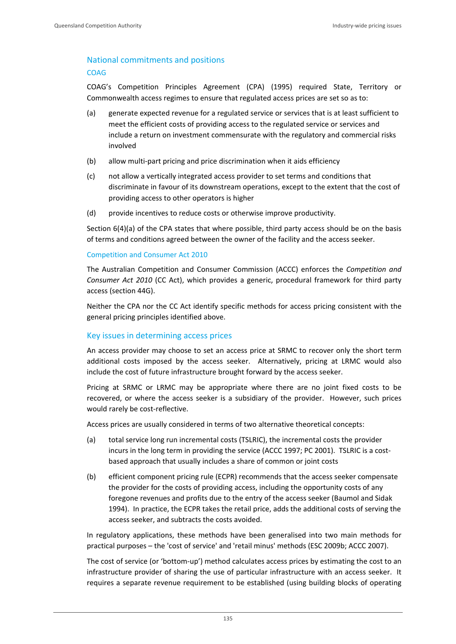# National commitments and positions

#### COAG

COAG's Competition Principles Agreement (CPA) (1995) required State, Territory or Commonwealth access regimes to ensure that regulated access prices are set so as to:

- (a) generate expected revenue for a regulated service or services that is at least sufficient to meet the efficient costs of providing access to the regulated service or services and include a return on investment commensurate with the regulatory and commercial risks involved
- (b) allow multi‐part pricing and price discrimination when it aids efficiency
- (c) not allow a vertically integrated access provider to set terms and conditions that discriminate in favour of its downstream operations, except to the extent that the cost of providing access to other operators is higher
- (d) provide incentives to reduce costs or otherwise improve productivity.

Section 6(4)(a) of the CPA states that where possible, third party access should be on the basis of terms and conditions agreed between the owner of the facility and the access seeker.

### Competition and Consumer Act 2010

The Australian Competition and Consumer Commission (ACCC) enforces the *Competition and Consumer Act 2010* (CC Act), which provides a generic, procedural framework for third party access (section 44G).

Neither the CPA nor the CC Act identify specific methods for access pricing consistent with the general pricing principles identified above.

# Key issues in determining access prices

An access provider may choose to set an access price at SRMC to recover only the short term additional costs imposed by the access seeker. Alternatively, pricing at LRMC would also include the cost of future infrastructure brought forward by the access seeker.

Pricing at SRMC or LRMC may be appropriate where there are no joint fixed costs to be recovered, or where the access seeker is a subsidiary of the provider. However, such prices would rarely be cost-reflective.

Access prices are usually considered in terms of two alternative theoretical concepts:

- (a) total service long run incremental costs (TSLRIC), the incremental costs the provider incurs in the long term in providing the service (ACCC 1997; PC 2001). TSLRIC is a costbased approach that usually includes a share of common or joint costs
- (b) efficient component pricing rule (ECPR) recommends that the access seeker compensate the provider for the costs of providing access, including the opportunity costs of any foregone revenues and profits due to the entry of the access seeker (Baumol and Sidak 1994). In practice, the ECPR takes the retail price, adds the additional costs of serving the access seeker, and subtracts the costs avoided.

In regulatory applications, these methods have been generalised into two main methods for practical purposes – the 'cost of service' and 'retail minus' methods (ESC 2009b; ACCC 2007).

The cost of service (or 'bottom‐up') method calculates access prices by estimating the cost to an infrastructure provider of sharing the use of particular infrastructure with an access seeker. It requires a separate revenue requirement to be established (using building blocks of operating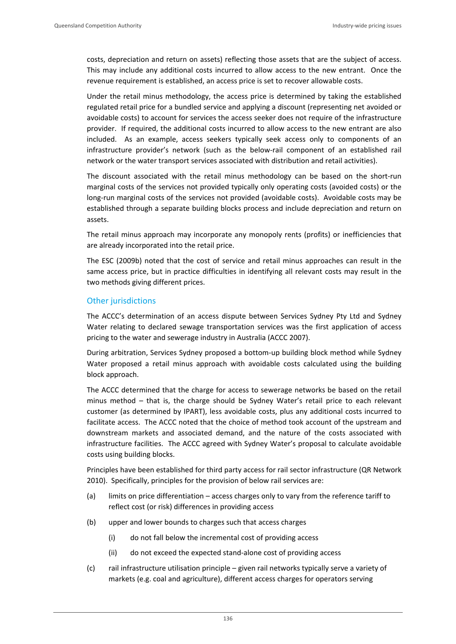costs, depreciation and return on assets) reflecting those assets that are the subject of access. This may include any additional costs incurred to allow access to the new entrant. Once the revenue requirement is established, an access price is set to recover allowable costs.

Under the retail minus methodology, the access price is determined by taking the established regulated retail price for a bundled service and applying a discount (representing net avoided or avoidable costs) to account for services the access seeker does not require of the infrastructure provider. If required, the additional costs incurred to allow access to the new entrant are also included. As an example, access seekers typically seek access only to components of an infrastructure provider's network (such as the below-rail component of an established rail network or the water transport services associated with distribution and retail activities).

The discount associated with the retail minus methodology can be based on the short-run marginal costs of the services not provided typically only operating costs (avoided costs) or the long‐run marginal costs of the services not provided (avoidable costs). Avoidable costs may be established through a separate building blocks process and include depreciation and return on assets.

The retail minus approach may incorporate any monopoly rents (profits) or inefficiencies that are already incorporated into the retail price.

The ESC (2009b) noted that the cost of service and retail minus approaches can result in the same access price, but in practice difficulties in identifying all relevant costs may result in the two methods giving different prices.

# Other jurisdictions

The ACCC's determination of an access dispute between Services Sydney Pty Ltd and Sydney Water relating to declared sewage transportation services was the first application of access pricing to the water and sewerage industry in Australia (ACCC 2007).

During arbitration, Services Sydney proposed a bottom-up building block method while Sydney Water proposed a retail minus approach with avoidable costs calculated using the building block approach.

The ACCC determined that the charge for access to sewerage networks be based on the retail minus method – that is, the charge should be Sydney Water's retail price to each relevant customer (as determined by IPART), less avoidable costs, plus any additional costs incurred to facilitate access. The ACCC noted that the choice of method took account of the upstream and downstream markets and associated demand, and the nature of the costs associated with infrastructure facilities. The ACCC agreed with Sydney Water's proposal to calculate avoidable costs using building blocks.

Principles have been established for third party access for rail sector infrastructure (QR Network 2010). Specifically, principles for the provision of below rail services are:

- (a) limits on price differentiation access charges only to vary from the reference tariff to reflect cost (or risk) differences in providing access
- (b) upper and lower bounds to charges such that access charges
	- (i) do not fall below the incremental cost of providing access
	- (ii) do not exceed the expected stand‐alone cost of providing access
- (c) rail infrastructure utilisation principle given rail networks typically serve a variety of markets (e.g. coal and agriculture), different access charges for operators serving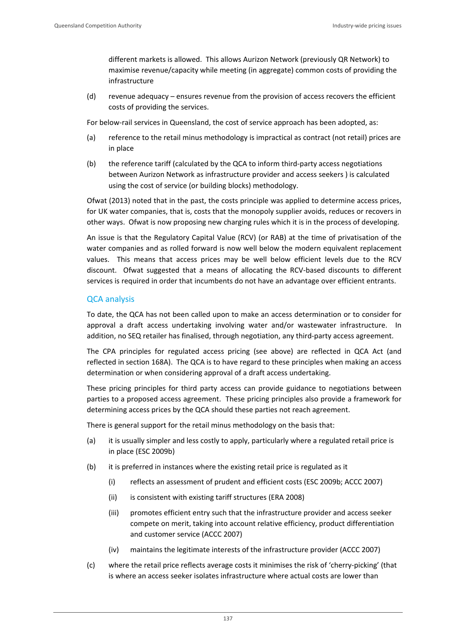different markets is allowed. This allows Aurizon Network (previously QR Network) to maximise revenue/capacity while meeting (in aggregate) common costs of providing the infrastructure

(d) revenue adequacy – ensures revenue from the provision of access recovers the efficient costs of providing the services.

For below-rail services in Queensland, the cost of service approach has been adopted, as:

- (a) reference to the retail minus methodology is impractical as contract (not retail) prices are in place
- (b) the reference tariff (calculated by the QCA to inform third-party access negotiations between Aurizon Network as infrastructure provider and access seekers ) is calculated using the cost of service (or building blocks) methodology.

Ofwat (2013) noted that in the past, the costs principle was applied to determine access prices, for UK water companies, that is, costs that the monopoly supplier avoids, reduces or recovers in other ways. Ofwat is now proposing new charging rules which it is in the process of developing.

An issue is that the Regulatory Capital Value (RCV) (or RAB) at the time of privatisation of the water companies and as rolled forward is now well below the modern equivalent replacement values. This means that access prices may be well below efficient levels due to the RCV discount. Of wat suggested that a means of allocating the RCV-based discounts to different services is required in order that incumbents do not have an advantage over efficient entrants.

# QCA analysis

To date, the QCA has not been called upon to make an access determination or to consider for approval a draft access undertaking involving water and/or wastewater infrastructure. In addition, no SEQ retailer has finalised, through negotiation, any third-party access agreement.

The CPA principles for regulated access pricing (see above) are reflected in QCA Act (and reflected in section 168A). The QCA is to have regard to these principles when making an access determination or when considering approval of a draft access undertaking.

These pricing principles for third party access can provide guidance to negotiations between parties to a proposed access agreement. These pricing principles also provide a framework for determining access prices by the QCA should these parties not reach agreement.

There is general support for the retail minus methodology on the basis that:

- (a) it is usually simpler and less costly to apply, particularly where a regulated retail price is in place (ESC 2009b)
- (b) it is preferred in instances where the existing retail price is regulated as it
	- (i) reflects an assessment of prudent and efficient costs (ESC 2009b; ACCC 2007)
	- (ii) is consistent with existing tariff structures (ERA 2008)
	- (iii) promotes efficient entry such that the infrastructure provider and access seeker compete on merit, taking into account relative efficiency, product differentiation and customer service (ACCC 2007)
	- (iv) maintains the legitimate interests of the infrastructure provider (ACCC 2007)
- (c) where the retail price reflects average costs it minimises the risk of 'cherry‐picking' (that is where an access seeker isolates infrastructure where actual costs are lower than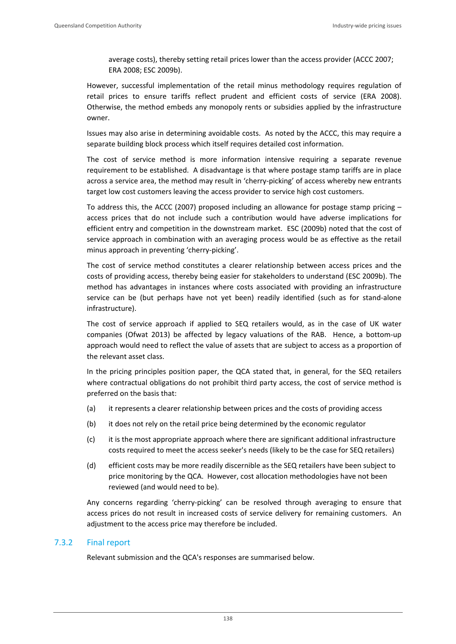average costs), thereby setting retail prices lower than the access provider (ACCC 2007; ERA 2008; ESC 2009b).

However, successful implementation of the retail minus methodology requires regulation of retail prices to ensure tariffs reflect prudent and efficient costs of service (ERA 2008). Otherwise, the method embeds any monopoly rents or subsidies applied by the infrastructure owner.

Issues may also arise in determining avoidable costs. As noted by the ACCC, this may require a separate building block process which itself requires detailed cost information.

The cost of service method is more information intensive requiring a separate revenue requirement to be established. A disadvantage is that where postage stamp tariffs are in place across a service area, the method may result in 'cherry‐picking' of access whereby new entrants target low cost customers leaving the access provider to service high cost customers.

To address this, the ACCC (2007) proposed including an allowance for postage stamp pricing  $$ access prices that do not include such a contribution would have adverse implications for efficient entry and competition in the downstream market. ESC (2009b) noted that the cost of service approach in combination with an averaging process would be as effective as the retail minus approach in preventing 'cherry‐picking'.

The cost of service method constitutes a clearer relationship between access prices and the costs of providing access, thereby being easier for stakeholders to understand (ESC 2009b). The method has advantages in instances where costs associated with providing an infrastructure service can be (but perhaps have not yet been) readily identified (such as for stand‐alone infrastructure).

The cost of service approach if applied to SEQ retailers would, as in the case of UK water companies (Ofwat 2013) be affected by legacy valuations of the RAB. Hence, a bottom‐up approach would need to reflect the value of assets that are subject to access as a proportion of the relevant asset class.

In the pricing principles position paper, the QCA stated that, in general, for the SEQ retailers where contractual obligations do not prohibit third party access, the cost of service method is preferred on the basis that:

- (a) it represents a clearer relationship between prices and the costs of providing access
- (b) it does not rely on the retail price being determined by the economic regulator
- (c) it is the most appropriate approach where there are significant additional infrastructure costs required to meet the access seeker's needs (likely to be the case for SEQ retailers)
- (d) efficient costs may be more readily discernible as the SEQ retailers have been subject to price monitoring by the QCA. However, cost allocation methodologies have not been reviewed (and would need to be).

Any concerns regarding 'cherry‐picking' can be resolved through averaging to ensure that access prices do not result in increased costs of service delivery for remaining customers. An adjustment to the access price may therefore be included.

### 7.3.2 Final report

Relevant submission and the QCA's responses are summarised below.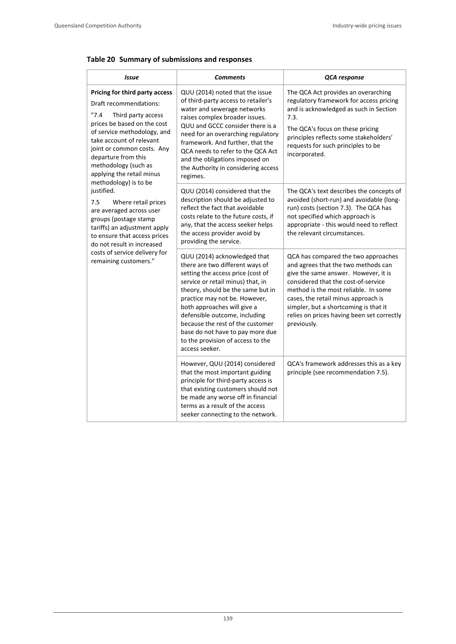|  |  | Table 20 Summary of submissions and responses |  |
|--|--|-----------------------------------------------|--|
|--|--|-----------------------------------------------|--|

| Issue                                                                                                                                                                                                                                                                                                                                                                                                                                                                                                                                                                         | <b>Comments</b>                                                                                                                                                                                                                                                                                                                                                                                                | QCA response                                                                                                                                                                                                                                                                                                                                   |  |
|-------------------------------------------------------------------------------------------------------------------------------------------------------------------------------------------------------------------------------------------------------------------------------------------------------------------------------------------------------------------------------------------------------------------------------------------------------------------------------------------------------------------------------------------------------------------------------|----------------------------------------------------------------------------------------------------------------------------------------------------------------------------------------------------------------------------------------------------------------------------------------------------------------------------------------------------------------------------------------------------------------|------------------------------------------------------------------------------------------------------------------------------------------------------------------------------------------------------------------------------------------------------------------------------------------------------------------------------------------------|--|
| Pricing for third party access<br>Draft recommendations:<br>"7.4"<br>Third party access<br>prices be based on the cost<br>of service methodology, and<br>take account of relevant<br>joint or common costs. Any<br>departure from this<br>methodology (such as<br>applying the retail minus<br>methodology) is to be<br>justified.<br>7.5<br>Where retail prices<br>are averaged across user<br>groups (postage stamp<br>tariffs) an adjustment apply<br>to ensure that access prices<br>do not result in increased<br>costs of service delivery for<br>remaining customers." | QUU (2014) noted that the issue<br>of third-party access to retailer's<br>water and sewerage networks<br>raises complex broader issues.<br>QUU and GCCC consider there is a<br>need for an overarching regulatory<br>framework. And further, that the<br>QCA needs to refer to the QCA Act<br>and the obligations imposed on<br>the Authority in considering access<br>regimes.                                | The QCA Act provides an overarching<br>regulatory framework for access pricing<br>and is acknowledged as such in Section<br>7.3.<br>The QCA's focus on these pricing<br>principles reflects some stakeholders'<br>requests for such principles to be<br>incorporated.                                                                          |  |
|                                                                                                                                                                                                                                                                                                                                                                                                                                                                                                                                                                               | QUU (2014) considered that the<br>description should be adjusted to<br>reflect the fact that avoidable<br>costs relate to the future costs, if<br>any, that the access seeker helps<br>the access provider avoid by<br>providing the service.                                                                                                                                                                  | The QCA's text describes the concepts of<br>avoided (short-run) and avoidable (long-<br>run) costs (section 7.3). The QCA has<br>not specified which approach is<br>appropriate - this would need to reflect<br>the relevant circumstances.                                                                                                    |  |
|                                                                                                                                                                                                                                                                                                                                                                                                                                                                                                                                                                               | QUU (2014) acknowledged that<br>there are two different ways of<br>setting the access price (cost of<br>service or retail minus) that, in<br>theory, should be the same but in<br>practice may not be. However,<br>both approaches will give a<br>defensible outcome, including<br>because the rest of the customer<br>base do not have to pay more due<br>to the provision of access to the<br>access seeker. | QCA has compared the two approaches<br>and agrees that the two methods can<br>give the same answer. However, it is<br>considered that the cost-of-service<br>method is the most reliable. In some<br>cases, the retail minus approach is<br>simpler, but a shortcoming is that it<br>relies on prices having been set correctly<br>previously. |  |
|                                                                                                                                                                                                                                                                                                                                                                                                                                                                                                                                                                               | However, QUU (2014) considered<br>that the most important guiding<br>principle for third-party access is<br>that existing customers should not<br>be made any worse off in financial<br>terms as a result of the access<br>seeker connecting to the network.                                                                                                                                                   | QCA's framework addresses this as a key<br>principle (see recommendation 7.5).                                                                                                                                                                                                                                                                 |  |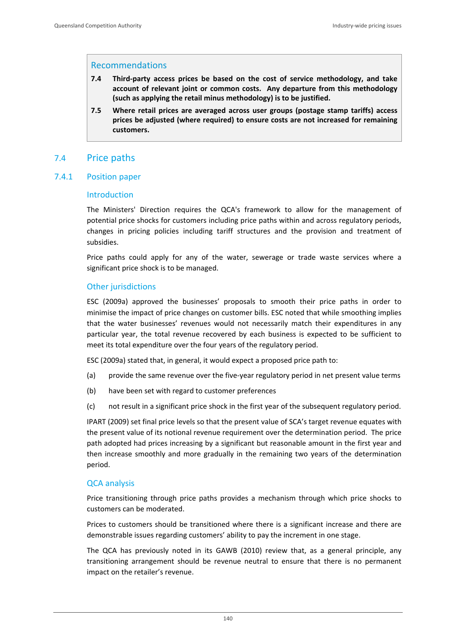### Recommendations

- **7.4 Third‐party access prices be based on the cost of service methodology, and take account of relevant joint or common costs. Any departure from this methodology (such as applying the retail minus methodology) is to be justified.**
- **7.5 Where retail prices are averaged across user groups (postage stamp tariffs) access prices be adjusted (where required) to ensure costs are not increased for remaining customers.**

# 7.4 Price paths

#### 7.4.1 Position paper

#### Introduction

The Ministers' Direction requires the QCA's framework to allow for the management of potential price shocks for customers including price paths within and across regulatory periods, changes in pricing policies including tariff structures and the provision and treatment of subsidies.

Price paths could apply for any of the water, sewerage or trade waste services where a significant price shock is to be managed.

### Other jurisdictions

ESC (2009a) approved the businesses' proposals to smooth their price paths in order to minimise the impact of price changes on customer bills. ESC noted that while smoothing implies that the water businesses' revenues would not necessarily match their expenditures in any particular year, the total revenue recovered by each business is expected to be sufficient to meet its total expenditure over the four years of the regulatory period.

ESC (2009a) stated that, in general, it would expect a proposed price path to:

- (a) provide the same revenue over the five-year regulatory period in net present value terms
- (b) have been set with regard to customer preferences
- (c) not result in a significant price shock in the first year of the subsequent regulatory period.

IPART (2009) set final price levels so that the present value of SCA's target revenue equates with the present value of its notional revenue requirement over the determination period. The price path adopted had prices increasing by a significant but reasonable amount in the first year and then increase smoothly and more gradually in the remaining two years of the determination period.

### QCA analysis

Price transitioning through price paths provides a mechanism through which price shocks to customers can be moderated.

Prices to customers should be transitioned where there is a significant increase and there are demonstrable issues regarding customers' ability to pay the increment in one stage.

The QCA has previously noted in its GAWB (2010) review that, as a general principle, any transitioning arrangement should be revenue neutral to ensure that there is no permanent impact on the retailer's revenue.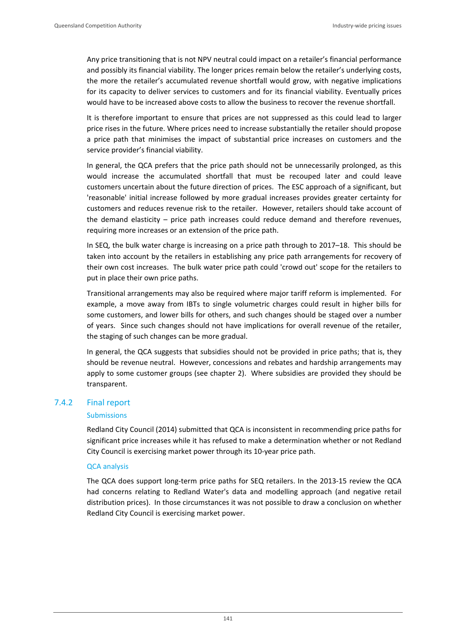Any price transitioning that is not NPV neutral could impact on a retailer's financial performance and possibly its financial viability. The longer prices remain below the retailer's underlying costs, the more the retailer's accumulated revenue shortfall would grow, with negative implications for its capacity to deliver services to customers and for its financial viability. Eventually prices would have to be increased above costs to allow the business to recover the revenue shortfall.

It is therefore important to ensure that prices are not suppressed as this could lead to larger price rises in the future. Where prices need to increase substantially the retailer should propose a price path that minimises the impact of substantial price increases on customers and the service provider's financial viability.

In general, the QCA prefers that the price path should not be unnecessarily prolonged, as this would increase the accumulated shortfall that must be recouped later and could leave customers uncertain about the future direction of prices. The ESC approach of a significant, but 'reasonable' initial increase followed by more gradual increases provides greater certainty for customers and reduces revenue risk to the retailer. However, retailers should take account of the demand elasticity – price path increases could reduce demand and therefore revenues, requiring more increases or an extension of the price path.

In SEQ, the bulk water charge is increasing on a price path through to 2017–18. This should be taken into account by the retailers in establishing any price path arrangements for recovery of their own cost increases. The bulk water price path could 'crowd out' scope for the retailers to put in place their own price paths.

Transitional arrangements may also be required where major tariff reform is implemented. For example, a move away from IBTs to single volumetric charges could result in higher bills for some customers, and lower bills for others, and such changes should be staged over a number of years. Since such changes should not have implications for overall revenue of the retailer, the staging of such changes can be more gradual.

In general, the QCA suggests that subsidies should not be provided in price paths; that is, they should be revenue neutral. However, concessions and rebates and hardship arrangements may apply to some customer groups (see chapter 2). Where subsidies are provided they should be transparent.

### 7.4.2 Final report

#### **Submissions**

Redland City Council (2014) submitted that QCA is inconsistent in recommending price paths for significant price increases while it has refused to make a determination whether or not Redland City Council is exercising market power through its 10‐year price path.

### QCA analysis

The QCA does support long‐term price paths for SEQ retailers. In the 2013‐15 review the QCA had concerns relating to Redland Water's data and modelling approach (and negative retail distribution prices). In those circumstances it was not possible to draw a conclusion on whether Redland City Council is exercising market power.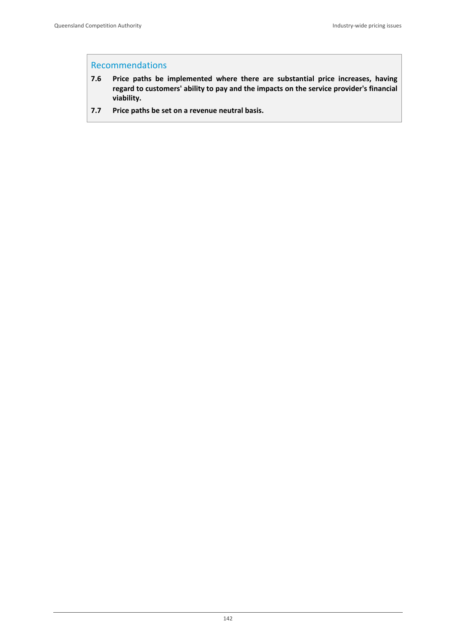## Recommendations

- **7.6 Price paths be implemented where there are substantial price increases, having regard to customers' ability to pay and the impacts on the service provider's financial viability.**
- **7.7 Price paths be set on a revenue neutral basis.**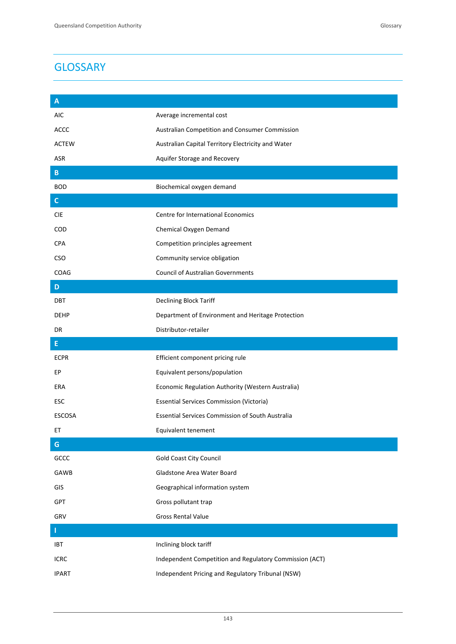| A             |                                                         |
|---------------|---------------------------------------------------------|
| AIC           | Average incremental cost                                |
| <b>ACCC</b>   | Australian Competition and Consumer Commission          |
| <b>ACTEW</b>  | Australian Capital Territory Electricity and Water      |
| ASR           | Aquifer Storage and Recovery                            |
| B.            |                                                         |
| <b>BOD</b>    | Biochemical oxygen demand                               |
| $\mathsf{C}$  |                                                         |
| <b>CIE</b>    | Centre for International Economics                      |
| <b>COD</b>    | Chemical Oxygen Demand                                  |
| <b>CPA</b>    | Competition principles agreement                        |
| <b>CSO</b>    | Community service obligation                            |
| COAG          | <b>Council of Australian Governments</b>                |
| D             |                                                         |
| <b>DBT</b>    | Declining Block Tariff                                  |
| <b>DEHP</b>   | Department of Environment and Heritage Protection       |
| DR            | Distributor-retailer                                    |
| E             |                                                         |
|               |                                                         |
| <b>ECPR</b>   | Efficient component pricing rule                        |
| EР            | Equivalent persons/population                           |
| ERA           | Economic Regulation Authority (Western Australia)       |
| ESC           | <b>Essential Services Commission (Victoria)</b>         |
| <b>ESCOSA</b> | <b>Essential Services Commission of South Australia</b> |
| EТ            | Equivalent tenement                                     |
| ${\mathsf G}$ |                                                         |
| GCCC          | <b>Gold Coast City Council</b>                          |
| GAWB          | Gladstone Area Water Board                              |
| GIS           | Geographical information system                         |
| GPT           | Gross pollutant trap                                    |
| GRV           | <b>Gross Rental Value</b>                               |
| г             |                                                         |
| IBT           | Inclining block tariff                                  |
| <b>ICRC</b>   | Independent Competition and Regulatory Commission (ACT) |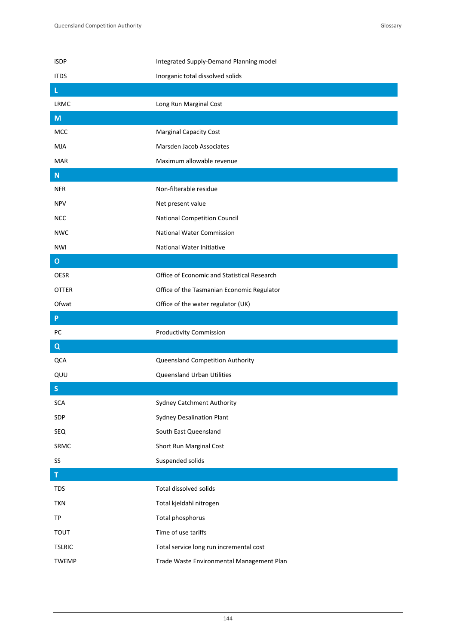| iSDP          | Integrated Supply-Demand Planning model     |
|---------------|---------------------------------------------|
| <b>ITDS</b>   | Inorganic total dissolved solids            |
| L             |                                             |
| <b>LRMC</b>   | Long Run Marginal Cost                      |
| M             |                                             |
| <b>MCC</b>    | <b>Marginal Capacity Cost</b>               |
| MJA           | Marsden Jacob Associates                    |
| <b>MAR</b>    | Maximum allowable revenue                   |
| ${\bf N}$     |                                             |
| <b>NFR</b>    | Non-filterable residue                      |
| <b>NPV</b>    | Net present value                           |
| <b>NCC</b>    | National Competition Council                |
| <b>NWC</b>    | <b>National Water Commission</b>            |
| NWI           | <b>National Water Initiative</b>            |
| $\mathbf{o}$  |                                             |
| <b>OESR</b>   | Office of Economic and Statistical Research |
| OTTER         | Office of the Tasmanian Economic Regulator  |
| Ofwat         | Office of the water regulator (UK)          |
|               |                                             |
| P             |                                             |
| PC            | <b>Productivity Commission</b>              |
| $\mathbf Q$   |                                             |
| QCA           | Queensland Competition Authority            |
| QUU           | Queensland Urban Utilities                  |
| $\mathsf{S}$  |                                             |
| <b>SCA</b>    | <b>Sydney Catchment Authority</b>           |
| SDP           | <b>Sydney Desalination Plant</b>            |
| SEQ           | South East Queensland                       |
| SRMC          | Short Run Marginal Cost                     |
| SS            | Suspended solids                            |
| $\mathsf T$   |                                             |
| <b>TDS</b>    | Total dissolved solids                      |
| <b>TKN</b>    | Total kjeldahl nitrogen                     |
| TP            | Total phosphorus                            |
| <b>TOUT</b>   | Time of use tariffs                         |
| <b>TSLRIC</b> | Total service long run incremental cost     |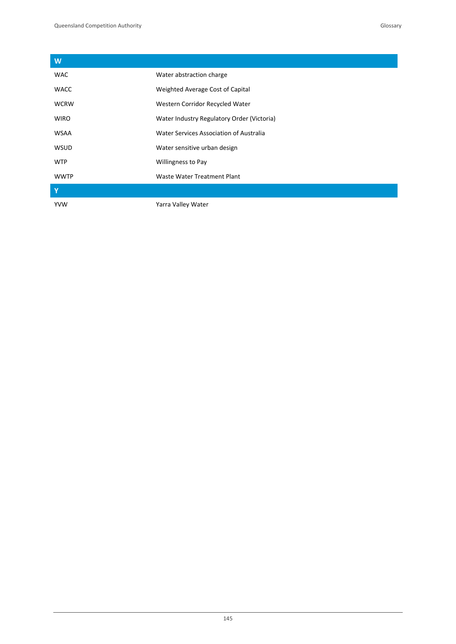| W                       |                                            |
|-------------------------|--------------------------------------------|
| <b>WAC</b>              | Water abstraction charge                   |
| <b>WACC</b>             | Weighted Average Cost of Capital           |
| <b>WCRW</b>             | Western Corridor Recycled Water            |
| <b>WIRO</b>             | Water Industry Regulatory Order (Victoria) |
| <b>WSAA</b>             | Water Services Association of Australia    |
| <b>WSUD</b>             | Water sensitive urban design               |
| <b>WTP</b>              | Willingness to Pay                         |
| <b>WWTP</b>             | Waste Water Treatment Plant                |
| $\overline{\mathbf{Y}}$ |                                            |
| <b>YVW</b>              | Yarra Valley Water                         |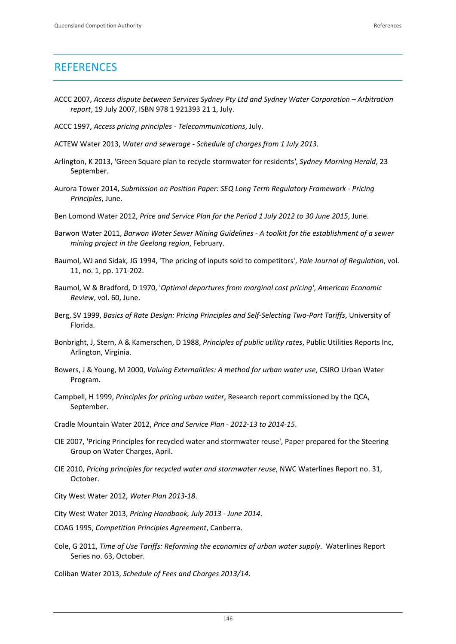# **REFERENCES**

- ACCC 2007, *Access dispute between Services Sydney Pty Ltd and Sydney Water Corporation – Arbitration report*, 19 July 2007, ISBN 978 1 921393 21 1, July.
- ACCC 1997, *Access pricing principles ‐ Telecommunications*, July.
- ACTEW Water 2013, *Water and sewerage ‐ Schedule of charges from 1 July 2013.*
- Arlington, K 2013, 'Green Square plan to recycle stormwater for residents*'*, *Sydney Morning Herald*, 23 September.
- Aurora Tower 2014, *Submission on Position Paper: SEQ Long Term Regulatory Framework ‐ Pricing Principles*, June.
- Ben Lomond Water 2012, *Price and Service Plan for the Period 1 July 2012 to 30 June 2015*, June.
- Barwon Water 2011, *Barwon Water Sewer Mining Guidelines ‐ A toolkit for the establishment of a sewer mining project in the Geelong region*, February.
- Baumol, WJ and Sidak, JG 1994, 'The pricing of inputs sold to competitors', *Yale Journal of Regulation*, vol. 11, no. 1, pp. 171‐202.
- Baumol, W & Bradford, D 1970, '*Optimal departures from marginal cost pricing'*, *American Economic Review*, vol. 60, June.
- Berg, SV 1999, *Basics of Rate Design: Pricing Principles and Self‐Selecting Two‐Part Tariffs*, University of Florida.
- Bonbright, J, Stern, A & Kamerschen, D 1988, *Principles of public utility rates*, Public Utilities Reports Inc, Arlington, Virginia.
- Bowers, J & Young, M 2000, *Valuing Externalities: A method for urban water use*, CSIRO Urban Water Program.
- Campbell, H 1999, *Principles for pricing urban water*, Research report commissioned by the QCA, September.
- Cradle Mountain Water 2012, *Price and Service Plan ‐ 2012‐13 to 2014‐15*.
- CIE 2007, 'Pricing Principles for recycled water and stormwater reuse', Paper prepared for the Steering Group on Water Charges, April.
- CIE 2010, *Pricing principles for recycled water and stormwater reuse*, NWC Waterlines Report no. 31, October.
- City West Water 2012, *Water Plan 2013‐18*.
- City West Water 2013, *Pricing Handbook, July 2013 ‐ June 2014*.
- COAG 1995, *Competition Principles Agreement*, Canberra.
- Cole, G 2011, *Time of Use Tariffs: Reforming the economics of urban water supply*. Waterlines Report Series no. 63, October.

Coliban Water 2013, *Schedule of Fees and Charges 2013/14*.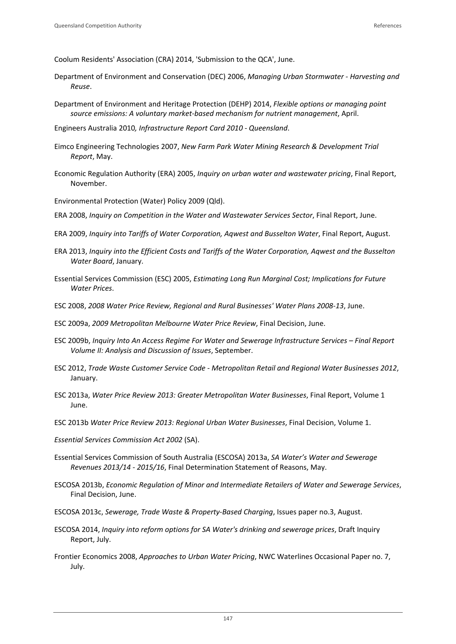Coolum Residents' Association (CRA) 2014, 'Submission to the QCA', June.

- Department of Environment and Conservation (DEC) 2006, *Managing Urban Stormwater ‐ Harvesting and Reuse*.
- Department of Environment and Heritage Protection (DEHP) 2014, *Flexible options or managing point source emissions: A voluntary market‐based mechanism for nutrient management*, April.
- Engineers Australia 2010*, Infrastructure Report Card 2010 ‐ Queensland*.
- Eimco Engineering Technologies 2007, *New Farm Park Water Mining Research & Development Trial Report*, May.
- Economic Regulation Authority (ERA) 2005, *Inquiry on urban water and wastewater pricing*, Final Report, November.
- Environmental Protection (Water) Policy 2009 (Qld).
- ERA 2008, *Inquiry on Competition in the Water and Wastewater Services Sector*, Final Report, June.
- ERA 2009, *Inquiry into Tariffs of Water Corporation, Aqwest and Busselton Water*, Final Report, August.
- ERA 2013, *Inquiry into the Efficient Costs and Tariffs of the Water Corporation, Aqwest and the Busselton Water Board*, January.
- Essential Services Commission (ESC) 2005, *Estimating Long Run Marginal Cost; Implications for Future Water Prices*.
- ESC 2008, *2008 Water Price Review, Regional and Rural Businesses' Water Plans 2008‐13*, June.
- ESC 2009a, *2009 Metropolitan Melbourne Water Price Review*, Final Decision, June.
- ESC 2009b, *Inquiry Into An Access Regime For Water and Sewerage Infrastructure Services – Final Report Volume II: Analysis and Discussion of Issues*, September.
- ESC 2012, *Trade Waste Customer Service Code ‐ Metropolitan Retail and Regional Water Businesses 2012*, January.
- ESC 2013a, *Water Price Review 2013: Greater Metropolitan Water Businesses*, Final Report, Volume 1 June.
- ESC 2013b *Water Price Review 2013: Regional Urban Water Businesses*, Final Decision, Volume 1.
- *Essential Services Commission Act 2002* (SA).
- Essential Services Commission of South Australia (ESCOSA) 2013a, *SA Water's Water and Sewerage Revenues 2013/14 ‐ 2015/16*, Final Determination Statement of Reasons, May.
- ESCOSA 2013b, *Economic Regulation of Minor and Intermediate Retailers of Water and Sewerage Services*, Final Decision, June.
- ESCOSA 2013c, *Sewerage, Trade Waste & Property‐Based Charging*, Issues paper no.3, August.
- ESCOSA 2014, *Inquiry into reform options for SA Water's drinking and sewerage prices*, Draft Inquiry Report, July.
- Frontier Economics 2008, *Approaches to Urban Water Pricing*, NWC Waterlines Occasional Paper no. 7, July.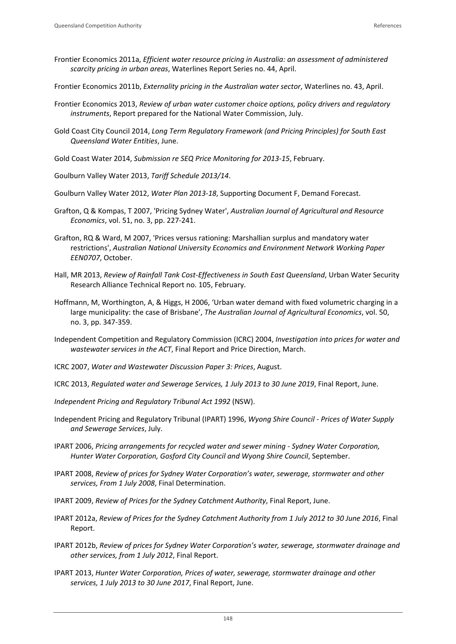- Frontier Economics 2011a, *Efficient water resource pricing in Australia: an assessment of administered scarcity pricing in urban areas*, Waterlines Report Series no. 44, April.
- Frontier Economics 2011b, *Externality pricing in the Australian water sector*, Waterlines no. 43, April.
- Frontier Economics 2013, *Review of urban water customer choice options, policy drivers and regulatory instruments*, Report prepared for the National Water Commission, July.
- Gold Coast City Council 2014, *Long Term Regulatory Framework (and Pricing Principles) for South East Queensland Water Entities*, June.
- Gold Coast Water 2014, *Submission re SEQ Price Monitoring for 2013‐15*, February.
- Goulburn Valley Water 2013, *Tariff Schedule 2013/14*.
- Goulburn Valley Water 2012, *Water Plan 2013‐18*, Supporting Document F, Demand Forecast.
- Grafton, Q & Kompas, T 2007, 'Pricing Sydney Water', *Australian Journal of Agricultural and Resource Economics*, vol. 51, no. 3, pp. 227‐241.
- Grafton, RQ & Ward, M 2007, 'Prices versus rationing: Marshallian surplus and mandatory water restrictions', *Australian National University Economics and Environment Network Working Paper EEN0707*, October.
- Hall, MR 2013, *Review of Rainfall Tank Cost‐Effectiveness in South East Queensland*, Urban Water Security Research Alliance Technical Report no. 105, February.
- Hoffmann, M, Worthington, A, & Higgs, H 2006, 'Urban water demand with fixed volumetric charging in a large municipality: the case of Brisbane', *The Australian Journal of Agricultural Economics*, vol. 50, no. 3, pp. 347‐359.
- Independent Competition and Regulatory Commission (ICRC) 2004, *Investigation into prices for water and wastewater services in the ACT*, Final Report and Price Direction, March.
- ICRC 2007, *Water and Wastewater Discussion Paper 3: Prices*, August.
- ICRC 2013, *Regulated water and Sewerage Services, 1 July 2013 to 30 June 2019*, Final Report, June.
- *Independent Pricing and Regulatory Tribunal Act 1992* (NSW).
- Independent Pricing and Regulatory Tribunal (IPART) 1996, *Wyong Shire Council ‐ Prices of Water Supply and Sewerage Services*, July.
- IPART 2006, *Pricing arrangements for recycled water and sewer mining ‐ Sydney Water Corporation, Hunter Water Corporation, Gosford City Council and Wyong Shire Council*, September.
- IPART 2008, *Review of prices for Sydney Water Corporation's water, sewerage, stormwater and other services, From 1 July 2008*, Final Determination.
- IPART 2009, *Review of Prices for the Sydney Catchment Authority*, Final Report, June.
- IPART 2012a, *Review of Prices for the Sydney Catchment Authority from 1 July 2012 to 30 June 2016*, Final Report.
- IPART 2012b, *Review of prices for Sydney Water Corporation's water, sewerage, stormwater drainage and other services, from 1 July 2012*, Final Report.
- IPART 2013, *Hunter Water Corporation, Prices of water, sewerage, stormwater drainage and other services, 1 July 2013 to 30 June 2017*, Final Report, June.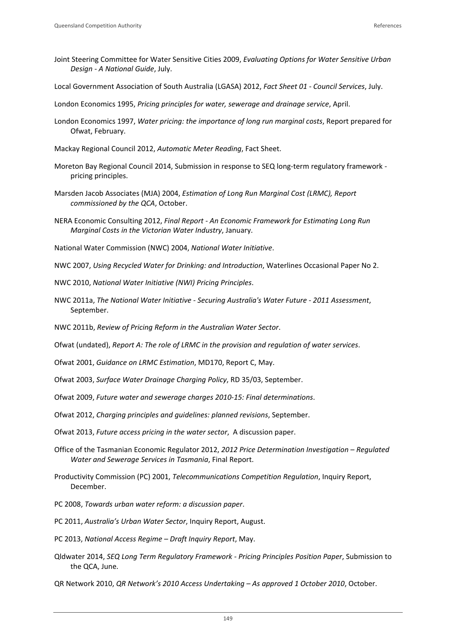- Joint Steering Committee for Water Sensitive Cities 2009, *Evaluating Options for Water Sensitive Urban Design ‐ A National Guide*, July.
- Local Government Association of South Australia (LGASA) 2012, *Fact Sheet 01 ‐ Council Services*, July.
- London Economics 1995, *Pricing principles for water, sewerage and drainage service*, April.
- London Economics 1997, *Water pricing: the importance of long run marginal costs*, Report prepared for Ofwat, February.
- Mackay Regional Council 2012, *Automatic Meter Reading*, Fact Sheet.
- Moreton Bay Regional Council 2014, Submission in response to SEQ long-term regulatory framework pricing principles.
- Marsden Jacob Associates (MJA) 2004, *Estimation of Long Run Marginal Cost (LRMC), Report commissioned by the QCA*, October.
- NERA Economic Consulting 2012, *Final Report ‐ An Economic Framework for Estimating Long Run Marginal Costs in the Victorian Water Industry*, January.
- National Water Commission (NWC) 2004, *National Water Initiative*.
- NWC 2007, *Using Recycled Water for Drinking: and Introduction*, Waterlines Occasional Paper No 2.
- NWC 2010, *National Water Initiative (NWI) Pricing Principles*.
- NWC 2011a, *The National Water Initiative ‐ Securing Australia's Water Future ‐ 2011 Assessment*, September.
- NWC 2011b, *Review of Pricing Reform in the Australian Water Sector*.

Ofwat (undated), *Report A: The role of LRMC in the provision and regulation of water services*.

- Ofwat 2001, *Guidance on LRMC Estimation*, MD170, Report C, May.
- Ofwat 2003, *Surface Water Drainage Charging Policy*, RD 35/03, September.
- Ofwat 2009, *Future water and sewerage charges 2010‐15: Final determinations*.
- Ofwat 2012, *Charging principles and guidelines: planned revisions*, September.
- Ofwat 2013, *Future access pricing in the water sector*, A discussion paper.
- Office of the Tasmanian Economic Regulator 2012, *2012 Price Determination Investigation – Regulated Water and Sewerage Services in Tasmania*, Final Report.
- Productivity Commission (PC) 2001, *Telecommunications Competition Regulation*, Inquiry Report, December.
- PC 2008, *Towards urban water reform: a discussion paper*.
- PC 2011, *Australia's Urban Water Sector*, Inquiry Report, August.
- PC 2013, *National Access Regime – Draft Inquiry Report*, May.
- Qldwater 2014, *SEQ Long Term Regulatory Framework ‐ Pricing Principles Position Paper*, Submission to the QCA, June.
- QR Network 2010, *QR Network's 2010 Access Undertaking – As approved 1 October 2010*, October.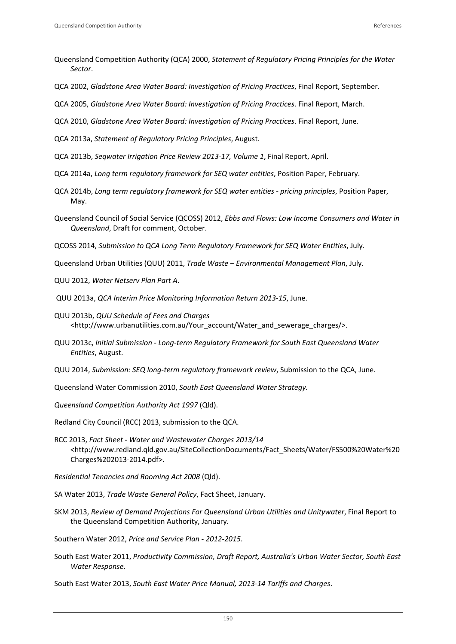- Queensland Competition Authority (QCA) 2000, *Statement of Regulatory Pricing Principles for the Water Sector*.
- QCA 2002, *Gladstone Area Water Board: Investigation of Pricing Practices*, Final Report, September.
- QCA 2005, *Gladstone Area Water Board: Investigation of Pricing Practices*. Final Report, March.
- QCA 2010, *Gladstone Area Water Board: Investigation of Pricing Practices*. Final Report, June.
- QCA 2013a, *Statement of Regulatory Pricing Principles*, August.
- QCA 2013b, *Seqwater Irrigation Price Review 2013‐17, Volume 1*, Final Report, April.
- QCA 2014a, *Long term regulatory framework for SEQ water entities*, Position Paper, February.
- QCA 2014b, *Long term regulatory framework for SEQ water entities ‐ pricing principles*, Position Paper, May.
- Queensland Council of Social Service (QCOSS) 2012, *Ebbs and Flows: Low Income Consumers and Water in Queensland*, Draft for comment, October.
- QCOSS 2014, *Submission to QCA Long Term Regulatory Framework for SEQ Water Entities*, July.
- Queensland Urban Utilities (QUU) 2011, *Trade Waste – Environmental Management Plan*, July.
- QUU 2012, *Water Netserv Plan Part A*.
- QUU 2013a, *QCA Interim Price Monitoring Information Return 2013‐15*, June.
- QUU 2013b, *QUU Schedule of Fees and Charges* <http://www.urbanutilities.com.au/Your\_account/Water\_and\_sewerage\_charges/>.
- QUU 2013c, *Initial Submission ‐ Long‐term Regulatory Framework for South East Queensland Water Entities*, August.
- QUU 2014, *Submission: SEQ long‐term regulatory framework review*, Submission to the QCA, June.
- Queensland Water Commission 2010, *South East Queensland Water Strategy.*
- *Queensland Competition Authority Act 1997* (Qld).

Redland City Council (RCC) 2013, submission to the QCA.

- RCC 2013, *Fact Sheet ‐ Water and Wastewater Charges 2013/14* <http://www.redland.qld.gov.au/SiteCollectionDocuments/Fact\_Sheets/Water/FS500%20Water%20 Charges%202013‐2014.pdf>.
- *Residential Tenancies and Rooming Act 2008* (Qld).
- SA Water 2013, *Trade Waste General Policy*, Fact Sheet, January.
- SKM 2013, *Review of Demand Projections For Queensland Urban Utilities and Unitywater*, Final Report to the Queensland Competition Authority, January.
- Southern Water 2012, *Price and Service Plan ‐ 2012‐2015*.
- South East Water 2011, *Productivity Commission, Draft Report, Australia's Urban Water Sector, South East Water Response*.

South East Water 2013, *South East Water Price Manual, 2013‐14 Tariffs and Charges*.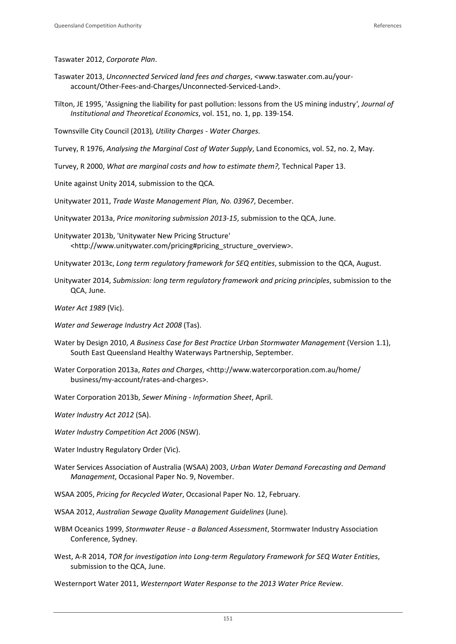Taswater 2012, *Corporate Plan*.

- Taswater 2013, *Unconnected Serviced land fees and charges*, <www.taswater.com.au/your‐ account/Other‐Fees‐and‐Charges/Unconnected‐Serviced‐Land>.
- Tilton, JE 1995, 'Assigning the liability for past pollution: lessons from the US mining industry*'*, *Journal of Institutional and Theoretical Economics*, vol. 151, no. 1, pp. 139‐154.

Townsville City Council (2013)*, Utility Charges ‐ Water Charges.*

Turvey, R 1976, *Analysing the Marginal Cost of Water Supply*, Land Economics, vol. 52, no. 2, May.

- Turvey, R 2000, *What are marginal costs and how to estimate them?,* Technical Paper 13.
- Unite against Unity 2014, submission to the QCA.

Unitywater 2011, *Trade Waste Management Plan, No. 03967*, December.

Unitywater 2013a, *Price monitoring submission 2013‐15*, submission to the QCA, June.

- Unitywater 2013b, 'Unitywater New Pricing Structure' <http://www.unitywater.com/pricing#pricing\_structure\_overview>.
- Unitywater 2013c, *Long term regulatory framework for SEQ entities*, submission to the QCA, August.
- Unitywater 2014, *Submission: long term regulatory framework and pricing principles*, submission to the QCA, June.

*Water Act 1989* (Vic).

- *Water and Sewerage Industry Act 2008* (Tas).
- Water by Design 2010, *A Business Case for Best Practice Urban Stormwater Management* (Version 1.1), South East Queensland Healthy Waterways Partnership, September.
- Water Corporation 2013a, *Rates and Charges*, <http://www.watercorporation.com.au/home/ business/my‐account/rates‐and‐charges>.
- Water Corporation 2013b, *Sewer Mining ‐ Information Sheet*, April.
- *Water Industry Act 2012* (SA).

*Water Industry Competition Act 2006* (NSW).

- Water Industry Regulatory Order (Vic).
- Water Services Association of Australia (WSAA) 2003, *Urban Water Demand Forecasting and Demand Management*, Occasional Paper No. 9, November.
- WSAA 2005, *Pricing for Recycled Water*, Occasional Paper No. 12, February.
- WSAA 2012, *Australian Sewage Quality Management Guidelines* (June).
- WBM Oceanics 1999, *Stormwater Reuse ‐ a Balanced Assessment*, Stormwater Industry Association Conference, Sydney.
- West, A‐R 2014, *TOR for investigation into Long‐term Regulatory Framework for SEQ Water Entities*, submission to the QCA, June.
- Westernport Water 2011, *Westernport Water Response to the 2013 Water Price Review*.